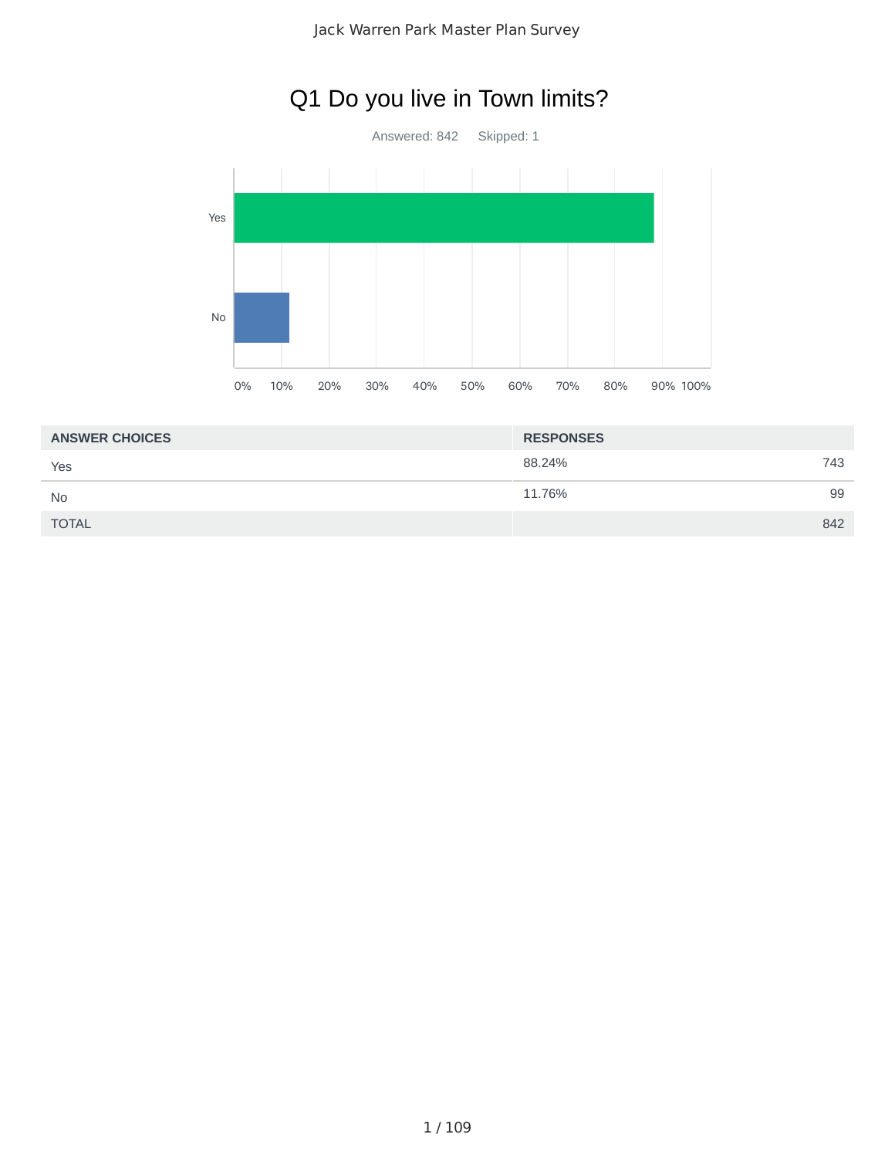## Q1 Do you live in Town limits?

Answered: 842 Skipped: 1



| <b>ANSWER CHOICES</b> | <b>RESPONSES</b> |  |
|-----------------------|------------------|--|
| Yes                   | 88.24%<br>743    |  |
| <b>No</b>             | 11.76%<br>99     |  |
| <b>TOTAL</b>          | 842              |  |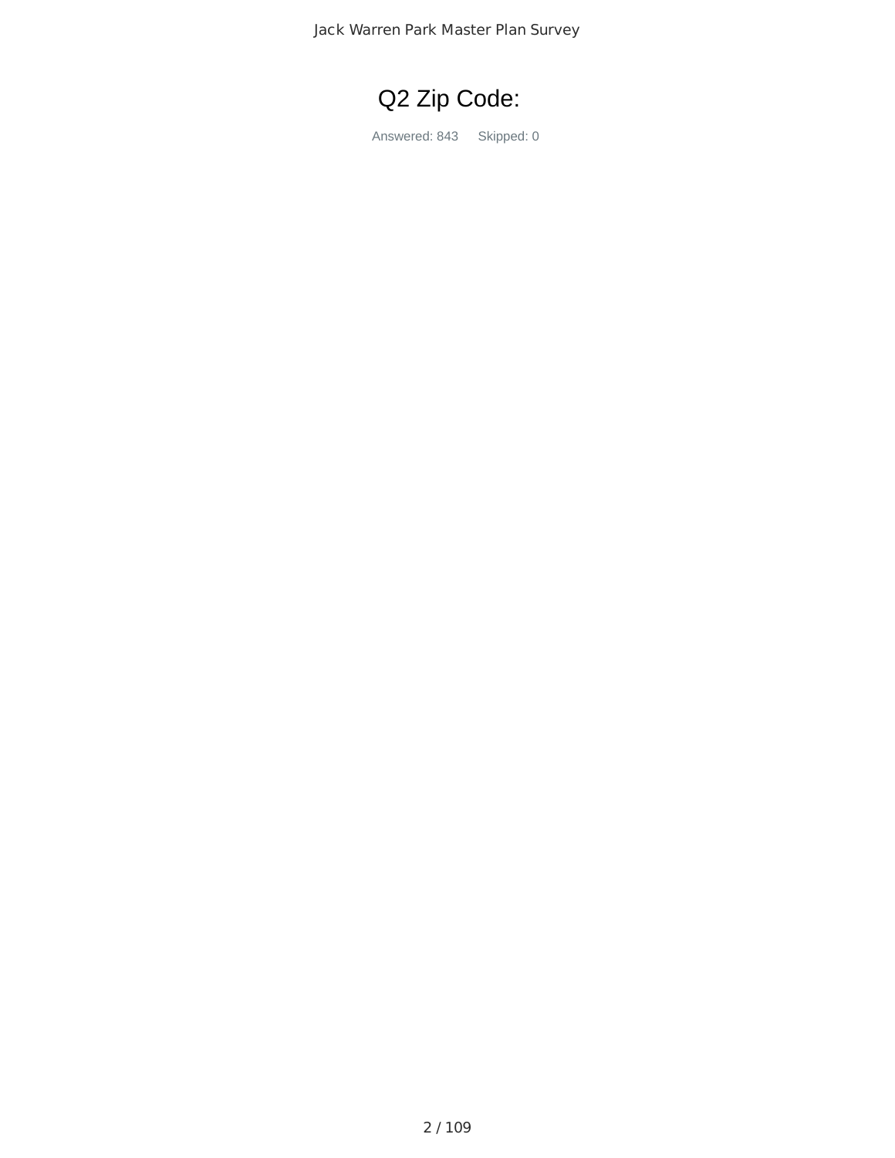

Answered: 843 Skipped: 0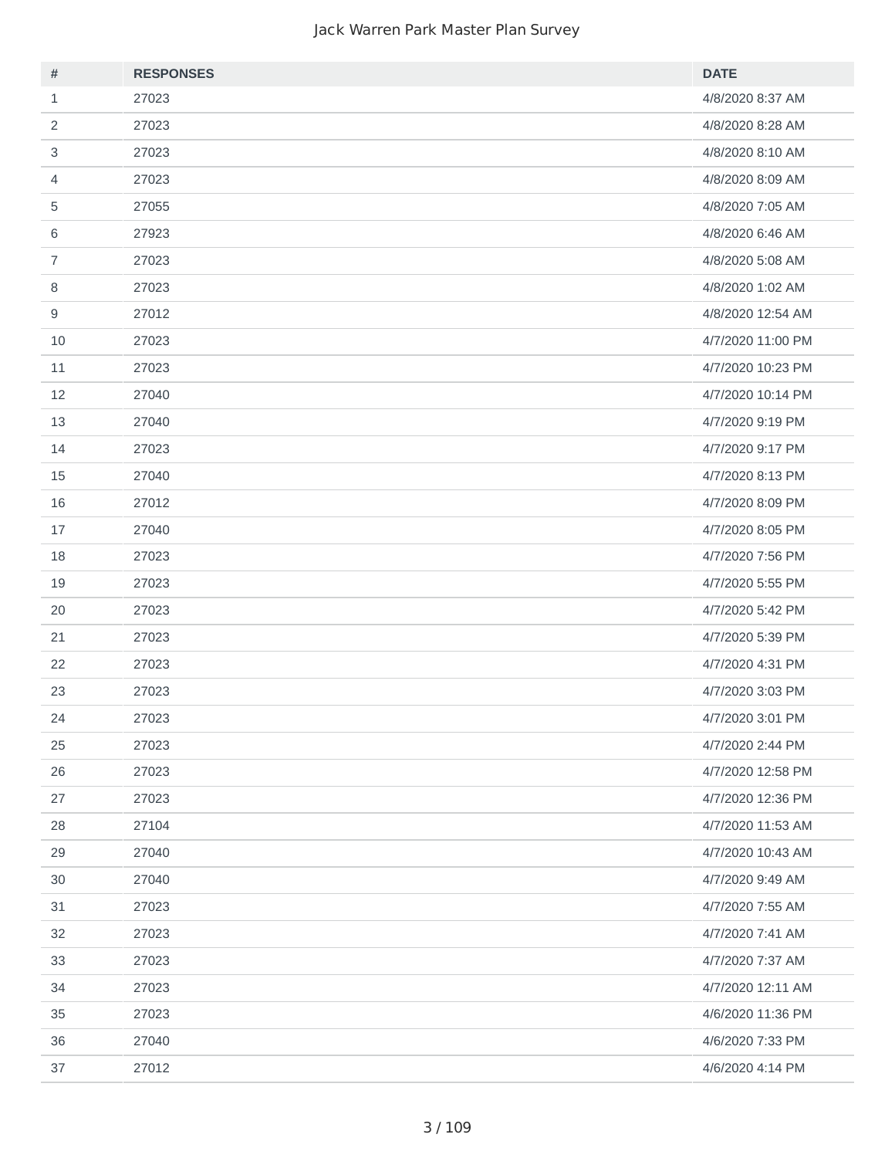| $\#$           | <b>RESPONSES</b> | <b>DATE</b>       |
|----------------|------------------|-------------------|
| $\mathbf{1}$   | 27023            | 4/8/2020 8:37 AM  |
| 2              | 27023            | 4/8/2020 8:28 AM  |
| $\sqrt{3}$     | 27023            | 4/8/2020 8:10 AM  |
| 4              | 27023            | 4/8/2020 8:09 AM  |
| 5              | 27055            | 4/8/2020 7:05 AM  |
| 6              | 27923            | 4/8/2020 6:46 AM  |
| $\overline{7}$ | 27023            | 4/8/2020 5:08 AM  |
| 8              | 27023            | 4/8/2020 1:02 AM  |
| $\mathsf g$    | 27012            | 4/8/2020 12:54 AM |
| 10             | 27023            | 4/7/2020 11:00 PM |
| 11             | 27023            | 4/7/2020 10:23 PM |
| 12             | 27040            | 4/7/2020 10:14 PM |
| 13             | 27040            | 4/7/2020 9:19 PM  |
| 14             | 27023            | 4/7/2020 9:17 PM  |
| 15             | 27040            | 4/7/2020 8:13 PM  |
| 16             | 27012            | 4/7/2020 8:09 PM  |
| 17             | 27040            | 4/7/2020 8:05 PM  |
| 18             | 27023            | 4/7/2020 7:56 PM  |
| 19             | 27023            | 4/7/2020 5:55 PM  |
| 20             | 27023            | 4/7/2020 5:42 PM  |
| 21             | 27023            | 4/7/2020 5:39 PM  |
| 22             | 27023            | 4/7/2020 4:31 PM  |
| 23             | 27023            | 4/7/2020 3:03 PM  |
| 24             | 27023            | 4/7/2020 3:01 PM  |
| 25             | 27023            | 4/7/2020 2:44 PM  |
| 26             | 27023            | 4/7/2020 12:58 PM |
| 27             | 27023            | 4/7/2020 12:36 PM |
| 28             | 27104            | 4/7/2020 11:53 AM |
| 29             | 27040            | 4/7/2020 10:43 AM |
| 30             | 27040            | 4/7/2020 9:49 AM  |
| 31             | 27023            | 4/7/2020 7:55 AM  |
| 32             | 27023            | 4/7/2020 7:41 AM  |
| 33             | 27023            | 4/7/2020 7:37 AM  |
| 34             | 27023            | 4/7/2020 12:11 AM |
| 35             | 27023            | 4/6/2020 11:36 PM |
| 36             | 27040            | 4/6/2020 7:33 PM  |
| 37             | 27012            | 4/6/2020 4:14 PM  |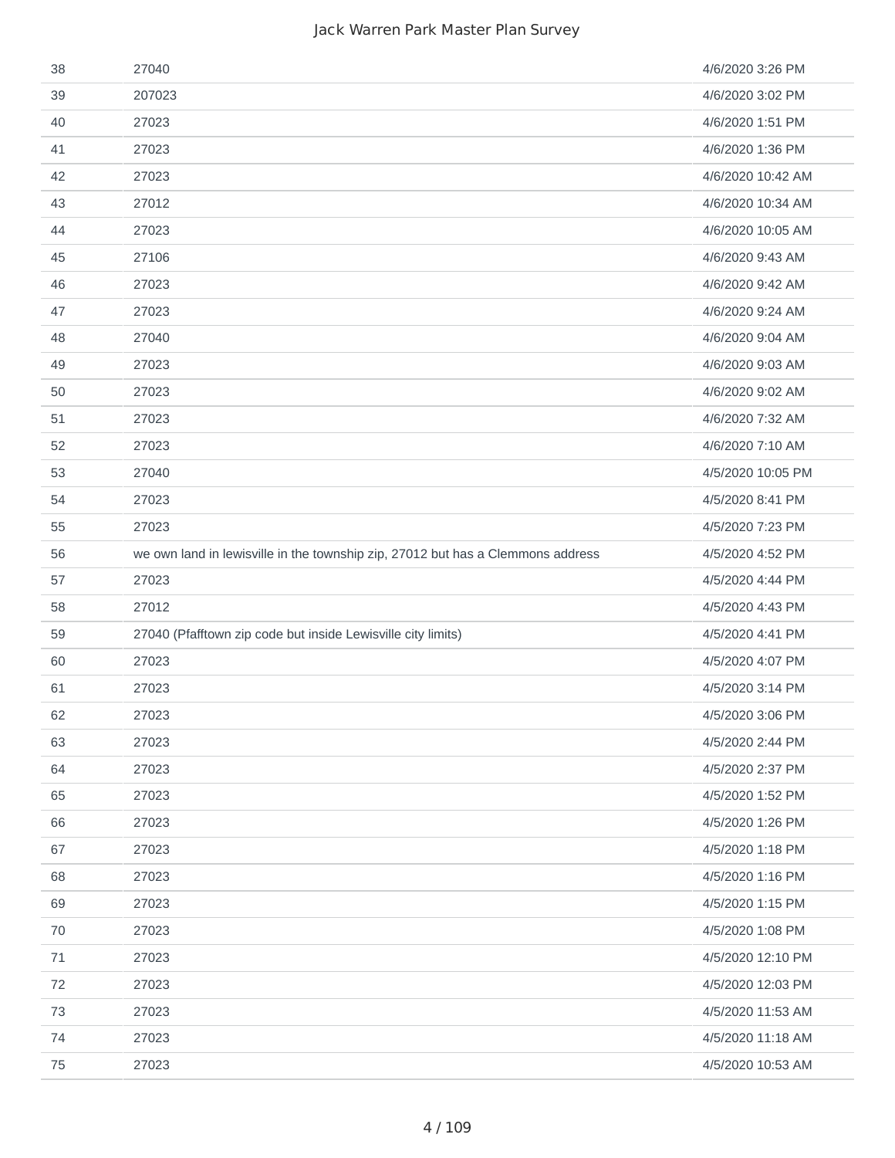| 38 | 27040                                                                           | 4/6/2020 3:26 PM  |
|----|---------------------------------------------------------------------------------|-------------------|
| 39 | 207023                                                                          | 4/6/2020 3:02 PM  |
| 40 | 27023                                                                           | 4/6/2020 1:51 PM  |
| 41 | 27023                                                                           | 4/6/2020 1:36 PM  |
| 42 | 27023                                                                           | 4/6/2020 10:42 AM |
| 43 | 27012                                                                           | 4/6/2020 10:34 AM |
| 44 | 27023                                                                           | 4/6/2020 10:05 AM |
| 45 | 27106                                                                           | 4/6/2020 9:43 AM  |
| 46 | 27023                                                                           | 4/6/2020 9:42 AM  |
| 47 | 27023                                                                           | 4/6/2020 9:24 AM  |
| 48 | 27040                                                                           | 4/6/2020 9:04 AM  |
| 49 | 27023                                                                           | 4/6/2020 9:03 AM  |
| 50 | 27023                                                                           | 4/6/2020 9:02 AM  |
| 51 | 27023                                                                           | 4/6/2020 7:32 AM  |
| 52 | 27023                                                                           | 4/6/2020 7:10 AM  |
| 53 | 27040                                                                           | 4/5/2020 10:05 PM |
| 54 | 27023                                                                           | 4/5/2020 8:41 PM  |
| 55 | 27023                                                                           | 4/5/2020 7:23 PM  |
| 56 | we own land in lewisville in the township zip, 27012 but has a Clemmons address | 4/5/2020 4:52 PM  |
| 57 | 27023                                                                           | 4/5/2020 4:44 PM  |
| 58 | 27012                                                                           | 4/5/2020 4:43 PM  |
| 59 | 27040 (Pfafftown zip code but inside Lewisville city limits)                    | 4/5/2020 4:41 PM  |
| 60 | 27023                                                                           | 4/5/2020 4:07 PM  |
| 61 | 27023                                                                           | 4/5/2020 3:14 PM  |
| 62 | 27023                                                                           | 4/5/2020 3:06 PM  |
| 63 | 27023                                                                           | 4/5/2020 2:44 PM  |
| 64 | 27023                                                                           | 4/5/2020 2:37 PM  |
| 65 | 27023                                                                           | 4/5/2020 1:52 PM  |
| 66 | 27023                                                                           | 4/5/2020 1:26 PM  |
| 67 | 27023                                                                           | 4/5/2020 1:18 PM  |
| 68 | 27023                                                                           | 4/5/2020 1:16 PM  |
| 69 | 27023                                                                           | 4/5/2020 1:15 PM  |
| 70 | 27023                                                                           | 4/5/2020 1:08 PM  |
| 71 | 27023                                                                           | 4/5/2020 12:10 PM |
| 72 | 27023                                                                           | 4/5/2020 12:03 PM |
| 73 | 27023                                                                           | 4/5/2020 11:53 AM |
| 74 | 27023                                                                           | 4/5/2020 11:18 AM |
| 75 | 27023                                                                           | 4/5/2020 10:53 AM |
|    |                                                                                 |                   |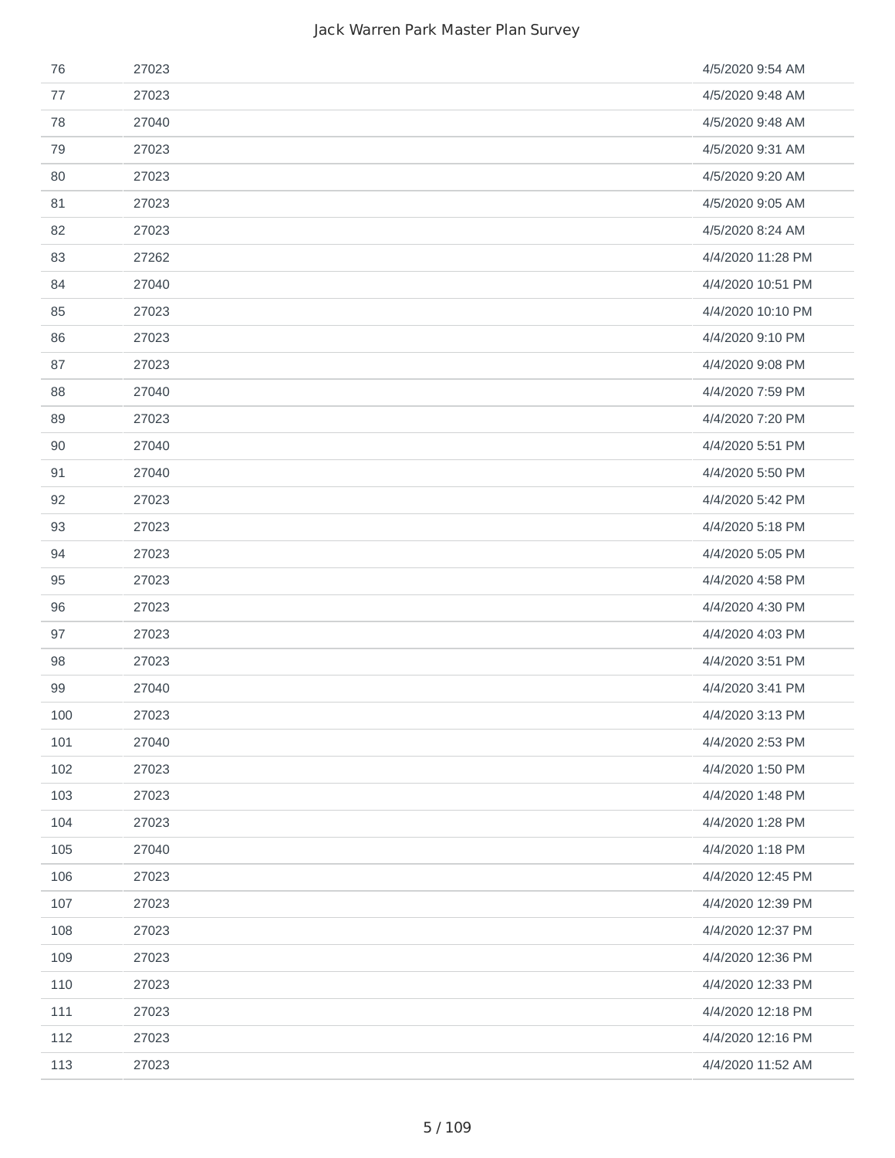| 76  | 27023 | 4/5/2020 9:54 AM  |
|-----|-------|-------------------|
| 77  | 27023 | 4/5/2020 9:48 AM  |
| 78  | 27040 | 4/5/2020 9:48 AM  |
| 79  | 27023 | 4/5/2020 9:31 AM  |
| 80  | 27023 | 4/5/2020 9:20 AM  |
| 81  | 27023 | 4/5/2020 9:05 AM  |
| 82  | 27023 | 4/5/2020 8:24 AM  |
| 83  | 27262 | 4/4/2020 11:28 PM |
| 84  | 27040 | 4/4/2020 10:51 PM |
| 85  | 27023 | 4/4/2020 10:10 PM |
| 86  | 27023 | 4/4/2020 9:10 PM  |
| 87  | 27023 | 4/4/2020 9:08 PM  |
| 88  | 27040 | 4/4/2020 7:59 PM  |
| 89  | 27023 | 4/4/2020 7:20 PM  |
| 90  | 27040 | 4/4/2020 5:51 PM  |
| 91  | 27040 | 4/4/2020 5:50 PM  |
| 92  | 27023 | 4/4/2020 5:42 PM  |
| 93  | 27023 | 4/4/2020 5:18 PM  |
| 94  | 27023 | 4/4/2020 5:05 PM  |
| 95  | 27023 | 4/4/2020 4:58 PM  |
| 96  | 27023 | 4/4/2020 4:30 PM  |
| 97  | 27023 | 4/4/2020 4:03 PM  |
| 98  | 27023 | 4/4/2020 3:51 PM  |
| 99  | 27040 | 4/4/2020 3:41 PM  |
| 100 | 27023 | 4/4/2020 3:13 PM  |
| 101 | 27040 | 4/4/2020 2:53 PM  |
| 102 | 27023 | 4/4/2020 1:50 PM  |
| 103 | 27023 | 4/4/2020 1:48 PM  |
| 104 | 27023 | 4/4/2020 1:28 PM  |
| 105 | 27040 | 4/4/2020 1:18 PM  |
| 106 | 27023 | 4/4/2020 12:45 PM |
| 107 | 27023 | 4/4/2020 12:39 PM |
| 108 | 27023 | 4/4/2020 12:37 PM |
| 109 | 27023 | 4/4/2020 12:36 PM |
| 110 | 27023 | 4/4/2020 12:33 PM |
| 111 | 27023 | 4/4/2020 12:18 PM |
| 112 | 27023 | 4/4/2020 12:16 PM |
| 113 | 27023 | 4/4/2020 11:52 AM |
|     |       |                   |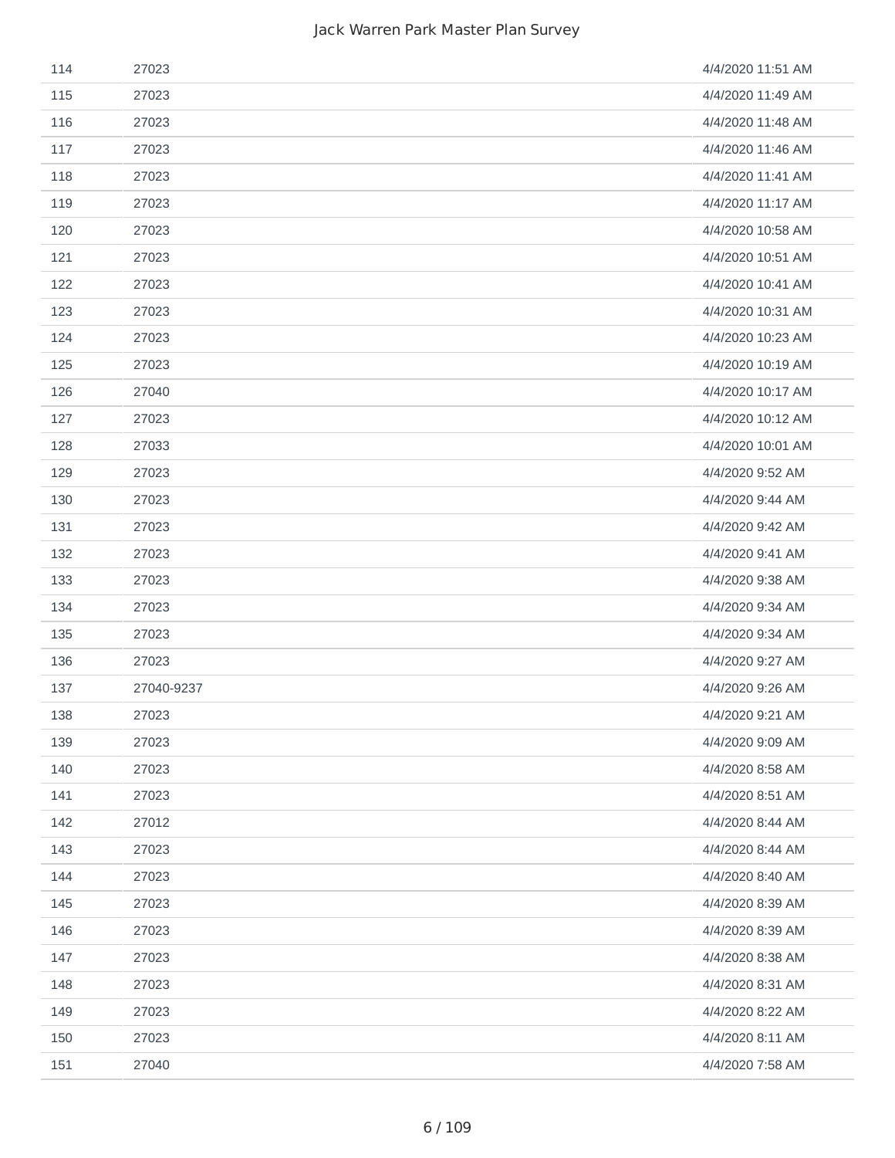| 114 | 27023      | 4/4/2020 11:51 AM |
|-----|------------|-------------------|
| 115 | 27023      | 4/4/2020 11:49 AM |
| 116 | 27023      | 4/4/2020 11:48 AM |
| 117 | 27023      | 4/4/2020 11:46 AM |
| 118 | 27023      | 4/4/2020 11:41 AM |
| 119 | 27023      | 4/4/2020 11:17 AM |
| 120 | 27023      | 4/4/2020 10:58 AM |
| 121 | 27023      | 4/4/2020 10:51 AM |
| 122 | 27023      | 4/4/2020 10:41 AM |
| 123 | 27023      | 4/4/2020 10:31 AM |
| 124 | 27023      | 4/4/2020 10:23 AM |
| 125 | 27023      | 4/4/2020 10:19 AM |
| 126 | 27040      | 4/4/2020 10:17 AM |
| 127 | 27023      | 4/4/2020 10:12 AM |
| 128 | 27033      | 4/4/2020 10:01 AM |
| 129 | 27023      | 4/4/2020 9:52 AM  |
| 130 | 27023      | 4/4/2020 9:44 AM  |
| 131 | 27023      | 4/4/2020 9:42 AM  |
| 132 | 27023      | 4/4/2020 9:41 AM  |
| 133 | 27023      | 4/4/2020 9:38 AM  |
| 134 | 27023      | 4/4/2020 9:34 AM  |
| 135 | 27023      | 4/4/2020 9:34 AM  |
| 136 | 27023      | 4/4/2020 9:27 AM  |
| 137 | 27040-9237 | 4/4/2020 9:26 AM  |
| 138 | 27023      | 4/4/2020 9:21 AM  |
| 139 | 27023      | 4/4/2020 9:09 AM  |
| 140 | 27023      | 4/4/2020 8:58 AM  |
| 141 | 27023      | 4/4/2020 8:51 AM  |
| 142 | 27012      | 4/4/2020 8:44 AM  |
| 143 | 27023      | 4/4/2020 8:44 AM  |
| 144 | 27023      | 4/4/2020 8:40 AM  |
| 145 | 27023      | 4/4/2020 8:39 AM  |
| 146 | 27023      | 4/4/2020 8:39 AM  |
| 147 | 27023      | 4/4/2020 8:38 AM  |
| 148 | 27023      | 4/4/2020 8:31 AM  |
| 149 | 27023      | 4/4/2020 8:22 AM  |
| 150 | 27023      | 4/4/2020 8:11 AM  |
| 151 | 27040      | 4/4/2020 7:58 AM  |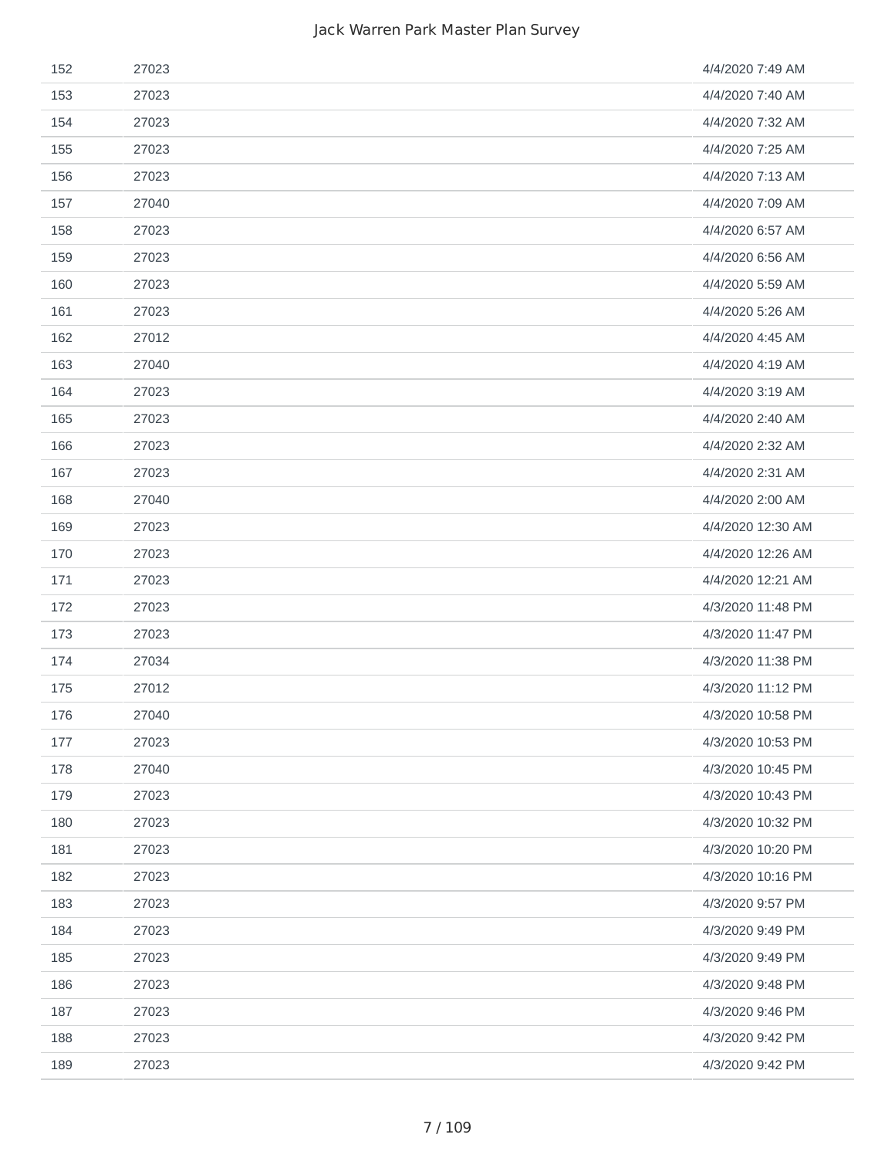| 152 | 27023 | 4/4/2020 7:49 AM  |
|-----|-------|-------------------|
| 153 | 27023 | 4/4/2020 7:40 AM  |
| 154 | 27023 | 4/4/2020 7:32 AM  |
| 155 | 27023 | 4/4/2020 7:25 AM  |
| 156 | 27023 | 4/4/2020 7:13 AM  |
| 157 | 27040 | 4/4/2020 7:09 AM  |
| 158 | 27023 | 4/4/2020 6:57 AM  |
| 159 | 27023 | 4/4/2020 6:56 AM  |
| 160 | 27023 | 4/4/2020 5:59 AM  |
| 161 | 27023 | 4/4/2020 5:26 AM  |
| 162 | 27012 | 4/4/2020 4:45 AM  |
| 163 | 27040 | 4/4/2020 4:19 AM  |
| 164 | 27023 | 4/4/2020 3:19 AM  |
| 165 | 27023 | 4/4/2020 2:40 AM  |
| 166 | 27023 | 4/4/2020 2:32 AM  |
| 167 | 27023 | 4/4/2020 2:31 AM  |
| 168 | 27040 | 4/4/2020 2:00 AM  |
| 169 | 27023 | 4/4/2020 12:30 AM |
| 170 | 27023 | 4/4/2020 12:26 AM |
| 171 | 27023 | 4/4/2020 12:21 AM |
| 172 | 27023 | 4/3/2020 11:48 PM |
| 173 | 27023 | 4/3/2020 11:47 PM |
| 174 | 27034 | 4/3/2020 11:38 PM |
| 175 | 27012 | 4/3/2020 11:12 PM |
| 176 | 27040 | 4/3/2020 10:58 PM |
| 177 | 27023 | 4/3/2020 10:53 PM |
| 178 | 27040 | 4/3/2020 10:45 PM |
| 179 | 27023 | 4/3/2020 10:43 PM |
| 180 | 27023 | 4/3/2020 10:32 PM |
| 181 | 27023 | 4/3/2020 10:20 PM |
| 182 | 27023 | 4/3/2020 10:16 PM |
| 183 | 27023 | 4/3/2020 9:57 PM  |
| 184 | 27023 | 4/3/2020 9:49 PM  |
| 185 | 27023 | 4/3/2020 9:49 PM  |
| 186 | 27023 | 4/3/2020 9:48 PM  |
| 187 | 27023 | 4/3/2020 9:46 PM  |
| 188 | 27023 | 4/3/2020 9:42 PM  |
| 189 | 27023 | 4/3/2020 9:42 PM  |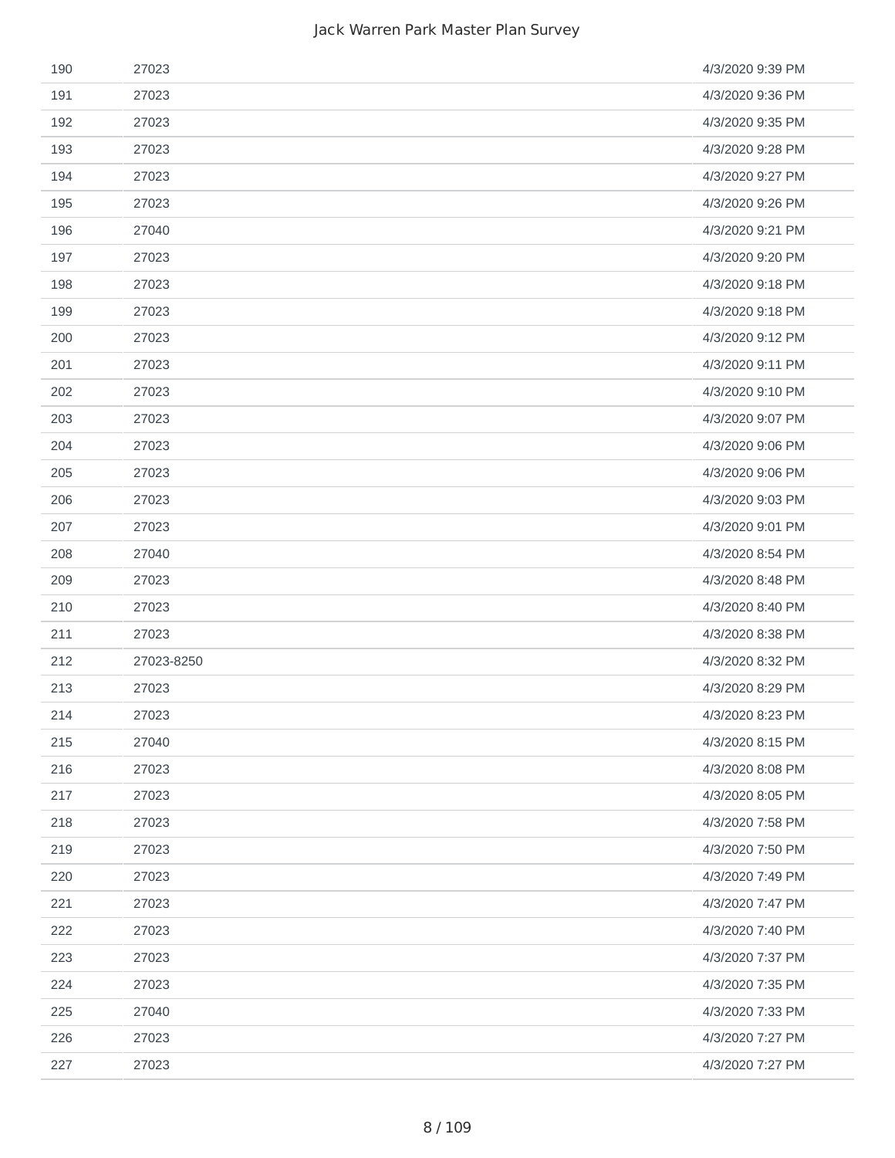| 190 | 27023      | 4/3/2020 9:39 PM |
|-----|------------|------------------|
| 191 | 27023      | 4/3/2020 9:36 PM |
| 192 | 27023      | 4/3/2020 9:35 PM |
| 193 | 27023      | 4/3/2020 9:28 PM |
| 194 | 27023      | 4/3/2020 9:27 PM |
| 195 | 27023      | 4/3/2020 9:26 PM |
| 196 | 27040      | 4/3/2020 9:21 PM |
| 197 | 27023      | 4/3/2020 9:20 PM |
| 198 | 27023      | 4/3/2020 9:18 PM |
| 199 | 27023      | 4/3/2020 9:18 PM |
| 200 | 27023      | 4/3/2020 9:12 PM |
| 201 | 27023      | 4/3/2020 9:11 PM |
| 202 | 27023      | 4/3/2020 9:10 PM |
| 203 | 27023      | 4/3/2020 9:07 PM |
| 204 | 27023      | 4/3/2020 9:06 PM |
| 205 | 27023      | 4/3/2020 9:06 PM |
| 206 | 27023      | 4/3/2020 9:03 PM |
| 207 | 27023      | 4/3/2020 9:01 PM |
| 208 | 27040      | 4/3/2020 8:54 PM |
| 209 | 27023      | 4/3/2020 8:48 PM |
| 210 | 27023      | 4/3/2020 8:40 PM |
| 211 | 27023      | 4/3/2020 8:38 PM |
| 212 | 27023-8250 | 4/3/2020 8:32 PM |
| 213 | 27023      | 4/3/2020 8:29 PM |
| 214 | 27023      | 4/3/2020 8:23 PM |
| 215 | 27040      | 4/3/2020 8:15 PM |
| 216 | 27023      | 4/3/2020 8:08 PM |
| 217 | 27023      | 4/3/2020 8:05 PM |
| 218 | 27023      | 4/3/2020 7:58 PM |
| 219 | 27023      | 4/3/2020 7:50 PM |
| 220 | 27023      | 4/3/2020 7:49 PM |
| 221 | 27023      | 4/3/2020 7:47 PM |
| 222 | 27023      | 4/3/2020 7:40 PM |
| 223 | 27023      | 4/3/2020 7:37 PM |
| 224 | 27023      | 4/3/2020 7:35 PM |
| 225 | 27040      | 4/3/2020 7:33 PM |
| 226 | 27023      | 4/3/2020 7:27 PM |
| 227 | 27023      | 4/3/2020 7:27 PM |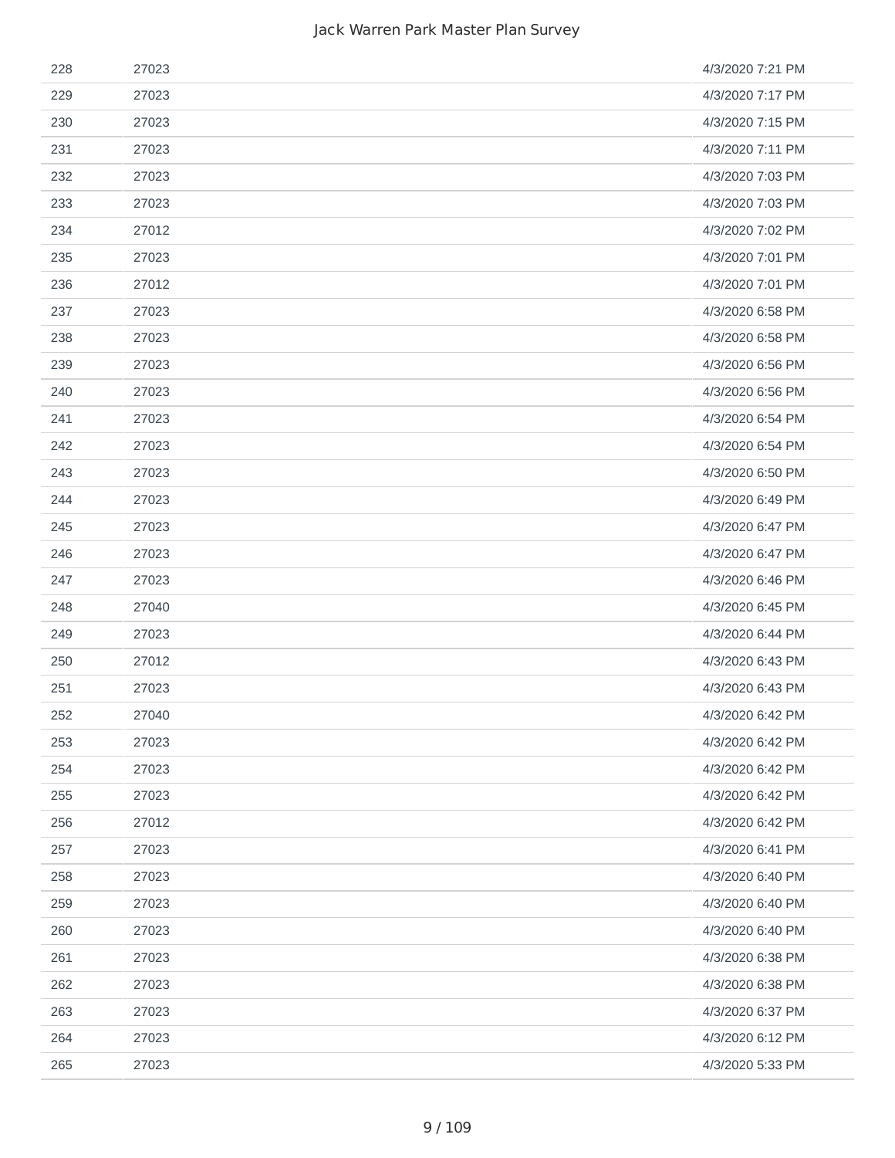| 228 | 27023 | 4/3/2020 7:21 PM |
|-----|-------|------------------|
| 229 | 27023 | 4/3/2020 7:17 PM |
| 230 | 27023 | 4/3/2020 7:15 PM |
| 231 | 27023 | 4/3/2020 7:11 PM |
| 232 | 27023 | 4/3/2020 7:03 PM |
| 233 | 27023 | 4/3/2020 7:03 PM |
| 234 | 27012 | 4/3/2020 7:02 PM |
| 235 | 27023 | 4/3/2020 7:01 PM |
| 236 | 27012 | 4/3/2020 7:01 PM |
| 237 | 27023 | 4/3/2020 6:58 PM |
| 238 | 27023 | 4/3/2020 6:58 PM |
| 239 | 27023 | 4/3/2020 6:56 PM |
| 240 | 27023 | 4/3/2020 6:56 PM |
| 241 | 27023 | 4/3/2020 6:54 PM |
| 242 | 27023 | 4/3/2020 6:54 PM |
| 243 | 27023 | 4/3/2020 6:50 PM |
| 244 | 27023 | 4/3/2020 6:49 PM |
| 245 | 27023 | 4/3/2020 6:47 PM |
| 246 | 27023 | 4/3/2020 6:47 PM |
| 247 | 27023 | 4/3/2020 6:46 PM |
| 248 | 27040 | 4/3/2020 6:45 PM |
| 249 | 27023 | 4/3/2020 6:44 PM |
| 250 | 27012 | 4/3/2020 6:43 PM |
| 251 | 27023 | 4/3/2020 6:43 PM |
| 252 | 27040 | 4/3/2020 6:42 PM |
| 253 | 27023 | 4/3/2020 6:42 PM |
| 254 | 27023 | 4/3/2020 6:42 PM |
| 255 | 27023 | 4/3/2020 6:42 PM |
| 256 | 27012 | 4/3/2020 6:42 PM |
| 257 | 27023 | 4/3/2020 6:41 PM |
| 258 | 27023 | 4/3/2020 6:40 PM |
| 259 | 27023 | 4/3/2020 6:40 PM |
| 260 | 27023 | 4/3/2020 6:40 PM |
| 261 | 27023 | 4/3/2020 6:38 PM |
| 262 | 27023 | 4/3/2020 6:38 PM |
| 263 | 27023 | 4/3/2020 6:37 PM |
| 264 | 27023 | 4/3/2020 6:12 PM |
| 265 | 27023 | 4/3/2020 5:33 PM |
|     |       |                  |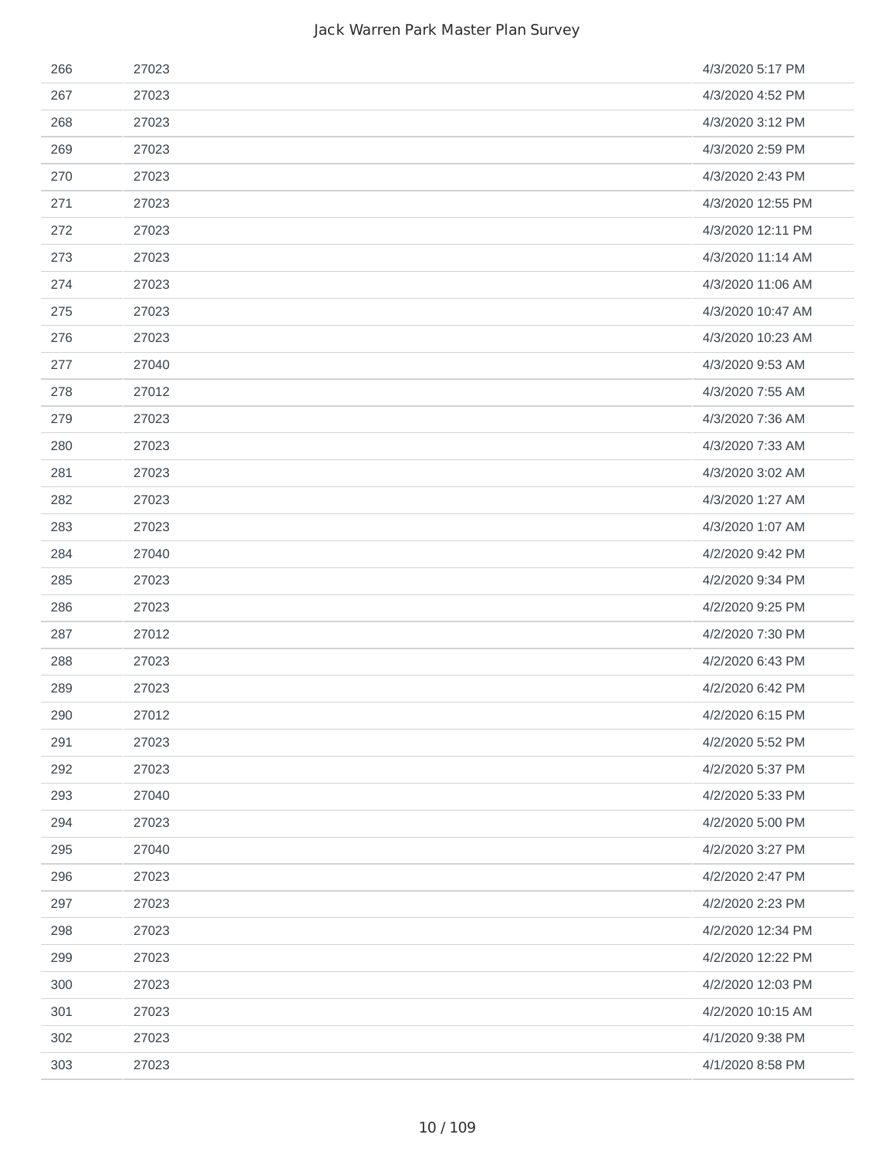| 266 | 27023 | 4/3/2020 5:17 PM  |
|-----|-------|-------------------|
| 267 | 27023 | 4/3/2020 4:52 PM  |
| 268 | 27023 | 4/3/2020 3:12 PM  |
| 269 | 27023 | 4/3/2020 2:59 PM  |
| 270 | 27023 | 4/3/2020 2:43 PM  |
| 271 | 27023 | 4/3/2020 12:55 PM |
| 272 | 27023 | 4/3/2020 12:11 PM |
| 273 | 27023 | 4/3/2020 11:14 AM |
| 274 | 27023 | 4/3/2020 11:06 AM |
| 275 | 27023 | 4/3/2020 10:47 AM |
| 276 | 27023 | 4/3/2020 10:23 AM |
| 277 | 27040 | 4/3/2020 9:53 AM  |
| 278 | 27012 | 4/3/2020 7:55 AM  |
| 279 | 27023 | 4/3/2020 7:36 AM  |
| 280 | 27023 | 4/3/2020 7:33 AM  |
| 281 | 27023 | 4/3/2020 3:02 AM  |
| 282 | 27023 | 4/3/2020 1:27 AM  |
| 283 | 27023 | 4/3/2020 1:07 AM  |
| 284 | 27040 | 4/2/2020 9:42 PM  |
| 285 | 27023 | 4/2/2020 9:34 PM  |
| 286 | 27023 | 4/2/2020 9:25 PM  |
| 287 | 27012 | 4/2/2020 7:30 PM  |
| 288 | 27023 | 4/2/2020 6:43 PM  |
| 289 | 27023 | 4/2/2020 6:42 PM  |
| 290 | 27012 | 4/2/2020 6:15 PM  |
| 291 | 27023 | 4/2/2020 5:52 PM  |
| 292 | 27023 | 4/2/2020 5:37 PM  |
| 293 | 27040 | 4/2/2020 5:33 PM  |
| 294 | 27023 | 4/2/2020 5:00 PM  |
| 295 | 27040 | 4/2/2020 3:27 PM  |
| 296 | 27023 | 4/2/2020 2:47 PM  |
| 297 | 27023 | 4/2/2020 2:23 PM  |
| 298 | 27023 | 4/2/2020 12:34 PM |
| 299 | 27023 | 4/2/2020 12:22 PM |
| 300 | 27023 | 4/2/2020 12:03 PM |
| 301 | 27023 | 4/2/2020 10:15 AM |
| 302 | 27023 | 4/1/2020 9:38 PM  |
| 303 | 27023 | 4/1/2020 8:58 PM  |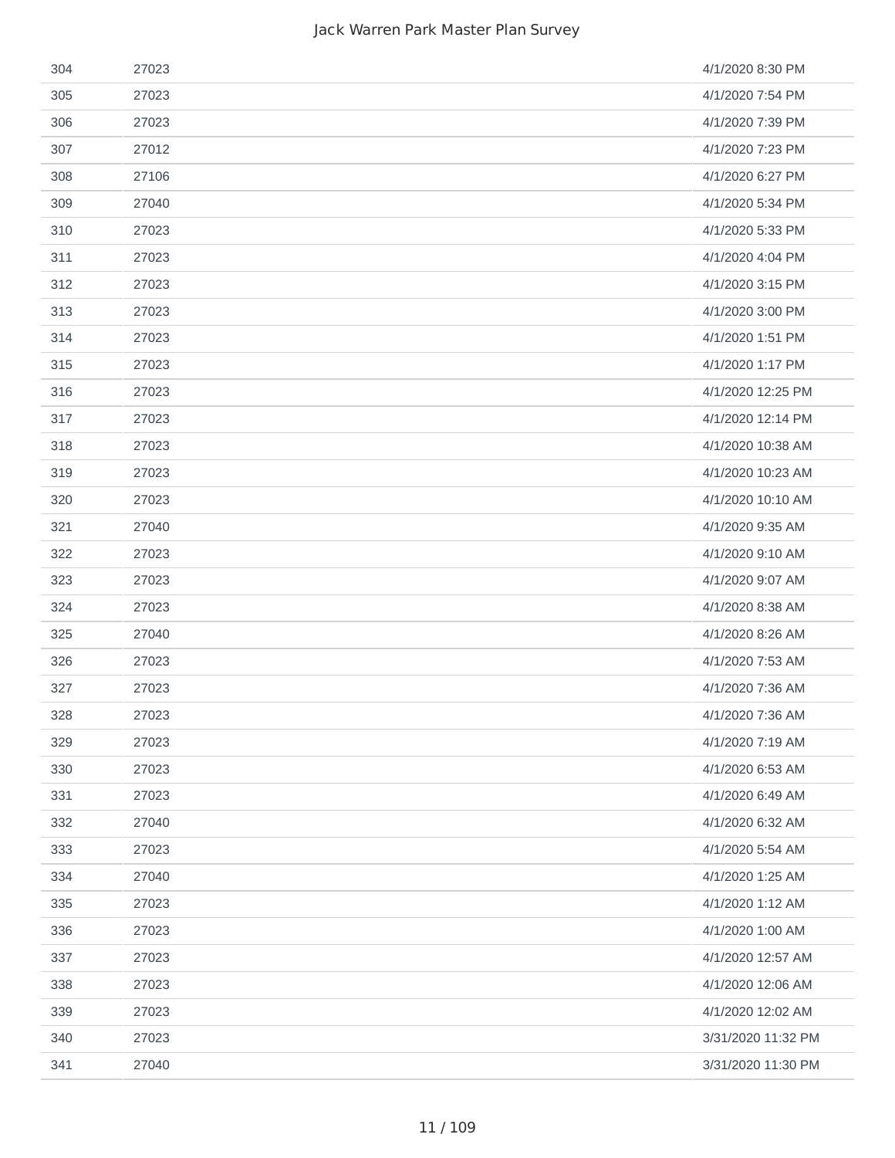| 304 | 27023 | 4/1/2020 8:30 PM   |
|-----|-------|--------------------|
| 305 | 27023 | 4/1/2020 7:54 PM   |
| 306 | 27023 | 4/1/2020 7:39 PM   |
| 307 | 27012 | 4/1/2020 7:23 PM   |
| 308 | 27106 | 4/1/2020 6:27 PM   |
| 309 | 27040 | 4/1/2020 5:34 PM   |
| 310 | 27023 | 4/1/2020 5:33 PM   |
| 311 | 27023 | 4/1/2020 4:04 PM   |
| 312 | 27023 | 4/1/2020 3:15 PM   |
| 313 | 27023 | 4/1/2020 3:00 PM   |
| 314 | 27023 | 4/1/2020 1:51 PM   |
| 315 | 27023 | 4/1/2020 1:17 PM   |
| 316 | 27023 | 4/1/2020 12:25 PM  |
| 317 | 27023 | 4/1/2020 12:14 PM  |
| 318 | 27023 | 4/1/2020 10:38 AM  |
| 319 | 27023 | 4/1/2020 10:23 AM  |
| 320 | 27023 | 4/1/2020 10:10 AM  |
| 321 | 27040 | 4/1/2020 9:35 AM   |
| 322 | 27023 | 4/1/2020 9:10 AM   |
| 323 | 27023 | 4/1/2020 9:07 AM   |
| 324 | 27023 | 4/1/2020 8:38 AM   |
| 325 | 27040 | 4/1/2020 8:26 AM   |
| 326 | 27023 | 4/1/2020 7:53 AM   |
| 327 | 27023 | 4/1/2020 7:36 AM   |
| 328 | 27023 | 4/1/2020 7:36 AM   |
| 329 | 27023 | 4/1/2020 7:19 AM   |
| 330 | 27023 | 4/1/2020 6:53 AM   |
| 331 | 27023 | 4/1/2020 6:49 AM   |
| 332 | 27040 | 4/1/2020 6:32 AM   |
| 333 | 27023 | 4/1/2020 5:54 AM   |
| 334 | 27040 | 4/1/2020 1:25 AM   |
| 335 | 27023 | 4/1/2020 1:12 AM   |
| 336 | 27023 | 4/1/2020 1:00 AM   |
| 337 | 27023 | 4/1/2020 12:57 AM  |
| 338 | 27023 | 4/1/2020 12:06 AM  |
| 339 | 27023 | 4/1/2020 12:02 AM  |
| 340 | 27023 | 3/31/2020 11:32 PM |
| 341 | 27040 | 3/31/2020 11:30 PM |
|     |       |                    |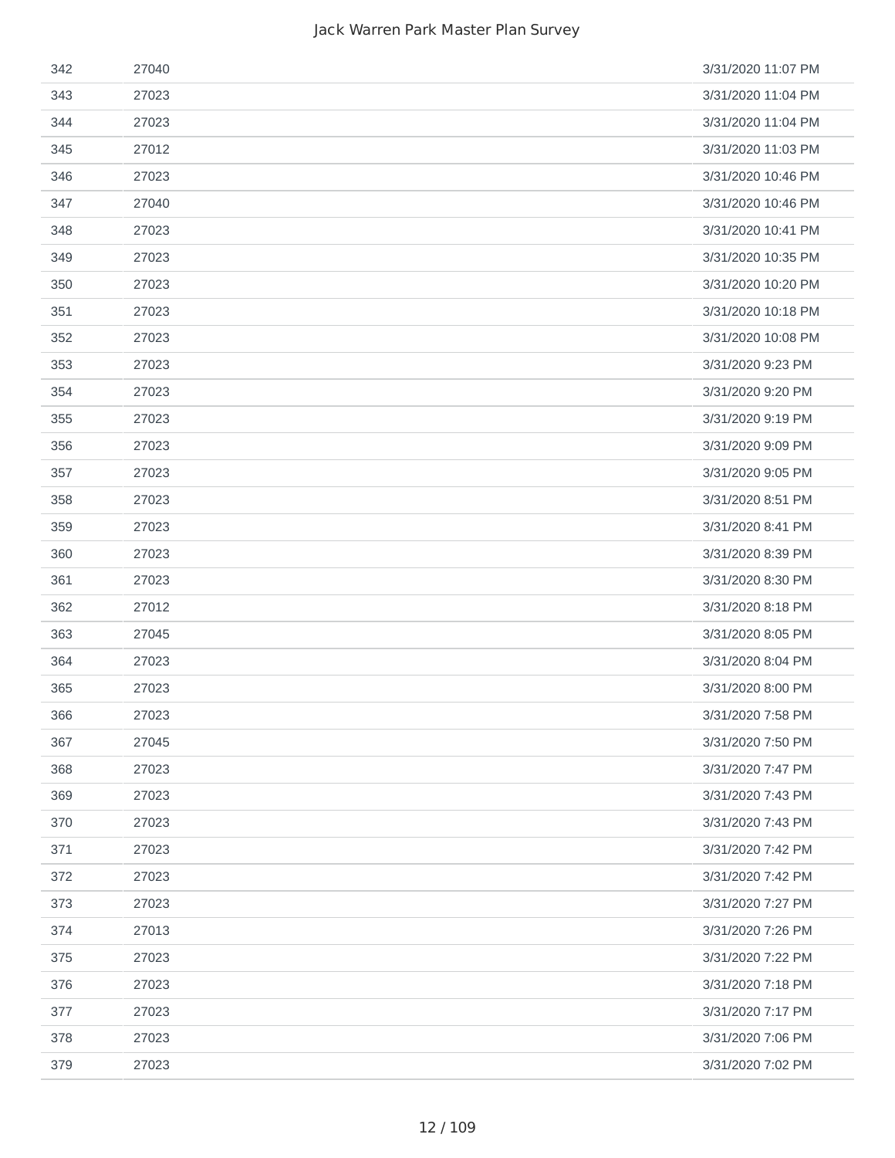| 342 | 27040 | 3/31/2020 11:07 PM |
|-----|-------|--------------------|
| 343 | 27023 | 3/31/2020 11:04 PM |
| 344 | 27023 | 3/31/2020 11:04 PM |
| 345 | 27012 | 3/31/2020 11:03 PM |
| 346 | 27023 | 3/31/2020 10:46 PM |
| 347 | 27040 | 3/31/2020 10:46 PM |
| 348 | 27023 | 3/31/2020 10:41 PM |
| 349 | 27023 | 3/31/2020 10:35 PM |
| 350 | 27023 | 3/31/2020 10:20 PM |
| 351 | 27023 | 3/31/2020 10:18 PM |
| 352 | 27023 | 3/31/2020 10:08 PM |
| 353 | 27023 | 3/31/2020 9:23 PM  |
| 354 | 27023 | 3/31/2020 9:20 PM  |
| 355 | 27023 | 3/31/2020 9:19 PM  |
| 356 | 27023 | 3/31/2020 9:09 PM  |
| 357 | 27023 | 3/31/2020 9:05 PM  |
| 358 | 27023 | 3/31/2020 8:51 PM  |
| 359 | 27023 | 3/31/2020 8:41 PM  |
| 360 | 27023 | 3/31/2020 8:39 PM  |
| 361 | 27023 | 3/31/2020 8:30 PM  |
| 362 | 27012 | 3/31/2020 8:18 PM  |
| 363 | 27045 | 3/31/2020 8:05 PM  |
| 364 | 27023 | 3/31/2020 8:04 PM  |
| 365 | 27023 | 3/31/2020 8:00 PM  |
| 366 | 27023 | 3/31/2020 7:58 PM  |
| 367 | 27045 | 3/31/2020 7:50 PM  |
| 368 | 27023 | 3/31/2020 7:47 PM  |
| 369 | 27023 | 3/31/2020 7:43 PM  |
| 370 | 27023 | 3/31/2020 7:43 PM  |
| 371 | 27023 | 3/31/2020 7:42 PM  |
| 372 | 27023 | 3/31/2020 7:42 PM  |
| 373 | 27023 | 3/31/2020 7:27 PM  |
| 374 | 27013 | 3/31/2020 7:26 PM  |
| 375 | 27023 | 3/31/2020 7:22 PM  |
| 376 | 27023 | 3/31/2020 7:18 PM  |
| 377 | 27023 | 3/31/2020 7:17 PM  |
| 378 | 27023 | 3/31/2020 7:06 PM  |
| 379 | 27023 | 3/31/2020 7:02 PM  |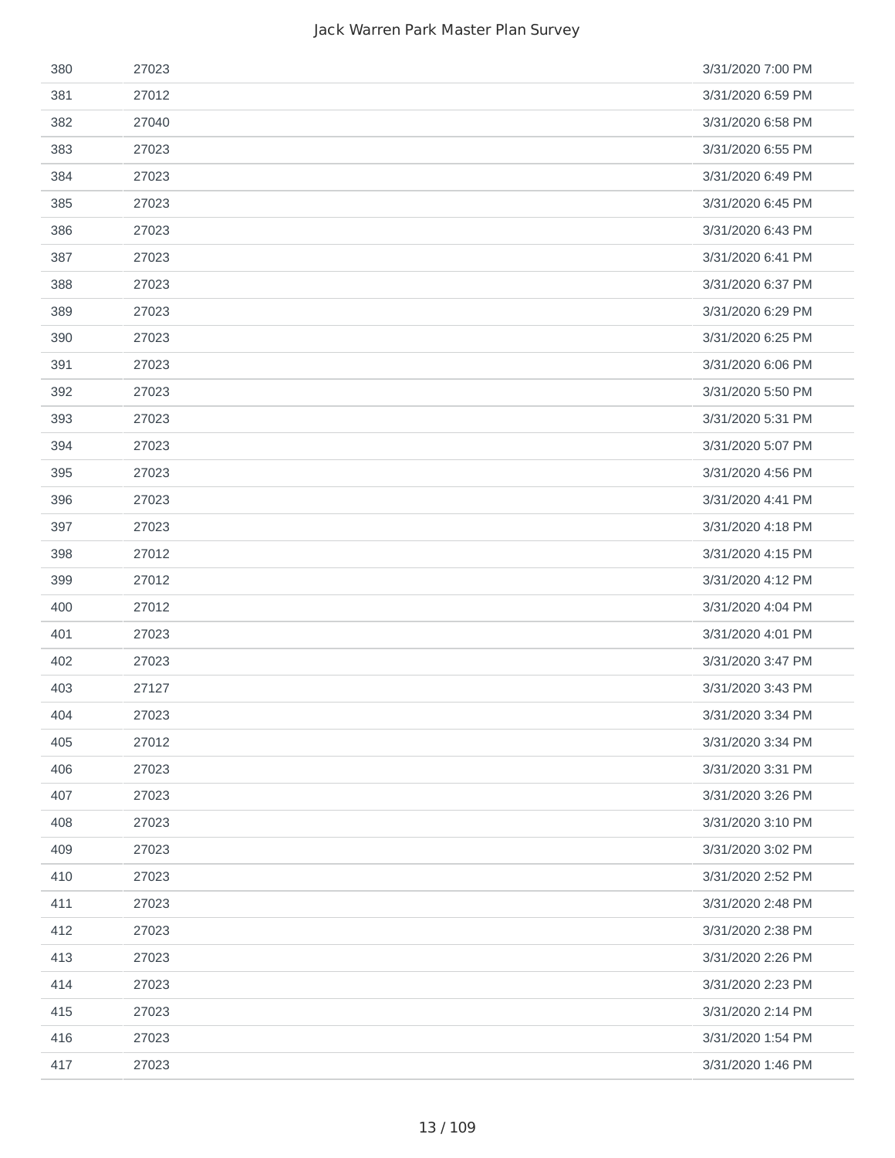| 380 | 27023 | 3/31/2020 7:00 PM |
|-----|-------|-------------------|
| 381 | 27012 | 3/31/2020 6:59 PM |
| 382 | 27040 | 3/31/2020 6:58 PM |
| 383 | 27023 | 3/31/2020 6:55 PM |
| 384 | 27023 | 3/31/2020 6:49 PM |
| 385 | 27023 | 3/31/2020 6:45 PM |
| 386 | 27023 | 3/31/2020 6:43 PM |
| 387 | 27023 | 3/31/2020 6:41 PM |
| 388 | 27023 | 3/31/2020 6:37 PM |
| 389 | 27023 | 3/31/2020 6:29 PM |
| 390 | 27023 | 3/31/2020 6:25 PM |
| 391 | 27023 | 3/31/2020 6:06 PM |
| 392 | 27023 | 3/31/2020 5:50 PM |
| 393 | 27023 | 3/31/2020 5:31 PM |
| 394 | 27023 | 3/31/2020 5:07 PM |
| 395 | 27023 | 3/31/2020 4:56 PM |
| 396 | 27023 | 3/31/2020 4:41 PM |
| 397 | 27023 | 3/31/2020 4:18 PM |
| 398 | 27012 | 3/31/2020 4:15 PM |
| 399 | 27012 | 3/31/2020 4:12 PM |
| 400 | 27012 | 3/31/2020 4:04 PM |
| 401 | 27023 | 3/31/2020 4:01 PM |
| 402 | 27023 | 3/31/2020 3:47 PM |
| 403 | 27127 | 3/31/2020 3:43 PM |
| 404 | 27023 | 3/31/2020 3:34 PM |
| 405 | 27012 | 3/31/2020 3:34 PM |
| 406 | 27023 | 3/31/2020 3:31 PM |
| 407 | 27023 | 3/31/2020 3:26 PM |
| 408 | 27023 | 3/31/2020 3:10 PM |
| 409 | 27023 | 3/31/2020 3:02 PM |
| 410 | 27023 | 3/31/2020 2:52 PM |
| 411 | 27023 | 3/31/2020 2:48 PM |
| 412 | 27023 | 3/31/2020 2:38 PM |
| 413 | 27023 | 3/31/2020 2:26 PM |
| 414 | 27023 | 3/31/2020 2:23 PM |
| 415 | 27023 | 3/31/2020 2:14 PM |
| 416 | 27023 | 3/31/2020 1:54 PM |
| 417 | 27023 | 3/31/2020 1:46 PM |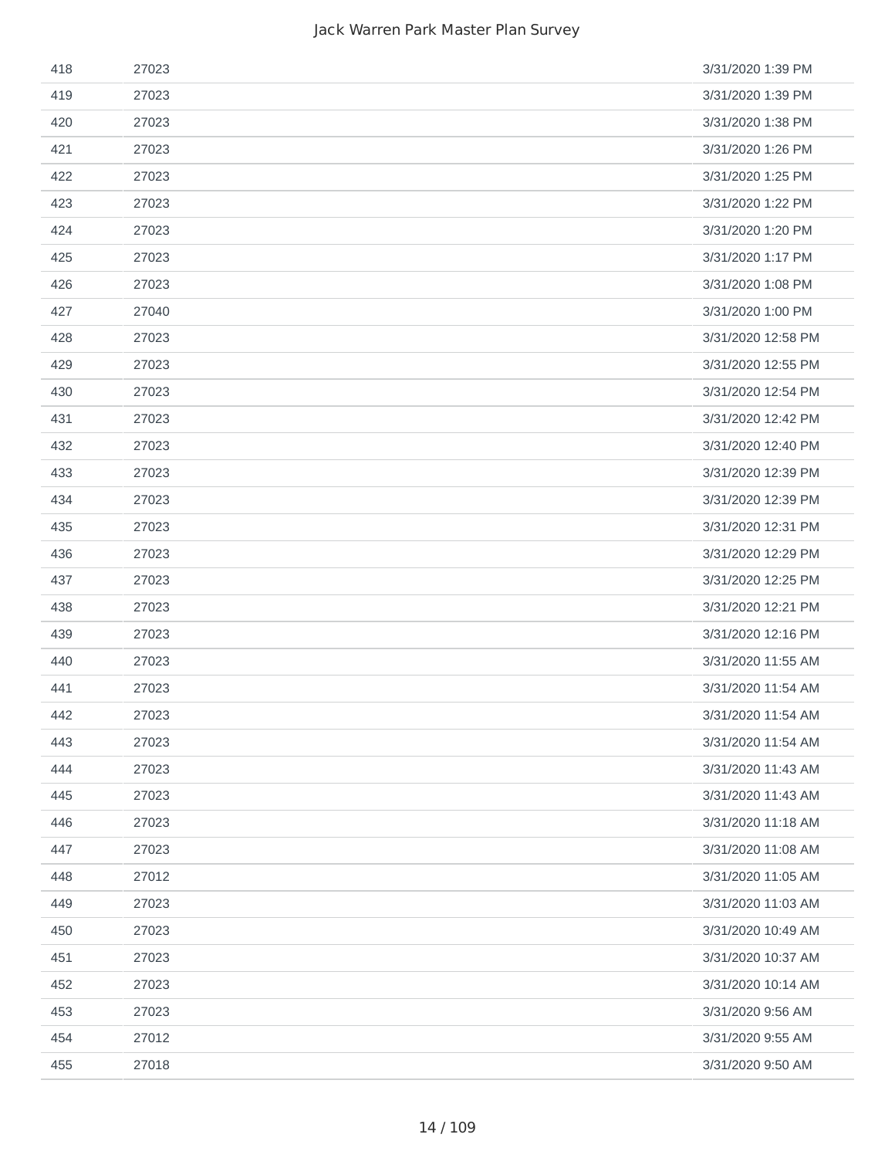| 418 | 27023 | 3/31/2020 1:39 PM  |
|-----|-------|--------------------|
| 419 | 27023 | 3/31/2020 1:39 PM  |
| 420 | 27023 | 3/31/2020 1:38 PM  |
| 421 | 27023 | 3/31/2020 1:26 PM  |
| 422 | 27023 | 3/31/2020 1:25 PM  |
| 423 | 27023 | 3/31/2020 1:22 PM  |
| 424 | 27023 | 3/31/2020 1:20 PM  |
| 425 | 27023 | 3/31/2020 1:17 PM  |
| 426 | 27023 | 3/31/2020 1:08 PM  |
| 427 | 27040 | 3/31/2020 1:00 PM  |
| 428 | 27023 | 3/31/2020 12:58 PM |
| 429 | 27023 | 3/31/2020 12:55 PM |
| 430 | 27023 | 3/31/2020 12:54 PM |
| 431 | 27023 | 3/31/2020 12:42 PM |
| 432 | 27023 | 3/31/2020 12:40 PM |
| 433 | 27023 | 3/31/2020 12:39 PM |
| 434 | 27023 | 3/31/2020 12:39 PM |
| 435 | 27023 | 3/31/2020 12:31 PM |
| 436 | 27023 | 3/31/2020 12:29 PM |
| 437 | 27023 | 3/31/2020 12:25 PM |
| 438 | 27023 | 3/31/2020 12:21 PM |
| 439 | 27023 | 3/31/2020 12:16 PM |
| 440 | 27023 | 3/31/2020 11:55 AM |
| 441 | 27023 | 3/31/2020 11:54 AM |
| 442 | 27023 | 3/31/2020 11:54 AM |
| 443 | 27023 | 3/31/2020 11:54 AM |
| 444 | 27023 | 3/31/2020 11:43 AM |
| 445 | 27023 | 3/31/2020 11:43 AM |
| 446 | 27023 | 3/31/2020 11:18 AM |
| 447 | 27023 | 3/31/2020 11:08 AM |
| 448 | 27012 | 3/31/2020 11:05 AM |
| 449 | 27023 | 3/31/2020 11:03 AM |
| 450 | 27023 | 3/31/2020 10:49 AM |
| 451 | 27023 | 3/31/2020 10:37 AM |
| 452 | 27023 | 3/31/2020 10:14 AM |
| 453 | 27023 | 3/31/2020 9:56 AM  |
| 454 | 27012 | 3/31/2020 9:55 AM  |
| 455 | 27018 | 3/31/2020 9:50 AM  |
|     |       |                    |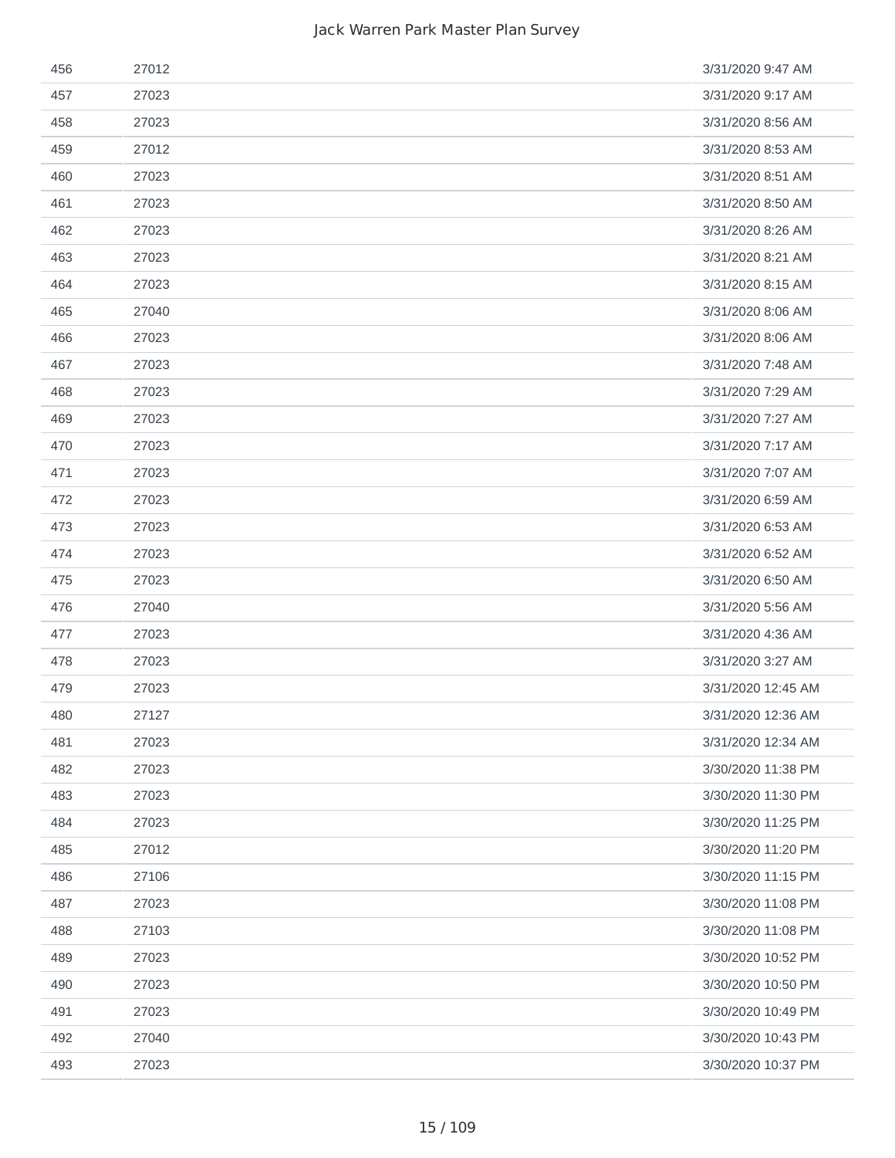| 456 | 27012 | 3/31/2020 9:47 AM  |
|-----|-------|--------------------|
| 457 | 27023 | 3/31/2020 9:17 AM  |
| 458 | 27023 | 3/31/2020 8:56 AM  |
| 459 | 27012 | 3/31/2020 8:53 AM  |
| 460 | 27023 | 3/31/2020 8:51 AM  |
| 461 | 27023 | 3/31/2020 8:50 AM  |
| 462 | 27023 | 3/31/2020 8:26 AM  |
| 463 | 27023 | 3/31/2020 8:21 AM  |
| 464 | 27023 | 3/31/2020 8:15 AM  |
| 465 | 27040 | 3/31/2020 8:06 AM  |
| 466 | 27023 | 3/31/2020 8:06 AM  |
| 467 | 27023 | 3/31/2020 7:48 AM  |
| 468 | 27023 | 3/31/2020 7:29 AM  |
| 469 | 27023 | 3/31/2020 7:27 AM  |
| 470 | 27023 | 3/31/2020 7:17 AM  |
| 471 | 27023 | 3/31/2020 7:07 AM  |
| 472 | 27023 | 3/31/2020 6:59 AM  |
| 473 | 27023 | 3/31/2020 6:53 AM  |
| 474 | 27023 | 3/31/2020 6:52 AM  |
| 475 | 27023 | 3/31/2020 6:50 AM  |
| 476 | 27040 | 3/31/2020 5:56 AM  |
| 477 | 27023 | 3/31/2020 4:36 AM  |
| 478 | 27023 | 3/31/2020 3:27 AM  |
| 479 | 27023 | 3/31/2020 12:45 AM |
| 480 | 27127 | 3/31/2020 12:36 AM |
| 481 | 27023 | 3/31/2020 12:34 AM |
| 482 | 27023 | 3/30/2020 11:38 PM |
| 483 | 27023 | 3/30/2020 11:30 PM |
| 484 | 27023 | 3/30/2020 11:25 PM |
| 485 | 27012 | 3/30/2020 11:20 PM |
| 486 | 27106 | 3/30/2020 11:15 PM |
| 487 | 27023 | 3/30/2020 11:08 PM |
| 488 | 27103 | 3/30/2020 11:08 PM |
| 489 | 27023 | 3/30/2020 10:52 PM |
| 490 | 27023 | 3/30/2020 10:50 PM |
| 491 | 27023 | 3/30/2020 10:49 PM |
| 492 | 27040 | 3/30/2020 10:43 PM |
| 493 | 27023 | 3/30/2020 10:37 PM |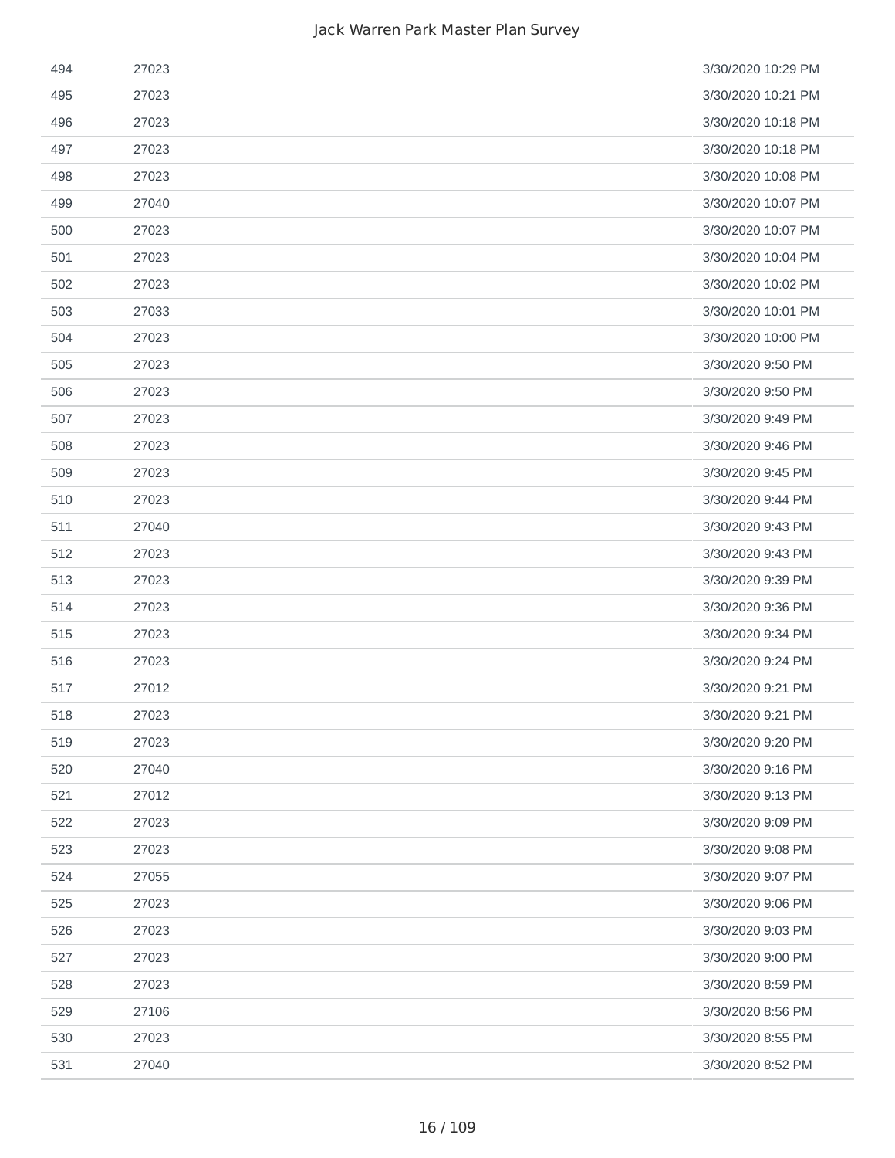| 494 | 27023 | 3/30/2020 10:29 PM |
|-----|-------|--------------------|
| 495 | 27023 | 3/30/2020 10:21 PM |
| 496 | 27023 | 3/30/2020 10:18 PM |
| 497 | 27023 | 3/30/2020 10:18 PM |
| 498 | 27023 | 3/30/2020 10:08 PM |
| 499 | 27040 | 3/30/2020 10:07 PM |
| 500 | 27023 | 3/30/2020 10:07 PM |
| 501 | 27023 | 3/30/2020 10:04 PM |
| 502 | 27023 | 3/30/2020 10:02 PM |
| 503 | 27033 | 3/30/2020 10:01 PM |
| 504 | 27023 | 3/30/2020 10:00 PM |
| 505 | 27023 | 3/30/2020 9:50 PM  |
| 506 | 27023 | 3/30/2020 9:50 PM  |
| 507 | 27023 | 3/30/2020 9:49 PM  |
| 508 | 27023 | 3/30/2020 9:46 PM  |
| 509 | 27023 | 3/30/2020 9:45 PM  |
| 510 | 27023 | 3/30/2020 9:44 PM  |
| 511 | 27040 | 3/30/2020 9:43 PM  |
| 512 | 27023 | 3/30/2020 9:43 PM  |
| 513 | 27023 | 3/30/2020 9:39 PM  |
| 514 | 27023 | 3/30/2020 9:36 PM  |
| 515 | 27023 | 3/30/2020 9:34 PM  |
| 516 | 27023 | 3/30/2020 9:24 PM  |
| 517 | 27012 | 3/30/2020 9:21 PM  |
| 518 | 27023 | 3/30/2020 9:21 PM  |
| 519 | 27023 | 3/30/2020 9:20 PM  |
| 520 | 27040 | 3/30/2020 9:16 PM  |
| 521 | 27012 | 3/30/2020 9:13 PM  |
| 522 | 27023 | 3/30/2020 9:09 PM  |
| 523 | 27023 | 3/30/2020 9:08 PM  |
| 524 | 27055 | 3/30/2020 9:07 PM  |
| 525 | 27023 | 3/30/2020 9:06 PM  |
| 526 | 27023 | 3/30/2020 9:03 PM  |
| 527 | 27023 | 3/30/2020 9:00 PM  |
| 528 | 27023 | 3/30/2020 8:59 PM  |
| 529 | 27106 | 3/30/2020 8:56 PM  |
| 530 | 27023 | 3/30/2020 8:55 PM  |
| 531 | 27040 | 3/30/2020 8:52 PM  |
|     |       |                    |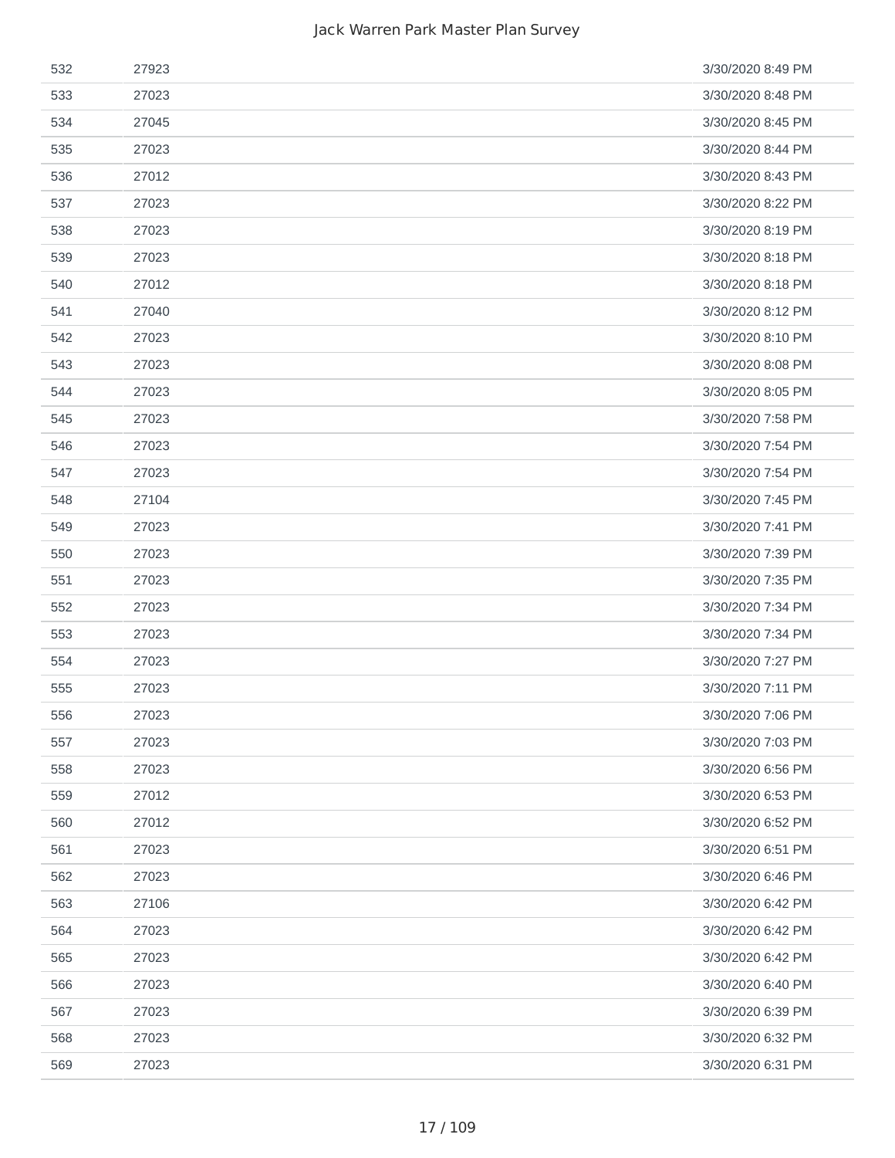| 532 | 27923 | 3/30/2020 8:49 PM |
|-----|-------|-------------------|
| 533 | 27023 | 3/30/2020 8:48 PM |
| 534 | 27045 | 3/30/2020 8:45 PM |
| 535 | 27023 | 3/30/2020 8:44 PM |
| 536 | 27012 | 3/30/2020 8:43 PM |
| 537 | 27023 | 3/30/2020 8:22 PM |
| 538 | 27023 | 3/30/2020 8:19 PM |
| 539 | 27023 | 3/30/2020 8:18 PM |
| 540 | 27012 | 3/30/2020 8:18 PM |
| 541 | 27040 | 3/30/2020 8:12 PM |
| 542 | 27023 | 3/30/2020 8:10 PM |
| 543 | 27023 | 3/30/2020 8:08 PM |
| 544 | 27023 | 3/30/2020 8:05 PM |
| 545 | 27023 | 3/30/2020 7:58 PM |
| 546 | 27023 | 3/30/2020 7:54 PM |
| 547 | 27023 | 3/30/2020 7:54 PM |
| 548 | 27104 | 3/30/2020 7:45 PM |
| 549 | 27023 | 3/30/2020 7:41 PM |
| 550 | 27023 | 3/30/2020 7:39 PM |
| 551 | 27023 | 3/30/2020 7:35 PM |
| 552 | 27023 | 3/30/2020 7:34 PM |
| 553 | 27023 | 3/30/2020 7:34 PM |
| 554 | 27023 | 3/30/2020 7:27 PM |
| 555 | 27023 | 3/30/2020 7:11 PM |
| 556 | 27023 | 3/30/2020 7:06 PM |
| 557 | 27023 | 3/30/2020 7:03 PM |
| 558 | 27023 | 3/30/2020 6:56 PM |
| 559 | 27012 | 3/30/2020 6:53 PM |
| 560 | 27012 | 3/30/2020 6:52 PM |
| 561 | 27023 | 3/30/2020 6:51 PM |
| 562 | 27023 | 3/30/2020 6:46 PM |
| 563 | 27106 | 3/30/2020 6:42 PM |
| 564 | 27023 | 3/30/2020 6:42 PM |
| 565 | 27023 | 3/30/2020 6:42 PM |
| 566 | 27023 | 3/30/2020 6:40 PM |
| 567 | 27023 | 3/30/2020 6:39 PM |
| 568 | 27023 | 3/30/2020 6:32 PM |
| 569 | 27023 | 3/30/2020 6:31 PM |
|     |       |                   |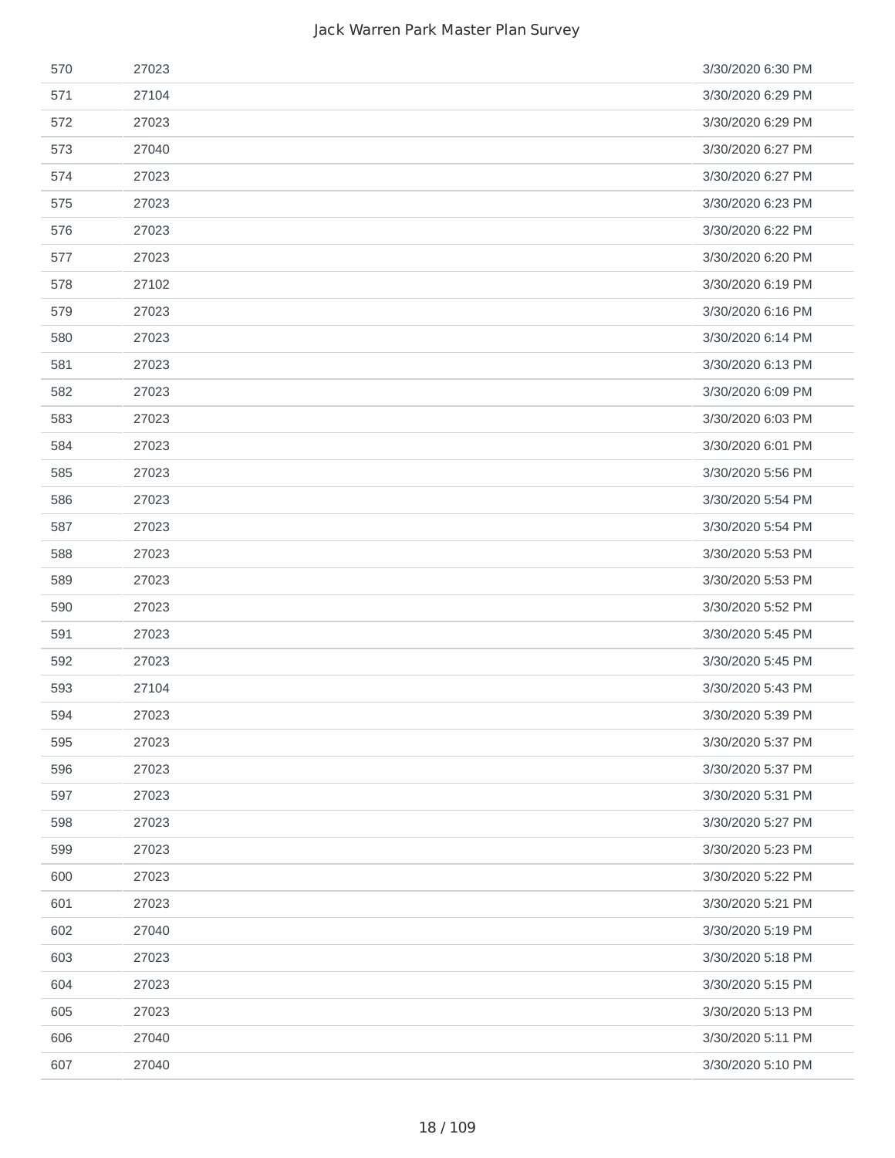| 570 | 27023 | 3/30/2020 6:30 PM |
|-----|-------|-------------------|
| 571 | 27104 | 3/30/2020 6:29 PM |
| 572 | 27023 | 3/30/2020 6:29 PM |
| 573 | 27040 | 3/30/2020 6:27 PM |
| 574 | 27023 | 3/30/2020 6:27 PM |
| 575 | 27023 | 3/30/2020 6:23 PM |
| 576 | 27023 | 3/30/2020 6:22 PM |
| 577 | 27023 | 3/30/2020 6:20 PM |
| 578 | 27102 | 3/30/2020 6:19 PM |
| 579 | 27023 | 3/30/2020 6:16 PM |
| 580 | 27023 | 3/30/2020 6:14 PM |
| 581 | 27023 | 3/30/2020 6:13 PM |
| 582 | 27023 | 3/30/2020 6:09 PM |
| 583 | 27023 | 3/30/2020 6:03 PM |
| 584 | 27023 | 3/30/2020 6:01 PM |
| 585 | 27023 | 3/30/2020 5:56 PM |
| 586 | 27023 | 3/30/2020 5:54 PM |
| 587 | 27023 | 3/30/2020 5:54 PM |
| 588 | 27023 | 3/30/2020 5:53 PM |
| 589 | 27023 | 3/30/2020 5:53 PM |
| 590 | 27023 | 3/30/2020 5:52 PM |
| 591 | 27023 | 3/30/2020 5:45 PM |
| 592 | 27023 | 3/30/2020 5:45 PM |
| 593 | 27104 | 3/30/2020 5:43 PM |
| 594 | 27023 | 3/30/2020 5:39 PM |
| 595 | 27023 | 3/30/2020 5:37 PM |
| 596 | 27023 | 3/30/2020 5:37 PM |
| 597 | 27023 | 3/30/2020 5:31 PM |
| 598 | 27023 | 3/30/2020 5:27 PM |
| 599 | 27023 | 3/30/2020 5:23 PM |
| 600 | 27023 | 3/30/2020 5:22 PM |
| 601 | 27023 | 3/30/2020 5:21 PM |
| 602 | 27040 | 3/30/2020 5:19 PM |
| 603 | 27023 | 3/30/2020 5:18 PM |
| 604 | 27023 | 3/30/2020 5:15 PM |
| 605 | 27023 | 3/30/2020 5:13 PM |
| 606 | 27040 | 3/30/2020 5:11 PM |
| 607 | 27040 | 3/30/2020 5:10 PM |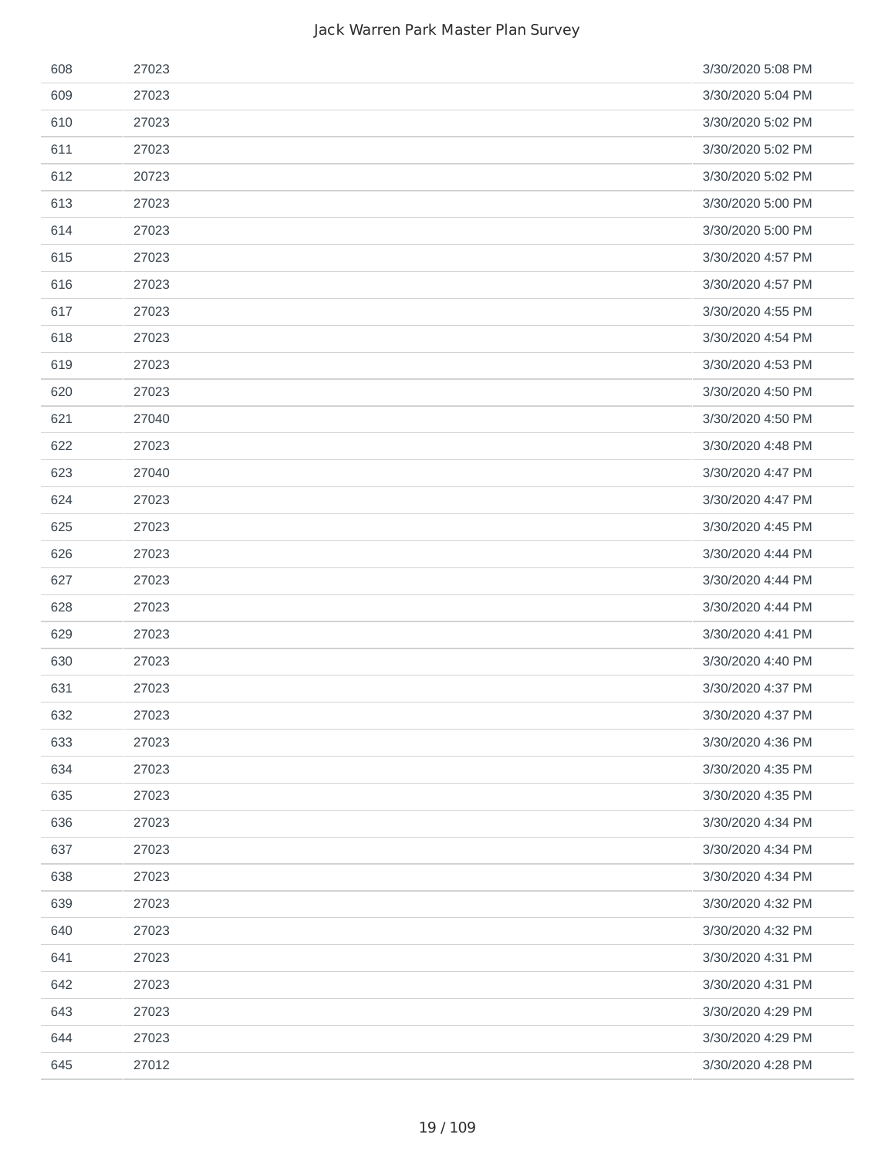| 608 | 27023 | 3/30/2020 5:08 PM |
|-----|-------|-------------------|
| 609 | 27023 | 3/30/2020 5:04 PM |
| 610 | 27023 | 3/30/2020 5:02 PM |
| 611 | 27023 | 3/30/2020 5:02 PM |
| 612 | 20723 | 3/30/2020 5:02 PM |
| 613 | 27023 | 3/30/2020 5:00 PM |
| 614 | 27023 | 3/30/2020 5:00 PM |
| 615 | 27023 | 3/30/2020 4:57 PM |
| 616 | 27023 | 3/30/2020 4:57 PM |
| 617 | 27023 | 3/30/2020 4:55 PM |
| 618 | 27023 | 3/30/2020 4:54 PM |
| 619 | 27023 | 3/30/2020 4:53 PM |
| 620 | 27023 | 3/30/2020 4:50 PM |
| 621 | 27040 | 3/30/2020 4:50 PM |
| 622 | 27023 | 3/30/2020 4:48 PM |
| 623 | 27040 | 3/30/2020 4:47 PM |
| 624 | 27023 | 3/30/2020 4:47 PM |
| 625 | 27023 | 3/30/2020 4:45 PM |
| 626 | 27023 | 3/30/2020 4:44 PM |
| 627 | 27023 | 3/30/2020 4:44 PM |
| 628 | 27023 | 3/30/2020 4:44 PM |
| 629 | 27023 | 3/30/2020 4:41 PM |
| 630 | 27023 | 3/30/2020 4:40 PM |
| 631 | 27023 | 3/30/2020 4:37 PM |
| 632 | 27023 | 3/30/2020 4:37 PM |
| 633 | 27023 | 3/30/2020 4:36 PM |
| 634 | 27023 | 3/30/2020 4:35 PM |
| 635 | 27023 | 3/30/2020 4:35 PM |
| 636 | 27023 | 3/30/2020 4:34 PM |
| 637 | 27023 | 3/30/2020 4:34 PM |
| 638 | 27023 | 3/30/2020 4:34 PM |
| 639 | 27023 | 3/30/2020 4:32 PM |
| 640 | 27023 | 3/30/2020 4:32 PM |
| 641 | 27023 | 3/30/2020 4:31 PM |
| 642 | 27023 | 3/30/2020 4:31 PM |
| 643 | 27023 | 3/30/2020 4:29 PM |
| 644 | 27023 | 3/30/2020 4:29 PM |
| 645 | 27012 | 3/30/2020 4:28 PM |
|     |       |                   |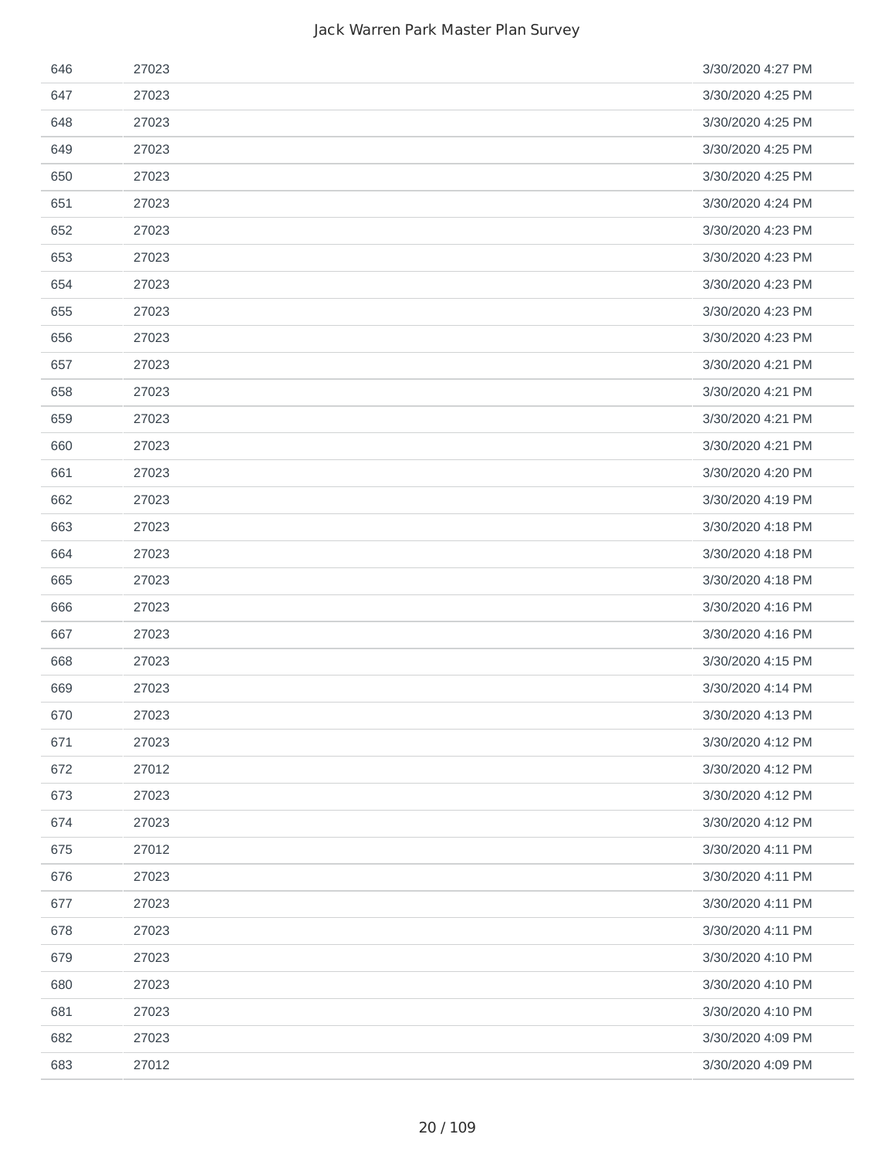| 646 | 27023 | 3/30/2020 4:27 PM |
|-----|-------|-------------------|
| 647 | 27023 | 3/30/2020 4:25 PM |
| 648 | 27023 | 3/30/2020 4:25 PM |
| 649 | 27023 | 3/30/2020 4:25 PM |
| 650 | 27023 | 3/30/2020 4:25 PM |
| 651 | 27023 | 3/30/2020 4:24 PM |
| 652 | 27023 | 3/30/2020 4:23 PM |
| 653 | 27023 | 3/30/2020 4:23 PM |
| 654 | 27023 | 3/30/2020 4:23 PM |
| 655 | 27023 | 3/30/2020 4:23 PM |
| 656 | 27023 | 3/30/2020 4:23 PM |
| 657 | 27023 | 3/30/2020 4:21 PM |
| 658 | 27023 | 3/30/2020 4:21 PM |
| 659 | 27023 | 3/30/2020 4:21 PM |
| 660 | 27023 | 3/30/2020 4:21 PM |
| 661 | 27023 | 3/30/2020 4:20 PM |
| 662 | 27023 | 3/30/2020 4:19 PM |
| 663 | 27023 | 3/30/2020 4:18 PM |
| 664 | 27023 | 3/30/2020 4:18 PM |
| 665 | 27023 | 3/30/2020 4:18 PM |
| 666 | 27023 | 3/30/2020 4:16 PM |
| 667 | 27023 | 3/30/2020 4:16 PM |
| 668 | 27023 | 3/30/2020 4:15 PM |
| 669 | 27023 | 3/30/2020 4:14 PM |
| 670 | 27023 | 3/30/2020 4:13 PM |
| 671 | 27023 | 3/30/2020 4:12 PM |
| 672 | 27012 | 3/30/2020 4:12 PM |
| 673 | 27023 | 3/30/2020 4:12 PM |
| 674 | 27023 | 3/30/2020 4:12 PM |
| 675 | 27012 | 3/30/2020 4:11 PM |
| 676 | 27023 | 3/30/2020 4:11 PM |
| 677 | 27023 | 3/30/2020 4:11 PM |
| 678 | 27023 | 3/30/2020 4:11 PM |
| 679 | 27023 | 3/30/2020 4:10 PM |
| 680 | 27023 | 3/30/2020 4:10 PM |
| 681 | 27023 | 3/30/2020 4:10 PM |
| 682 | 27023 | 3/30/2020 4:09 PM |
| 683 | 27012 | 3/30/2020 4:09 PM |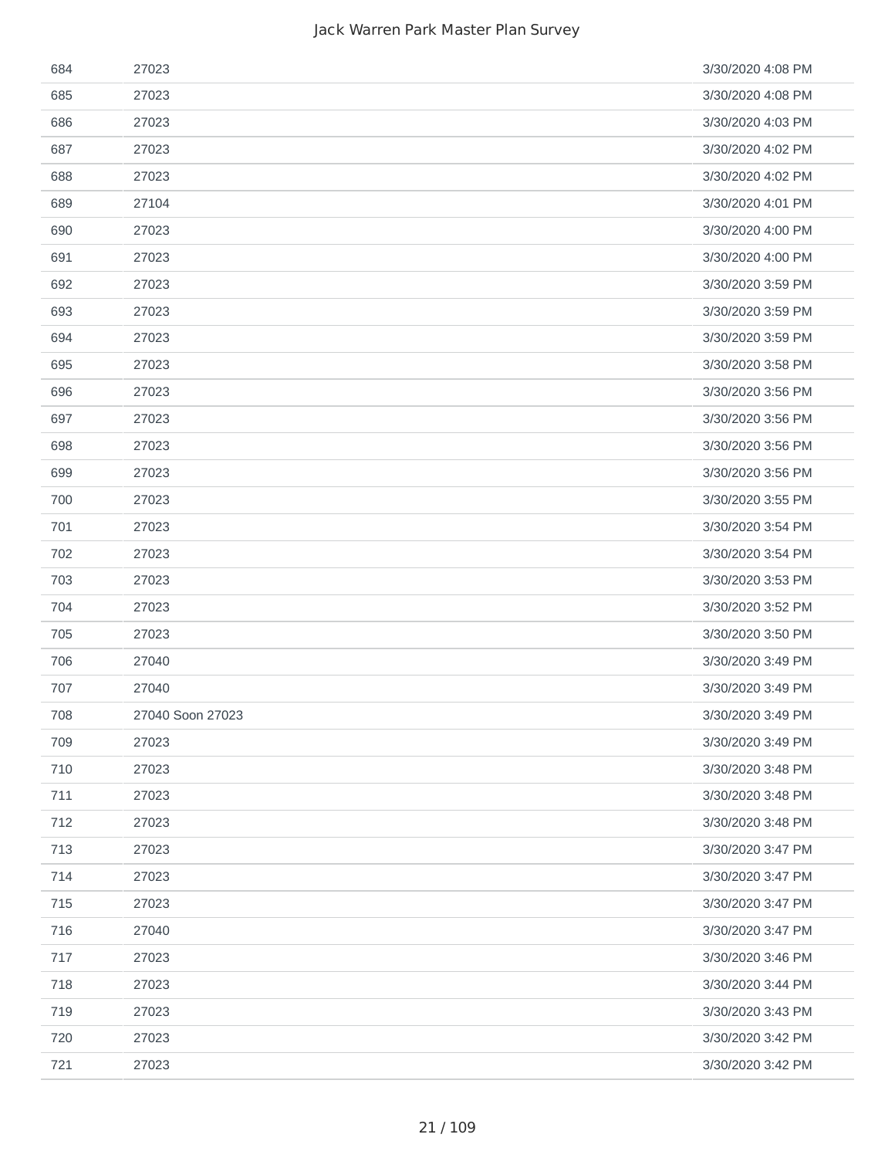| 684 | 27023            | 3/30/2020 4:08 PM |
|-----|------------------|-------------------|
| 685 | 27023            | 3/30/2020 4:08 PM |
| 686 | 27023            | 3/30/2020 4:03 PM |
| 687 | 27023            | 3/30/2020 4:02 PM |
| 688 | 27023            | 3/30/2020 4:02 PM |
| 689 | 27104            | 3/30/2020 4:01 PM |
| 690 | 27023            | 3/30/2020 4:00 PM |
| 691 | 27023            | 3/30/2020 4:00 PM |
| 692 | 27023            | 3/30/2020 3:59 PM |
| 693 | 27023            | 3/30/2020 3:59 PM |
| 694 | 27023            | 3/30/2020 3:59 PM |
| 695 | 27023            | 3/30/2020 3:58 PM |
| 696 | 27023            | 3/30/2020 3:56 PM |
| 697 | 27023            | 3/30/2020 3:56 PM |
| 698 | 27023            | 3/30/2020 3:56 PM |
| 699 | 27023            | 3/30/2020 3:56 PM |
| 700 | 27023            | 3/30/2020 3:55 PM |
| 701 | 27023            | 3/30/2020 3:54 PM |
| 702 | 27023            | 3/30/2020 3:54 PM |
| 703 | 27023            | 3/30/2020 3:53 PM |
| 704 | 27023            | 3/30/2020 3:52 PM |
| 705 | 27023            | 3/30/2020 3:50 PM |
| 706 | 27040            | 3/30/2020 3:49 PM |
| 707 | 27040            | 3/30/2020 3:49 PM |
| 708 | 27040 Soon 27023 | 3/30/2020 3:49 PM |
| 709 | 27023            | 3/30/2020 3:49 PM |
| 710 | 27023            | 3/30/2020 3:48 PM |
| 711 | 27023            | 3/30/2020 3:48 PM |
| 712 | 27023            | 3/30/2020 3:48 PM |
| 713 | 27023            | 3/30/2020 3:47 PM |
| 714 | 27023            | 3/30/2020 3:47 PM |
| 715 | 27023            | 3/30/2020 3:47 PM |
| 716 | 27040            | 3/30/2020 3:47 PM |
| 717 | 27023            | 3/30/2020 3:46 PM |
| 718 | 27023            | 3/30/2020 3:44 PM |
| 719 | 27023            | 3/30/2020 3:43 PM |
| 720 | 27023            | 3/30/2020 3:42 PM |
| 721 | 27023            | 3/30/2020 3:42 PM |
|     |                  |                   |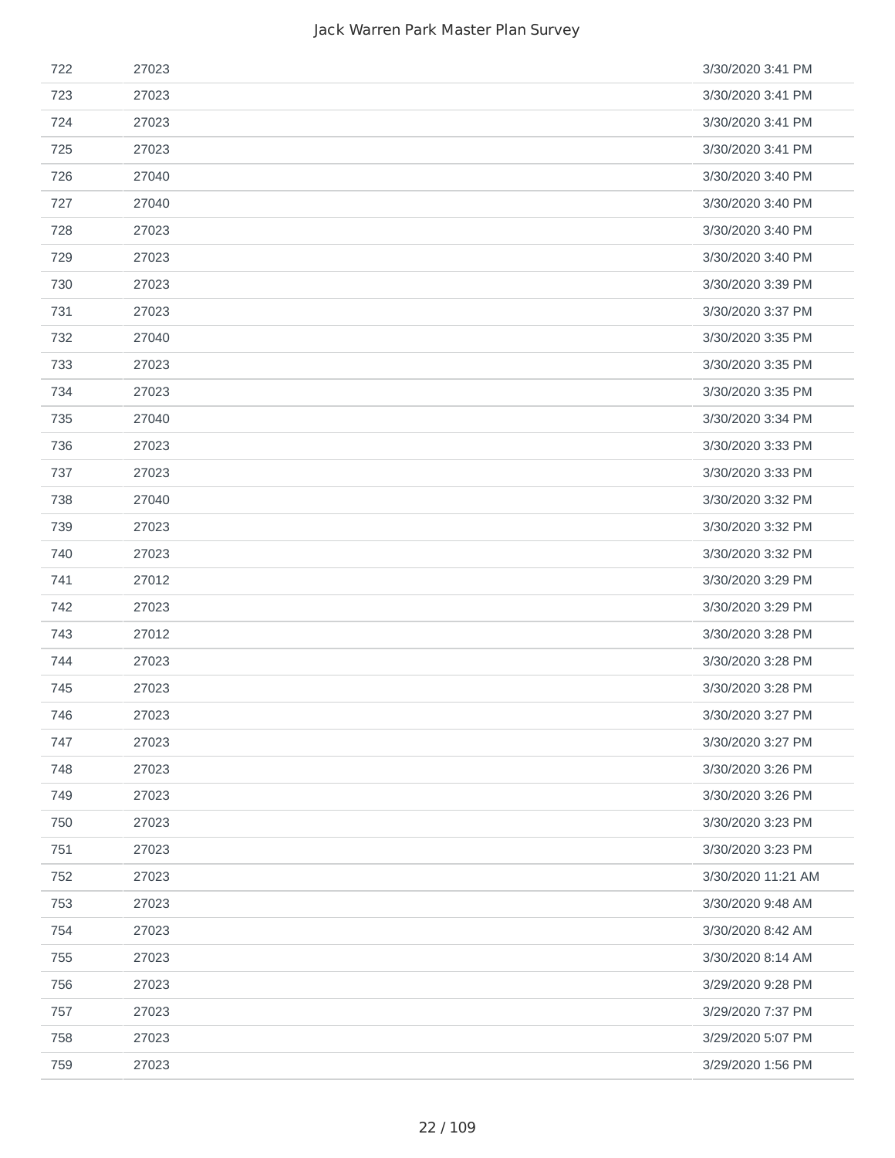| 722 | 27023 | 3/30/2020 3:41 PM  |
|-----|-------|--------------------|
| 723 | 27023 | 3/30/2020 3:41 PM  |
| 724 | 27023 | 3/30/2020 3:41 PM  |
| 725 | 27023 | 3/30/2020 3:41 PM  |
| 726 | 27040 | 3/30/2020 3:40 PM  |
| 727 | 27040 | 3/30/2020 3:40 PM  |
| 728 | 27023 | 3/30/2020 3:40 PM  |
| 729 | 27023 | 3/30/2020 3:40 PM  |
| 730 | 27023 | 3/30/2020 3:39 PM  |
| 731 | 27023 | 3/30/2020 3:37 PM  |
| 732 | 27040 | 3/30/2020 3:35 PM  |
| 733 | 27023 | 3/30/2020 3:35 PM  |
| 734 | 27023 | 3/30/2020 3:35 PM  |
| 735 | 27040 | 3/30/2020 3:34 PM  |
| 736 | 27023 | 3/30/2020 3:33 PM  |
| 737 | 27023 | 3/30/2020 3:33 PM  |
| 738 | 27040 | 3/30/2020 3:32 PM  |
| 739 | 27023 | 3/30/2020 3:32 PM  |
| 740 | 27023 | 3/30/2020 3:32 PM  |
| 741 | 27012 | 3/30/2020 3:29 PM  |
| 742 | 27023 | 3/30/2020 3:29 PM  |
| 743 | 27012 | 3/30/2020 3:28 PM  |
| 744 | 27023 | 3/30/2020 3:28 PM  |
| 745 | 27023 | 3/30/2020 3:28 PM  |
| 746 | 27023 | 3/30/2020 3:27 PM  |
| 747 | 27023 | 3/30/2020 3:27 PM  |
| 748 | 27023 | 3/30/2020 3:26 PM  |
| 749 | 27023 | 3/30/2020 3:26 PM  |
| 750 | 27023 | 3/30/2020 3:23 PM  |
| 751 | 27023 | 3/30/2020 3:23 PM  |
| 752 | 27023 | 3/30/2020 11:21 AM |
| 753 | 27023 | 3/30/2020 9:48 AM  |
| 754 | 27023 | 3/30/2020 8:42 AM  |
| 755 | 27023 | 3/30/2020 8:14 AM  |
| 756 | 27023 | 3/29/2020 9:28 PM  |
| 757 | 27023 | 3/29/2020 7:37 PM  |
| 758 | 27023 | 3/29/2020 5:07 PM  |
| 759 | 27023 | 3/29/2020 1:56 PM  |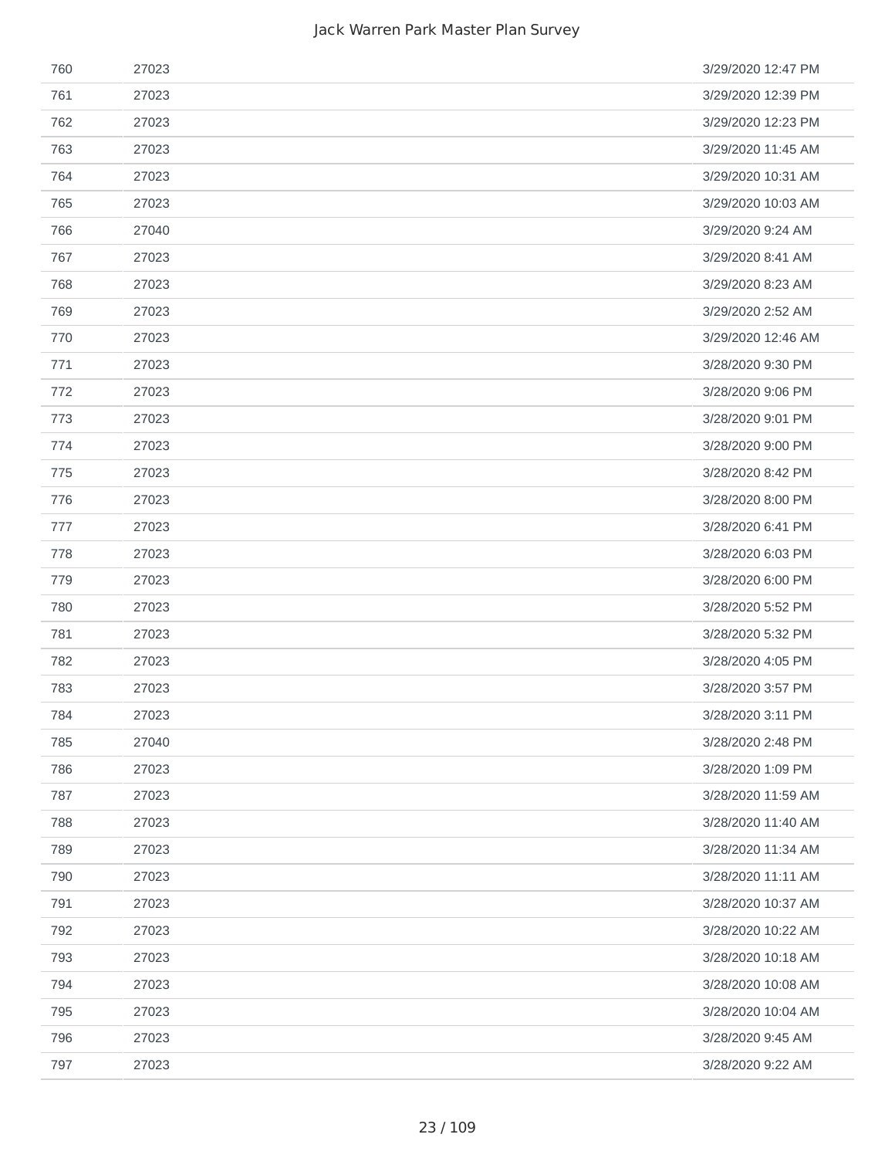| 760 | 27023 | 3/29/2020 12:47 PM |
|-----|-------|--------------------|
| 761 | 27023 | 3/29/2020 12:39 PM |
| 762 | 27023 | 3/29/2020 12:23 PM |
| 763 | 27023 | 3/29/2020 11:45 AM |
| 764 | 27023 | 3/29/2020 10:31 AM |
| 765 | 27023 | 3/29/2020 10:03 AM |
| 766 | 27040 | 3/29/2020 9:24 AM  |
| 767 | 27023 | 3/29/2020 8:41 AM  |
| 768 | 27023 | 3/29/2020 8:23 AM  |
| 769 | 27023 | 3/29/2020 2:52 AM  |
| 770 | 27023 | 3/29/2020 12:46 AM |
| 771 | 27023 | 3/28/2020 9:30 PM  |
| 772 | 27023 | 3/28/2020 9:06 PM  |
| 773 | 27023 | 3/28/2020 9:01 PM  |
| 774 | 27023 | 3/28/2020 9:00 PM  |
| 775 | 27023 | 3/28/2020 8:42 PM  |
| 776 | 27023 | 3/28/2020 8:00 PM  |
| 777 | 27023 | 3/28/2020 6:41 PM  |
| 778 | 27023 | 3/28/2020 6:03 PM  |
| 779 | 27023 | 3/28/2020 6:00 PM  |
| 780 | 27023 | 3/28/2020 5:52 PM  |
| 781 | 27023 | 3/28/2020 5:32 PM  |
| 782 | 27023 | 3/28/2020 4:05 PM  |
| 783 | 27023 | 3/28/2020 3:57 PM  |
| 784 | 27023 | 3/28/2020 3:11 PM  |
| 785 | 27040 | 3/28/2020 2:48 PM  |
| 786 | 27023 | 3/28/2020 1:09 PM  |
| 787 | 27023 | 3/28/2020 11:59 AM |
| 788 | 27023 | 3/28/2020 11:40 AM |
| 789 | 27023 | 3/28/2020 11:34 AM |
| 790 | 27023 | 3/28/2020 11:11 AM |
| 791 | 27023 | 3/28/2020 10:37 AM |
| 792 | 27023 | 3/28/2020 10:22 AM |
| 793 | 27023 | 3/28/2020 10:18 AM |
| 794 | 27023 | 3/28/2020 10:08 AM |
| 795 | 27023 | 3/28/2020 10:04 AM |
| 796 | 27023 | 3/28/2020 9:45 AM  |
| 797 | 27023 | 3/28/2020 9:22 AM  |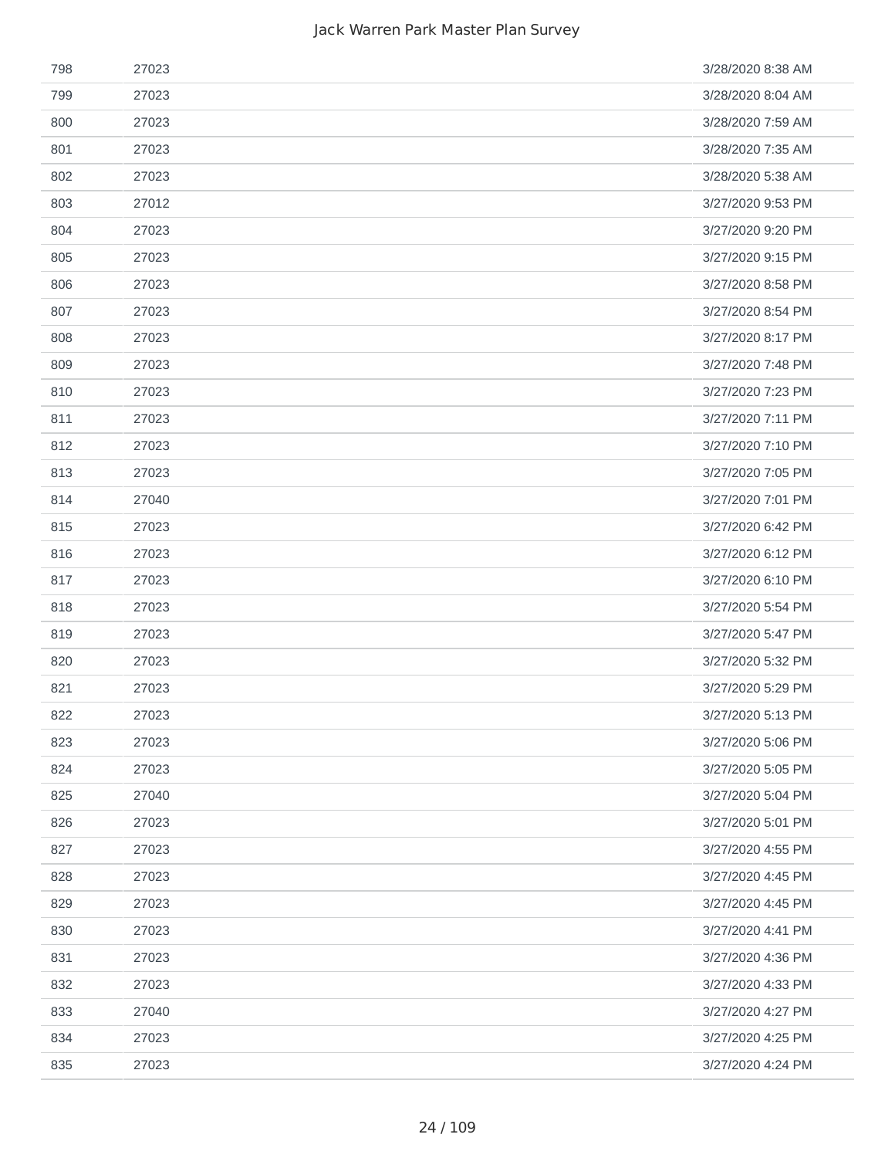| 798 | 27023 | 3/28/2020 8:38 AM |
|-----|-------|-------------------|
| 799 | 27023 | 3/28/2020 8:04 AM |
| 800 | 27023 | 3/28/2020 7:59 AM |
| 801 | 27023 | 3/28/2020 7:35 AM |
| 802 | 27023 | 3/28/2020 5:38 AM |
| 803 | 27012 | 3/27/2020 9:53 PM |
| 804 | 27023 | 3/27/2020 9:20 PM |
| 805 | 27023 | 3/27/2020 9:15 PM |
| 806 | 27023 | 3/27/2020 8:58 PM |
| 807 | 27023 | 3/27/2020 8:54 PM |
| 808 | 27023 | 3/27/2020 8:17 PM |
| 809 | 27023 | 3/27/2020 7:48 PM |
| 810 | 27023 | 3/27/2020 7:23 PM |
| 811 | 27023 | 3/27/2020 7:11 PM |
| 812 | 27023 | 3/27/2020 7:10 PM |
| 813 | 27023 | 3/27/2020 7:05 PM |
| 814 | 27040 | 3/27/2020 7:01 PM |
| 815 | 27023 | 3/27/2020 6:42 PM |
| 816 | 27023 | 3/27/2020 6:12 PM |
| 817 | 27023 | 3/27/2020 6:10 PM |
| 818 | 27023 | 3/27/2020 5:54 PM |
| 819 | 27023 | 3/27/2020 5:47 PM |
| 820 | 27023 | 3/27/2020 5:32 PM |
| 821 | 27023 | 3/27/2020 5:29 PM |
| 822 | 27023 | 3/27/2020 5:13 PM |
| 823 | 27023 | 3/27/2020 5:06 PM |
| 824 | 27023 | 3/27/2020 5:05 PM |
| 825 | 27040 | 3/27/2020 5:04 PM |
| 826 | 27023 | 3/27/2020 5:01 PM |
| 827 | 27023 | 3/27/2020 4:55 PM |
| 828 | 27023 | 3/27/2020 4:45 PM |
| 829 | 27023 | 3/27/2020 4:45 PM |
| 830 | 27023 | 3/27/2020 4:41 PM |
| 831 | 27023 | 3/27/2020 4:36 PM |
| 832 | 27023 | 3/27/2020 4:33 PM |
| 833 | 27040 | 3/27/2020 4:27 PM |
| 834 | 27023 | 3/27/2020 4:25 PM |
| 835 | 27023 | 3/27/2020 4:24 PM |
|     |       |                   |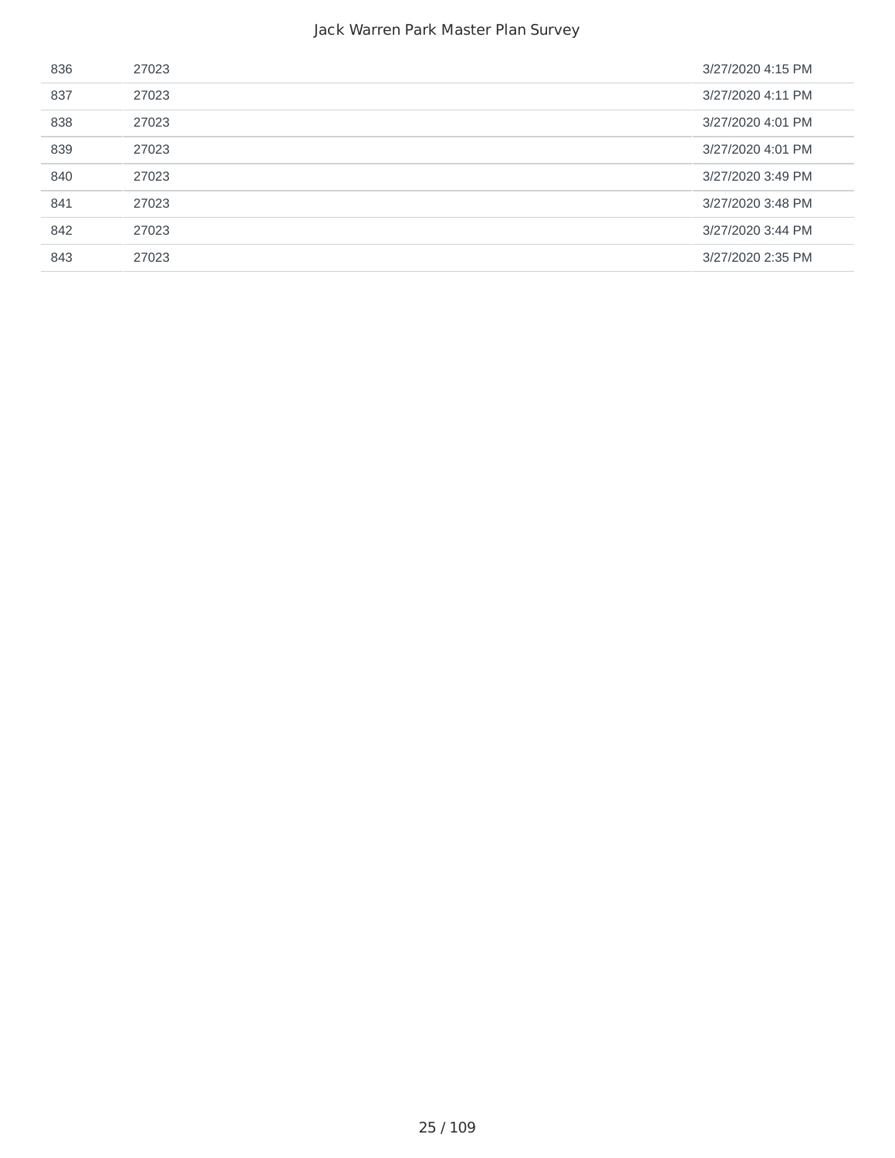| 836 | 27023 | 3/27/2020 4:15 PM |
|-----|-------|-------------------|
| 837 | 27023 | 3/27/2020 4:11 PM |
| 838 | 27023 | 3/27/2020 4:01 PM |
| 839 | 27023 | 3/27/2020 4:01 PM |
| 840 | 27023 | 3/27/2020 3:49 PM |
| 841 | 27023 | 3/27/2020 3:48 PM |
| 842 | 27023 | 3/27/2020 3:44 PM |
| 843 | 27023 | 3/27/2020 2:35 PM |
|     |       |                   |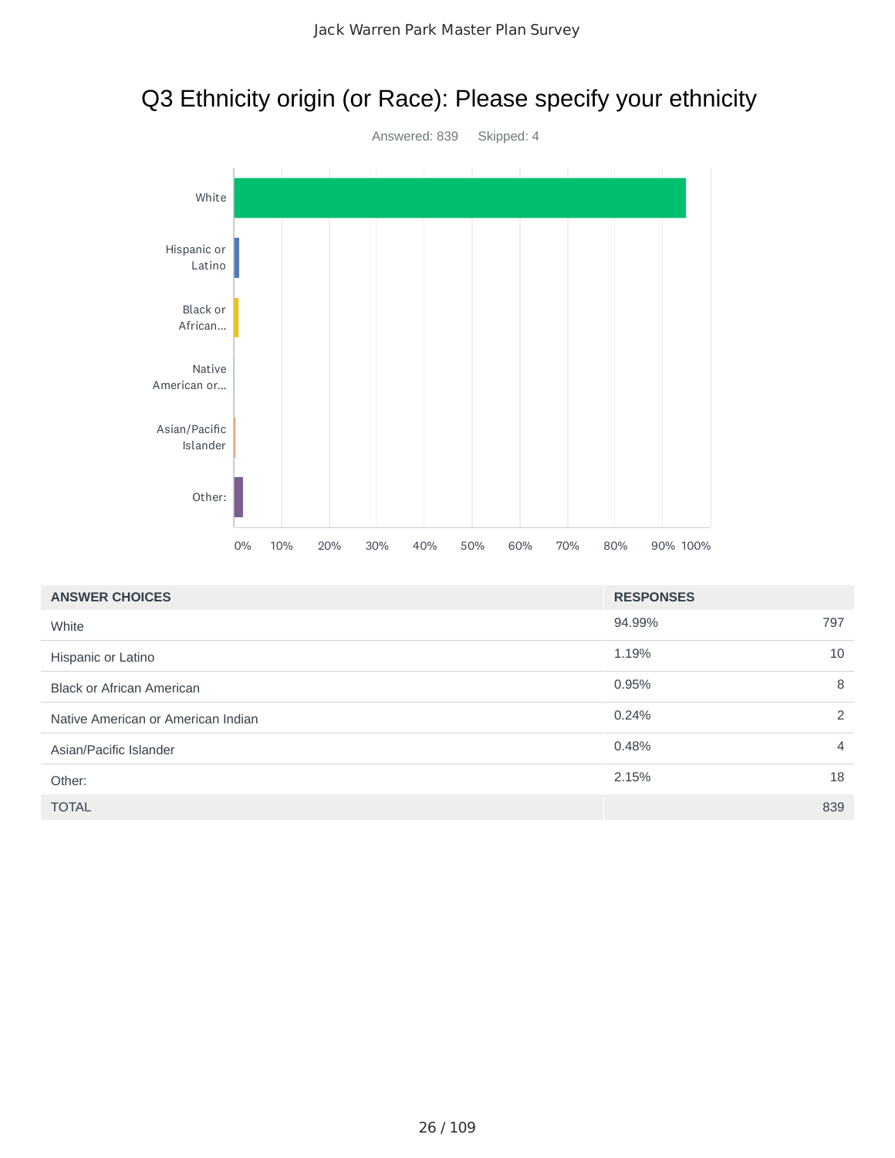# Q3 Ethnicity origin (or Race): Please specify your ethnicity



| <b>ANSWER CHOICES</b><br><b>RESPONSES</b> |        |                |
|-------------------------------------------|--------|----------------|
| White                                     | 94.99% | 797            |
| Hispanic or Latino                        | 1.19%  | 10             |
| <b>Black or African American</b>          | 0.95%  | 8              |
| Native American or American Indian        | 0.24%  | 2              |
| Asian/Pacific Islander                    | 0.48%  | $\overline{4}$ |
| Other:                                    | 2.15%  | 18             |
| <b>TOTAL</b>                              |        | 839            |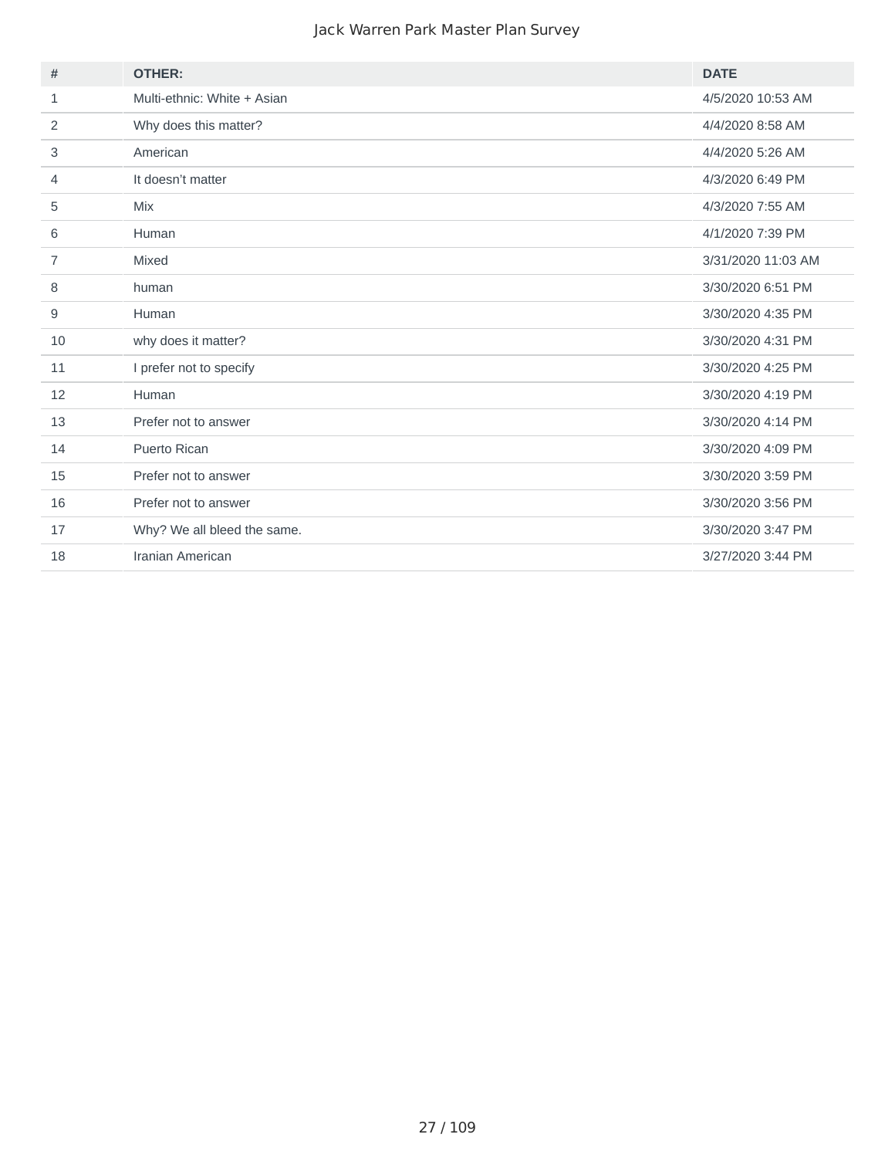| <b>OTHER:</b>               | <b>DATE</b>        |
|-----------------------------|--------------------|
| Multi-ethnic: White + Asian | 4/5/2020 10:53 AM  |
| Why does this matter?       | 4/4/2020 8:58 AM   |
| American                    | 4/4/2020 5:26 AM   |
| It doesn't matter           | 4/3/2020 6:49 PM   |
| <b>Mix</b>                  | 4/3/2020 7:55 AM   |
| Human                       | 4/1/2020 7:39 PM   |
| Mixed                       | 3/31/2020 11:03 AM |
| human                       | 3/30/2020 6:51 PM  |
| Human                       | 3/30/2020 4:35 PM  |
| why does it matter?         | 3/30/2020 4:31 PM  |
| I prefer not to specify     | 3/30/2020 4:25 PM  |
| Human                       | 3/30/2020 4:19 PM  |
| Prefer not to answer        | 3/30/2020 4:14 PM  |
| <b>Puerto Rican</b>         | 3/30/2020 4:09 PM  |
| Prefer not to answer        | 3/30/2020 3:59 PM  |
| Prefer not to answer        | 3/30/2020 3:56 PM  |
| Why? We all bleed the same. | 3/30/2020 3:47 PM  |
| Iranian American            | 3/27/2020 3:44 PM  |
|                             |                    |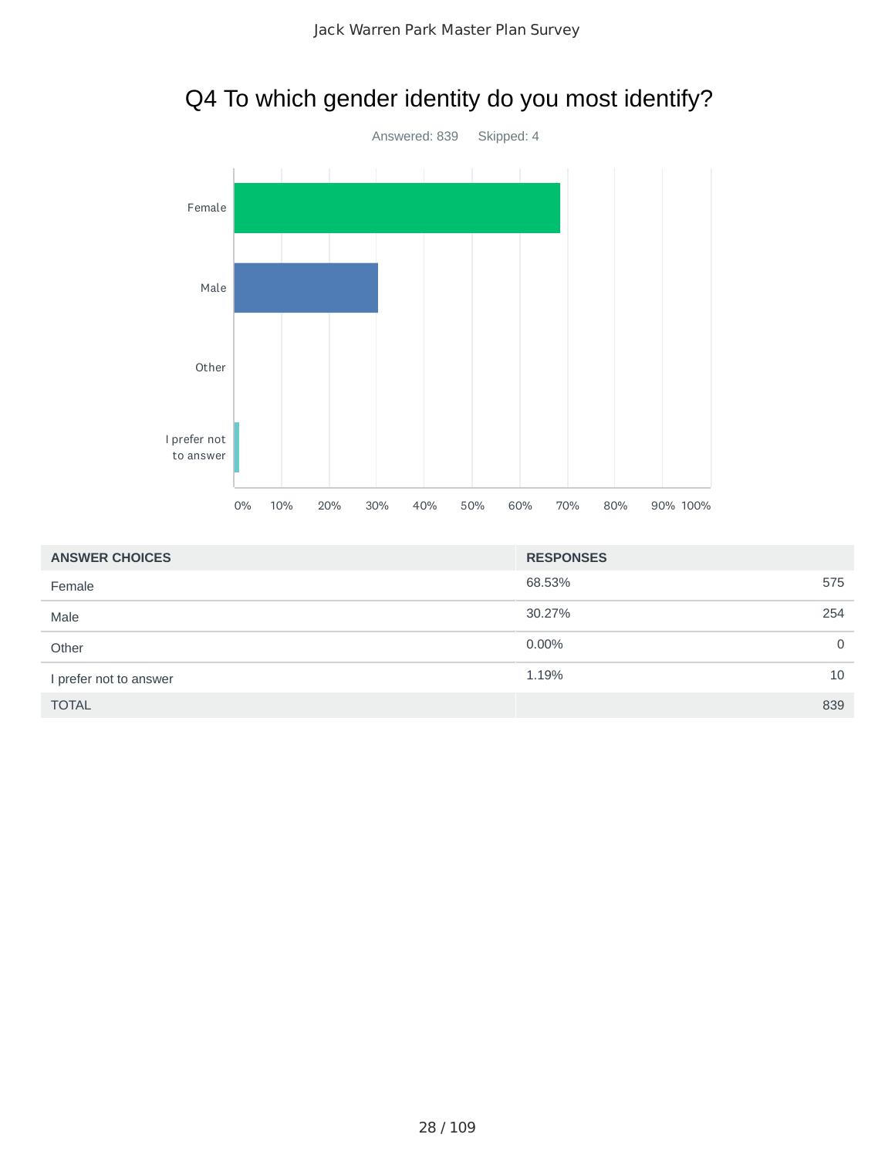

## Q4 To which gender identity do you most identify?

| <b>ANSWER CHOICES</b>  | <b>RESPONSES</b> |             |
|------------------------|------------------|-------------|
| Female                 | 68.53%           | 575         |
| Male                   | 30.27%           | 254         |
| Other                  | $0.00\%$         | $\mathbf 0$ |
| I prefer not to answer | 1.19%            | 10          |
| <b>TOTAL</b>           |                  | 839         |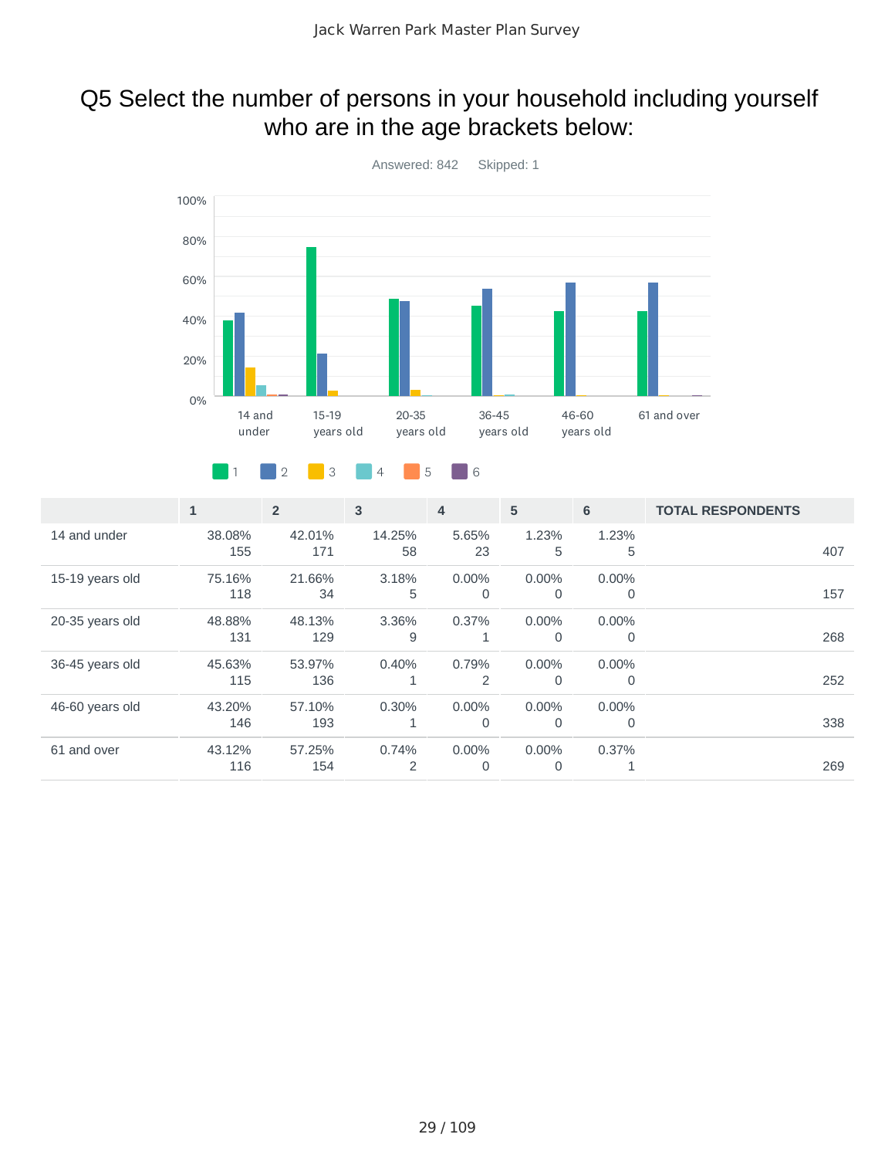## Q5 Select the number of persons in your household including yourself who are in the age brackets below:



#### 1 2 3 4 5 6

|                 | $\mathbf{1}$  | $\overline{2}$ | 3            | 4                 | 5                    | 6             | <b>TOTAL RESPONDENTS</b> |     |
|-----------------|---------------|----------------|--------------|-------------------|----------------------|---------------|--------------------------|-----|
| 14 and under    | 38.08%<br>155 | 42.01%<br>171  | 14.25%<br>58 | 5.65%<br>23       | 1.23%<br>5           | 1.23%<br>5    |                          | 407 |
| 15-19 years old | 75.16%<br>118 | 21.66%<br>34   | 3.18%<br>5   | $0.00\%$<br>0     | $0.00\%$<br>$\Omega$ | 0.00%<br>0    |                          | 157 |
| 20-35 years old | 48.88%<br>131 | 48.13%<br>129  | 3.36%<br>9   | 0.37%             | $0.00\%$<br>$\Omega$ | 0.00%<br>0    |                          | 268 |
| 36-45 years old | 45.63%<br>115 | 53.97%<br>136  | 0.40%<br>1   | 0.79%<br>2        | $0.00\%$<br>0        | 0.00%<br>0    |                          | 252 |
| 46-60 years old | 43.20%<br>146 | 57.10%<br>193  | 0.30%<br>1   | 0.00%<br>$\Omega$ | 0.00%<br>$\Omega$    | $0.00\%$<br>0 |                          | 338 |
| 61 and over     | 43.12%<br>116 | 57.25%<br>154  | 0.74%<br>2   | $0.00\%$<br>0     | $0.00\%$<br>0        | 0.37%<br>ᆂ    |                          | 269 |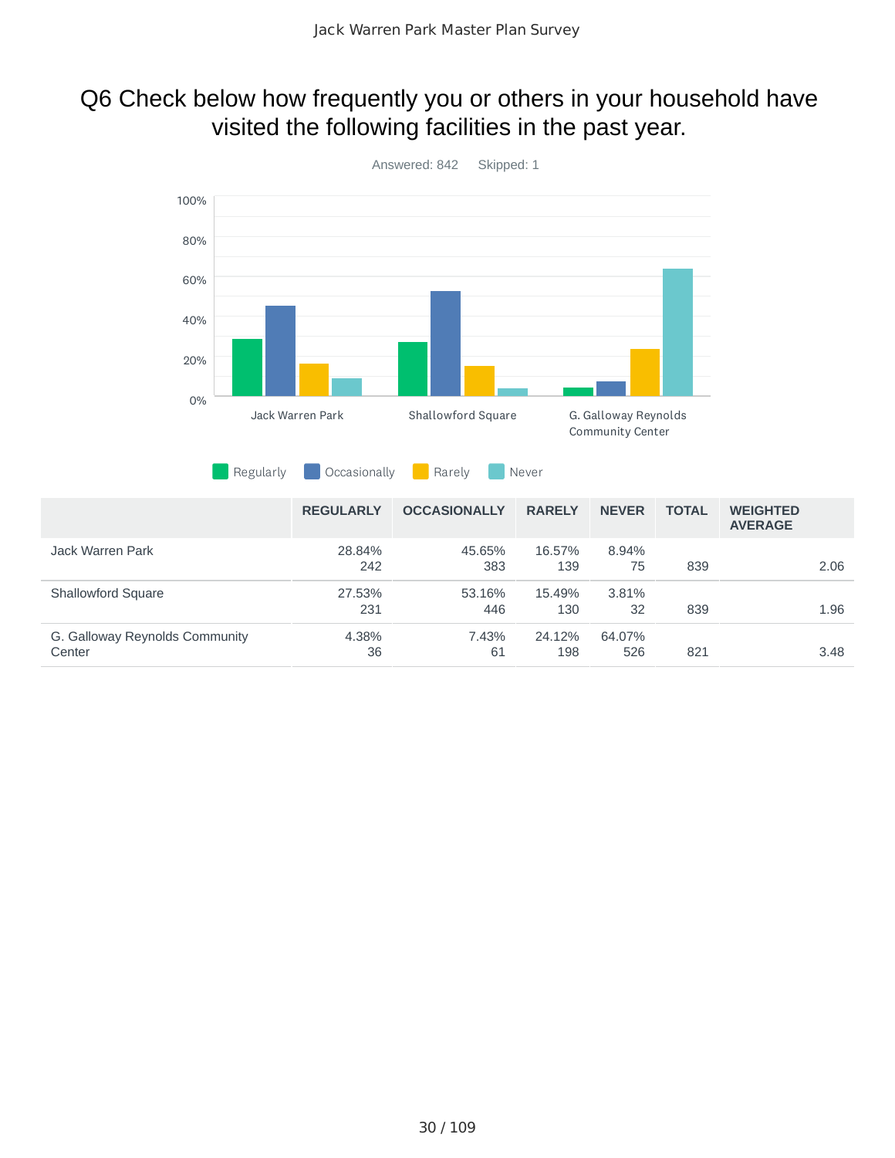### Q6 Check below how frequently you or others in your household have visited the following facilities in the past year.

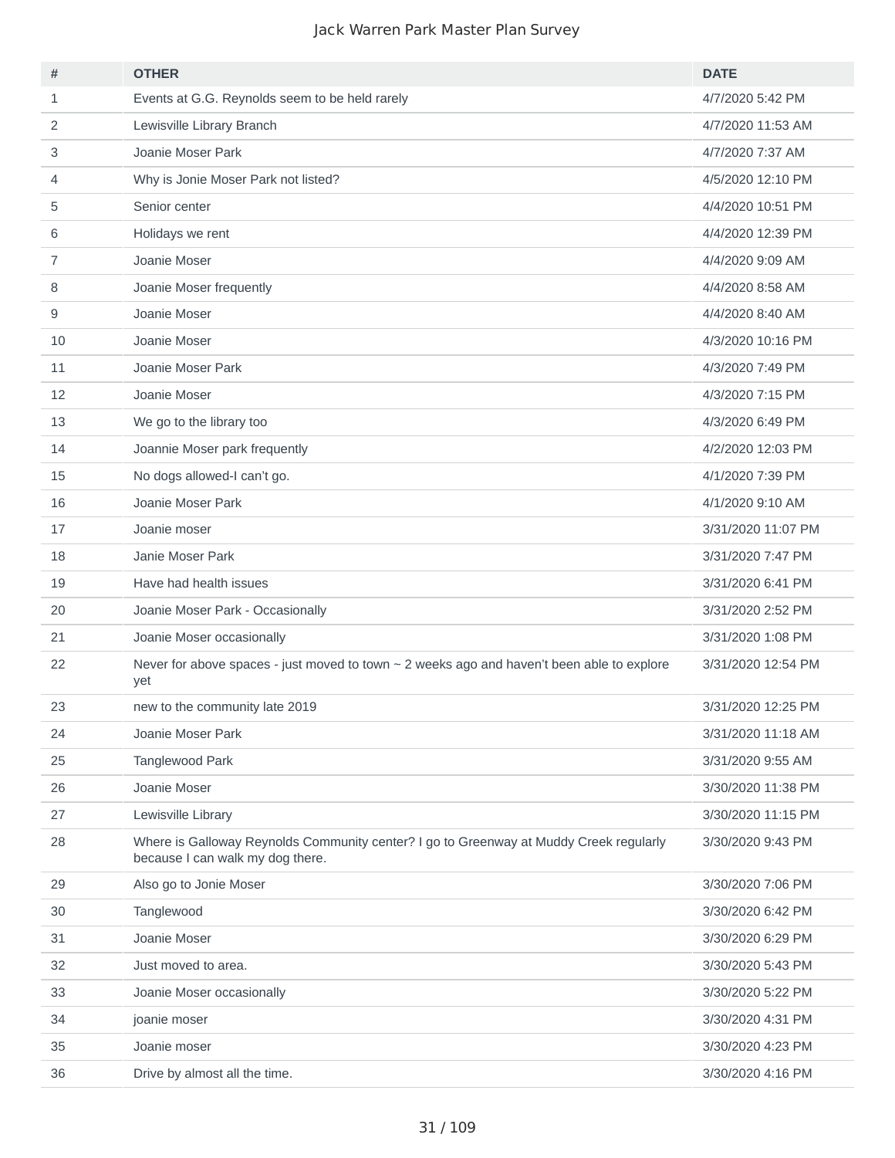| #              | <b>OTHER</b>                                                                                                               | <b>DATE</b>        |
|----------------|----------------------------------------------------------------------------------------------------------------------------|--------------------|
| $\mathbf{1}$   | Events at G.G. Reynolds seem to be held rarely                                                                             | 4/7/2020 5:42 PM   |
| 2              | Lewisville Library Branch                                                                                                  | 4/7/2020 11:53 AM  |
| 3              | Joanie Moser Park                                                                                                          | 4/7/2020 7:37 AM   |
| 4              | Why is Jonie Moser Park not listed?                                                                                        | 4/5/2020 12:10 PM  |
| 5              | Senior center                                                                                                              | 4/4/2020 10:51 PM  |
| 6              | Holidays we rent                                                                                                           | 4/4/2020 12:39 PM  |
| $\overline{7}$ | Joanie Moser                                                                                                               | 4/4/2020 9:09 AM   |
| 8              | Joanie Moser frequently                                                                                                    | 4/4/2020 8:58 AM   |
| 9              | Joanie Moser                                                                                                               | 4/4/2020 8:40 AM   |
| 10             | Joanie Moser                                                                                                               | 4/3/2020 10:16 PM  |
| 11             | Joanie Moser Park                                                                                                          | 4/3/2020 7:49 PM   |
| 12             | Joanie Moser                                                                                                               | 4/3/2020 7:15 PM   |
| 13             | We go to the library too                                                                                                   | 4/3/2020 6:49 PM   |
| 14             | Joannie Moser park frequently                                                                                              | 4/2/2020 12:03 PM  |
| 15             | No dogs allowed-I can't go.                                                                                                | 4/1/2020 7:39 PM   |
| 16             | Joanie Moser Park                                                                                                          | 4/1/2020 9:10 AM   |
| 17             | Joanie moser                                                                                                               | 3/31/2020 11:07 PM |
| 18             | Janie Moser Park                                                                                                           | 3/31/2020 7:47 PM  |
| 19             | Have had health issues                                                                                                     | 3/31/2020 6:41 PM  |
| 20             | Joanie Moser Park - Occasionally                                                                                           | 3/31/2020 2:52 PM  |
| 21             | Joanie Moser occasionally                                                                                                  | 3/31/2020 1:08 PM  |
| 22             | Never for above spaces - just moved to town $\sim$ 2 weeks ago and haven't been able to explore<br>yet                     | 3/31/2020 12:54 PM |
| 23             | new to the community late 2019                                                                                             | 3/31/2020 12:25 PM |
| 24             | Joanie Moser Park                                                                                                          | 3/31/2020 11:18 AM |
| 25             | Tanglewood Park                                                                                                            | 3/31/2020 9:55 AM  |
| 26             | Joanie Moser                                                                                                               | 3/30/2020 11:38 PM |
| 27             | Lewisville Library                                                                                                         | 3/30/2020 11:15 PM |
| 28             | Where is Galloway Reynolds Community center? I go to Greenway at Muddy Creek regularly<br>because I can walk my dog there. | 3/30/2020 9:43 PM  |
| 29             | Also go to Jonie Moser                                                                                                     | 3/30/2020 7:06 PM  |
| 30             | Tanglewood                                                                                                                 | 3/30/2020 6:42 PM  |
| 31             | Joanie Moser                                                                                                               | 3/30/2020 6:29 PM  |
| 32             | Just moved to area.                                                                                                        | 3/30/2020 5:43 PM  |
| 33             | Joanie Moser occasionally                                                                                                  | 3/30/2020 5:22 PM  |
| 34             | joanie moser                                                                                                               | 3/30/2020 4:31 PM  |
| 35             | Joanie moser                                                                                                               | 3/30/2020 4:23 PM  |
| 36             | Drive by almost all the time.                                                                                              | 3/30/2020 4:16 PM  |
|                |                                                                                                                            |                    |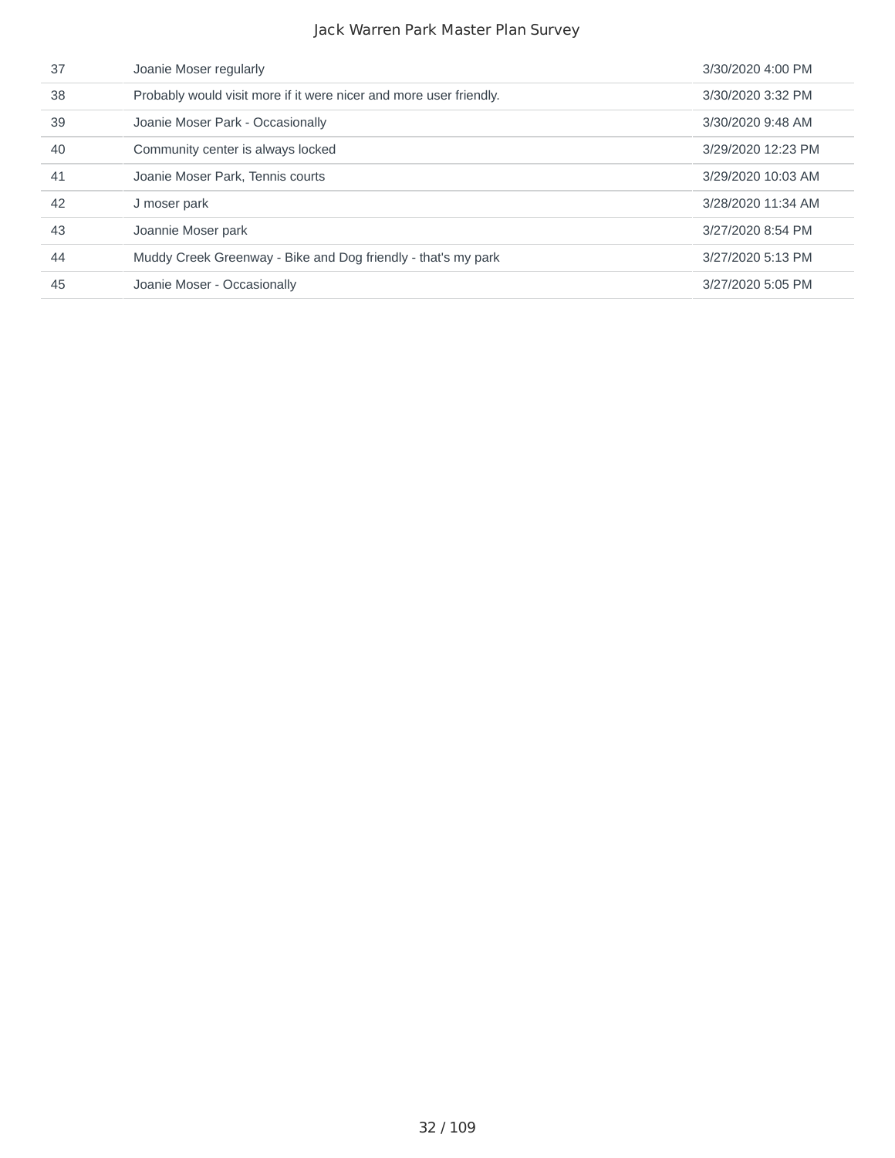| 37 | Joanie Moser regularly                                             | 3/30/2020 4:00 PM  |
|----|--------------------------------------------------------------------|--------------------|
| 38 | Probably would visit more if it were nicer and more user friendly. | 3/30/2020 3:32 PM  |
| 39 | Joanie Moser Park - Occasionally                                   | 3/30/2020 9:48 AM  |
| 40 | Community center is always locked                                  | 3/29/2020 12:23 PM |
| 41 | Joanie Moser Park, Tennis courts                                   | 3/29/2020 10:03 AM |
| 42 | J moser park                                                       | 3/28/2020 11:34 AM |
| 43 | Joannie Moser park                                                 | 3/27/2020 8:54 PM  |
| 44 | Muddy Creek Greenway - Bike and Dog friendly - that's my park      | 3/27/2020 5:13 PM  |
| 45 | Joanie Moser - Occasionally                                        | 3/27/2020 5:05 PM  |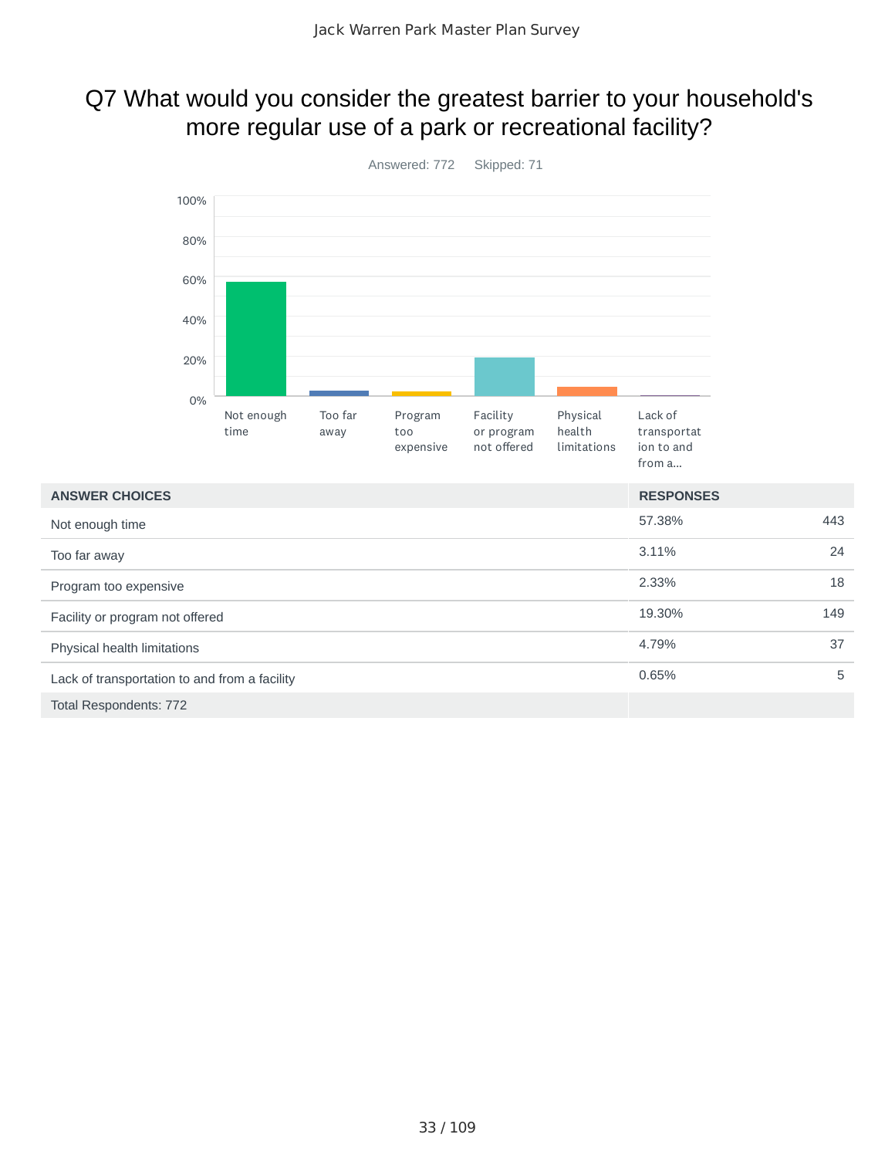### Q7 What would you consider the greatest barrier to your household's more regular use of a park or recreational facility?



Total Respondents: 772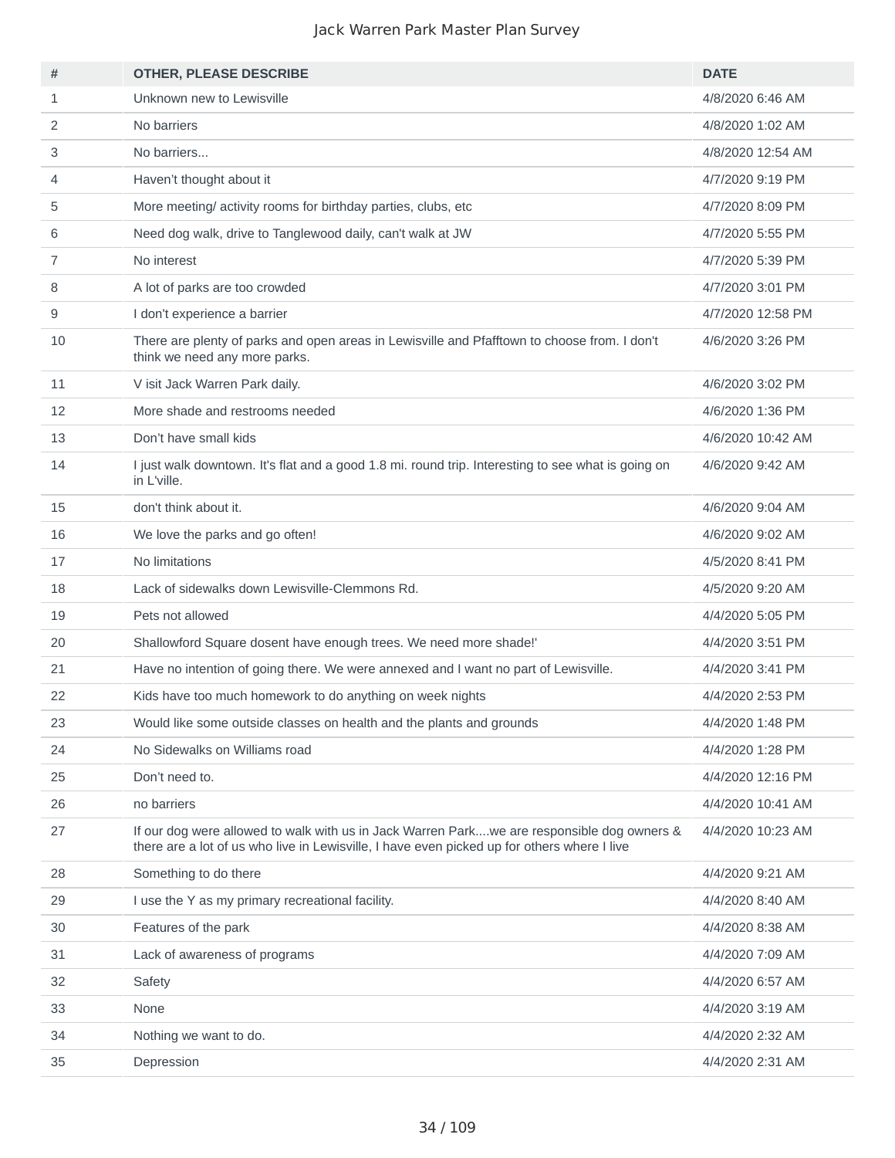| #  | <b>OTHER, PLEASE DESCRIBE</b>                                                                                                                                                             | <b>DATE</b>       |
|----|-------------------------------------------------------------------------------------------------------------------------------------------------------------------------------------------|-------------------|
| 1  | Unknown new to Lewisville                                                                                                                                                                 | 4/8/2020 6:46 AM  |
| 2  | No barriers                                                                                                                                                                               | 4/8/2020 1:02 AM  |
| 3  | No barriers                                                                                                                                                                               | 4/8/2020 12:54 AM |
| 4  | Haven't thought about it                                                                                                                                                                  | 4/7/2020 9:19 PM  |
| 5  | More meeting/ activity rooms for birthday parties, clubs, etc.                                                                                                                            | 4/7/2020 8:09 PM  |
| 6  | Need dog walk, drive to Tanglewood daily, can't walk at JW                                                                                                                                | 4/7/2020 5:55 PM  |
| 7  | No interest                                                                                                                                                                               | 4/7/2020 5:39 PM  |
| 8  | A lot of parks are too crowded                                                                                                                                                            | 4/7/2020 3:01 PM  |
| 9  | I don't experience a barrier                                                                                                                                                              | 4/7/2020 12:58 PM |
| 10 | There are plenty of parks and open areas in Lewisville and Pfafftown to choose from. I don't<br>think we need any more parks.                                                             | 4/6/2020 3:26 PM  |
| 11 | V isit Jack Warren Park daily.                                                                                                                                                            | 4/6/2020 3:02 PM  |
| 12 | More shade and restrooms needed                                                                                                                                                           | 4/6/2020 1:36 PM  |
| 13 | Don't have small kids                                                                                                                                                                     | 4/6/2020 10:42 AM |
| 14 | I just walk downtown. It's flat and a good 1.8 mi. round trip. Interesting to see what is going on<br>in L'ville.                                                                         | 4/6/2020 9:42 AM  |
| 15 | don't think about it.                                                                                                                                                                     | 4/6/2020 9:04 AM  |
| 16 | We love the parks and go often!                                                                                                                                                           | 4/6/2020 9:02 AM  |
| 17 | No limitations                                                                                                                                                                            | 4/5/2020 8:41 PM  |
| 18 | Lack of sidewalks down Lewisville-Clemmons Rd.                                                                                                                                            | 4/5/2020 9:20 AM  |
| 19 | Pets not allowed                                                                                                                                                                          | 4/4/2020 5:05 PM  |
| 20 | Shallowford Square dosent have enough trees. We need more shade!'                                                                                                                         | 4/4/2020 3:51 PM  |
| 21 | Have no intention of going there. We were annexed and I want no part of Lewisville.                                                                                                       | 4/4/2020 3:41 PM  |
| 22 | Kids have too much homework to do anything on week nights                                                                                                                                 | 4/4/2020 2:53 PM  |
| 23 | Would like some outside classes on health and the plants and grounds                                                                                                                      | 4/4/2020 1:48 PM  |
| 24 | No Sidewalks on Williams road                                                                                                                                                             | 4/4/2020 1:28 PM  |
| 25 | Don't need to.                                                                                                                                                                            | 4/4/2020 12:16 PM |
| 26 | no barriers                                                                                                                                                                               | 4/4/2020 10:41 AM |
| 27 | If our dog were allowed to walk with us in Jack Warren Parkwe are responsible dog owners &<br>there are a lot of us who live in Lewisville, I have even picked up for others where I live | 4/4/2020 10:23 AM |
| 28 | Something to do there                                                                                                                                                                     | 4/4/2020 9:21 AM  |
| 29 | I use the Y as my primary recreational facility.                                                                                                                                          | 4/4/2020 8:40 AM  |
| 30 | Features of the park                                                                                                                                                                      | 4/4/2020 8:38 AM  |
| 31 | Lack of awareness of programs                                                                                                                                                             | 4/4/2020 7:09 AM  |
| 32 | Safety                                                                                                                                                                                    | 4/4/2020 6:57 AM  |
| 33 | None                                                                                                                                                                                      | 4/4/2020 3:19 AM  |
| 34 | Nothing we want to do.                                                                                                                                                                    | 4/4/2020 2:32 AM  |
| 35 | Depression                                                                                                                                                                                | 4/4/2020 2:31 AM  |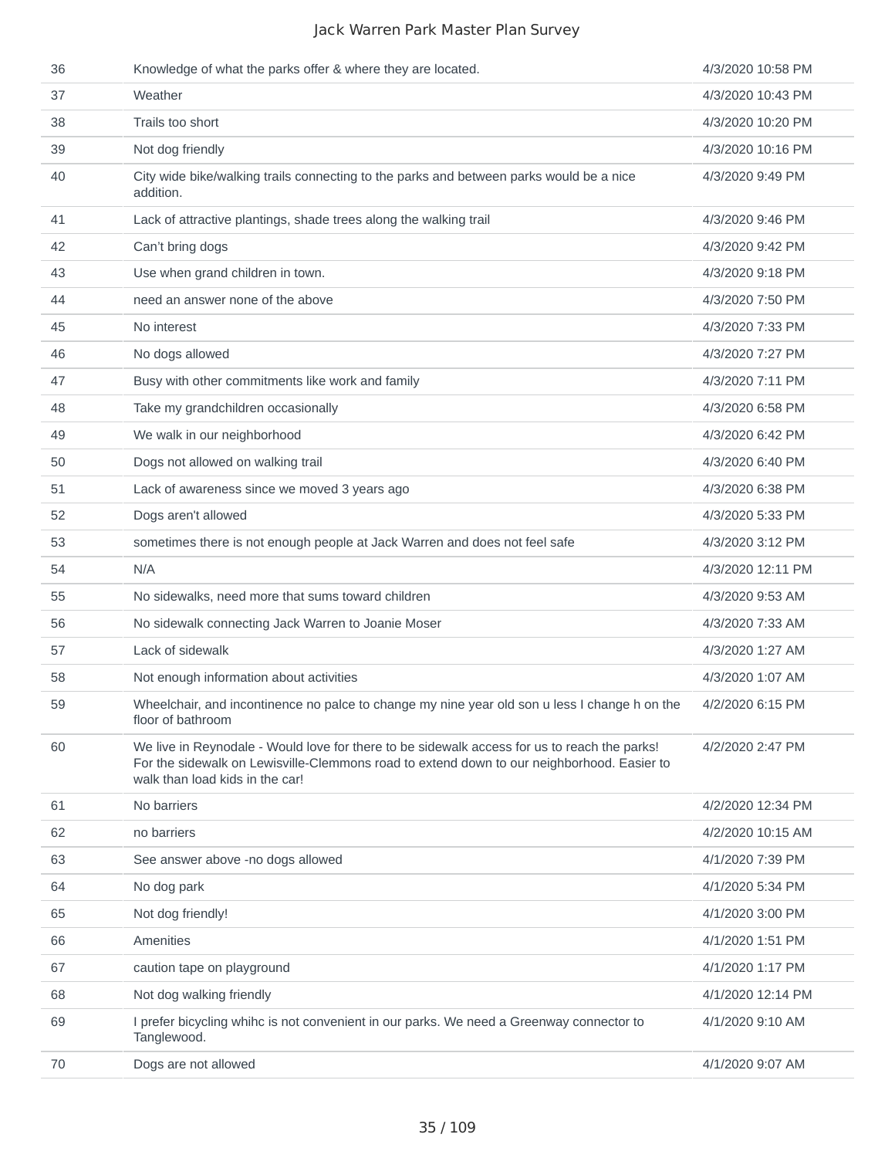| 36 | Knowledge of what the parks offer & where they are located.                                                                                                                                                                   | 4/3/2020 10:58 PM |
|----|-------------------------------------------------------------------------------------------------------------------------------------------------------------------------------------------------------------------------------|-------------------|
| 37 | Weather                                                                                                                                                                                                                       | 4/3/2020 10:43 PM |
| 38 | Trails too short                                                                                                                                                                                                              | 4/3/2020 10:20 PM |
| 39 | Not dog friendly                                                                                                                                                                                                              | 4/3/2020 10:16 PM |
| 40 | City wide bike/walking trails connecting to the parks and between parks would be a nice<br>addition.                                                                                                                          | 4/3/2020 9:49 PM  |
| 41 | Lack of attractive plantings, shade trees along the walking trail                                                                                                                                                             | 4/3/2020 9:46 PM  |
| 42 | Can't bring dogs                                                                                                                                                                                                              | 4/3/2020 9:42 PM  |
| 43 | Use when grand children in town.                                                                                                                                                                                              | 4/3/2020 9:18 PM  |
| 44 | need an answer none of the above                                                                                                                                                                                              | 4/3/2020 7:50 PM  |
| 45 | No interest                                                                                                                                                                                                                   | 4/3/2020 7:33 PM  |
| 46 | No dogs allowed                                                                                                                                                                                                               | 4/3/2020 7:27 PM  |
| 47 | Busy with other commitments like work and family                                                                                                                                                                              | 4/3/2020 7:11 PM  |
| 48 | Take my grandchildren occasionally                                                                                                                                                                                            | 4/3/2020 6:58 PM  |
| 49 | We walk in our neighborhood                                                                                                                                                                                                   | 4/3/2020 6:42 PM  |
| 50 | Dogs not allowed on walking trail                                                                                                                                                                                             | 4/3/2020 6:40 PM  |
| 51 | Lack of awareness since we moved 3 years ago                                                                                                                                                                                  | 4/3/2020 6:38 PM  |
| 52 | Dogs aren't allowed                                                                                                                                                                                                           | 4/3/2020 5:33 PM  |
| 53 | sometimes there is not enough people at Jack Warren and does not feel safe                                                                                                                                                    | 4/3/2020 3:12 PM  |
| 54 | N/A                                                                                                                                                                                                                           | 4/3/2020 12:11 PM |
| 55 | No sidewalks, need more that sums toward children                                                                                                                                                                             | 4/3/2020 9:53 AM  |
| 56 | No sidewalk connecting Jack Warren to Joanie Moser                                                                                                                                                                            | 4/3/2020 7:33 AM  |
| 57 | Lack of sidewalk                                                                                                                                                                                                              | 4/3/2020 1:27 AM  |
| 58 | Not enough information about activities                                                                                                                                                                                       | 4/3/2020 1:07 AM  |
| 59 | Wheelchair, and incontinence no palce to change my nine year old son u less I change h on the<br>floor of bathroom                                                                                                            | 4/2/2020 6:15 PM  |
| 60 | We live in Reynodale - Would love for there to be sidewalk access for us to reach the parks!<br>For the sidewalk on Lewisville-Clemmons road to extend down to our neighborhood. Easier to<br>walk than load kids in the car! | 4/2/2020 2:47 PM  |
| 61 | No barriers                                                                                                                                                                                                                   | 4/2/2020 12:34 PM |
| 62 | no barriers                                                                                                                                                                                                                   | 4/2/2020 10:15 AM |
| 63 | See answer above -no dogs allowed                                                                                                                                                                                             | 4/1/2020 7:39 PM  |
| 64 | No dog park                                                                                                                                                                                                                   | 4/1/2020 5:34 PM  |
| 65 | Not dog friendly!                                                                                                                                                                                                             | 4/1/2020 3:00 PM  |
| 66 | Amenities                                                                                                                                                                                                                     | 4/1/2020 1:51 PM  |
| 67 | caution tape on playground                                                                                                                                                                                                    | 4/1/2020 1:17 PM  |
| 68 | Not dog walking friendly                                                                                                                                                                                                      | 4/1/2020 12:14 PM |
| 69 | I prefer bicycling whihc is not convenient in our parks. We need a Greenway connector to<br>Tanglewood.                                                                                                                       | 4/1/2020 9:10 AM  |
| 70 | Dogs are not allowed                                                                                                                                                                                                          | 4/1/2020 9:07 AM  |
|    |                                                                                                                                                                                                                               |                   |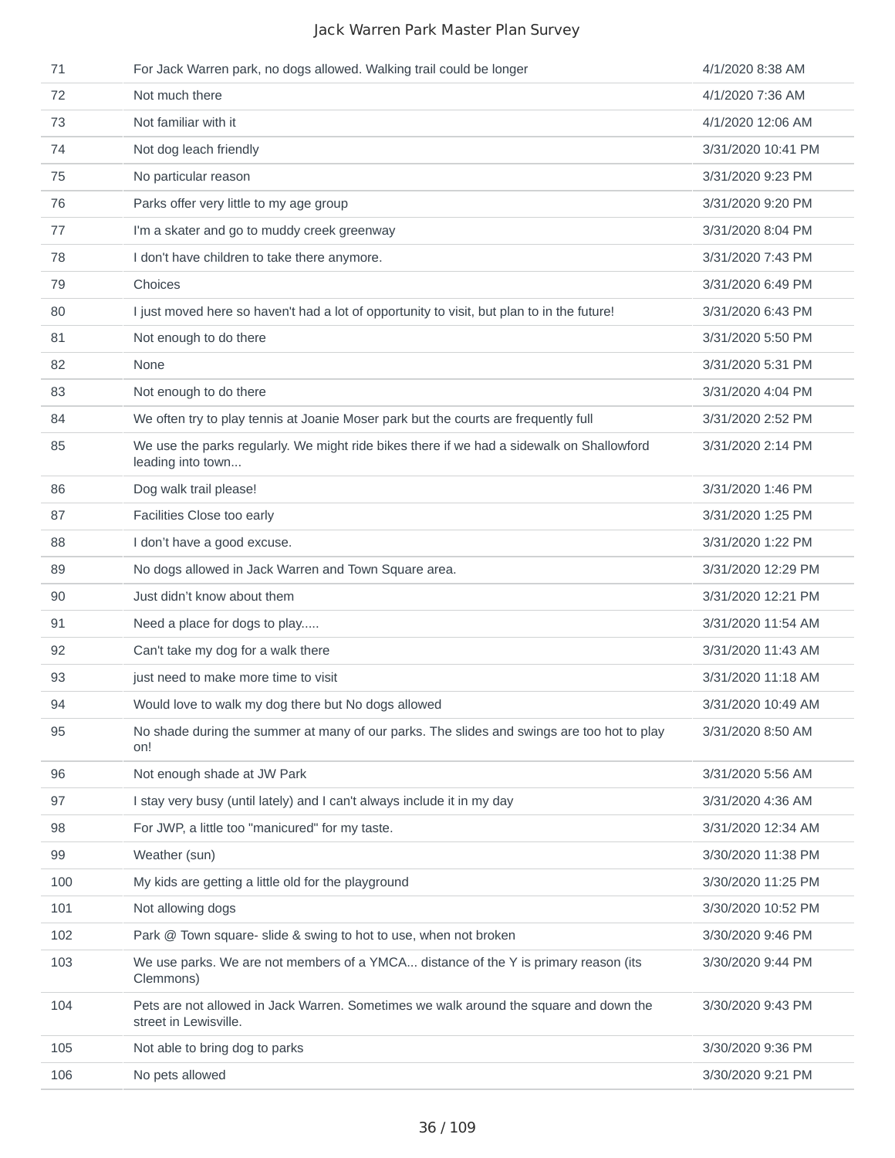| 71  | For Jack Warren park, no dogs allowed. Walking trail could be longer                                           | 4/1/2020 8:38 AM   |
|-----|----------------------------------------------------------------------------------------------------------------|--------------------|
| 72  | Not much there                                                                                                 | 4/1/2020 7:36 AM   |
| 73  | Not familiar with it                                                                                           | 4/1/2020 12:06 AM  |
| 74  | Not dog leach friendly                                                                                         | 3/31/2020 10:41 PM |
| 75  | No particular reason                                                                                           | 3/31/2020 9:23 PM  |
| 76  | Parks offer very little to my age group                                                                        | 3/31/2020 9:20 PM  |
| 77  | I'm a skater and go to muddy creek greenway                                                                    | 3/31/2020 8:04 PM  |
| 78  | I don't have children to take there anymore.                                                                   | 3/31/2020 7:43 PM  |
| 79  | Choices                                                                                                        | 3/31/2020 6:49 PM  |
| 80  | I just moved here so haven't had a lot of opportunity to visit, but plan to in the future!                     | 3/31/2020 6:43 PM  |
| 81  | Not enough to do there                                                                                         | 3/31/2020 5:50 PM  |
| 82  | None                                                                                                           | 3/31/2020 5:31 PM  |
| 83  | Not enough to do there                                                                                         | 3/31/2020 4:04 PM  |
| 84  | We often try to play tennis at Joanie Moser park but the courts are frequently full                            | 3/31/2020 2:52 PM  |
| 85  | We use the parks regularly. We might ride bikes there if we had a sidewalk on Shallowford<br>leading into town | 3/31/2020 2:14 PM  |
| 86  | Dog walk trail please!                                                                                         | 3/31/2020 1:46 PM  |
| 87  | Facilities Close too early                                                                                     | 3/31/2020 1:25 PM  |
| 88  | I don't have a good excuse.                                                                                    | 3/31/2020 1:22 PM  |
| 89  | No dogs allowed in Jack Warren and Town Square area.                                                           | 3/31/2020 12:29 PM |
| 90  | Just didn't know about them                                                                                    | 3/31/2020 12:21 PM |
| 91  | Need a place for dogs to play                                                                                  | 3/31/2020 11:54 AM |
| 92  | Can't take my dog for a walk there                                                                             | 3/31/2020 11:43 AM |
| 93  | just need to make more time to visit                                                                           | 3/31/2020 11:18 AM |
| 94  | Would love to walk my dog there but No dogs allowed                                                            | 3/31/2020 10:49 AM |
| 95  | No shade during the summer at many of our parks. The slides and swings are too hot to play<br>on!              | 3/31/2020 8:50 AM  |
| 96  | Not enough shade at JW Park                                                                                    | 3/31/2020 5:56 AM  |
| 97  | I stay very busy (until lately) and I can't always include it in my day                                        | 3/31/2020 4:36 AM  |
| 98  | For JWP, a little too "manicured" for my taste.                                                                | 3/31/2020 12:34 AM |
| 99  | Weather (sun)                                                                                                  | 3/30/2020 11:38 PM |
| 100 | My kids are getting a little old for the playground                                                            | 3/30/2020 11:25 PM |
| 101 | Not allowing dogs                                                                                              | 3/30/2020 10:52 PM |
| 102 | Park @ Town square- slide & swing to hot to use, when not broken                                               | 3/30/2020 9:46 PM  |
| 103 | We use parks. We are not members of a YMCA distance of the Y is primary reason (its<br>Clemmons)               | 3/30/2020 9:44 PM  |
| 104 | Pets are not allowed in Jack Warren. Sometimes we walk around the square and down the<br>street in Lewisville. | 3/30/2020 9:43 PM  |
| 105 | Not able to bring dog to parks                                                                                 | 3/30/2020 9:36 PM  |
| 106 | No pets allowed                                                                                                | 3/30/2020 9:21 PM  |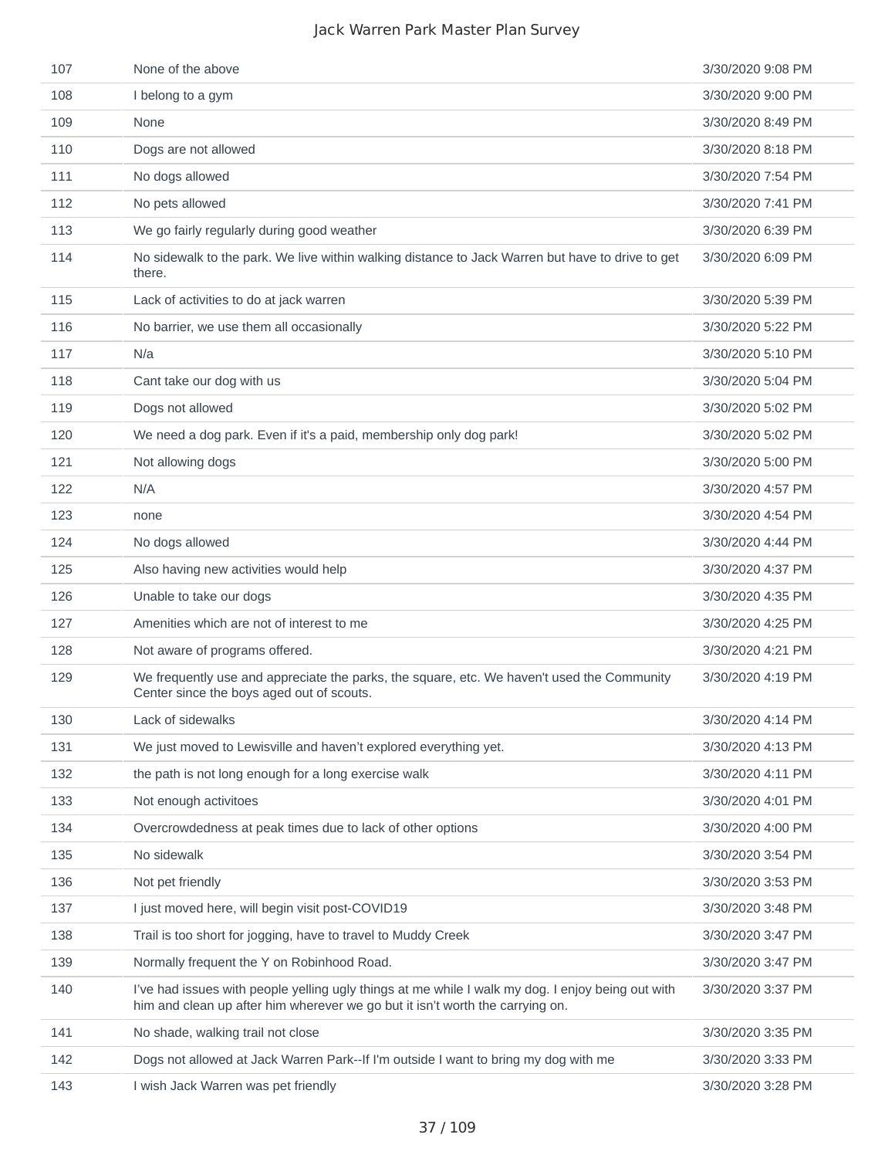| 107 | None of the above                                                                                                                                                                  | 3/30/2020 9:08 PM |
|-----|------------------------------------------------------------------------------------------------------------------------------------------------------------------------------------|-------------------|
| 108 | I belong to a gym                                                                                                                                                                  | 3/30/2020 9:00 PM |
| 109 | None                                                                                                                                                                               | 3/30/2020 8:49 PM |
| 110 | Dogs are not allowed                                                                                                                                                               | 3/30/2020 8:18 PM |
| 111 | No dogs allowed                                                                                                                                                                    | 3/30/2020 7:54 PM |
| 112 | No pets allowed                                                                                                                                                                    | 3/30/2020 7:41 PM |
| 113 | We go fairly regularly during good weather                                                                                                                                         | 3/30/2020 6:39 PM |
| 114 | No sidewalk to the park. We live within walking distance to Jack Warren but have to drive to get<br>there.                                                                         | 3/30/2020 6:09 PM |
| 115 | Lack of activities to do at jack warren                                                                                                                                            | 3/30/2020 5:39 PM |
| 116 | No barrier, we use them all occasionally                                                                                                                                           | 3/30/2020 5:22 PM |
| 117 | N/a                                                                                                                                                                                | 3/30/2020 5:10 PM |
| 118 | Cant take our dog with us                                                                                                                                                          | 3/30/2020 5:04 PM |
| 119 | Dogs not allowed                                                                                                                                                                   | 3/30/2020 5:02 PM |
| 120 | We need a dog park. Even if it's a paid, membership only dog park!                                                                                                                 | 3/30/2020 5:02 PM |
| 121 | Not allowing dogs                                                                                                                                                                  | 3/30/2020 5:00 PM |
| 122 | N/A                                                                                                                                                                                | 3/30/2020 4:57 PM |
| 123 | none                                                                                                                                                                               | 3/30/2020 4:54 PM |
| 124 | No dogs allowed                                                                                                                                                                    | 3/30/2020 4:44 PM |
| 125 | Also having new activities would help                                                                                                                                              | 3/30/2020 4:37 PM |
| 126 | Unable to take our dogs                                                                                                                                                            | 3/30/2020 4:35 PM |
| 127 | Amenities which are not of interest to me                                                                                                                                          | 3/30/2020 4:25 PM |
| 128 | Not aware of programs offered.                                                                                                                                                     | 3/30/2020 4:21 PM |
| 129 | We frequently use and appreciate the parks, the square, etc. We haven't used the Community<br>Center since the boys aged out of scouts.                                            | 3/30/2020 4:19 PM |
| 130 | Lack of sidewalks                                                                                                                                                                  | 3/30/2020 4:14 PM |
| 131 | We just moved to Lewisville and haven't explored everything yet.                                                                                                                   | 3/30/2020 4:13 PM |
| 132 | the path is not long enough for a long exercise walk                                                                                                                               | 3/30/2020 4:11 PM |
| 133 | Not enough activitoes                                                                                                                                                              | 3/30/2020 4:01 PM |
| 134 | Overcrowdedness at peak times due to lack of other options                                                                                                                         | 3/30/2020 4:00 PM |
| 135 | No sidewalk                                                                                                                                                                        | 3/30/2020 3:54 PM |
| 136 | Not pet friendly                                                                                                                                                                   | 3/30/2020 3:53 PM |
| 137 | I just moved here, will begin visit post-COVID19                                                                                                                                   | 3/30/2020 3:48 PM |
| 138 | Trail is too short for jogging, have to travel to Muddy Creek                                                                                                                      | 3/30/2020 3:47 PM |
| 139 | Normally frequent the Y on Robinhood Road.                                                                                                                                         | 3/30/2020 3:47 PM |
| 140 | I've had issues with people yelling ugly things at me while I walk my dog. I enjoy being out with<br>him and clean up after him wherever we go but it isn't worth the carrying on. | 3/30/2020 3:37 PM |
| 141 | No shade, walking trail not close                                                                                                                                                  | 3/30/2020 3:35 PM |
| 142 | Dogs not allowed at Jack Warren Park--If I'm outside I want to bring my dog with me                                                                                                | 3/30/2020 3:33 PM |
| 143 | I wish Jack Warren was pet friendly                                                                                                                                                | 3/30/2020 3:28 PM |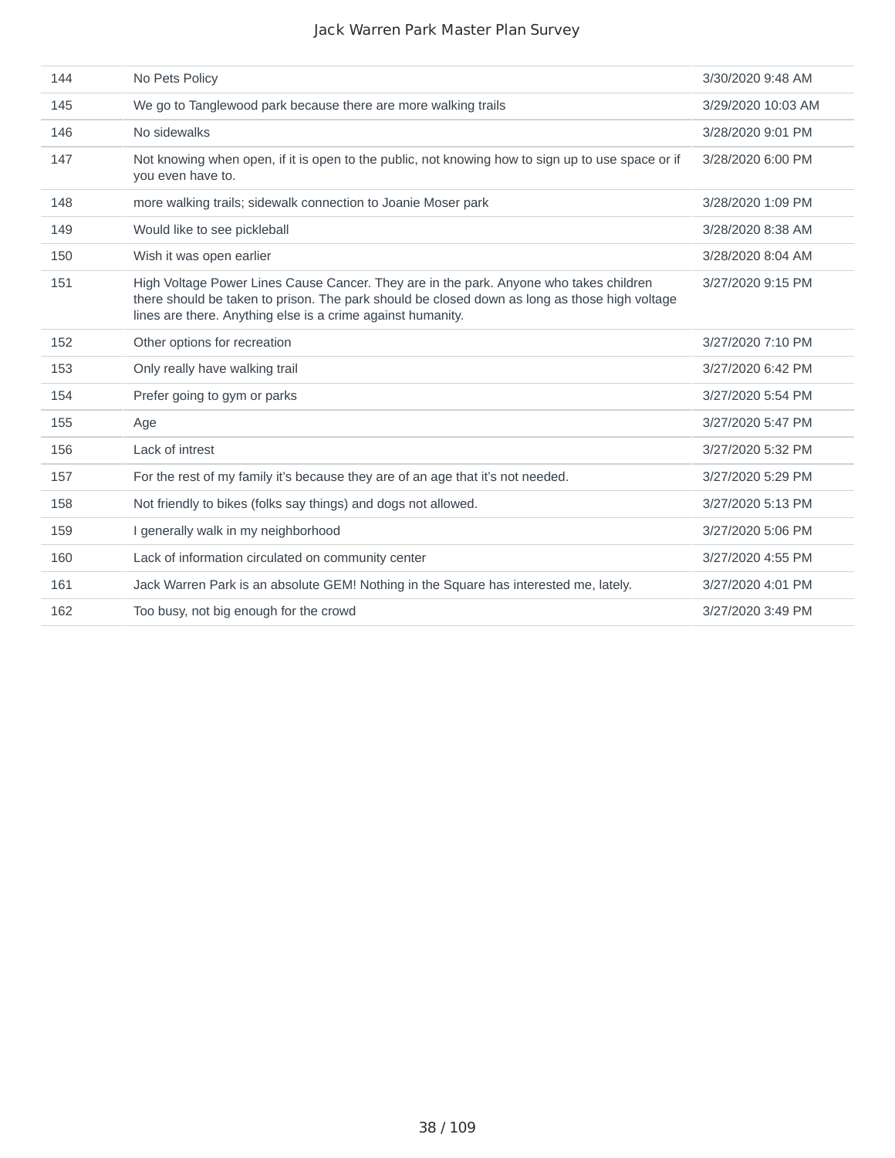| 144 | No Pets Policy                                                                                                                                                                                                                                         | 3/30/2020 9:48 AM  |
|-----|--------------------------------------------------------------------------------------------------------------------------------------------------------------------------------------------------------------------------------------------------------|--------------------|
| 145 | We go to Tanglewood park because there are more walking trails                                                                                                                                                                                         | 3/29/2020 10:03 AM |
| 146 | No sidewalks                                                                                                                                                                                                                                           | 3/28/2020 9:01 PM  |
| 147 | Not knowing when open, if it is open to the public, not knowing how to sign up to use space or if<br>you even have to.                                                                                                                                 | 3/28/2020 6:00 PM  |
| 148 | more walking trails; sidewalk connection to Joanie Moser park                                                                                                                                                                                          | 3/28/2020 1:09 PM  |
| 149 | Would like to see pickleball                                                                                                                                                                                                                           | 3/28/2020 8:38 AM  |
| 150 | Wish it was open earlier                                                                                                                                                                                                                               | 3/28/2020 8:04 AM  |
| 151 | High Voltage Power Lines Cause Cancer. They are in the park. Anyone who takes children<br>there should be taken to prison. The park should be closed down as long as those high voltage<br>lines are there. Anything else is a crime against humanity. | 3/27/2020 9:15 PM  |
| 152 | Other options for recreation                                                                                                                                                                                                                           | 3/27/2020 7:10 PM  |
| 153 | Only really have walking trail                                                                                                                                                                                                                         | 3/27/2020 6:42 PM  |
| 154 | Prefer going to gym or parks                                                                                                                                                                                                                           | 3/27/2020 5:54 PM  |
| 155 | Age                                                                                                                                                                                                                                                    | 3/27/2020 5:47 PM  |
| 156 | Lack of intrest                                                                                                                                                                                                                                        | 3/27/2020 5:32 PM  |
| 157 | For the rest of my family it's because they are of an age that it's not needed.                                                                                                                                                                        | 3/27/2020 5:29 PM  |
| 158 | Not friendly to bikes (folks say things) and dogs not allowed.                                                                                                                                                                                         | 3/27/2020 5:13 PM  |
| 159 | I generally walk in my neighborhood                                                                                                                                                                                                                    | 3/27/2020 5:06 PM  |
| 160 | Lack of information circulated on community center                                                                                                                                                                                                     | 3/27/2020 4:55 PM  |
| 161 | Jack Warren Park is an absolute GEM! Nothing in the Square has interested me, lately.                                                                                                                                                                  | 3/27/2020 4:01 PM  |
| 162 | Too busy, not big enough for the crowd                                                                                                                                                                                                                 | 3/27/2020 3:49 PM  |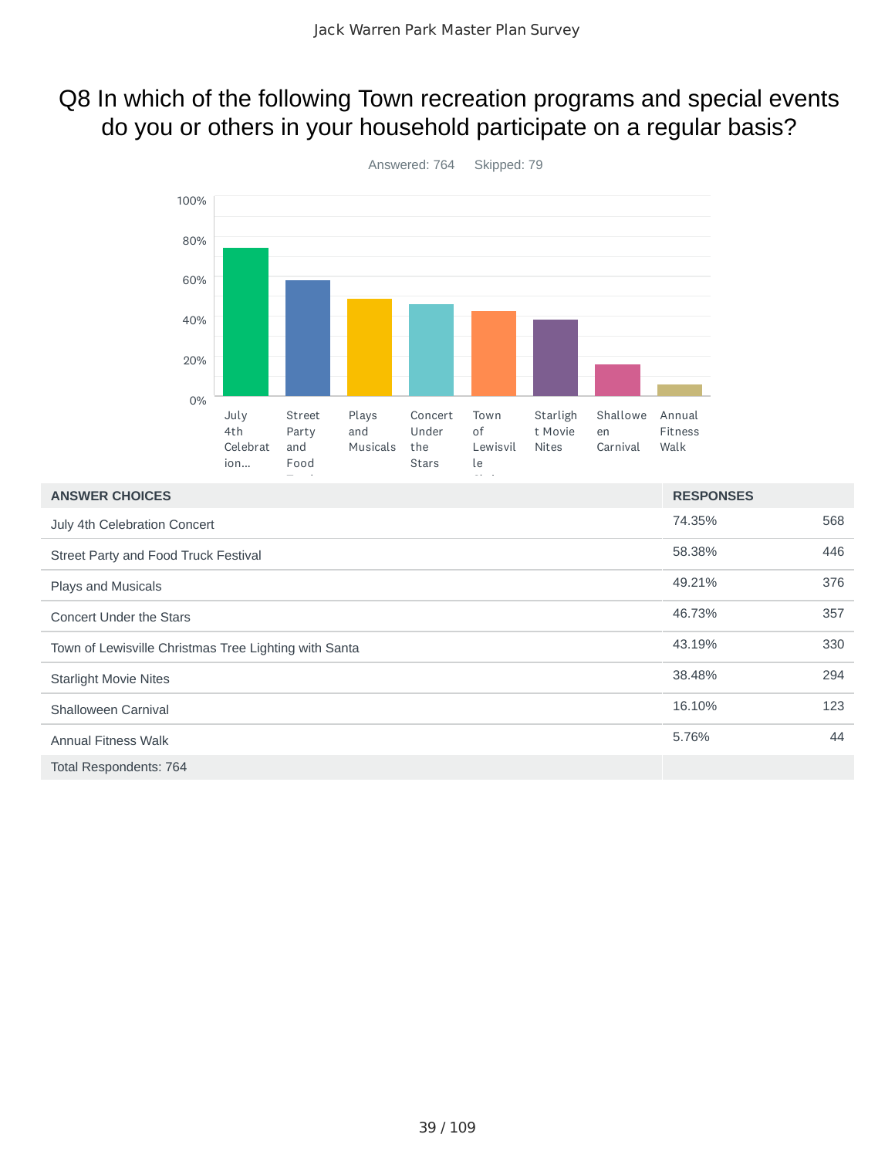## Q8 In which of the following Town recreation programs and special events do you or others in your household participate on a regular basis?



| <b>ANSWER CHOICES</b>                                 | <b>RESPONSES</b> |     |
|-------------------------------------------------------|------------------|-----|
| July 4th Celebration Concert                          | 74.35%           | 568 |
| Street Party and Food Truck Festival                  | 58.38%           | 446 |
| Plays and Musicals                                    | 49.21%           | 376 |
| <b>Concert Under the Stars</b>                        | 46.73%           | 357 |
| Town of Lewisville Christmas Tree Lighting with Santa | 43.19%           | 330 |
| <b>Starlight Movie Nites</b>                          | 38.48%           | 294 |
| Shalloween Carnival                                   | 16.10%           | 123 |
| <b>Annual Fitness Walk</b>                            | 5.76%            | 44  |
| Total Respondents: 764                                |                  |     |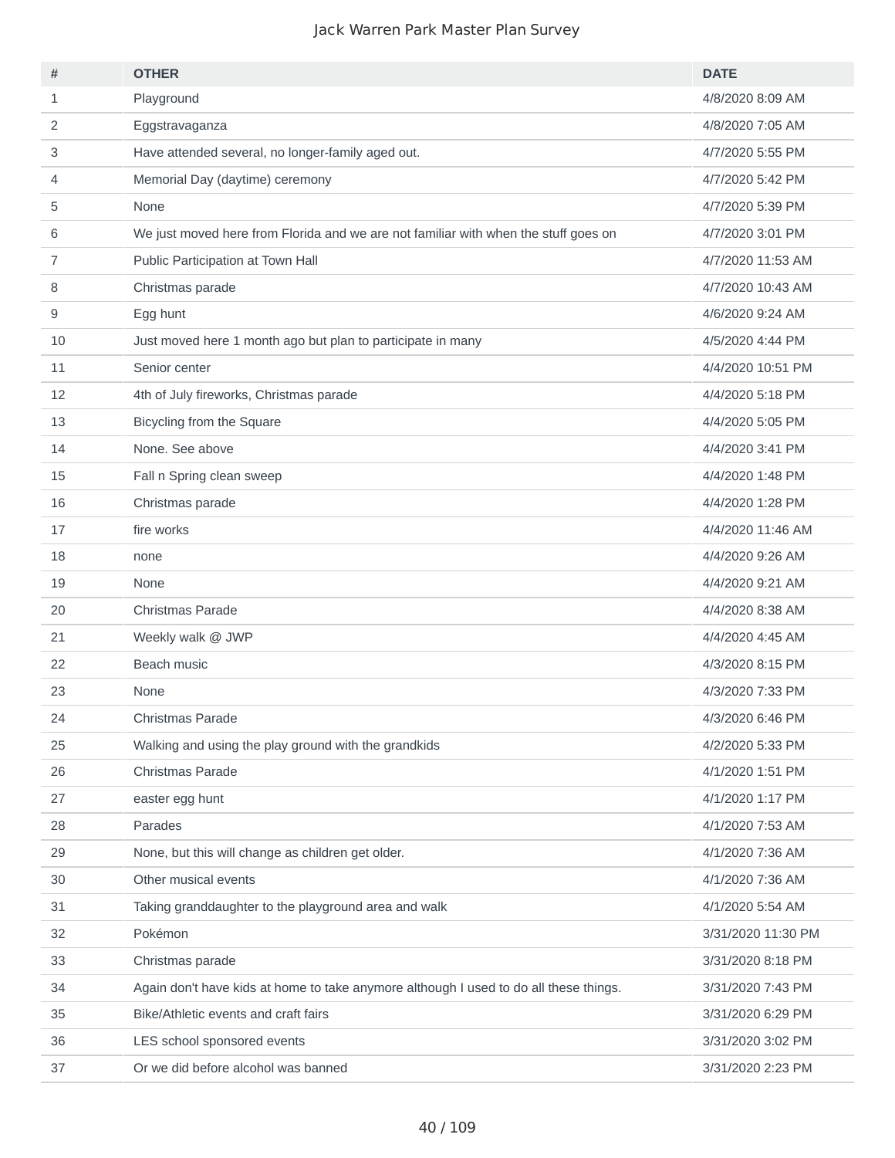| #  | <b>OTHER</b>                                                                          | <b>DATE</b>        |
|----|---------------------------------------------------------------------------------------|--------------------|
| 1  | Playground                                                                            | 4/8/2020 8:09 AM   |
| 2  | Eggstravaganza                                                                        | 4/8/2020 7:05 AM   |
| 3  | Have attended several, no longer-family aged out.                                     | 4/7/2020 5:55 PM   |
| 4  | Memorial Day (daytime) ceremony                                                       | 4/7/2020 5:42 PM   |
| 5  | None                                                                                  | 4/7/2020 5:39 PM   |
| 6  | We just moved here from Florida and we are not familiar with when the stuff goes on   | 4/7/2020 3:01 PM   |
| 7  | Public Participation at Town Hall                                                     | 4/7/2020 11:53 AM  |
| 8  | Christmas parade                                                                      | 4/7/2020 10:43 AM  |
| 9  | Egg hunt                                                                              | 4/6/2020 9:24 AM   |
| 10 | Just moved here 1 month ago but plan to participate in many                           | 4/5/2020 4:44 PM   |
| 11 | Senior center                                                                         | 4/4/2020 10:51 PM  |
| 12 | 4th of July fireworks, Christmas parade                                               | 4/4/2020 5:18 PM   |
| 13 | Bicycling from the Square                                                             | 4/4/2020 5:05 PM   |
| 14 | None. See above                                                                       | 4/4/2020 3:41 PM   |
| 15 | Fall n Spring clean sweep                                                             | 4/4/2020 1:48 PM   |
| 16 | Christmas parade                                                                      | 4/4/2020 1:28 PM   |
| 17 | fire works                                                                            | 4/4/2020 11:46 AM  |
| 18 | none                                                                                  | 4/4/2020 9:26 AM   |
| 19 | None                                                                                  | 4/4/2020 9:21 AM   |
| 20 | Christmas Parade                                                                      | 4/4/2020 8:38 AM   |
| 21 | Weekly walk @ JWP                                                                     | 4/4/2020 4:45 AM   |
| 22 | Beach music                                                                           | 4/3/2020 8:15 PM   |
| 23 | None                                                                                  | 4/3/2020 7:33 PM   |
| 24 | Christmas Parade                                                                      | 4/3/2020 6:46 PM   |
| 25 | Walking and using the play ground with the grandkids                                  | 4/2/2020 5:33 PM   |
| 26 | Christmas Parade                                                                      | 4/1/2020 1:51 PM   |
| 27 | easter egg hunt                                                                       | 4/1/2020 1:17 PM   |
| 28 | Parades                                                                               | 4/1/2020 7:53 AM   |
| 29 | None, but this will change as children get older.                                     | 4/1/2020 7:36 AM   |
| 30 | Other musical events                                                                  | 4/1/2020 7:36 AM   |
| 31 | Taking granddaughter to the playground area and walk                                  | 4/1/2020 5:54 AM   |
| 32 | Pokémon                                                                               | 3/31/2020 11:30 PM |
| 33 | Christmas parade                                                                      | 3/31/2020 8:18 PM  |
| 34 | Again don't have kids at home to take anymore although I used to do all these things. | 3/31/2020 7:43 PM  |
| 35 | Bike/Athletic events and craft fairs                                                  | 3/31/2020 6:29 PM  |
| 36 | LES school sponsored events                                                           | 3/31/2020 3:02 PM  |
| 37 | Or we did before alcohol was banned                                                   | 3/31/2020 2:23 PM  |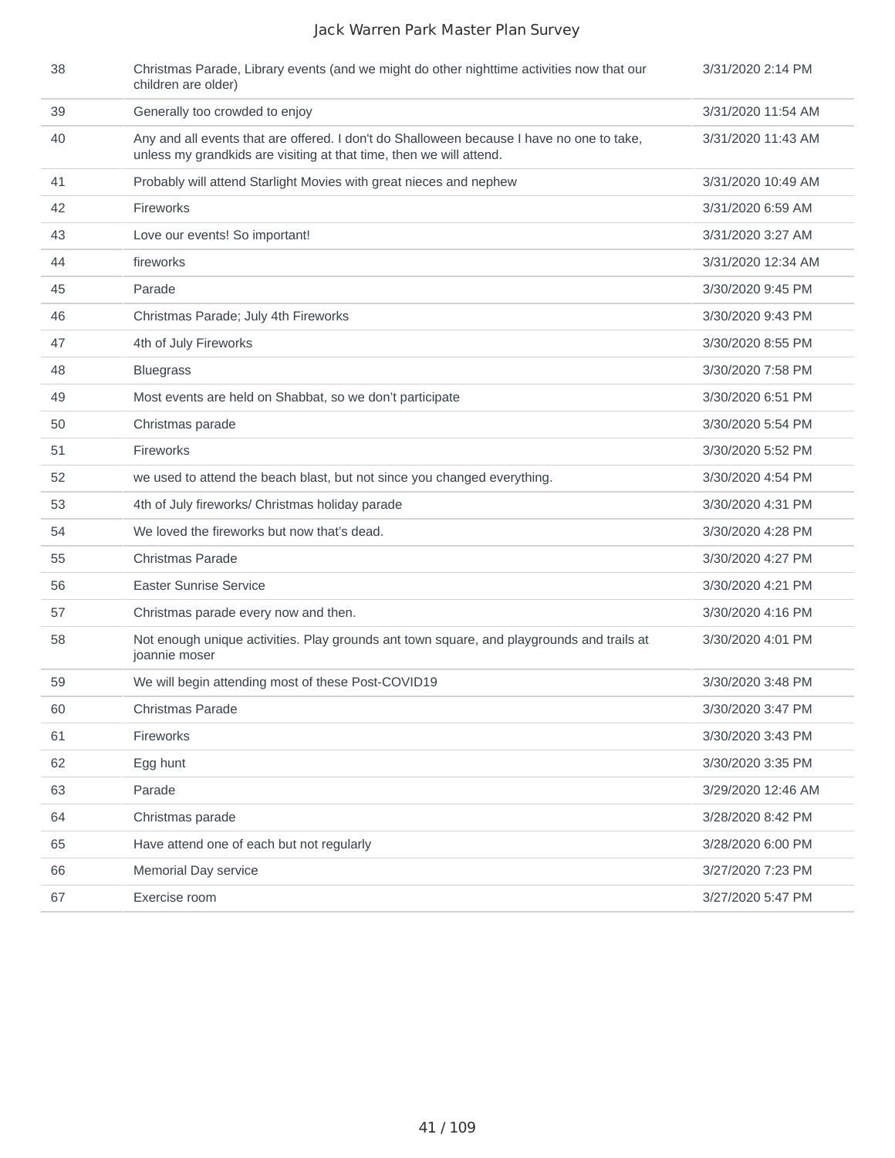| 38 | Christmas Parade, Library events (and we might do other nighttime activities now that our<br>children are older)                                                 | 3/31/2020 2:14 PM  |
|----|------------------------------------------------------------------------------------------------------------------------------------------------------------------|--------------------|
| 39 | Generally too crowded to enjoy                                                                                                                                   | 3/31/2020 11:54 AM |
| 40 | Any and all events that are offered. I don't do Shalloween because I have no one to take,<br>unless my grandkids are visiting at that time, then we will attend. | 3/31/2020 11:43 AM |
| 41 | Probably will attend Starlight Movies with great nieces and nephew                                                                                               | 3/31/2020 10:49 AM |
| 42 | Fireworks                                                                                                                                                        | 3/31/2020 6:59 AM  |
| 43 | Love our events! So important!                                                                                                                                   | 3/31/2020 3:27 AM  |
| 44 | fireworks                                                                                                                                                        | 3/31/2020 12:34 AM |
| 45 | Parade                                                                                                                                                           | 3/30/2020 9:45 PM  |
| 46 | Christmas Parade; July 4th Fireworks                                                                                                                             | 3/30/2020 9:43 PM  |
| 47 | 4th of July Fireworks                                                                                                                                            | 3/30/2020 8:55 PM  |
| 48 | <b>Bluegrass</b>                                                                                                                                                 | 3/30/2020 7:58 PM  |
| 49 | Most events are held on Shabbat, so we don't participate                                                                                                         | 3/30/2020 6:51 PM  |
| 50 | Christmas parade                                                                                                                                                 | 3/30/2020 5:54 PM  |
| 51 | Fireworks                                                                                                                                                        | 3/30/2020 5:52 PM  |
| 52 | we used to attend the beach blast, but not since you changed everything.                                                                                         | 3/30/2020 4:54 PM  |
| 53 | 4th of July fireworks/ Christmas holiday parade                                                                                                                  | 3/30/2020 4:31 PM  |
| 54 | We loved the fireworks but now that's dead.                                                                                                                      | 3/30/2020 4:28 PM  |
| 55 | <b>Christmas Parade</b>                                                                                                                                          | 3/30/2020 4:27 PM  |
| 56 | Easter Sunrise Service                                                                                                                                           | 3/30/2020 4:21 PM  |
| 57 | Christmas parade every now and then.                                                                                                                             | 3/30/2020 4:16 PM  |
| 58 | Not enough unique activities. Play grounds ant town square, and playgrounds and trails at<br>joannie moser                                                       | 3/30/2020 4:01 PM  |
| 59 | We will begin attending most of these Post-COVID19                                                                                                               | 3/30/2020 3:48 PM  |
| 60 | <b>Christmas Parade</b>                                                                                                                                          | 3/30/2020 3:47 PM  |
| 61 | Fireworks                                                                                                                                                        | 3/30/2020 3:43 PM  |
| 62 | Egg hunt                                                                                                                                                         | 3/30/2020 3:35 PM  |
| 63 | Parade                                                                                                                                                           | 3/29/2020 12:46 AM |
| 64 | Christmas parade                                                                                                                                                 | 3/28/2020 8:42 PM  |
| 65 | Have attend one of each but not regularly                                                                                                                        | 3/28/2020 6:00 PM  |
| 66 | Memorial Day service                                                                                                                                             | 3/27/2020 7:23 PM  |
| 67 | Exercise room                                                                                                                                                    | 3/27/2020 5:47 PM  |
|    |                                                                                                                                                                  |                    |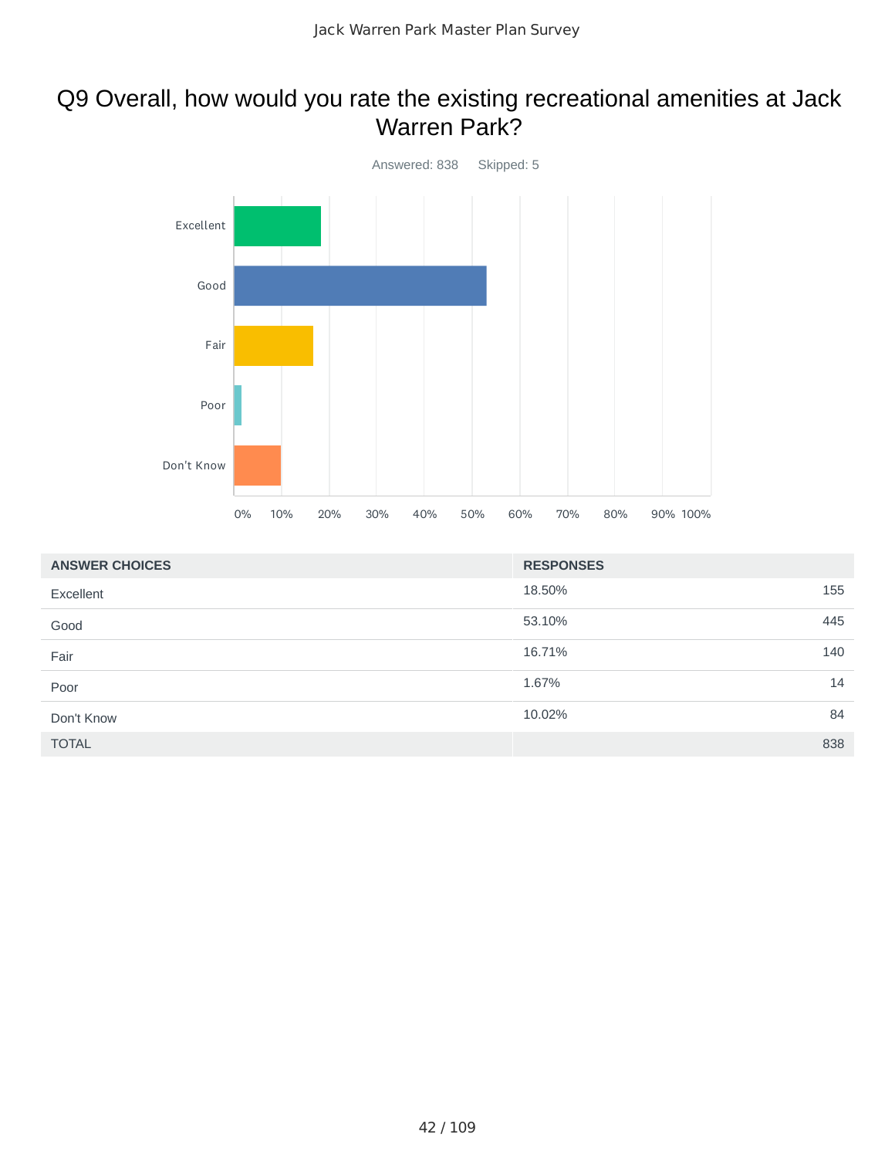### Q9 Overall, how would you rate the existing recreational amenities at Jack Warren Park?



| <b>ANSWER CHOICES</b> | <b>RESPONSES</b> |
|-----------------------|------------------|
| Excellent             | 18.50%<br>155    |
| Good                  | 445<br>53.10%    |
| Fair                  | 140<br>16.71%    |
| Poor                  | 14<br>1.67%      |
| Don't Know            | 84<br>10.02%     |
| <b>TOTAL</b>          | 838              |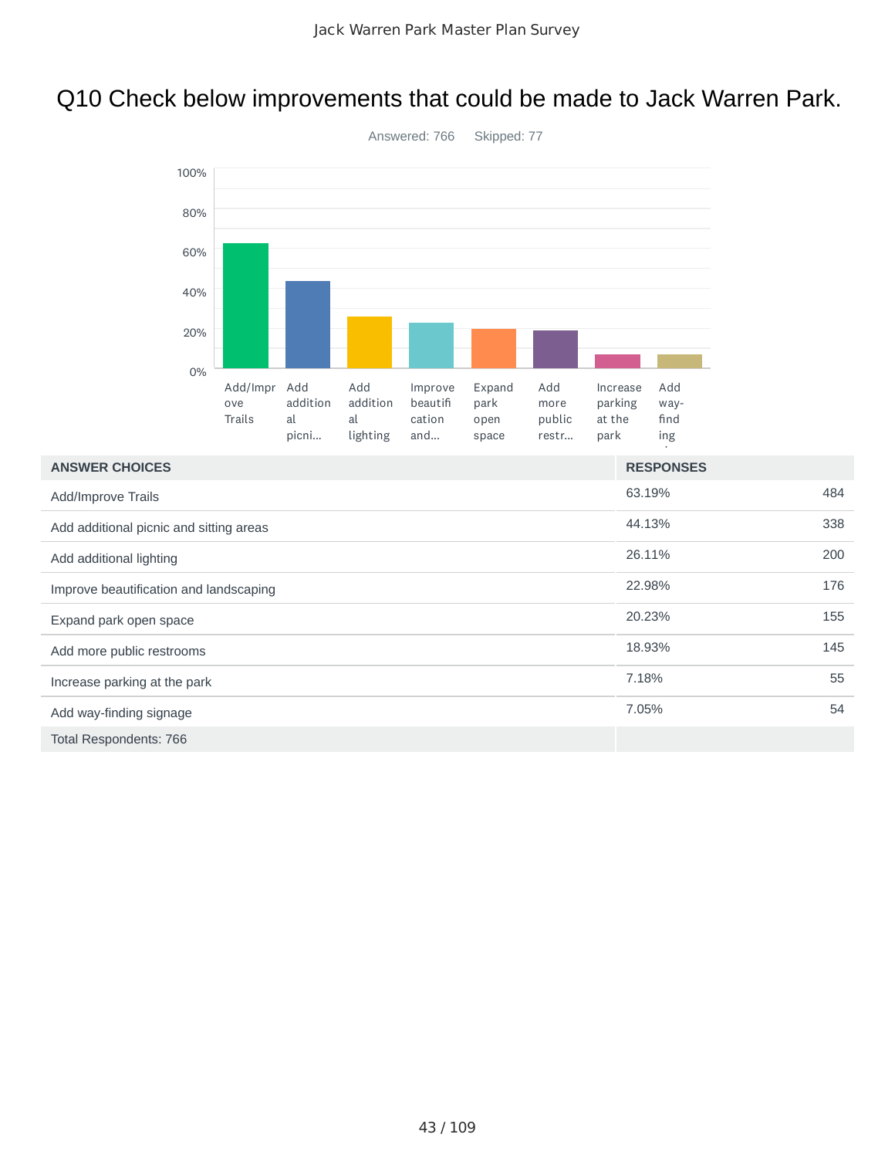# Q10 Check below improvements that could be made to Jack Warren Park.



| <b>ANSWER CHOICES</b>                   | <b>RESPONSES</b> |     |
|-----------------------------------------|------------------|-----|
| Add/Improve Trails                      | 63.19%           | 484 |
| Add additional picnic and sitting areas | 44.13%           | 338 |
| Add additional lighting                 | 26.11%           | 200 |
| Improve beautification and landscaping  | 22.98%           | 176 |
| Expand park open space                  | 20.23%           | 155 |
| Add more public restrooms               | 18.93%           | 145 |
| Increase parking at the park            | 7.18%            | 55  |
| Add way-finding signage                 | 7.05%            | 54  |
| Total Respondents: 766                  |                  |     |

Answered: 766 Skipped: 77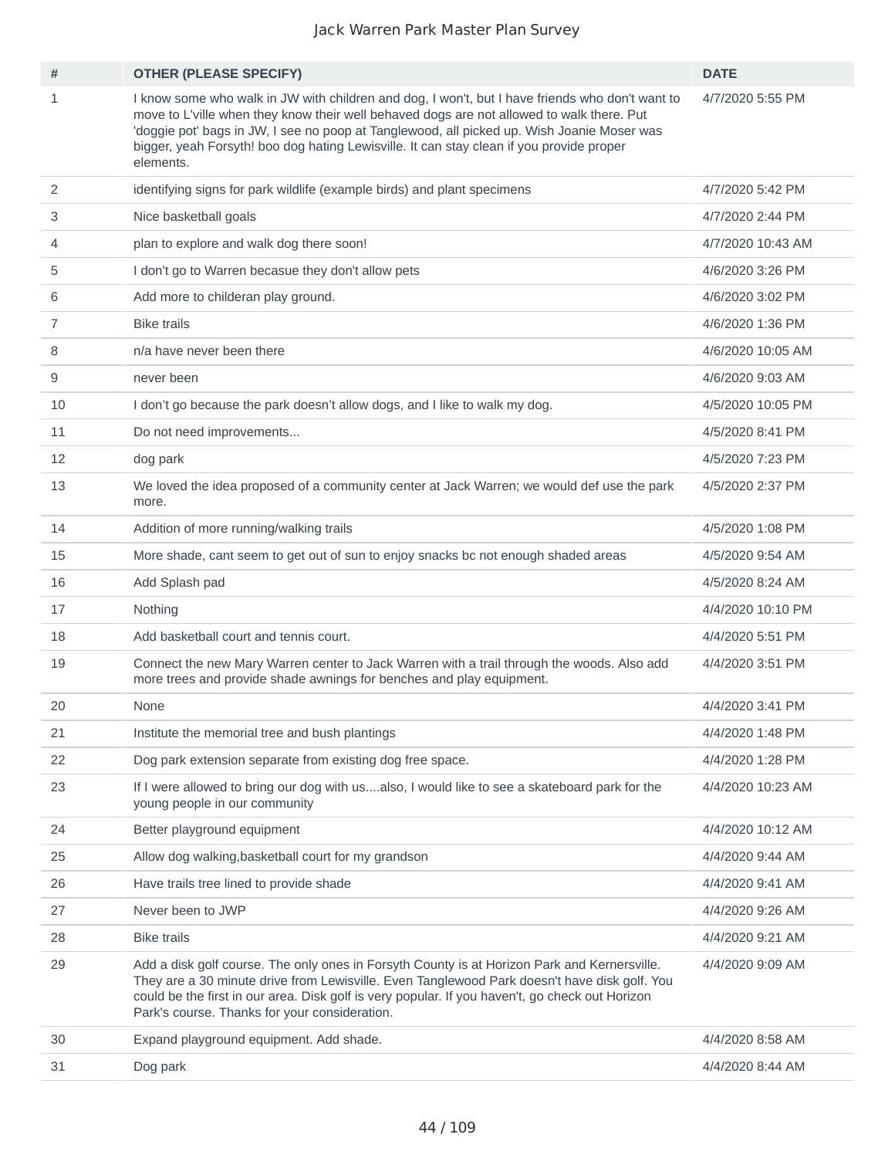| #              | <b>OTHER (PLEASE SPECIFY)</b>                                                                                                                                                                                                                                                                                                                                                                       | <b>DATE</b>       |
|----------------|-----------------------------------------------------------------------------------------------------------------------------------------------------------------------------------------------------------------------------------------------------------------------------------------------------------------------------------------------------------------------------------------------------|-------------------|
| $\mathbf{1}$   | I know some who walk in JW with children and dog, I won't, but I have friends who don't want to<br>move to L'ville when they know their well behaved dogs are not allowed to walk there. Put<br>'doggie pot' bags in JW, I see no poop at Tanglewood, all picked up. Wish Joanie Moser was<br>bigger, yeah Forsyth! boo dog hating Lewisville. It can stay clean if you provide proper<br>elements. | 4/7/2020 5:55 PM  |
| $\overline{2}$ | identifying signs for park wildlife (example birds) and plant specimens                                                                                                                                                                                                                                                                                                                             | 4/7/2020 5:42 PM  |
| 3              | Nice basketball goals                                                                                                                                                                                                                                                                                                                                                                               | 4/7/2020 2:44 PM  |
| 4              | plan to explore and walk dog there soon!                                                                                                                                                                                                                                                                                                                                                            | 4/7/2020 10:43 AM |
| 5              | I don't go to Warren becasue they don't allow pets                                                                                                                                                                                                                                                                                                                                                  | 4/6/2020 3:26 PM  |
| 6              | Add more to childeran play ground.                                                                                                                                                                                                                                                                                                                                                                  | 4/6/2020 3:02 PM  |
| 7              | <b>Bike trails</b>                                                                                                                                                                                                                                                                                                                                                                                  | 4/6/2020 1:36 PM  |
| 8              | n/a have never been there                                                                                                                                                                                                                                                                                                                                                                           | 4/6/2020 10:05 AM |
| 9              | never been                                                                                                                                                                                                                                                                                                                                                                                          | 4/6/2020 9:03 AM  |
| 10             | I don't go because the park doesn't allow dogs, and I like to walk my dog.                                                                                                                                                                                                                                                                                                                          | 4/5/2020 10:05 PM |
| 11             | Do not need improvements                                                                                                                                                                                                                                                                                                                                                                            | 4/5/2020 8:41 PM  |
| 12             | dog park                                                                                                                                                                                                                                                                                                                                                                                            | 4/5/2020 7:23 PM  |
| 13             | We loved the idea proposed of a community center at Jack Warren; we would def use the park<br>more.                                                                                                                                                                                                                                                                                                 | 4/5/2020 2:37 PM  |
| 14             | Addition of more running/walking trails                                                                                                                                                                                                                                                                                                                                                             | 4/5/2020 1:08 PM  |
| 15             | More shade, cant seem to get out of sun to enjoy snacks bc not enough shaded areas                                                                                                                                                                                                                                                                                                                  | 4/5/2020 9:54 AM  |
| 16             | Add Splash pad                                                                                                                                                                                                                                                                                                                                                                                      | 4/5/2020 8:24 AM  |
| 17             | Nothing                                                                                                                                                                                                                                                                                                                                                                                             | 4/4/2020 10:10 PM |
| 18             | Add basketball court and tennis court.                                                                                                                                                                                                                                                                                                                                                              | 4/4/2020 5:51 PM  |
| 19             | Connect the new Mary Warren center to Jack Warren with a trail through the woods. Also add<br>more trees and provide shade awnings for benches and play equipment.                                                                                                                                                                                                                                  | 4/4/2020 3:51 PM  |
| 20             | None                                                                                                                                                                                                                                                                                                                                                                                                | 4/4/2020 3:41 PM  |
| 21             | Institute the memorial tree and bush plantings                                                                                                                                                                                                                                                                                                                                                      | 4/4/2020 1:48 PM  |
| 22             | Dog park extension separate from existing dog free space.                                                                                                                                                                                                                                                                                                                                           | 4/4/2020 1:28 PM  |
| 23             | If I were allowed to bring our dog with usalso, I would like to see a skateboard park for the<br>young people in our community                                                                                                                                                                                                                                                                      | 4/4/2020 10:23 AM |
| 24             | Better playground equipment                                                                                                                                                                                                                                                                                                                                                                         | 4/4/2020 10:12 AM |
| 25             | Allow dog walking, basketball court for my grandson                                                                                                                                                                                                                                                                                                                                                 | 4/4/2020 9:44 AM  |
| 26             | Have trails tree lined to provide shade                                                                                                                                                                                                                                                                                                                                                             | 4/4/2020 9:41 AM  |
| 27             | Never been to JWP                                                                                                                                                                                                                                                                                                                                                                                   | 4/4/2020 9:26 AM  |
| 28             | <b>Bike trails</b>                                                                                                                                                                                                                                                                                                                                                                                  | 4/4/2020 9:21 AM  |
| 29             | Add a disk golf course. The only ones in Forsyth County is at Horizon Park and Kernersville.<br>They are a 30 minute drive from Lewisville. Even Tanglewood Park doesn't have disk golf. You<br>could be the first in our area. Disk golf is very popular. If you haven't, go check out Horizon<br>Park's course. Thanks for your consideration.                                                    | 4/4/2020 9:09 AM  |
| 30             | Expand playground equipment. Add shade.                                                                                                                                                                                                                                                                                                                                                             | 4/4/2020 8:58 AM  |
| 31             | Dog park                                                                                                                                                                                                                                                                                                                                                                                            | 4/4/2020 8:44 AM  |
|                |                                                                                                                                                                                                                                                                                                                                                                                                     |                   |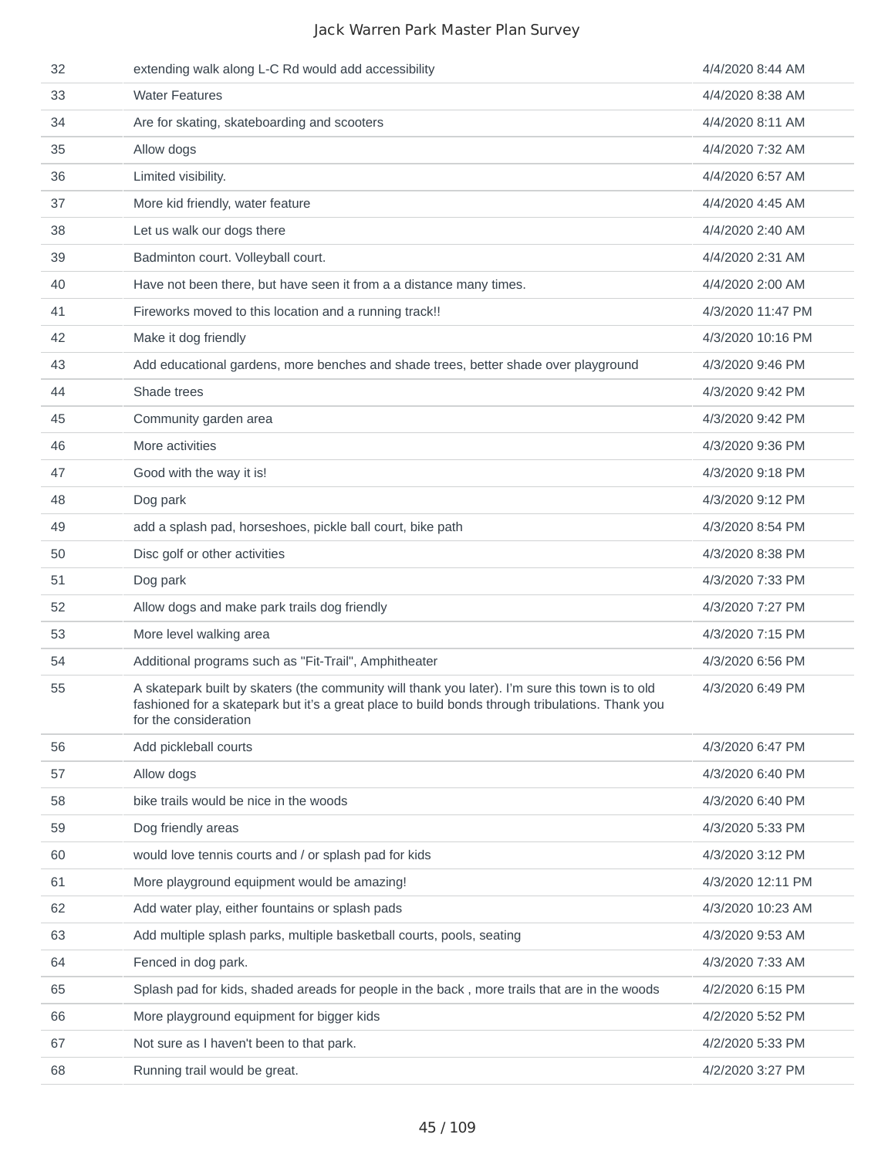| 32 | extending walk along L-C Rd would add accessibility                                                                                                                                                                         | 4/4/2020 8:44 AM  |
|----|-----------------------------------------------------------------------------------------------------------------------------------------------------------------------------------------------------------------------------|-------------------|
| 33 | <b>Water Features</b>                                                                                                                                                                                                       | 4/4/2020 8:38 AM  |
| 34 | Are for skating, skateboarding and scooters                                                                                                                                                                                 | 4/4/2020 8:11 AM  |
| 35 | Allow dogs                                                                                                                                                                                                                  | 4/4/2020 7:32 AM  |
| 36 | Limited visibility.                                                                                                                                                                                                         | 4/4/2020 6:57 AM  |
| 37 | More kid friendly, water feature                                                                                                                                                                                            | 4/4/2020 4:45 AM  |
| 38 | Let us walk our dogs there                                                                                                                                                                                                  | 4/4/2020 2:40 AM  |
| 39 | Badminton court. Volleyball court.                                                                                                                                                                                          | 4/4/2020 2:31 AM  |
| 40 | Have not been there, but have seen it from a a distance many times.                                                                                                                                                         | 4/4/2020 2:00 AM  |
| 41 | Fireworks moved to this location and a running track!!                                                                                                                                                                      | 4/3/2020 11:47 PM |
| 42 | Make it dog friendly                                                                                                                                                                                                        | 4/3/2020 10:16 PM |
| 43 | Add educational gardens, more benches and shade trees, better shade over playground                                                                                                                                         | 4/3/2020 9:46 PM  |
| 44 | Shade trees                                                                                                                                                                                                                 | 4/3/2020 9:42 PM  |
| 45 | Community garden area                                                                                                                                                                                                       | 4/3/2020 9:42 PM  |
| 46 | More activities                                                                                                                                                                                                             | 4/3/2020 9:36 PM  |
| 47 | Good with the way it is!                                                                                                                                                                                                    | 4/3/2020 9:18 PM  |
| 48 | Dog park                                                                                                                                                                                                                    | 4/3/2020 9:12 PM  |
| 49 | add a splash pad, horseshoes, pickle ball court, bike path                                                                                                                                                                  | 4/3/2020 8:54 PM  |
| 50 | Disc golf or other activities                                                                                                                                                                                               | 4/3/2020 8:38 PM  |
| 51 | Dog park                                                                                                                                                                                                                    | 4/3/2020 7:33 PM  |
| 52 | Allow dogs and make park trails dog friendly                                                                                                                                                                                | 4/3/2020 7:27 PM  |
| 53 | More level walking area                                                                                                                                                                                                     | 4/3/2020 7:15 PM  |
| 54 | Additional programs such as "Fit-Trail", Amphitheater                                                                                                                                                                       | 4/3/2020 6:56 PM  |
| 55 | A skatepark built by skaters (the community will thank you later). I'm sure this town is to old<br>fashioned for a skatepark but it's a great place to build bonds through tribulations. Thank you<br>for the consideration | 4/3/2020 6:49 PM  |
| 56 | Add pickleball courts                                                                                                                                                                                                       | 4/3/2020 6:47 PM  |
| 57 | Allow dogs                                                                                                                                                                                                                  | 4/3/2020 6:40 PM  |
| 58 | bike trails would be nice in the woods                                                                                                                                                                                      | 4/3/2020 6:40 PM  |
| 59 | Dog friendly areas                                                                                                                                                                                                          | 4/3/2020 5:33 PM  |
| 60 | would love tennis courts and / or splash pad for kids                                                                                                                                                                       | 4/3/2020 3:12 PM  |
| 61 | More playground equipment would be amazing!                                                                                                                                                                                 | 4/3/2020 12:11 PM |
| 62 | Add water play, either fountains or splash pads                                                                                                                                                                             | 4/3/2020 10:23 AM |
| 63 | Add multiple splash parks, multiple basketball courts, pools, seating                                                                                                                                                       | 4/3/2020 9:53 AM  |
| 64 | Fenced in dog park.                                                                                                                                                                                                         | 4/3/2020 7:33 AM  |
| 65 | Splash pad for kids, shaded areads for people in the back, more trails that are in the woods                                                                                                                                | 4/2/2020 6:15 PM  |
| 66 | More playground equipment for bigger kids                                                                                                                                                                                   | 4/2/2020 5:52 PM  |
| 67 | Not sure as I haven't been to that park.                                                                                                                                                                                    | 4/2/2020 5:33 PM  |
| 68 | Running trail would be great.                                                                                                                                                                                               | 4/2/2020 3:27 PM  |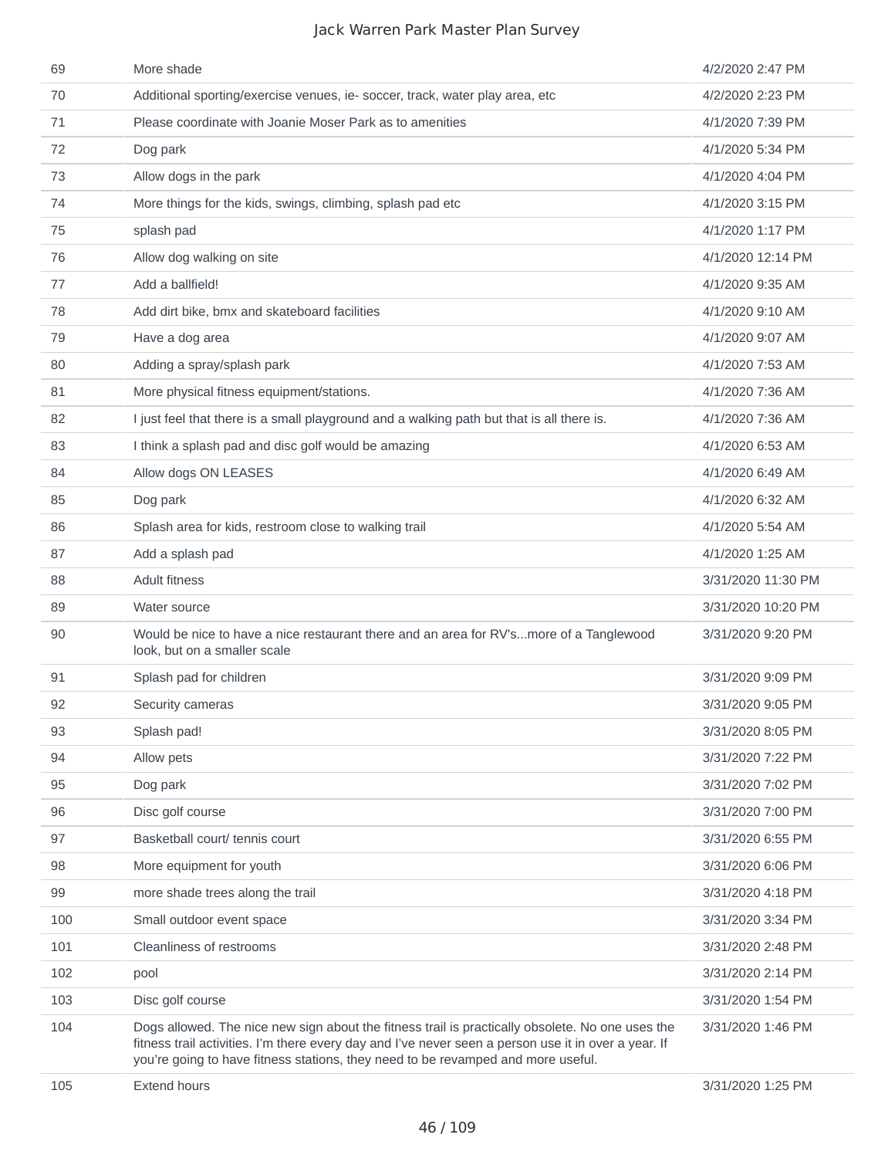| 69  | More shade                                                                                                                                                                                                                                                                                   | 4/2/2020 2:47 PM   |
|-----|----------------------------------------------------------------------------------------------------------------------------------------------------------------------------------------------------------------------------------------------------------------------------------------------|--------------------|
| 70  | Additional sporting/exercise venues, ie- soccer, track, water play area, etc                                                                                                                                                                                                                 | 4/2/2020 2:23 PM   |
| 71  | Please coordinate with Joanie Moser Park as to amenities                                                                                                                                                                                                                                     | 4/1/2020 7:39 PM   |
| 72  | Dog park                                                                                                                                                                                                                                                                                     | 4/1/2020 5:34 PM   |
| 73  | Allow dogs in the park                                                                                                                                                                                                                                                                       | 4/1/2020 4:04 PM   |
| 74  | More things for the kids, swings, climbing, splash pad etc                                                                                                                                                                                                                                   | 4/1/2020 3:15 PM   |
| 75  | splash pad                                                                                                                                                                                                                                                                                   | 4/1/2020 1:17 PM   |
| 76  | Allow dog walking on site                                                                                                                                                                                                                                                                    | 4/1/2020 12:14 PM  |
| 77  | Add a ballfield!                                                                                                                                                                                                                                                                             | 4/1/2020 9:35 AM   |
| 78  | Add dirt bike, bmx and skateboard facilities                                                                                                                                                                                                                                                 | 4/1/2020 9:10 AM   |
| 79  | Have a dog area                                                                                                                                                                                                                                                                              | 4/1/2020 9:07 AM   |
| 80  | Adding a spray/splash park                                                                                                                                                                                                                                                                   | 4/1/2020 7:53 AM   |
| 81  | More physical fitness equipment/stations.                                                                                                                                                                                                                                                    | 4/1/2020 7:36 AM   |
| 82  | I just feel that there is a small playground and a walking path but that is all there is.                                                                                                                                                                                                    | 4/1/2020 7:36 AM   |
| 83  | I think a splash pad and disc golf would be amazing                                                                                                                                                                                                                                          | 4/1/2020 6:53 AM   |
| 84  | Allow dogs ON LEASES                                                                                                                                                                                                                                                                         | 4/1/2020 6:49 AM   |
| 85  | Dog park                                                                                                                                                                                                                                                                                     | 4/1/2020 6:32 AM   |
| 86  | Splash area for kids, restroom close to walking trail                                                                                                                                                                                                                                        | 4/1/2020 5:54 AM   |
| 87  | Add a splash pad                                                                                                                                                                                                                                                                             | 4/1/2020 1:25 AM   |
| 88  | <b>Adult fitness</b>                                                                                                                                                                                                                                                                         | 3/31/2020 11:30 PM |
| 89  | Water source                                                                                                                                                                                                                                                                                 | 3/31/2020 10:20 PM |
| 90  | Would be nice to have a nice restaurant there and an area for RV'smore of a Tanglewood<br>look, but on a smaller scale                                                                                                                                                                       | 3/31/2020 9:20 PM  |
| 91  | Splash pad for children                                                                                                                                                                                                                                                                      | 3/31/2020 9:09 PM  |
| 92  | Security cameras                                                                                                                                                                                                                                                                             | 3/31/2020 9:05 PM  |
| 93  | Splash pad!                                                                                                                                                                                                                                                                                  | 3/31/2020 8:05 PM  |
| 94  | Allow pets                                                                                                                                                                                                                                                                                   | 3/31/2020 7:22 PM  |
| 95  | Dog park                                                                                                                                                                                                                                                                                     | 3/31/2020 7:02 PM  |
| 96  | Disc golf course                                                                                                                                                                                                                                                                             | 3/31/2020 7:00 PM  |
| 97  | Basketball court/ tennis court                                                                                                                                                                                                                                                               | 3/31/2020 6:55 PM  |
| 98  | More equipment for youth                                                                                                                                                                                                                                                                     | 3/31/2020 6:06 PM  |
| 99  | more shade trees along the trail                                                                                                                                                                                                                                                             | 3/31/2020 4:18 PM  |
| 100 | Small outdoor event space                                                                                                                                                                                                                                                                    | 3/31/2020 3:34 PM  |
| 101 | Cleanliness of restrooms                                                                                                                                                                                                                                                                     | 3/31/2020 2:48 PM  |
| 102 | pool                                                                                                                                                                                                                                                                                         | 3/31/2020 2:14 PM  |
| 103 | Disc golf course                                                                                                                                                                                                                                                                             | 3/31/2020 1:54 PM  |
| 104 | Dogs allowed. The nice new sign about the fitness trail is practically obsolete. No one uses the<br>fitness trail activities. I'm there every day and I've never seen a person use it in over a year. If<br>you're going to have fitness stations, they need to be revamped and more useful. | 3/31/2020 1:46 PM  |
| 105 | Extend hours                                                                                                                                                                                                                                                                                 | 3/31/2020 1:25 PM  |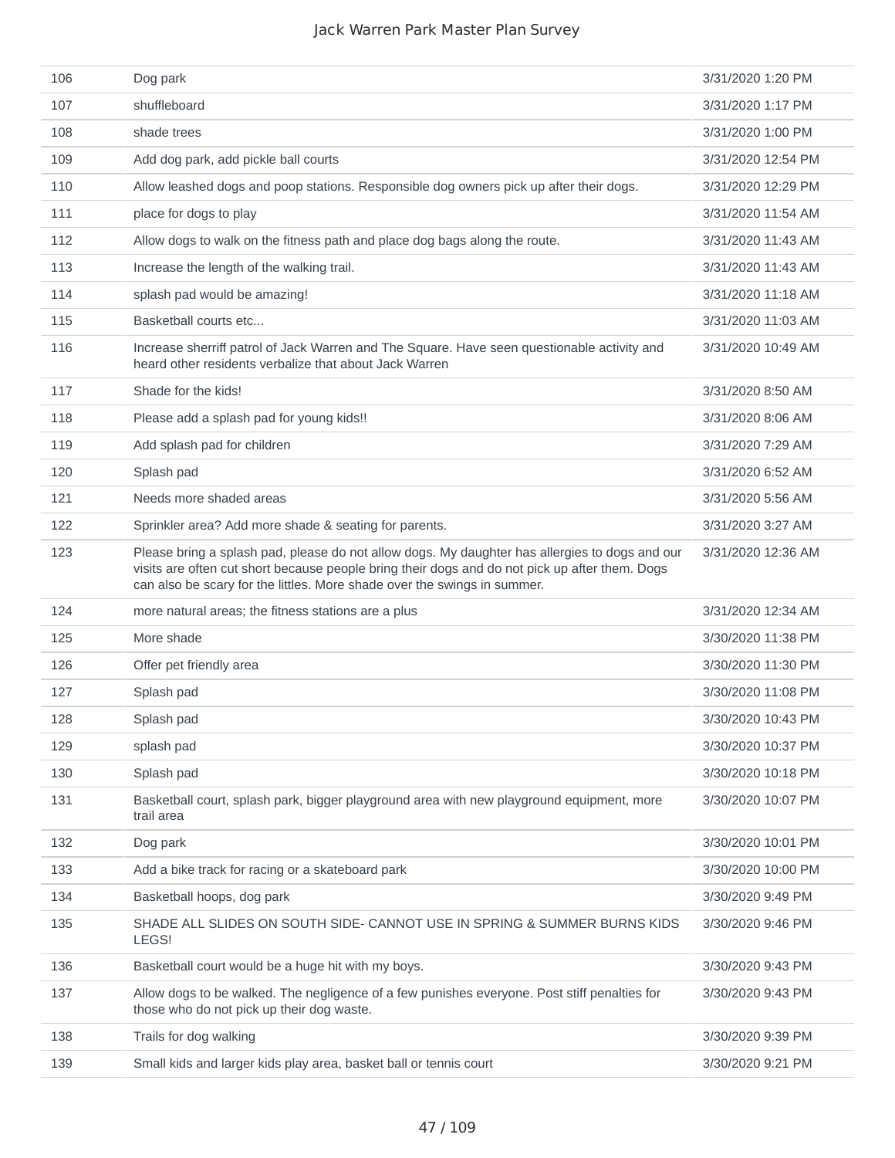| 106 | Dog park                                                                                                                                                                                                                                                                     | 3/31/2020 1:20 PM  |
|-----|------------------------------------------------------------------------------------------------------------------------------------------------------------------------------------------------------------------------------------------------------------------------------|--------------------|
| 107 | shuffleboard                                                                                                                                                                                                                                                                 | 3/31/2020 1:17 PM  |
| 108 | shade trees                                                                                                                                                                                                                                                                  | 3/31/2020 1:00 PM  |
| 109 | Add dog park, add pickle ball courts                                                                                                                                                                                                                                         | 3/31/2020 12:54 PM |
| 110 | Allow leashed dogs and poop stations. Responsible dog owners pick up after their dogs.                                                                                                                                                                                       | 3/31/2020 12:29 PM |
| 111 | place for dogs to play                                                                                                                                                                                                                                                       | 3/31/2020 11:54 AM |
| 112 | Allow dogs to walk on the fitness path and place dog bags along the route.                                                                                                                                                                                                   | 3/31/2020 11:43 AM |
| 113 | Increase the length of the walking trail.                                                                                                                                                                                                                                    | 3/31/2020 11:43 AM |
| 114 | splash pad would be amazing!                                                                                                                                                                                                                                                 | 3/31/2020 11:18 AM |
| 115 | Basketball courts etc                                                                                                                                                                                                                                                        | 3/31/2020 11:03 AM |
| 116 | Increase sherriff patrol of Jack Warren and The Square. Have seen questionable activity and<br>heard other residents verbalize that about Jack Warren                                                                                                                        | 3/31/2020 10:49 AM |
| 117 | Shade for the kids!                                                                                                                                                                                                                                                          | 3/31/2020 8:50 AM  |
| 118 | Please add a splash pad for young kids!!                                                                                                                                                                                                                                     | 3/31/2020 8:06 AM  |
| 119 | Add splash pad for children                                                                                                                                                                                                                                                  | 3/31/2020 7:29 AM  |
| 120 | Splash pad                                                                                                                                                                                                                                                                   | 3/31/2020 6:52 AM  |
| 121 | Needs more shaded areas                                                                                                                                                                                                                                                      | 3/31/2020 5:56 AM  |
| 122 | Sprinkler area? Add more shade & seating for parents.                                                                                                                                                                                                                        | 3/31/2020 3:27 AM  |
| 123 | Please bring a splash pad, please do not allow dogs. My daughter has allergies to dogs and our<br>visits are often cut short because people bring their dogs and do not pick up after them. Dogs<br>can also be scary for the littles. More shade over the swings in summer. | 3/31/2020 12:36 AM |
| 124 | more natural areas; the fitness stations are a plus                                                                                                                                                                                                                          | 3/31/2020 12:34 AM |
| 125 | More shade                                                                                                                                                                                                                                                                   | 3/30/2020 11:38 PM |
| 126 | Offer pet friendly area                                                                                                                                                                                                                                                      | 3/30/2020 11:30 PM |
| 127 | Splash pad                                                                                                                                                                                                                                                                   | 3/30/2020 11:08 PM |
| 128 | Splash pad                                                                                                                                                                                                                                                                   | 3/30/2020 10:43 PM |
| 129 | splash pad                                                                                                                                                                                                                                                                   | 3/30/2020 10:37 PM |
| 130 | Splash pad                                                                                                                                                                                                                                                                   | 3/30/2020 10:18 PM |
| 131 | Basketball court, splash park, bigger playground area with new playground equipment, more<br>trail area                                                                                                                                                                      | 3/30/2020 10:07 PM |
| 132 | Dog park                                                                                                                                                                                                                                                                     | 3/30/2020 10:01 PM |
| 133 | Add a bike track for racing or a skateboard park                                                                                                                                                                                                                             | 3/30/2020 10:00 PM |
| 134 | Basketball hoops, dog park                                                                                                                                                                                                                                                   | 3/30/2020 9:49 PM  |
| 135 | SHADE ALL SLIDES ON SOUTH SIDE- CANNOT USE IN SPRING & SUMMER BURNS KIDS<br>LEGS!                                                                                                                                                                                            | 3/30/2020 9:46 PM  |
| 136 | Basketball court would be a huge hit with my boys.                                                                                                                                                                                                                           | 3/30/2020 9:43 PM  |
| 137 | Allow dogs to be walked. The negligence of a few punishes everyone. Post stiff penalties for<br>those who do not pick up their dog waste.                                                                                                                                    | 3/30/2020 9:43 PM  |
| 138 | Trails for dog walking                                                                                                                                                                                                                                                       | 3/30/2020 9:39 PM  |
| 139 | Small kids and larger kids play area, basket ball or tennis court                                                                                                                                                                                                            | 3/30/2020 9:21 PM  |
|     |                                                                                                                                                                                                                                                                              |                    |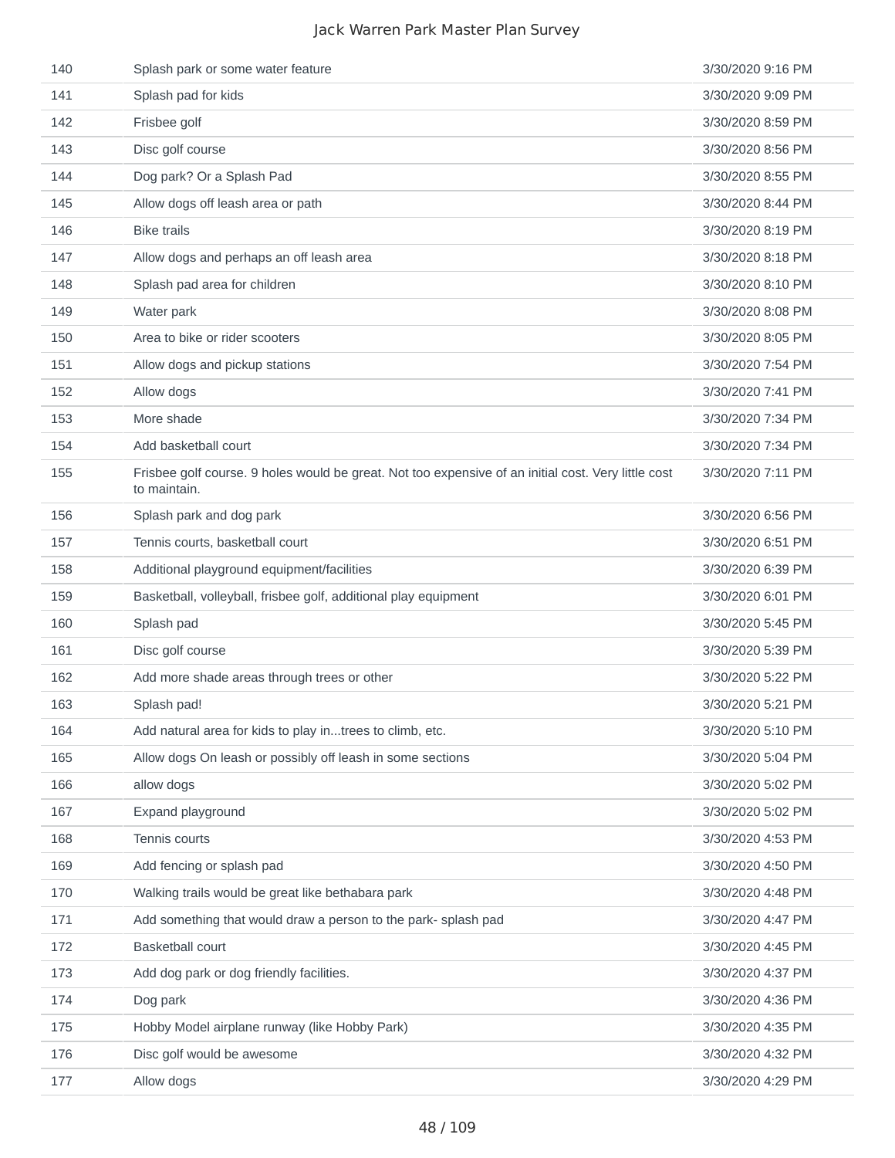| 140 | Splash park or some water feature                                                                                   | 3/30/2020 9:16 PM |
|-----|---------------------------------------------------------------------------------------------------------------------|-------------------|
| 141 | Splash pad for kids                                                                                                 | 3/30/2020 9:09 PM |
| 142 | Frisbee golf                                                                                                        | 3/30/2020 8:59 PM |
| 143 | Disc golf course                                                                                                    | 3/30/2020 8:56 PM |
| 144 | Dog park? Or a Splash Pad                                                                                           | 3/30/2020 8:55 PM |
| 145 | Allow dogs off leash area or path                                                                                   | 3/30/2020 8:44 PM |
| 146 | <b>Bike trails</b>                                                                                                  | 3/30/2020 8:19 PM |
| 147 | Allow dogs and perhaps an off leash area                                                                            | 3/30/2020 8:18 PM |
| 148 | Splash pad area for children                                                                                        | 3/30/2020 8:10 PM |
| 149 | Water park                                                                                                          | 3/30/2020 8:08 PM |
| 150 | Area to bike or rider scooters                                                                                      | 3/30/2020 8:05 PM |
| 151 | Allow dogs and pickup stations                                                                                      | 3/30/2020 7:54 PM |
| 152 | Allow dogs                                                                                                          | 3/30/2020 7:41 PM |
| 153 | More shade                                                                                                          | 3/30/2020 7:34 PM |
| 154 | Add basketball court                                                                                                | 3/30/2020 7:34 PM |
| 155 | Frisbee golf course. 9 holes would be great. Not too expensive of an initial cost. Very little cost<br>to maintain. | 3/30/2020 7:11 PM |
| 156 | Splash park and dog park                                                                                            | 3/30/2020 6:56 PM |
| 157 | Tennis courts, basketball court                                                                                     | 3/30/2020 6:51 PM |
| 158 | Additional playground equipment/facilities                                                                          | 3/30/2020 6:39 PM |
| 159 | Basketball, volleyball, frisbee golf, additional play equipment                                                     | 3/30/2020 6:01 PM |
| 160 | Splash pad                                                                                                          | 3/30/2020 5:45 PM |
| 161 | Disc golf course                                                                                                    | 3/30/2020 5:39 PM |
| 162 | Add more shade areas through trees or other                                                                         | 3/30/2020 5:22 PM |
| 163 | Splash pad!                                                                                                         | 3/30/2020 5:21 PM |
| 164 | Add natural area for kids to play intrees to climb, etc.                                                            | 3/30/2020 5:10 PM |
| 165 | Allow dogs On leash or possibly off leash in some sections                                                          | 3/30/2020 5:04 PM |
| 166 | allow dogs                                                                                                          | 3/30/2020 5:02 PM |
| 167 | Expand playground                                                                                                   | 3/30/2020 5:02 PM |
| 168 | Tennis courts                                                                                                       | 3/30/2020 4:53 PM |
| 169 | Add fencing or splash pad                                                                                           | 3/30/2020 4:50 PM |
| 170 | Walking trails would be great like bethabara park                                                                   | 3/30/2020 4:48 PM |
| 171 | Add something that would draw a person to the park-splash pad                                                       | 3/30/2020 4:47 PM |
| 172 | <b>Basketball court</b>                                                                                             | 3/30/2020 4:45 PM |
| 173 | Add dog park or dog friendly facilities.                                                                            | 3/30/2020 4:37 PM |
| 174 | Dog park                                                                                                            | 3/30/2020 4:36 PM |
| 175 | Hobby Model airplane runway (like Hobby Park)                                                                       | 3/30/2020 4:35 PM |
| 176 | Disc golf would be awesome                                                                                          | 3/30/2020 4:32 PM |
| 177 | Allow dogs                                                                                                          | 3/30/2020 4:29 PM |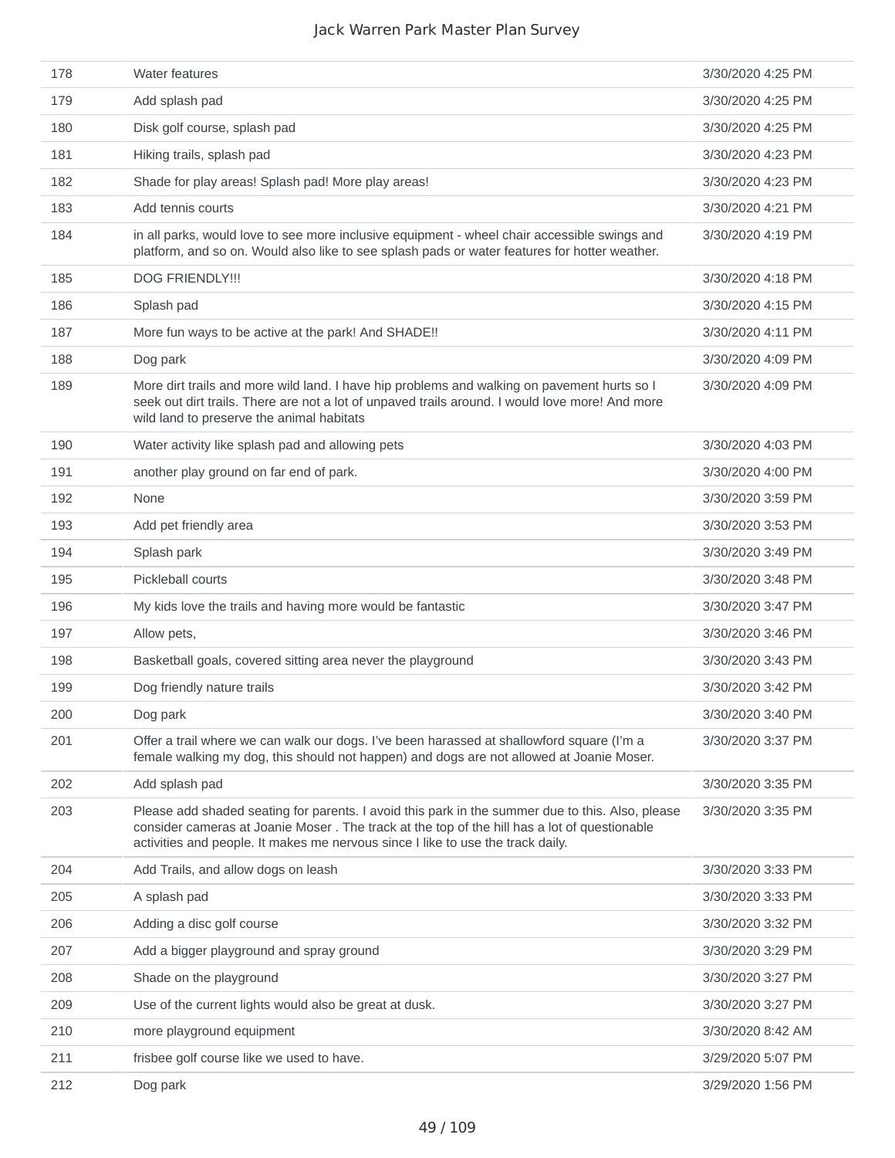| 178 | <b>Water features</b>                                                                                                                                                                                                                                                               | 3/30/2020 4:25 PM |
|-----|-------------------------------------------------------------------------------------------------------------------------------------------------------------------------------------------------------------------------------------------------------------------------------------|-------------------|
| 179 | Add splash pad                                                                                                                                                                                                                                                                      | 3/30/2020 4:25 PM |
| 180 | Disk golf course, splash pad                                                                                                                                                                                                                                                        | 3/30/2020 4:25 PM |
| 181 | Hiking trails, splash pad                                                                                                                                                                                                                                                           | 3/30/2020 4:23 PM |
| 182 | Shade for play areas! Splash pad! More play areas!                                                                                                                                                                                                                                  | 3/30/2020 4:23 PM |
| 183 | Add tennis courts                                                                                                                                                                                                                                                                   | 3/30/2020 4:21 PM |
| 184 | in all parks, would love to see more inclusive equipment - wheel chair accessible swings and<br>platform, and so on. Would also like to see splash pads or water features for hotter weather.                                                                                       | 3/30/2020 4:19 PM |
| 185 | <b>DOG FRIENDLY!!!</b>                                                                                                                                                                                                                                                              | 3/30/2020 4:18 PM |
| 186 | Splash pad                                                                                                                                                                                                                                                                          | 3/30/2020 4:15 PM |
| 187 | More fun ways to be active at the park! And SHADE!!                                                                                                                                                                                                                                 | 3/30/2020 4:11 PM |
| 188 | Dog park                                                                                                                                                                                                                                                                            | 3/30/2020 4:09 PM |
| 189 | More dirt trails and more wild land. I have hip problems and walking on pavement hurts so I<br>seek out dirt trails. There are not a lot of unpaved trails around. I would love more! And more<br>wild land to preserve the animal habitats                                         | 3/30/2020 4:09 PM |
| 190 | Water activity like splash pad and allowing pets                                                                                                                                                                                                                                    | 3/30/2020 4:03 PM |
| 191 | another play ground on far end of park.                                                                                                                                                                                                                                             | 3/30/2020 4:00 PM |
| 192 | None                                                                                                                                                                                                                                                                                | 3/30/2020 3:59 PM |
| 193 | Add pet friendly area                                                                                                                                                                                                                                                               | 3/30/2020 3:53 PM |
| 194 | Splash park                                                                                                                                                                                                                                                                         | 3/30/2020 3:49 PM |
| 195 | Pickleball courts                                                                                                                                                                                                                                                                   | 3/30/2020 3:48 PM |
| 196 | My kids love the trails and having more would be fantastic                                                                                                                                                                                                                          | 3/30/2020 3:47 PM |
| 197 | Allow pets,                                                                                                                                                                                                                                                                         | 3/30/2020 3:46 PM |
| 198 | Basketball goals, covered sitting area never the playground                                                                                                                                                                                                                         | 3/30/2020 3:43 PM |
| 199 | Dog friendly nature trails                                                                                                                                                                                                                                                          | 3/30/2020 3:42 PM |
| 200 | Dog park                                                                                                                                                                                                                                                                            | 3/30/2020 3:40 PM |
| 201 | Offer a trail where we can walk our dogs. I've been harassed at shallowford square (I'm a<br>female walking my dog, this should not happen) and dogs are not allowed at Joanie Moser.                                                                                               | 3/30/2020 3:37 PM |
| 202 | Add splash pad                                                                                                                                                                                                                                                                      | 3/30/2020 3:35 PM |
| 203 | Please add shaded seating for parents. I avoid this park in the summer due to this. Also, please<br>consider cameras at Joanie Moser. The track at the top of the hill has a lot of questionable<br>activities and people. It makes me nervous since I like to use the track daily. | 3/30/2020 3:35 PM |
| 204 | Add Trails, and allow dogs on leash                                                                                                                                                                                                                                                 | 3/30/2020 3:33 PM |
| 205 | A splash pad                                                                                                                                                                                                                                                                        | 3/30/2020 3:33 PM |
| 206 | Adding a disc golf course                                                                                                                                                                                                                                                           | 3/30/2020 3:32 PM |
| 207 | Add a bigger playground and spray ground                                                                                                                                                                                                                                            | 3/30/2020 3:29 PM |
| 208 | Shade on the playground                                                                                                                                                                                                                                                             | 3/30/2020 3:27 PM |
| 209 | Use of the current lights would also be great at dusk.                                                                                                                                                                                                                              | 3/30/2020 3:27 PM |
| 210 | more playground equipment                                                                                                                                                                                                                                                           | 3/30/2020 8:42 AM |
| 211 | frisbee golf course like we used to have.                                                                                                                                                                                                                                           | 3/29/2020 5:07 PM |
| 212 | Dog park                                                                                                                                                                                                                                                                            | 3/29/2020 1:56 PM |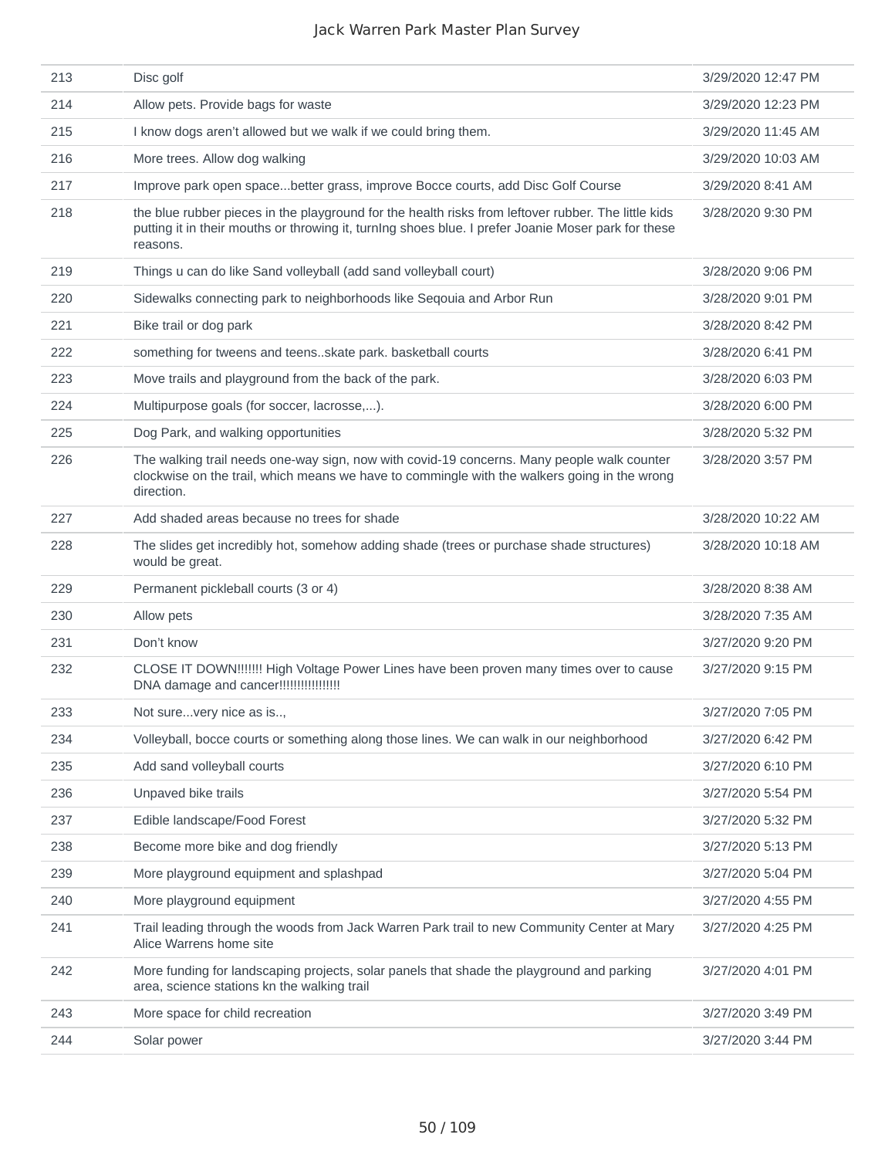| 213 | Disc golf                                                                                                                                                                                                              | 3/29/2020 12:47 PM |
|-----|------------------------------------------------------------------------------------------------------------------------------------------------------------------------------------------------------------------------|--------------------|
| 214 | Allow pets. Provide bags for waste                                                                                                                                                                                     | 3/29/2020 12:23 PM |
| 215 | I know dogs aren't allowed but we walk if we could bring them.                                                                                                                                                         | 3/29/2020 11:45 AM |
| 216 | More trees. Allow dog walking                                                                                                                                                                                          | 3/29/2020 10:03 AM |
| 217 | Improve park open spacebetter grass, improve Bocce courts, add Disc Golf Course                                                                                                                                        | 3/29/2020 8:41 AM  |
| 218 | the blue rubber pieces in the playground for the health risks from leftover rubber. The little kids<br>putting it in their mouths or throwing it, turning shoes blue. I prefer Joanie Moser park for these<br>reasons. | 3/28/2020 9:30 PM  |
| 219 | Things u can do like Sand volleyball (add sand volleyball court)                                                                                                                                                       | 3/28/2020 9:06 PM  |
| 220 | Sidewalks connecting park to neighborhoods like Seqouia and Arbor Run                                                                                                                                                  | 3/28/2020 9:01 PM  |
| 221 | Bike trail or dog park                                                                                                                                                                                                 | 3/28/2020 8:42 PM  |
| 222 | something for tweens and teensskate park. basketball courts                                                                                                                                                            | 3/28/2020 6:41 PM  |
| 223 | Move trails and playground from the back of the park.                                                                                                                                                                  | 3/28/2020 6:03 PM  |
| 224 | Multipurpose goals (for soccer, lacrosse,).                                                                                                                                                                            | 3/28/2020 6:00 PM  |
| 225 | Dog Park, and walking opportunities                                                                                                                                                                                    | 3/28/2020 5:32 PM  |
| 226 | The walking trail needs one-way sign, now with covid-19 concerns. Many people walk counter<br>clockwise on the trail, which means we have to commingle with the walkers going in the wrong<br>direction.               | 3/28/2020 3:57 PM  |
| 227 | Add shaded areas because no trees for shade                                                                                                                                                                            | 3/28/2020 10:22 AM |
| 228 | The slides get incredibly hot, somehow adding shade (trees or purchase shade structures)<br>would be great.                                                                                                            | 3/28/2020 10:18 AM |
| 229 | Permanent pickleball courts (3 or 4)                                                                                                                                                                                   | 3/28/2020 8:38 AM  |
| 230 | Allow pets                                                                                                                                                                                                             | 3/28/2020 7:35 AM  |
| 231 | Don't know                                                                                                                                                                                                             | 3/27/2020 9:20 PM  |
| 232 | CLOSE IT DOWN!!!!!!! High Voltage Power Lines have been proven many times over to cause<br>DNA damage and cancer!!!!!!!!!!!!!!!!!!                                                                                     | 3/27/2020 9:15 PM  |
| 233 | Not surevery nice as is,                                                                                                                                                                                               | 3/27/2020 7:05 PM  |
| 234 | Volleyball, bocce courts or something along those lines. We can walk in our neighborhood                                                                                                                               | 3/27/2020 6:42 PM  |
| 235 | Add sand volleyball courts                                                                                                                                                                                             | 3/27/2020 6:10 PM  |
| 236 | Unpaved bike trails                                                                                                                                                                                                    | 3/27/2020 5:54 PM  |
| 237 | Edible landscape/Food Forest                                                                                                                                                                                           | 3/27/2020 5:32 PM  |
| 238 | Become more bike and dog friendly                                                                                                                                                                                      | 3/27/2020 5:13 PM  |
| 239 | More playground equipment and splashpad                                                                                                                                                                                | 3/27/2020 5:04 PM  |
| 240 | More playground equipment                                                                                                                                                                                              | 3/27/2020 4:55 PM  |
| 241 | Trail leading through the woods from Jack Warren Park trail to new Community Center at Mary<br>Alice Warrens home site                                                                                                 | 3/27/2020 4:25 PM  |
| 242 | More funding for landscaping projects, solar panels that shade the playground and parking<br>area, science stations kn the walking trail                                                                               | 3/27/2020 4:01 PM  |
| 243 | More space for child recreation                                                                                                                                                                                        | 3/27/2020 3:49 PM  |
| 244 | Solar power                                                                                                                                                                                                            | 3/27/2020 3:44 PM  |
|     |                                                                                                                                                                                                                        |                    |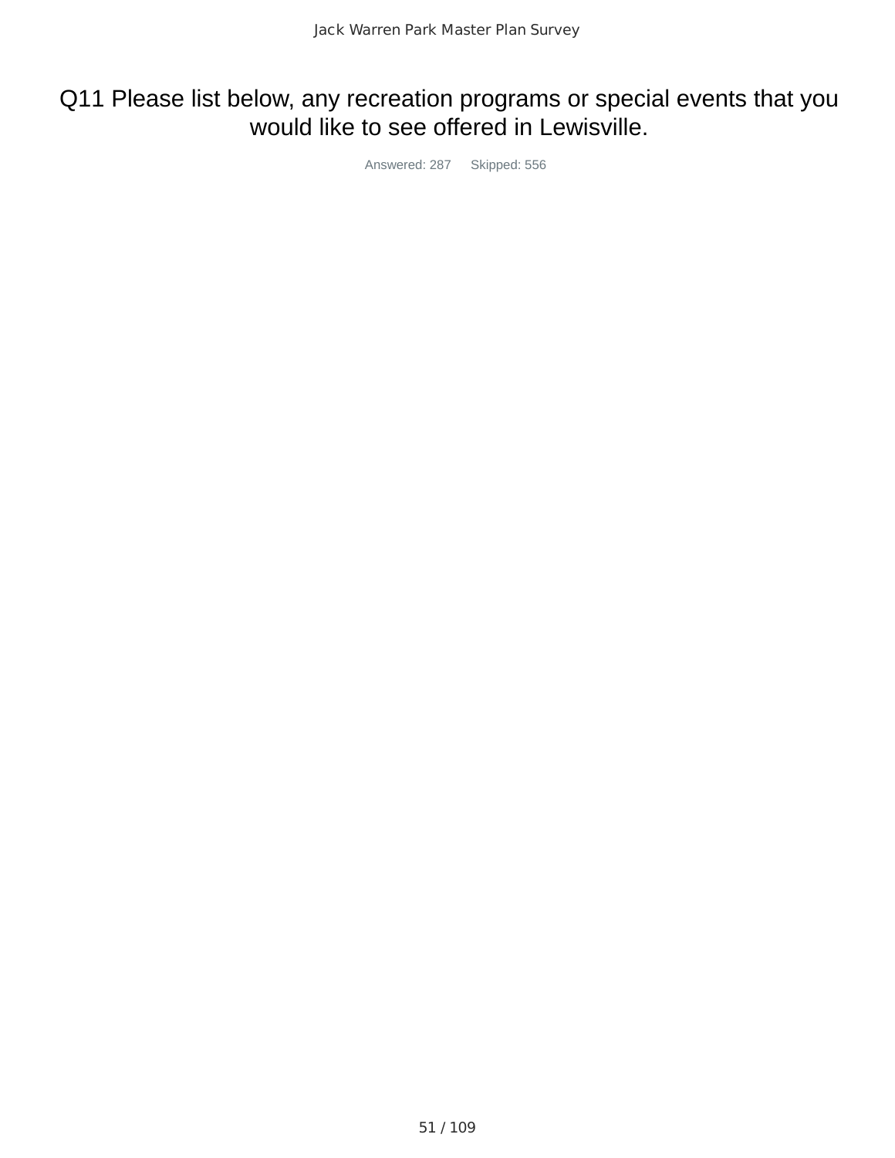### Q11 Please list below, any recreation programs or special events that you would like to see offered in Lewisville.

Answered: 287 Skipped: 556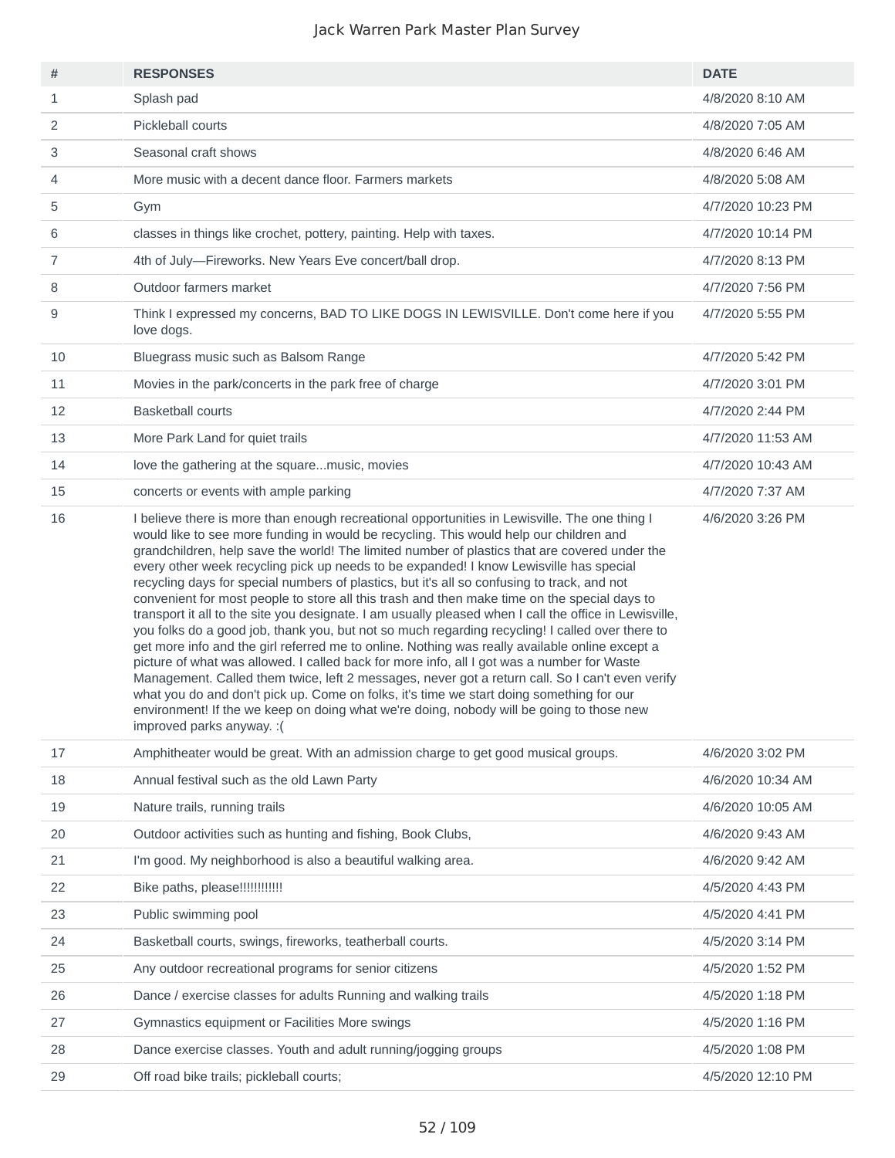| #  | <b>RESPONSES</b>                                                                                                                                                                                                                                                                                                                                                                                                                                                                                                                                                                                                                                                                                                                                                                                                                                                                                                                                                                                                                                                                                                                                                                                                                                                                                                        | <b>DATE</b>       |
|----|-------------------------------------------------------------------------------------------------------------------------------------------------------------------------------------------------------------------------------------------------------------------------------------------------------------------------------------------------------------------------------------------------------------------------------------------------------------------------------------------------------------------------------------------------------------------------------------------------------------------------------------------------------------------------------------------------------------------------------------------------------------------------------------------------------------------------------------------------------------------------------------------------------------------------------------------------------------------------------------------------------------------------------------------------------------------------------------------------------------------------------------------------------------------------------------------------------------------------------------------------------------------------------------------------------------------------|-------------------|
| 1  | Splash pad                                                                                                                                                                                                                                                                                                                                                                                                                                                                                                                                                                                                                                                                                                                                                                                                                                                                                                                                                                                                                                                                                                                                                                                                                                                                                                              | 4/8/2020 8:10 AM  |
| 2  | Pickleball courts                                                                                                                                                                                                                                                                                                                                                                                                                                                                                                                                                                                                                                                                                                                                                                                                                                                                                                                                                                                                                                                                                                                                                                                                                                                                                                       | 4/8/2020 7:05 AM  |
| 3  | Seasonal craft shows                                                                                                                                                                                                                                                                                                                                                                                                                                                                                                                                                                                                                                                                                                                                                                                                                                                                                                                                                                                                                                                                                                                                                                                                                                                                                                    | 4/8/2020 6:46 AM  |
| 4  | More music with a decent dance floor. Farmers markets                                                                                                                                                                                                                                                                                                                                                                                                                                                                                                                                                                                                                                                                                                                                                                                                                                                                                                                                                                                                                                                                                                                                                                                                                                                                   | 4/8/2020 5:08 AM  |
| 5  | Gym                                                                                                                                                                                                                                                                                                                                                                                                                                                                                                                                                                                                                                                                                                                                                                                                                                                                                                                                                                                                                                                                                                                                                                                                                                                                                                                     | 4/7/2020 10:23 PM |
| 6  | classes in things like crochet, pottery, painting. Help with taxes.                                                                                                                                                                                                                                                                                                                                                                                                                                                                                                                                                                                                                                                                                                                                                                                                                                                                                                                                                                                                                                                                                                                                                                                                                                                     | 4/7/2020 10:14 PM |
| 7  | 4th of July-Fireworks. New Years Eve concert/ball drop.                                                                                                                                                                                                                                                                                                                                                                                                                                                                                                                                                                                                                                                                                                                                                                                                                                                                                                                                                                                                                                                                                                                                                                                                                                                                 | 4/7/2020 8:13 PM  |
| 8  | Outdoor farmers market                                                                                                                                                                                                                                                                                                                                                                                                                                                                                                                                                                                                                                                                                                                                                                                                                                                                                                                                                                                                                                                                                                                                                                                                                                                                                                  | 4/7/2020 7:56 PM  |
| 9  | Think I expressed my concerns, BAD TO LIKE DOGS IN LEWISVILLE. Don't come here if you<br>love dogs.                                                                                                                                                                                                                                                                                                                                                                                                                                                                                                                                                                                                                                                                                                                                                                                                                                                                                                                                                                                                                                                                                                                                                                                                                     | 4/7/2020 5:55 PM  |
| 10 | Bluegrass music such as Balsom Range                                                                                                                                                                                                                                                                                                                                                                                                                                                                                                                                                                                                                                                                                                                                                                                                                                                                                                                                                                                                                                                                                                                                                                                                                                                                                    | 4/7/2020 5:42 PM  |
| 11 | Movies in the park/concerts in the park free of charge                                                                                                                                                                                                                                                                                                                                                                                                                                                                                                                                                                                                                                                                                                                                                                                                                                                                                                                                                                                                                                                                                                                                                                                                                                                                  | 4/7/2020 3:01 PM  |
| 12 | <b>Basketball courts</b>                                                                                                                                                                                                                                                                                                                                                                                                                                                                                                                                                                                                                                                                                                                                                                                                                                                                                                                                                                                                                                                                                                                                                                                                                                                                                                | 4/7/2020 2:44 PM  |
| 13 | More Park Land for quiet trails                                                                                                                                                                                                                                                                                                                                                                                                                                                                                                                                                                                                                                                                                                                                                                                                                                                                                                                                                                                                                                                                                                                                                                                                                                                                                         | 4/7/2020 11:53 AM |
| 14 | love the gathering at the squaremusic, movies                                                                                                                                                                                                                                                                                                                                                                                                                                                                                                                                                                                                                                                                                                                                                                                                                                                                                                                                                                                                                                                                                                                                                                                                                                                                           | 4/7/2020 10:43 AM |
| 15 | concerts or events with ample parking                                                                                                                                                                                                                                                                                                                                                                                                                                                                                                                                                                                                                                                                                                                                                                                                                                                                                                                                                                                                                                                                                                                                                                                                                                                                                   | 4/7/2020 7:37 AM  |
| 16 | I believe there is more than enough recreational opportunities in Lewisville. The one thing I<br>would like to see more funding in would be recycling. This would help our children and<br>grandchildren, help save the world! The limited number of plastics that are covered under the<br>every other week recycling pick up needs to be expanded! I know Lewisville has special<br>recycling days for special numbers of plastics, but it's all so confusing to track, and not<br>convenient for most people to store all this trash and then make time on the special days to<br>transport it all to the site you designate. I am usually pleased when I call the office in Lewisville,<br>you folks do a good job, thank you, but not so much regarding recycling! I called over there to<br>get more info and the girl referred me to online. Nothing was really available online except a<br>picture of what was allowed. I called back for more info, all I got was a number for Waste<br>Management. Called them twice, left 2 messages, never got a return call. So I can't even verify<br>what you do and don't pick up. Come on folks, it's time we start doing something for our<br>environment! If the we keep on doing what we're doing, nobody will be going to those new<br>improved parks anyway. : ( | 4/6/2020 3:26 PM  |
| 17 | Amphitheater would be great. With an admission charge to get good musical groups.                                                                                                                                                                                                                                                                                                                                                                                                                                                                                                                                                                                                                                                                                                                                                                                                                                                                                                                                                                                                                                                                                                                                                                                                                                       | 4/6/2020 3:02 PM  |
| 18 | Annual festival such as the old Lawn Party                                                                                                                                                                                                                                                                                                                                                                                                                                                                                                                                                                                                                                                                                                                                                                                                                                                                                                                                                                                                                                                                                                                                                                                                                                                                              | 4/6/2020 10:34 AM |
| 19 | Nature trails, running trails                                                                                                                                                                                                                                                                                                                                                                                                                                                                                                                                                                                                                                                                                                                                                                                                                                                                                                                                                                                                                                                                                                                                                                                                                                                                                           | 4/6/2020 10:05 AM |
| 20 | Outdoor activities such as hunting and fishing, Book Clubs,                                                                                                                                                                                                                                                                                                                                                                                                                                                                                                                                                                                                                                                                                                                                                                                                                                                                                                                                                                                                                                                                                                                                                                                                                                                             | 4/6/2020 9:43 AM  |
| 21 | I'm good. My neighborhood is also a beautiful walking area.                                                                                                                                                                                                                                                                                                                                                                                                                                                                                                                                                                                                                                                                                                                                                                                                                                                                                                                                                                                                                                                                                                                                                                                                                                                             | 4/6/2020 9:42 AM  |
| 22 | Bike paths, please!!!!!!!!!!!!                                                                                                                                                                                                                                                                                                                                                                                                                                                                                                                                                                                                                                                                                                                                                                                                                                                                                                                                                                                                                                                                                                                                                                                                                                                                                          | 4/5/2020 4:43 PM  |
| 23 | Public swimming pool                                                                                                                                                                                                                                                                                                                                                                                                                                                                                                                                                                                                                                                                                                                                                                                                                                                                                                                                                                                                                                                                                                                                                                                                                                                                                                    | 4/5/2020 4:41 PM  |
| 24 | Basketball courts, swings, fireworks, teatherball courts.                                                                                                                                                                                                                                                                                                                                                                                                                                                                                                                                                                                                                                                                                                                                                                                                                                                                                                                                                                                                                                                                                                                                                                                                                                                               | 4/5/2020 3:14 PM  |
| 25 | Any outdoor recreational programs for senior citizens                                                                                                                                                                                                                                                                                                                                                                                                                                                                                                                                                                                                                                                                                                                                                                                                                                                                                                                                                                                                                                                                                                                                                                                                                                                                   | 4/5/2020 1:52 PM  |
| 26 | Dance / exercise classes for adults Running and walking trails                                                                                                                                                                                                                                                                                                                                                                                                                                                                                                                                                                                                                                                                                                                                                                                                                                                                                                                                                                                                                                                                                                                                                                                                                                                          | 4/5/2020 1:18 PM  |
| 27 | Gymnastics equipment or Facilities More swings                                                                                                                                                                                                                                                                                                                                                                                                                                                                                                                                                                                                                                                                                                                                                                                                                                                                                                                                                                                                                                                                                                                                                                                                                                                                          | 4/5/2020 1:16 PM  |
| 28 | Dance exercise classes. Youth and adult running/jogging groups                                                                                                                                                                                                                                                                                                                                                                                                                                                                                                                                                                                                                                                                                                                                                                                                                                                                                                                                                                                                                                                                                                                                                                                                                                                          | 4/5/2020 1:08 PM  |
| 29 | Off road bike trails; pickleball courts;                                                                                                                                                                                                                                                                                                                                                                                                                                                                                                                                                                                                                                                                                                                                                                                                                                                                                                                                                                                                                                                                                                                                                                                                                                                                                | 4/5/2020 12:10 PM |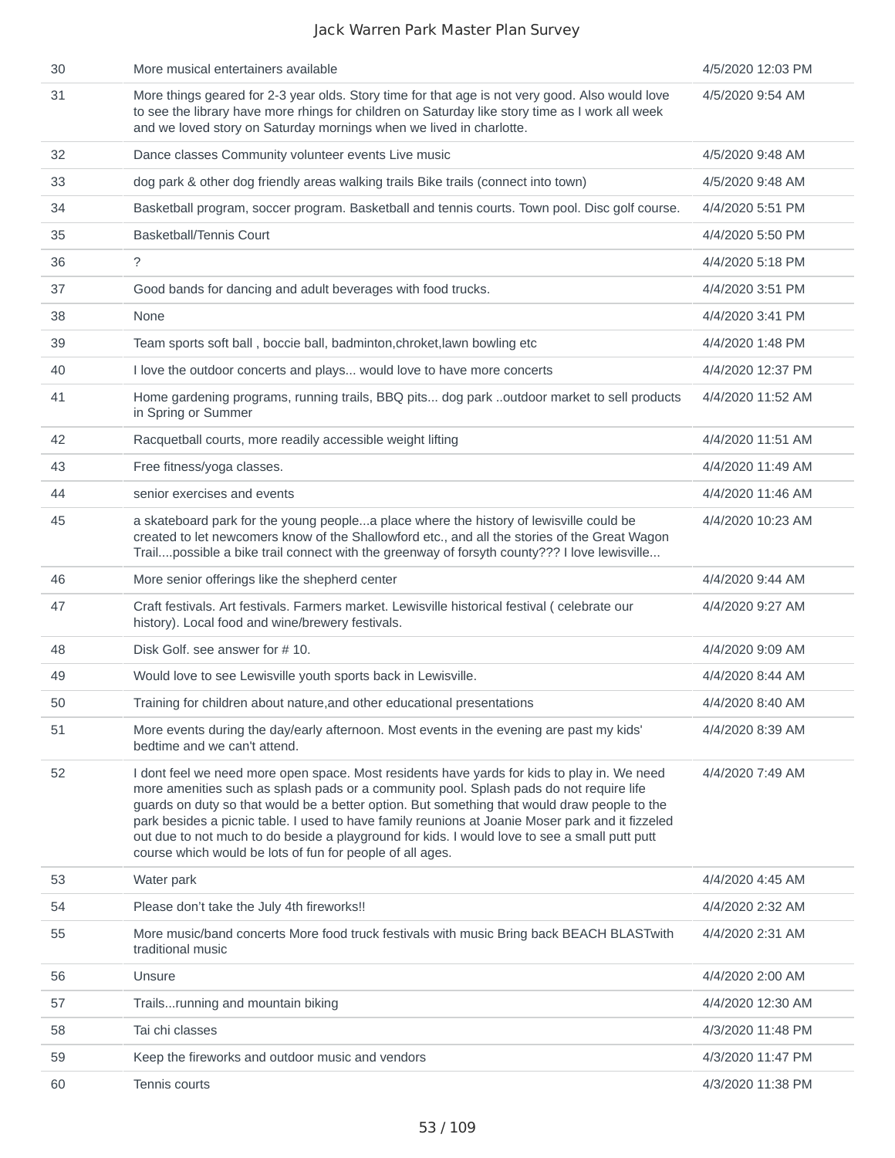| 30 | More musical entertainers available                                                                                                                                                                                                                                                                                                                                                                                                                                                                                                                      | 4/5/2020 12:03 PM |
|----|----------------------------------------------------------------------------------------------------------------------------------------------------------------------------------------------------------------------------------------------------------------------------------------------------------------------------------------------------------------------------------------------------------------------------------------------------------------------------------------------------------------------------------------------------------|-------------------|
| 31 | More things geared for 2-3 year olds. Story time for that age is not very good. Also would love<br>to see the library have more rhings for children on Saturday like story time as I work all week<br>and we loved story on Saturday mornings when we lived in charlotte.                                                                                                                                                                                                                                                                                | 4/5/2020 9:54 AM  |
| 32 | Dance classes Community volunteer events Live music                                                                                                                                                                                                                                                                                                                                                                                                                                                                                                      | 4/5/2020 9:48 AM  |
| 33 | dog park & other dog friendly areas walking trails Bike trails (connect into town)                                                                                                                                                                                                                                                                                                                                                                                                                                                                       | 4/5/2020 9:48 AM  |
| 34 | Basketball program, soccer program. Basketball and tennis courts. Town pool. Disc golf course.                                                                                                                                                                                                                                                                                                                                                                                                                                                           | 4/4/2020 5:51 PM  |
| 35 | <b>Basketball/Tennis Court</b>                                                                                                                                                                                                                                                                                                                                                                                                                                                                                                                           | 4/4/2020 5:50 PM  |
| 36 | $\tilde{?}$                                                                                                                                                                                                                                                                                                                                                                                                                                                                                                                                              | 4/4/2020 5:18 PM  |
| 37 | Good bands for dancing and adult beverages with food trucks.                                                                                                                                                                                                                                                                                                                                                                                                                                                                                             | 4/4/2020 3:51 PM  |
| 38 | None                                                                                                                                                                                                                                                                                                                                                                                                                                                                                                                                                     | 4/4/2020 3:41 PM  |
| 39 | Team sports soft ball, boccie ball, badminton, chroket, lawn bowling etc                                                                                                                                                                                                                                                                                                                                                                                                                                                                                 | 4/4/2020 1:48 PM  |
| 40 | I love the outdoor concerts and plays would love to have more concerts                                                                                                                                                                                                                                                                                                                                                                                                                                                                                   | 4/4/2020 12:37 PM |
| 41 | Home gardening programs, running trails, BBQ pits dog park outdoor market to sell products<br>in Spring or Summer                                                                                                                                                                                                                                                                                                                                                                                                                                        | 4/4/2020 11:52 AM |
| 42 | Racquetball courts, more readily accessible weight lifting                                                                                                                                                                                                                                                                                                                                                                                                                                                                                               | 4/4/2020 11:51 AM |
| 43 | Free fitness/yoga classes.                                                                                                                                                                                                                                                                                                                                                                                                                                                                                                                               | 4/4/2020 11:49 AM |
| 44 | senior exercises and events                                                                                                                                                                                                                                                                                                                                                                                                                                                                                                                              | 4/4/2020 11:46 AM |
| 45 | a skateboard park for the young peoplea place where the history of lewisville could be<br>created to let newcomers know of the Shallowford etc., and all the stories of the Great Wagon<br>Trailpossible a bike trail connect with the greenway of forsyth county??? I love lewisville                                                                                                                                                                                                                                                                   | 4/4/2020 10:23 AM |
| 46 | More senior offerings like the shepherd center                                                                                                                                                                                                                                                                                                                                                                                                                                                                                                           | 4/4/2020 9:44 AM  |
| 47 | Craft festivals. Art festivals. Farmers market. Lewisville historical festival (celebrate our<br>history). Local food and wine/brewery festivals.                                                                                                                                                                                                                                                                                                                                                                                                        | 4/4/2020 9:27 AM  |
| 48 | Disk Golf, see answer for $# 10$ .                                                                                                                                                                                                                                                                                                                                                                                                                                                                                                                       | 4/4/2020 9:09 AM  |
| 49 | Would love to see Lewisville youth sports back in Lewisville.                                                                                                                                                                                                                                                                                                                                                                                                                                                                                            | 4/4/2020 8:44 AM  |
| 50 | Training for children about nature, and other educational presentations                                                                                                                                                                                                                                                                                                                                                                                                                                                                                  | 4/4/2020 8:40 AM  |
| 51 | More events during the day/early afternoon. Most events in the evening are past my kids'<br>bedtime and we can't attend.                                                                                                                                                                                                                                                                                                                                                                                                                                 | 4/4/2020 8:39 AM  |
| 52 | I dont feel we need more open space. Most residents have yards for kids to play in. We need<br>more amenities such as splash pads or a community pool. Splash pads do not require life<br>guards on duty so that would be a better option. But something that would draw people to the<br>park besides a picnic table. I used to have family reunions at Joanie Moser park and it fizzeled<br>out due to not much to do beside a playground for kids. I would love to see a small putt putt<br>course which would be lots of fun for people of all ages. | 4/4/2020 7:49 AM  |
| 53 | Water park                                                                                                                                                                                                                                                                                                                                                                                                                                                                                                                                               | 4/4/2020 4:45 AM  |
| 54 | Please don't take the July 4th fireworks!!                                                                                                                                                                                                                                                                                                                                                                                                                                                                                                               | 4/4/2020 2:32 AM  |
| 55 | More music/band concerts More food truck festivals with music Bring back BEACH BLASTwith<br>traditional music                                                                                                                                                                                                                                                                                                                                                                                                                                            | 4/4/2020 2:31 AM  |
| 56 | Unsure                                                                                                                                                                                                                                                                                                                                                                                                                                                                                                                                                   | 4/4/2020 2:00 AM  |
| 57 | Trailsrunning and mountain biking                                                                                                                                                                                                                                                                                                                                                                                                                                                                                                                        | 4/4/2020 12:30 AM |
| 58 | Tai chi classes                                                                                                                                                                                                                                                                                                                                                                                                                                                                                                                                          | 4/3/2020 11:48 PM |
| 59 | Keep the fireworks and outdoor music and vendors                                                                                                                                                                                                                                                                                                                                                                                                                                                                                                         | 4/3/2020 11:47 PM |
| 60 | Tennis courts                                                                                                                                                                                                                                                                                                                                                                                                                                                                                                                                            | 4/3/2020 11:38 PM |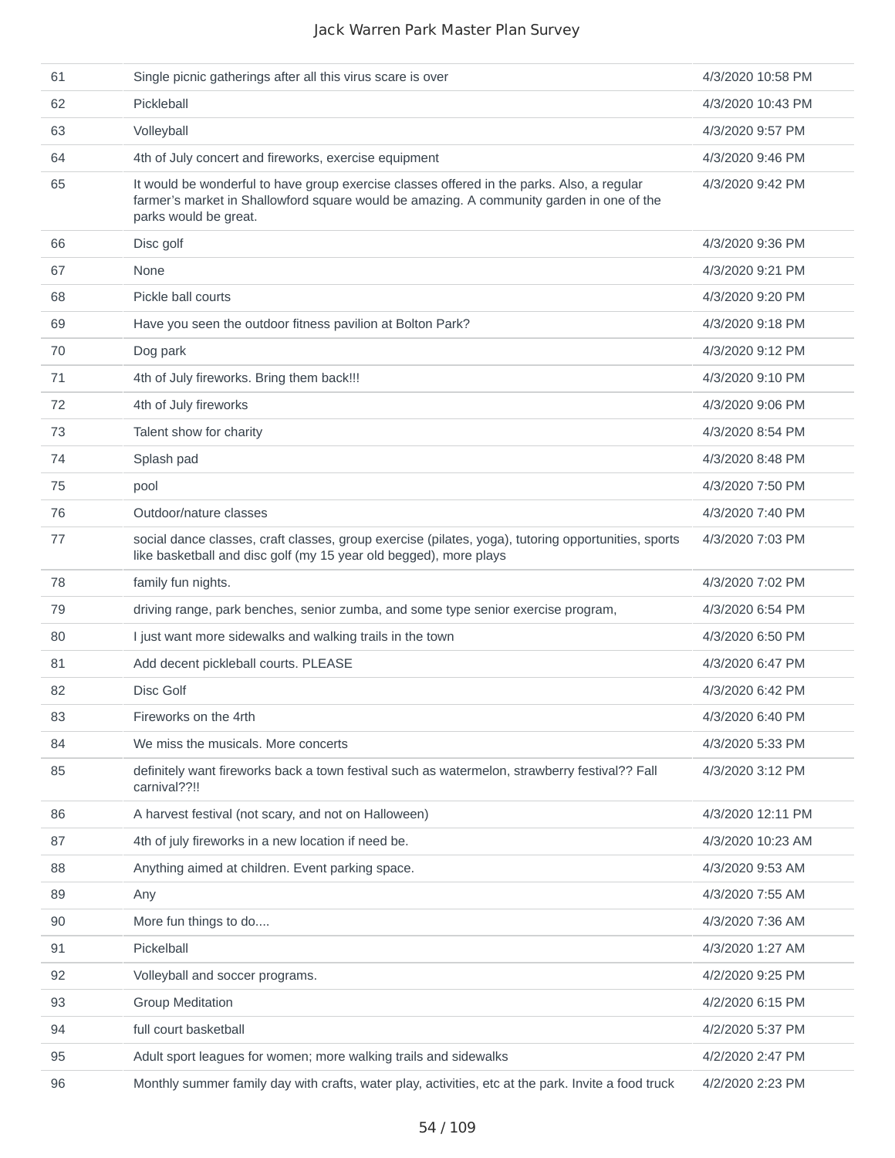| 61 | Single picnic gatherings after all this virus scare is over                                                                                                                                                     | 4/3/2020 10:58 PM |
|----|-----------------------------------------------------------------------------------------------------------------------------------------------------------------------------------------------------------------|-------------------|
| 62 | Pickleball                                                                                                                                                                                                      | 4/3/2020 10:43 PM |
| 63 | Volleyball                                                                                                                                                                                                      | 4/3/2020 9:57 PM  |
| 64 | 4th of July concert and fireworks, exercise equipment                                                                                                                                                           | 4/3/2020 9:46 PM  |
| 65 | It would be wonderful to have group exercise classes offered in the parks. Also, a regular<br>farmer's market in Shallowford square would be amazing. A community garden in one of the<br>parks would be great. | 4/3/2020 9:42 PM  |
| 66 | Disc golf                                                                                                                                                                                                       | 4/3/2020 9:36 PM  |
| 67 | <b>None</b>                                                                                                                                                                                                     | 4/3/2020 9:21 PM  |
| 68 | Pickle ball courts                                                                                                                                                                                              | 4/3/2020 9:20 PM  |
| 69 | Have you seen the outdoor fitness pavilion at Bolton Park?                                                                                                                                                      | 4/3/2020 9:18 PM  |
| 70 | Dog park                                                                                                                                                                                                        | 4/3/2020 9:12 PM  |
| 71 | 4th of July fireworks. Bring them back!!!                                                                                                                                                                       | 4/3/2020 9:10 PM  |
| 72 | 4th of July fireworks                                                                                                                                                                                           | 4/3/2020 9:06 PM  |
| 73 | Talent show for charity                                                                                                                                                                                         | 4/3/2020 8:54 PM  |
| 74 | Splash pad                                                                                                                                                                                                      | 4/3/2020 8:48 PM  |
| 75 | pool                                                                                                                                                                                                            | 4/3/2020 7:50 PM  |
| 76 | Outdoor/nature classes                                                                                                                                                                                          | 4/3/2020 7:40 PM  |
| 77 | social dance classes, craft classes, group exercise (pilates, yoga), tutoring opportunities, sports<br>like basketball and disc golf (my 15 year old begged), more plays                                        | 4/3/2020 7:03 PM  |
| 78 | family fun nights.                                                                                                                                                                                              | 4/3/2020 7:02 PM  |
| 79 | driving range, park benches, senior zumba, and some type senior exercise program,                                                                                                                               | 4/3/2020 6:54 PM  |
| 80 | I just want more sidewalks and walking trails in the town                                                                                                                                                       | 4/3/2020 6:50 PM  |
| 81 | Add decent pickleball courts. PLEASE                                                                                                                                                                            | 4/3/2020 6:47 PM  |
| 82 | Disc Golf                                                                                                                                                                                                       | 4/3/2020 6:42 PM  |
| 83 | Fireworks on the 4rth                                                                                                                                                                                           | 4/3/2020 6:40 PM  |
| 84 | We miss the musicals. More concerts                                                                                                                                                                             | 4/3/2020 5:33 PM  |
| 85 | definitely want fireworks back a town festival such as watermelon, strawberry festival?? Fall<br>carnival??!!                                                                                                   | 4/3/2020 3:12 PM  |
| 86 | A harvest festival (not scary, and not on Halloween)                                                                                                                                                            | 4/3/2020 12:11 PM |
| 87 | 4th of july fireworks in a new location if need be.                                                                                                                                                             | 4/3/2020 10:23 AM |
| 88 | Anything aimed at children. Event parking space.                                                                                                                                                                | 4/3/2020 9:53 AM  |
| 89 | Any                                                                                                                                                                                                             | 4/3/2020 7:55 AM  |
| 90 | More fun things to do                                                                                                                                                                                           | 4/3/2020 7:36 AM  |
| 91 | Pickelball                                                                                                                                                                                                      | 4/3/2020 1:27 AM  |
| 92 | Volleyball and soccer programs.                                                                                                                                                                                 | 4/2/2020 9:25 PM  |
| 93 | <b>Group Meditation</b>                                                                                                                                                                                         | 4/2/2020 6:15 PM  |
| 94 | full court basketball                                                                                                                                                                                           | 4/2/2020 5:37 PM  |
| 95 | Adult sport leagues for women; more walking trails and sidewalks                                                                                                                                                | 4/2/2020 2:47 PM  |
| 96 | Monthly summer family day with crafts, water play, activities, etc at the park. Invite a food truck                                                                                                             | 4/2/2020 2:23 PM  |
|    |                                                                                                                                                                                                                 |                   |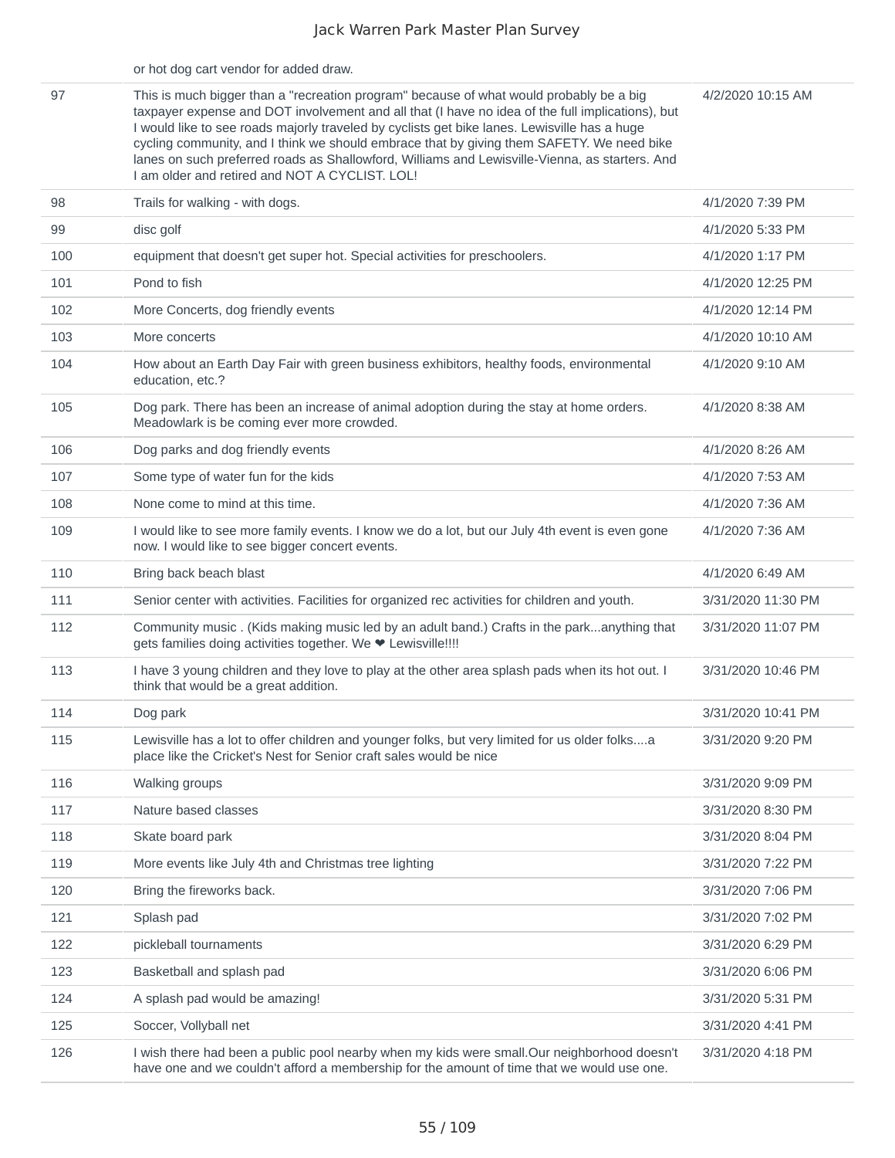|     | or hot dog cart vendor for added draw.                                                                                                                                                                                                                                                                                                                                                                                                                                                                                                       |                    |
|-----|----------------------------------------------------------------------------------------------------------------------------------------------------------------------------------------------------------------------------------------------------------------------------------------------------------------------------------------------------------------------------------------------------------------------------------------------------------------------------------------------------------------------------------------------|--------------------|
| 97  | This is much bigger than a "recreation program" because of what would probably be a big<br>taxpayer expense and DOT involvement and all that (I have no idea of the full implications), but<br>I would like to see roads majorly traveled by cyclists get bike lanes. Lewisville has a huge<br>cycling community, and I think we should embrace that by giving them SAFETY. We need bike<br>lanes on such preferred roads as Shallowford, Williams and Lewisville-Vienna, as starters. And<br>I am older and retired and NOT A CYCLIST. LOL! | 4/2/2020 10:15 AM  |
| 98  | Trails for walking - with dogs.                                                                                                                                                                                                                                                                                                                                                                                                                                                                                                              | 4/1/2020 7:39 PM   |
| 99  | disc golf                                                                                                                                                                                                                                                                                                                                                                                                                                                                                                                                    | 4/1/2020 5:33 PM   |
| 100 | equipment that doesn't get super hot. Special activities for preschoolers.                                                                                                                                                                                                                                                                                                                                                                                                                                                                   | 4/1/2020 1:17 PM   |
| 101 | Pond to fish                                                                                                                                                                                                                                                                                                                                                                                                                                                                                                                                 | 4/1/2020 12:25 PM  |
| 102 | More Concerts, dog friendly events                                                                                                                                                                                                                                                                                                                                                                                                                                                                                                           | 4/1/2020 12:14 PM  |
| 103 | More concerts                                                                                                                                                                                                                                                                                                                                                                                                                                                                                                                                | 4/1/2020 10:10 AM  |
| 104 | How about an Earth Day Fair with green business exhibitors, healthy foods, environmental<br>education, etc.?                                                                                                                                                                                                                                                                                                                                                                                                                                 | 4/1/2020 9:10 AM   |
| 105 | Dog park. There has been an increase of animal adoption during the stay at home orders.<br>Meadowlark is be coming ever more crowded.                                                                                                                                                                                                                                                                                                                                                                                                        | 4/1/2020 8:38 AM   |
| 106 | Dog parks and dog friendly events                                                                                                                                                                                                                                                                                                                                                                                                                                                                                                            | 4/1/2020 8:26 AM   |
| 107 | Some type of water fun for the kids                                                                                                                                                                                                                                                                                                                                                                                                                                                                                                          | 4/1/2020 7:53 AM   |
| 108 | None come to mind at this time.                                                                                                                                                                                                                                                                                                                                                                                                                                                                                                              | 4/1/2020 7:36 AM   |
| 109 | I would like to see more family events. I know we do a lot, but our July 4th event is even gone<br>now. I would like to see bigger concert events.                                                                                                                                                                                                                                                                                                                                                                                           | 4/1/2020 7:36 AM   |
| 110 | Bring back beach blast                                                                                                                                                                                                                                                                                                                                                                                                                                                                                                                       | 4/1/2020 6:49 AM   |
| 111 | Senior center with activities. Facilities for organized rec activities for children and youth.                                                                                                                                                                                                                                                                                                                                                                                                                                               | 3/31/2020 11:30 PM |
| 112 | Community music . (Kids making music led by an adult band.) Crafts in the parkanything that<br>gets families doing activities together. We ♥ Lewisville !!!!                                                                                                                                                                                                                                                                                                                                                                                 | 3/31/2020 11:07 PM |
| 113 | I have 3 young children and they love to play at the other area splash pads when its hot out. I<br>think that would be a great addition.                                                                                                                                                                                                                                                                                                                                                                                                     | 3/31/2020 10:46 PM |
| 114 | Dog park                                                                                                                                                                                                                                                                                                                                                                                                                                                                                                                                     | 3/31/2020 10:41 PM |
| 115 | Lewisville has a lot to offer children and younger folks, but very limited for us older folksa<br>place like the Cricket's Nest for Senior craft sales would be nice                                                                                                                                                                                                                                                                                                                                                                         | 3/31/2020 9:20 PM  |
| 116 | Walking groups                                                                                                                                                                                                                                                                                                                                                                                                                                                                                                                               | 3/31/2020 9:09 PM  |
| 117 | Nature based classes                                                                                                                                                                                                                                                                                                                                                                                                                                                                                                                         | 3/31/2020 8:30 PM  |
| 118 | Skate board park                                                                                                                                                                                                                                                                                                                                                                                                                                                                                                                             | 3/31/2020 8:04 PM  |
| 119 | More events like July 4th and Christmas tree lighting                                                                                                                                                                                                                                                                                                                                                                                                                                                                                        | 3/31/2020 7:22 PM  |
| 120 | Bring the fireworks back.                                                                                                                                                                                                                                                                                                                                                                                                                                                                                                                    | 3/31/2020 7:06 PM  |
| 121 | Splash pad                                                                                                                                                                                                                                                                                                                                                                                                                                                                                                                                   | 3/31/2020 7:02 PM  |
| 122 | pickleball tournaments                                                                                                                                                                                                                                                                                                                                                                                                                                                                                                                       | 3/31/2020 6:29 PM  |
| 123 | Basketball and splash pad                                                                                                                                                                                                                                                                                                                                                                                                                                                                                                                    | 3/31/2020 6:06 PM  |
| 124 | A splash pad would be amazing!                                                                                                                                                                                                                                                                                                                                                                                                                                                                                                               | 3/31/2020 5:31 PM  |
| 125 | Soccer, Vollyball net                                                                                                                                                                                                                                                                                                                                                                                                                                                                                                                        | 3/31/2020 4:41 PM  |
| 126 | I wish there had been a public pool nearby when my kids were small. Our neighborhood doesn't<br>have one and we couldn't afford a membership for the amount of time that we would use one.                                                                                                                                                                                                                                                                                                                                                   | 3/31/2020 4:18 PM  |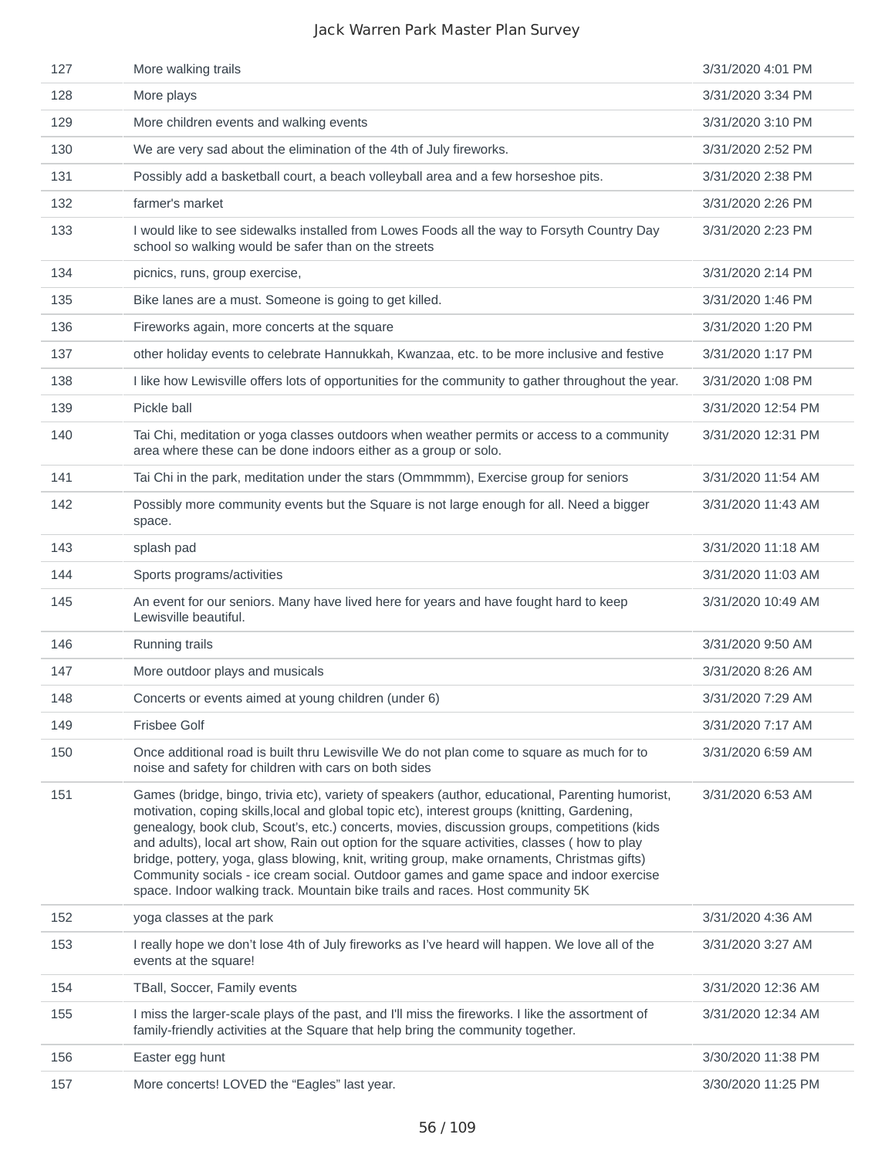| 127 | More walking trails                                                                                                                                                                                                                                                                                                                                                                                                                                                                                                                                                                                                                                                          | 3/31/2020 4:01 PM  |
|-----|------------------------------------------------------------------------------------------------------------------------------------------------------------------------------------------------------------------------------------------------------------------------------------------------------------------------------------------------------------------------------------------------------------------------------------------------------------------------------------------------------------------------------------------------------------------------------------------------------------------------------------------------------------------------------|--------------------|
| 128 | More plays                                                                                                                                                                                                                                                                                                                                                                                                                                                                                                                                                                                                                                                                   | 3/31/2020 3:34 PM  |
| 129 | More children events and walking events                                                                                                                                                                                                                                                                                                                                                                                                                                                                                                                                                                                                                                      | 3/31/2020 3:10 PM  |
| 130 | We are very sad about the elimination of the 4th of July fireworks.                                                                                                                                                                                                                                                                                                                                                                                                                                                                                                                                                                                                          | 3/31/2020 2:52 PM  |
| 131 | Possibly add a basketball court, a beach volleyball area and a few horseshoe pits.                                                                                                                                                                                                                                                                                                                                                                                                                                                                                                                                                                                           | 3/31/2020 2:38 PM  |
| 132 | farmer's market                                                                                                                                                                                                                                                                                                                                                                                                                                                                                                                                                                                                                                                              | 3/31/2020 2:26 PM  |
| 133 | I would like to see sidewalks installed from Lowes Foods all the way to Forsyth Country Day<br>school so walking would be safer than on the streets                                                                                                                                                                                                                                                                                                                                                                                                                                                                                                                          | 3/31/2020 2:23 PM  |
| 134 | picnics, runs, group exercise,                                                                                                                                                                                                                                                                                                                                                                                                                                                                                                                                                                                                                                               | 3/31/2020 2:14 PM  |
| 135 | Bike lanes are a must. Someone is going to get killed.                                                                                                                                                                                                                                                                                                                                                                                                                                                                                                                                                                                                                       | 3/31/2020 1:46 PM  |
| 136 | Fireworks again, more concerts at the square                                                                                                                                                                                                                                                                                                                                                                                                                                                                                                                                                                                                                                 | 3/31/2020 1:20 PM  |
| 137 | other holiday events to celebrate Hannukkah, Kwanzaa, etc. to be more inclusive and festive                                                                                                                                                                                                                                                                                                                                                                                                                                                                                                                                                                                  | 3/31/2020 1:17 PM  |
| 138 | I like how Lewisville offers lots of opportunities for the community to gather throughout the year.                                                                                                                                                                                                                                                                                                                                                                                                                                                                                                                                                                          | 3/31/2020 1:08 PM  |
| 139 | Pickle ball                                                                                                                                                                                                                                                                                                                                                                                                                                                                                                                                                                                                                                                                  | 3/31/2020 12:54 PM |
| 140 | Tai Chi, meditation or yoga classes outdoors when weather permits or access to a community<br>area where these can be done indoors either as a group or solo.                                                                                                                                                                                                                                                                                                                                                                                                                                                                                                                | 3/31/2020 12:31 PM |
| 141 | Tai Chi in the park, meditation under the stars (Ommmmm), Exercise group for seniors                                                                                                                                                                                                                                                                                                                                                                                                                                                                                                                                                                                         | 3/31/2020 11:54 AM |
| 142 | Possibly more community events but the Square is not large enough for all. Need a bigger<br>space.                                                                                                                                                                                                                                                                                                                                                                                                                                                                                                                                                                           | 3/31/2020 11:43 AM |
| 143 | splash pad                                                                                                                                                                                                                                                                                                                                                                                                                                                                                                                                                                                                                                                                   | 3/31/2020 11:18 AM |
| 144 | Sports programs/activities                                                                                                                                                                                                                                                                                                                                                                                                                                                                                                                                                                                                                                                   | 3/31/2020 11:03 AM |
| 145 | An event for our seniors. Many have lived here for years and have fought hard to keep<br>Lewisville beautiful.                                                                                                                                                                                                                                                                                                                                                                                                                                                                                                                                                               | 3/31/2020 10:49 AM |
| 146 | Running trails                                                                                                                                                                                                                                                                                                                                                                                                                                                                                                                                                                                                                                                               | 3/31/2020 9:50 AM  |
| 147 | More outdoor plays and musicals                                                                                                                                                                                                                                                                                                                                                                                                                                                                                                                                                                                                                                              | 3/31/2020 8:26 AM  |
| 148 | Concerts or events aimed at young children (under 6)                                                                                                                                                                                                                                                                                                                                                                                                                                                                                                                                                                                                                         | 3/31/2020 7:29 AM  |
| 149 | <b>Frisbee Golf</b>                                                                                                                                                                                                                                                                                                                                                                                                                                                                                                                                                                                                                                                          | 3/31/2020 7:17 AM  |
| 150 | Once additional road is built thru Lewisville We do not plan come to square as much for to<br>noise and safety for children with cars on both sides                                                                                                                                                                                                                                                                                                                                                                                                                                                                                                                          | 3/31/2020 6:59 AM  |
| 151 | Games (bridge, bingo, trivia etc), variety of speakers (author, educational, Parenting humorist,<br>motivation, coping skills, local and global topic etc), interest groups (knitting, Gardening,<br>genealogy, book club, Scout's, etc.) concerts, movies, discussion groups, competitions (kids<br>and adults), local art show, Rain out option for the square activities, classes (how to play<br>bridge, pottery, yoga, glass blowing, knit, writing group, make ornaments, Christmas gifts)<br>Community socials - ice cream social. Outdoor games and game space and indoor exercise<br>space. Indoor walking track. Mountain bike trails and races. Host community 5K | 3/31/2020 6:53 AM  |
| 152 | yoga classes at the park                                                                                                                                                                                                                                                                                                                                                                                                                                                                                                                                                                                                                                                     | 3/31/2020 4:36 AM  |
| 153 | I really hope we don't lose 4th of July fireworks as I've heard will happen. We love all of the<br>events at the square!                                                                                                                                                                                                                                                                                                                                                                                                                                                                                                                                                     | 3/31/2020 3:27 AM  |
| 154 | TBall, Soccer, Family events                                                                                                                                                                                                                                                                                                                                                                                                                                                                                                                                                                                                                                                 | 3/31/2020 12:36 AM |
| 155 | I miss the larger-scale plays of the past, and I'll miss the fireworks. I like the assortment of<br>family-friendly activities at the Square that help bring the community together.                                                                                                                                                                                                                                                                                                                                                                                                                                                                                         | 3/31/2020 12:34 AM |
| 156 | Easter egg hunt                                                                                                                                                                                                                                                                                                                                                                                                                                                                                                                                                                                                                                                              | 3/30/2020 11:38 PM |
| 157 | More concerts! LOVED the "Eagles" last year.                                                                                                                                                                                                                                                                                                                                                                                                                                                                                                                                                                                                                                 | 3/30/2020 11:25 PM |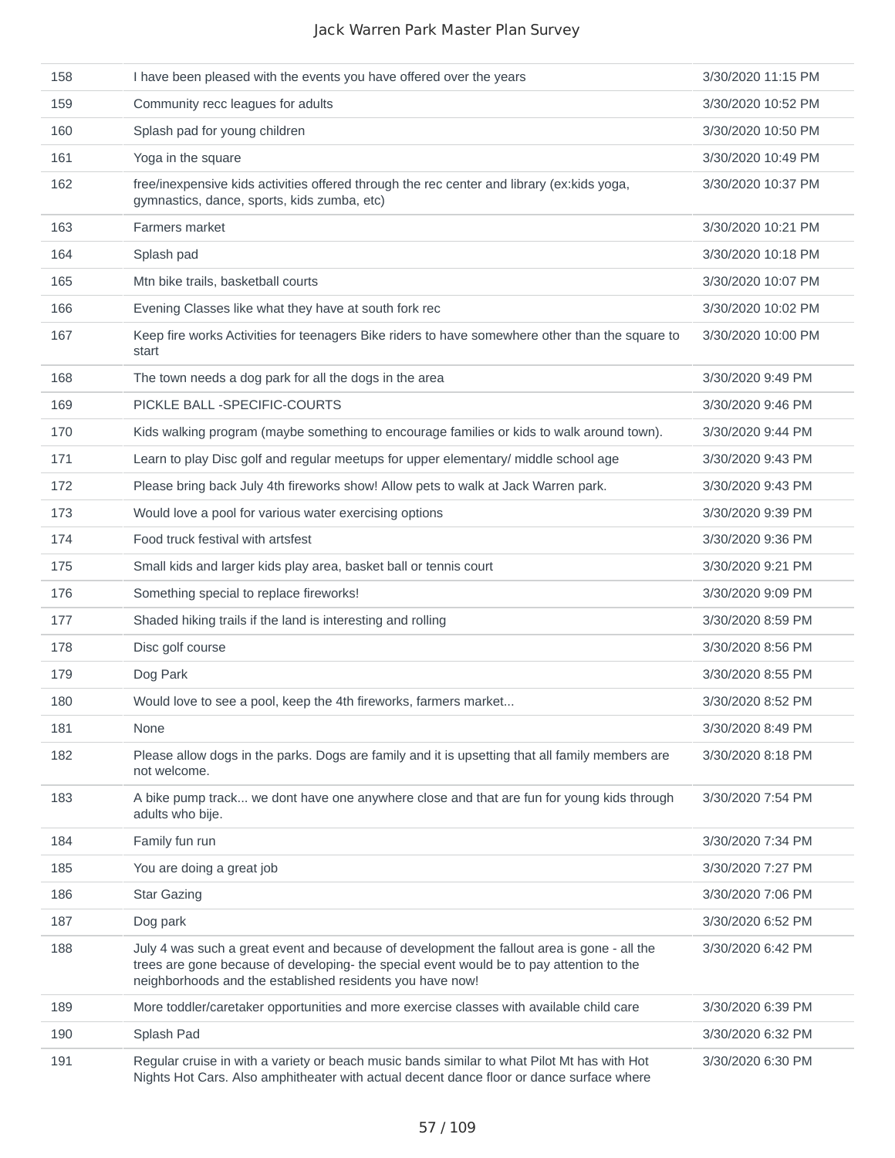| 158 | I have been pleased with the events you have offered over the years                                                                                                                                                                                  | 3/30/2020 11:15 PM |
|-----|------------------------------------------------------------------------------------------------------------------------------------------------------------------------------------------------------------------------------------------------------|--------------------|
| 159 | Community recc leagues for adults                                                                                                                                                                                                                    | 3/30/2020 10:52 PM |
| 160 | Splash pad for young children                                                                                                                                                                                                                        | 3/30/2020 10:50 PM |
| 161 | Yoga in the square                                                                                                                                                                                                                                   | 3/30/2020 10:49 PM |
| 162 | free/inexpensive kids activities offered through the rec center and library (ex:kids yoga,<br>gymnastics, dance, sports, kids zumba, etc)                                                                                                            | 3/30/2020 10:37 PM |
| 163 | Farmers market                                                                                                                                                                                                                                       | 3/30/2020 10:21 PM |
| 164 | Splash pad                                                                                                                                                                                                                                           | 3/30/2020 10:18 PM |
| 165 | Mtn bike trails, basketball courts                                                                                                                                                                                                                   | 3/30/2020 10:07 PM |
| 166 | Evening Classes like what they have at south fork rec                                                                                                                                                                                                | 3/30/2020 10:02 PM |
| 167 | Keep fire works Activities for teenagers Bike riders to have somewhere other than the square to<br>start                                                                                                                                             | 3/30/2020 10:00 PM |
| 168 | The town needs a dog park for all the dogs in the area                                                                                                                                                                                               | 3/30/2020 9:49 PM  |
| 169 | PICKLE BALL - SPECIFIC-COURTS                                                                                                                                                                                                                        | 3/30/2020 9:46 PM  |
| 170 | Kids walking program (maybe something to encourage families or kids to walk around town).                                                                                                                                                            | 3/30/2020 9:44 PM  |
| 171 | Learn to play Disc golf and regular meetups for upper elementary/ middle school age                                                                                                                                                                  | 3/30/2020 9:43 PM  |
| 172 | Please bring back July 4th fireworks show! Allow pets to walk at Jack Warren park.                                                                                                                                                                   | 3/30/2020 9:43 PM  |
| 173 | Would love a pool for various water exercising options                                                                                                                                                                                               | 3/30/2020 9:39 PM  |
| 174 | Food truck festival with artsfest                                                                                                                                                                                                                    | 3/30/2020 9:36 PM  |
| 175 | Small kids and larger kids play area, basket ball or tennis court                                                                                                                                                                                    | 3/30/2020 9:21 PM  |
| 176 | Something special to replace fireworks!                                                                                                                                                                                                              | 3/30/2020 9:09 PM  |
| 177 | Shaded hiking trails if the land is interesting and rolling                                                                                                                                                                                          | 3/30/2020 8:59 PM  |
| 178 | Disc golf course                                                                                                                                                                                                                                     | 3/30/2020 8:56 PM  |
| 179 | Dog Park                                                                                                                                                                                                                                             | 3/30/2020 8:55 PM  |
| 180 | Would love to see a pool, keep the 4th fireworks, farmers market                                                                                                                                                                                     | 3/30/2020 8:52 PM  |
| 181 | None                                                                                                                                                                                                                                                 | 3/30/2020 8:49 PM  |
| 182 | Please allow dogs in the parks. Dogs are family and it is upsetting that all family members are<br>not welcome.                                                                                                                                      | 3/30/2020 8:18 PM  |
| 183 | A bike pump track we dont have one anywhere close and that are fun for young kids through<br>adults who bije.                                                                                                                                        | 3/30/2020 7:54 PM  |
| 184 | Family fun run                                                                                                                                                                                                                                       | 3/30/2020 7:34 PM  |
| 185 | You are doing a great job                                                                                                                                                                                                                            | 3/30/2020 7:27 PM  |
| 186 | <b>Star Gazing</b>                                                                                                                                                                                                                                   | 3/30/2020 7:06 PM  |
| 187 | Dog park                                                                                                                                                                                                                                             | 3/30/2020 6:52 PM  |
| 188 | July 4 was such a great event and because of development the fallout area is gone - all the<br>trees are gone because of developing- the special event would be to pay attention to the<br>neighborhoods and the established residents you have now! | 3/30/2020 6:42 PM  |
| 189 | More toddler/caretaker opportunities and more exercise classes with available child care                                                                                                                                                             | 3/30/2020 6:39 PM  |
| 190 | Splash Pad                                                                                                                                                                                                                                           | 3/30/2020 6:32 PM  |
| 191 | Regular cruise in with a variety or beach music bands similar to what Pilot Mt has with Hot<br>Nights Hot Cars. Also amphitheater with actual decent dance floor or dance surface where                                                              | 3/30/2020 6:30 PM  |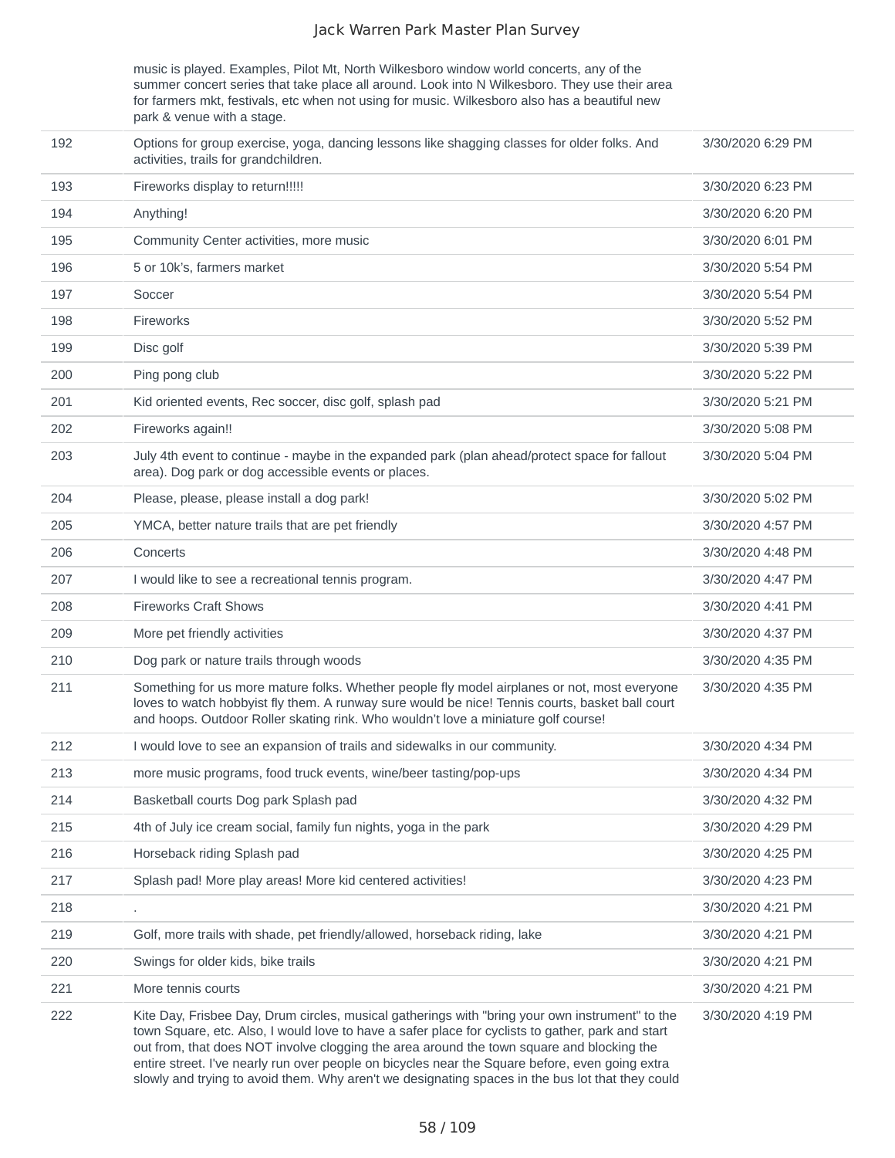music is played. Examples, Pilot Mt, North Wilkesboro window world concerts, any of the summer concert series that take place all around. Look into N Wilkesboro. They use their area for farmers mkt, festivals, etc when not using for music. Wilkesboro also has a beautiful new park & venue with a stage.

| 192 | Options for group exercise, yoga, dancing lessons like shagging classes for older folks. And<br>activities, trails for grandchildren.                                                                                                                                                                                                                                                                                                                                                                    | 3/30/2020 6:29 PM |
|-----|----------------------------------------------------------------------------------------------------------------------------------------------------------------------------------------------------------------------------------------------------------------------------------------------------------------------------------------------------------------------------------------------------------------------------------------------------------------------------------------------------------|-------------------|
| 193 | Fireworks display to return!!!!!                                                                                                                                                                                                                                                                                                                                                                                                                                                                         | 3/30/2020 6:23 PM |
| 194 | Anything!                                                                                                                                                                                                                                                                                                                                                                                                                                                                                                | 3/30/2020 6:20 PM |
| 195 | Community Center activities, more music                                                                                                                                                                                                                                                                                                                                                                                                                                                                  | 3/30/2020 6:01 PM |
| 196 | 5 or 10k's, farmers market                                                                                                                                                                                                                                                                                                                                                                                                                                                                               | 3/30/2020 5:54 PM |
| 197 | Soccer                                                                                                                                                                                                                                                                                                                                                                                                                                                                                                   | 3/30/2020 5:54 PM |
| 198 | Fireworks                                                                                                                                                                                                                                                                                                                                                                                                                                                                                                | 3/30/2020 5:52 PM |
| 199 | Disc golf                                                                                                                                                                                                                                                                                                                                                                                                                                                                                                | 3/30/2020 5:39 PM |
| 200 | Ping pong club                                                                                                                                                                                                                                                                                                                                                                                                                                                                                           | 3/30/2020 5:22 PM |
| 201 | Kid oriented events, Rec soccer, disc golf, splash pad                                                                                                                                                                                                                                                                                                                                                                                                                                                   | 3/30/2020 5:21 PM |
| 202 | Fireworks again!!                                                                                                                                                                                                                                                                                                                                                                                                                                                                                        | 3/30/2020 5:08 PM |
| 203 | July 4th event to continue - maybe in the expanded park (plan ahead/protect space for fallout<br>area). Dog park or dog accessible events or places.                                                                                                                                                                                                                                                                                                                                                     | 3/30/2020 5:04 PM |
| 204 | Please, please, please install a dog park!                                                                                                                                                                                                                                                                                                                                                                                                                                                               | 3/30/2020 5:02 PM |
| 205 | YMCA, better nature trails that are pet friendly                                                                                                                                                                                                                                                                                                                                                                                                                                                         | 3/30/2020 4:57 PM |
| 206 | Concerts                                                                                                                                                                                                                                                                                                                                                                                                                                                                                                 | 3/30/2020 4:48 PM |
| 207 | I would like to see a recreational tennis program.                                                                                                                                                                                                                                                                                                                                                                                                                                                       | 3/30/2020 4:47 PM |
| 208 | <b>Fireworks Craft Shows</b>                                                                                                                                                                                                                                                                                                                                                                                                                                                                             | 3/30/2020 4:41 PM |
| 209 | More pet friendly activities                                                                                                                                                                                                                                                                                                                                                                                                                                                                             | 3/30/2020 4:37 PM |
| 210 | Dog park or nature trails through woods                                                                                                                                                                                                                                                                                                                                                                                                                                                                  | 3/30/2020 4:35 PM |
| 211 | Something for us more mature folks. Whether people fly model airplanes or not, most everyone<br>loves to watch hobbyist fly them. A runway sure would be nice! Tennis courts, basket ball court<br>and hoops. Outdoor Roller skating rink. Who wouldn't love a miniature golf course!                                                                                                                                                                                                                    | 3/30/2020 4:35 PM |
| 212 | I would love to see an expansion of trails and sidewalks in our community.                                                                                                                                                                                                                                                                                                                                                                                                                               | 3/30/2020 4:34 PM |
| 213 | more music programs, food truck events, wine/beer tasting/pop-ups                                                                                                                                                                                                                                                                                                                                                                                                                                        | 3/30/2020 4:34 PM |
| 214 | Basketball courts Dog park Splash pad                                                                                                                                                                                                                                                                                                                                                                                                                                                                    | 3/30/2020 4:32 PM |
| 215 | 4th of July ice cream social, family fun nights, yoga in the park                                                                                                                                                                                                                                                                                                                                                                                                                                        | 3/30/2020 4:29 PM |
| 216 | Horseback riding Splash pad                                                                                                                                                                                                                                                                                                                                                                                                                                                                              | 3/30/2020 4:25 PM |
| 217 | Splash pad! More play areas! More kid centered activities!                                                                                                                                                                                                                                                                                                                                                                                                                                               | 3/30/2020 4:23 PM |
| 218 |                                                                                                                                                                                                                                                                                                                                                                                                                                                                                                          | 3/30/2020 4:21 PM |
| 219 | Golf, more trails with shade, pet friendly/allowed, horseback riding, lake                                                                                                                                                                                                                                                                                                                                                                                                                               | 3/30/2020 4:21 PM |
| 220 | Swings for older kids, bike trails                                                                                                                                                                                                                                                                                                                                                                                                                                                                       | 3/30/2020 4:21 PM |
| 221 | More tennis courts                                                                                                                                                                                                                                                                                                                                                                                                                                                                                       | 3/30/2020 4:21 PM |
| 222 | Kite Day, Frisbee Day, Drum circles, musical gatherings with "bring your own instrument" to the<br>town Square, etc. Also, I would love to have a safer place for cyclists to gather, park and start<br>out from, that does NOT involve clogging the area around the town square and blocking the<br>entire street. I've nearly run over people on bicycles near the Square before, even going extra<br>slowly and trying to avoid them. Why aren't we designating spaces in the bus lot that they could | 3/30/2020 4:19 PM |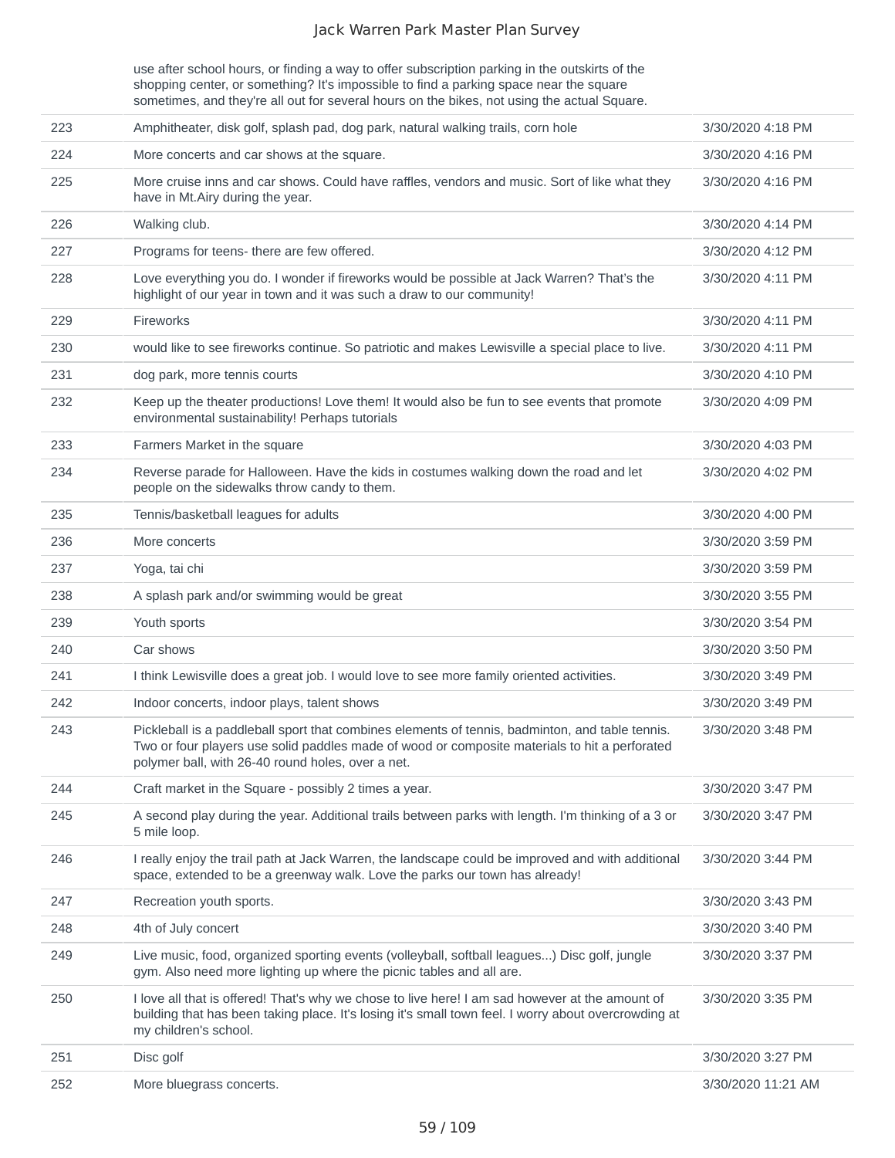use after school hours, or finding a way to offer subscription parking in the outskirts of the shopping center, or something? It's impossible to find a parking space near the square sometimes, and they're all out for several hours on the bikes, not using the actual Square.

| 223 | Amphitheater, disk golf, splash pad, dog park, natural walking trails, corn hole                                                                                                                                                                      | 3/30/2020 4:18 PM  |
|-----|-------------------------------------------------------------------------------------------------------------------------------------------------------------------------------------------------------------------------------------------------------|--------------------|
| 224 | More concerts and car shows at the square.                                                                                                                                                                                                            | 3/30/2020 4:16 PM  |
| 225 | More cruise inns and car shows. Could have raffles, vendors and music. Sort of like what they<br>have in Mt.Airy during the year.                                                                                                                     | 3/30/2020 4:16 PM  |
| 226 | Walking club.                                                                                                                                                                                                                                         | 3/30/2020 4:14 PM  |
| 227 | Programs for teens- there are few offered.                                                                                                                                                                                                            | 3/30/2020 4:12 PM  |
| 228 | Love everything you do. I wonder if fireworks would be possible at Jack Warren? That's the<br>highlight of our year in town and it was such a draw to our community!                                                                                  | 3/30/2020 4:11 PM  |
| 229 | Fireworks                                                                                                                                                                                                                                             | 3/30/2020 4:11 PM  |
| 230 | would like to see fireworks continue. So patriotic and makes Lewisville a special place to live.                                                                                                                                                      | 3/30/2020 4:11 PM  |
| 231 | dog park, more tennis courts                                                                                                                                                                                                                          | 3/30/2020 4:10 PM  |
| 232 | Keep up the theater productions! Love them! It would also be fun to see events that promote<br>environmental sustainability! Perhaps tutorials                                                                                                        | 3/30/2020 4:09 PM  |
| 233 | Farmers Market in the square                                                                                                                                                                                                                          | 3/30/2020 4:03 PM  |
| 234 | Reverse parade for Halloween. Have the kids in costumes walking down the road and let<br>people on the sidewalks throw candy to them.                                                                                                                 | 3/30/2020 4:02 PM  |
| 235 | Tennis/basketball leagues for adults                                                                                                                                                                                                                  | 3/30/2020 4:00 PM  |
| 236 | More concerts                                                                                                                                                                                                                                         | 3/30/2020 3:59 PM  |
| 237 | Yoga, tai chi                                                                                                                                                                                                                                         | 3/30/2020 3:59 PM  |
| 238 | A splash park and/or swimming would be great                                                                                                                                                                                                          | 3/30/2020 3:55 PM  |
| 239 | Youth sports                                                                                                                                                                                                                                          | 3/30/2020 3:54 PM  |
| 240 | Car shows                                                                                                                                                                                                                                             | 3/30/2020 3:50 PM  |
| 241 | I think Lewisville does a great job. I would love to see more family oriented activities.                                                                                                                                                             | 3/30/2020 3:49 PM  |
| 242 | Indoor concerts, indoor plays, talent shows                                                                                                                                                                                                           | 3/30/2020 3:49 PM  |
| 243 | Pickleball is a paddleball sport that combines elements of tennis, badminton, and table tennis.<br>Two or four players use solid paddles made of wood or composite materials to hit a perforated<br>polymer ball, with 26-40 round holes, over a net. | 3/30/2020 3:48 PM  |
| 244 | Craft market in the Square - possibly 2 times a year.                                                                                                                                                                                                 | 3/30/2020 3:47 PM  |
| 245 | A second play during the year. Additional trails between parks with length. I'm thinking of a 3 or<br>5 mile loop.                                                                                                                                    | 3/30/2020 3:47 PM  |
| 246 | I really enjoy the trail path at Jack Warren, the landscape could be improved and with additional<br>space, extended to be a greenway walk. Love the parks our town has already!                                                                      | 3/30/2020 3:44 PM  |
| 247 | Recreation youth sports.                                                                                                                                                                                                                              | 3/30/2020 3:43 PM  |
| 248 | 4th of July concert                                                                                                                                                                                                                                   | 3/30/2020 3:40 PM  |
| 249 | Live music, food, organized sporting events (volleyball, softball leagues) Disc golf, jungle<br>gym. Also need more lighting up where the picnic tables and all are.                                                                                  | 3/30/2020 3:37 PM  |
| 250 | I love all that is offered! That's why we chose to live here! I am sad however at the amount of<br>building that has been taking place. It's losing it's small town feel. I worry about overcrowding at<br>my children's school.                      | 3/30/2020 3:35 PM  |
| 251 | Disc golf                                                                                                                                                                                                                                             | 3/30/2020 3:27 PM  |
| 252 | More bluegrass concerts.                                                                                                                                                                                                                              | 3/30/2020 11:21 AM |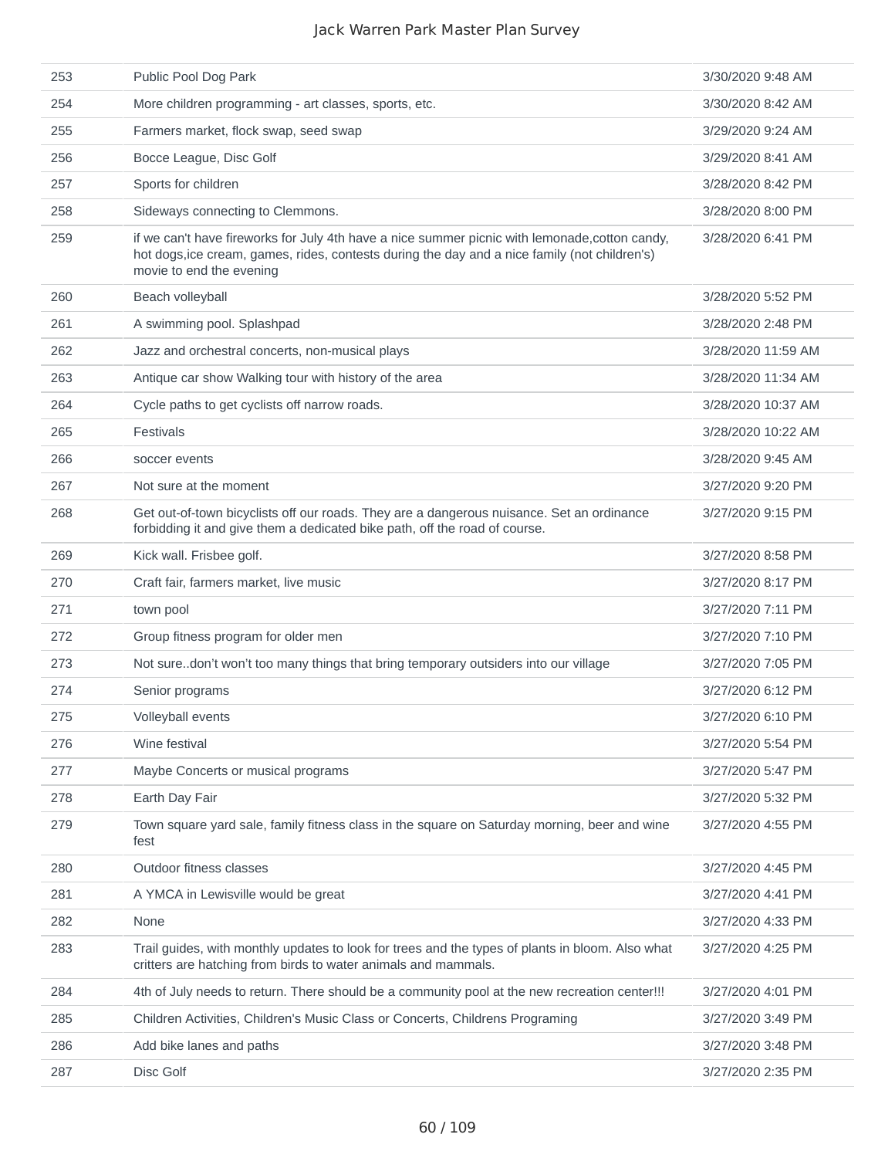| 253 | Public Pool Dog Park                                                                                                                                                                                                        | 3/30/2020 9:48 AM  |
|-----|-----------------------------------------------------------------------------------------------------------------------------------------------------------------------------------------------------------------------------|--------------------|
| 254 | More children programming - art classes, sports, etc.                                                                                                                                                                       | 3/30/2020 8:42 AM  |
| 255 | Farmers market, flock swap, seed swap                                                                                                                                                                                       | 3/29/2020 9:24 AM  |
| 256 | Bocce League, Disc Golf                                                                                                                                                                                                     | 3/29/2020 8:41 AM  |
| 257 | Sports for children                                                                                                                                                                                                         | 3/28/2020 8:42 PM  |
| 258 | Sideways connecting to Clemmons.                                                                                                                                                                                            | 3/28/2020 8:00 PM  |
| 259 | if we can't have fireworks for July 4th have a nice summer picnic with lemonade, cotton candy,<br>hot dogs, ice cream, games, rides, contests during the day and a nice family (not children's)<br>movie to end the evening | 3/28/2020 6:41 PM  |
| 260 | Beach volleyball                                                                                                                                                                                                            | 3/28/2020 5:52 PM  |
| 261 | A swimming pool. Splashpad                                                                                                                                                                                                  | 3/28/2020 2:48 PM  |
| 262 | Jazz and orchestral concerts, non-musical plays                                                                                                                                                                             | 3/28/2020 11:59 AM |
| 263 | Antique car show Walking tour with history of the area                                                                                                                                                                      | 3/28/2020 11:34 AM |
| 264 | Cycle paths to get cyclists off narrow roads.                                                                                                                                                                               | 3/28/2020 10:37 AM |
| 265 | <b>Festivals</b>                                                                                                                                                                                                            | 3/28/2020 10:22 AM |
| 266 | soccer events                                                                                                                                                                                                               | 3/28/2020 9:45 AM  |
| 267 | Not sure at the moment                                                                                                                                                                                                      | 3/27/2020 9:20 PM  |
| 268 | Get out-of-town bicyclists off our roads. They are a dangerous nuisance. Set an ordinance<br>forbidding it and give them a dedicated bike path, off the road of course.                                                     | 3/27/2020 9:15 PM  |
| 269 | Kick wall. Frisbee golf.                                                                                                                                                                                                    | 3/27/2020 8:58 PM  |
| 270 | Craft fair, farmers market, live music                                                                                                                                                                                      | 3/27/2020 8:17 PM  |
| 271 | town pool                                                                                                                                                                                                                   | 3/27/2020 7:11 PM  |
| 272 | Group fitness program for older men                                                                                                                                                                                         | 3/27/2020 7:10 PM  |
| 273 | Not suredon't won't too many things that bring temporary outsiders into our village                                                                                                                                         | 3/27/2020 7:05 PM  |
| 274 | Senior programs                                                                                                                                                                                                             | 3/27/2020 6:12 PM  |
| 275 | Volleyball events                                                                                                                                                                                                           | 3/27/2020 6:10 PM  |
| 276 | Wine festival                                                                                                                                                                                                               | 3/27/2020 5:54 PM  |
| 277 | Maybe Concerts or musical programs                                                                                                                                                                                          | 3/27/2020 5:47 PM  |
| 278 | Earth Day Fair                                                                                                                                                                                                              | 3/27/2020 5:32 PM  |
| 279 | Town square yard sale, family fitness class in the square on Saturday morning, beer and wine<br>fest                                                                                                                        | 3/27/2020 4:55 PM  |
| 280 | Outdoor fitness classes                                                                                                                                                                                                     | 3/27/2020 4:45 PM  |
| 281 | A YMCA in Lewisville would be great                                                                                                                                                                                         | 3/27/2020 4:41 PM  |
| 282 | None                                                                                                                                                                                                                        | 3/27/2020 4:33 PM  |
| 283 | Trail guides, with monthly updates to look for trees and the types of plants in bloom. Also what<br>critters are hatching from birds to water animals and mammals.                                                          | 3/27/2020 4:25 PM  |
| 284 | 4th of July needs to return. There should be a community pool at the new recreation center!!!                                                                                                                               | 3/27/2020 4:01 PM  |
| 285 | Children Activities, Children's Music Class or Concerts, Childrens Programing                                                                                                                                               | 3/27/2020 3:49 PM  |
| 286 | Add bike lanes and paths                                                                                                                                                                                                    | 3/27/2020 3:48 PM  |
| 287 | Disc Golf                                                                                                                                                                                                                   | 3/27/2020 2:35 PM  |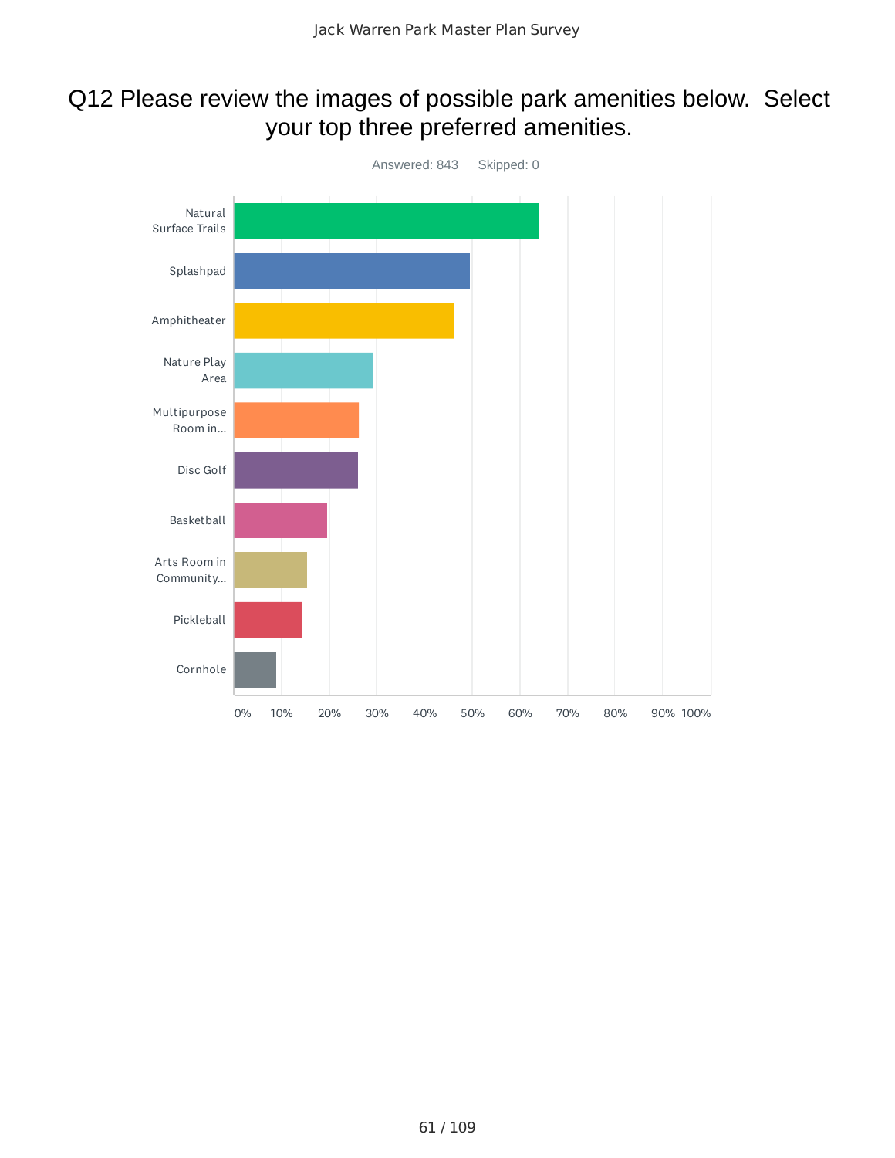### Q12 Please review the images of possible park amenities below. Select your top three preferred amenities.

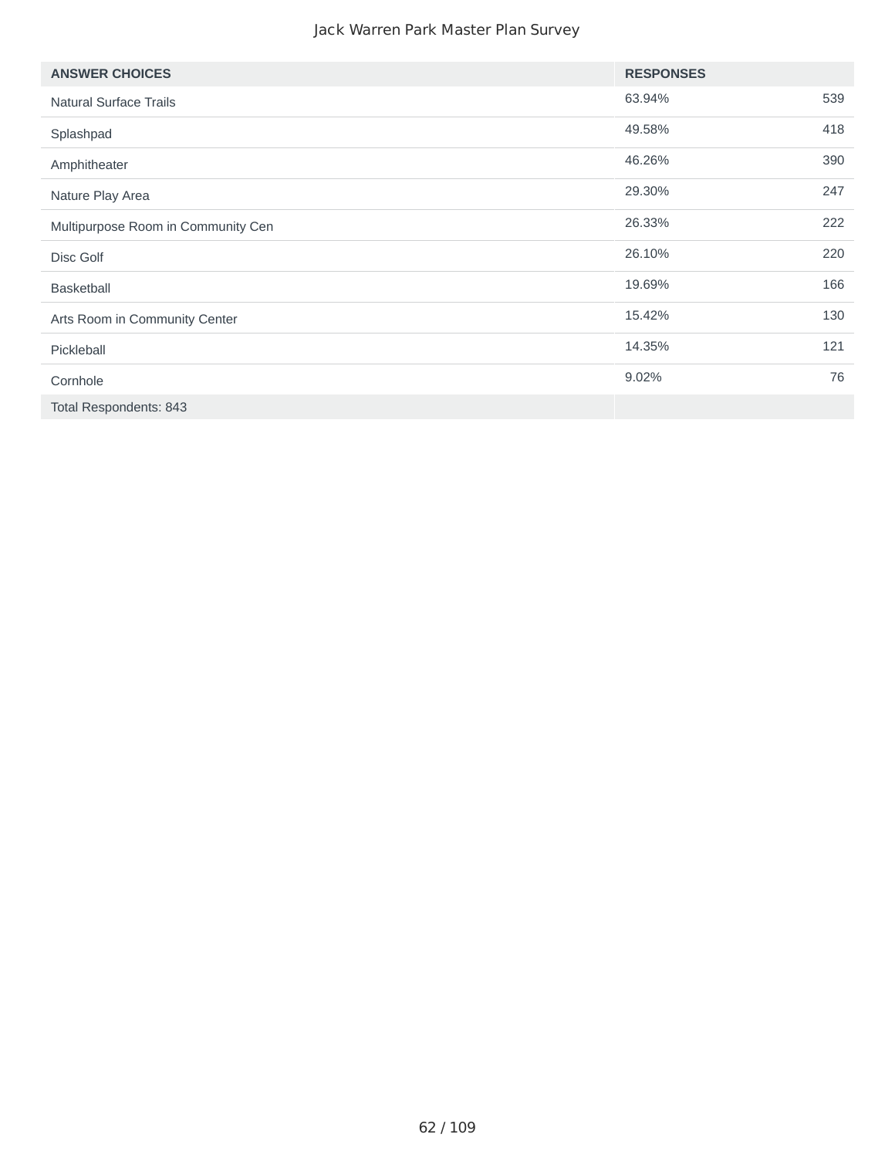| <b>ANSWER CHOICES</b>              | <b>RESPONSES</b> |     |
|------------------------------------|------------------|-----|
| <b>Natural Surface Trails</b>      | 63.94%           | 539 |
| Splashpad                          | 49.58%           | 418 |
| Amphitheater                       | 46.26%           | 390 |
| Nature Play Area                   | 29.30%           | 247 |
| Multipurpose Room in Community Cen | 26.33%           | 222 |
| Disc Golf                          | 26.10%           | 220 |
| <b>Basketball</b>                  | 19.69%           | 166 |
| Arts Room in Community Center      | 15.42%           | 130 |
| Pickleball                         | 14.35%           | 121 |
| Cornhole                           | 9.02%            | 76  |
| Total Respondents: 843             |                  |     |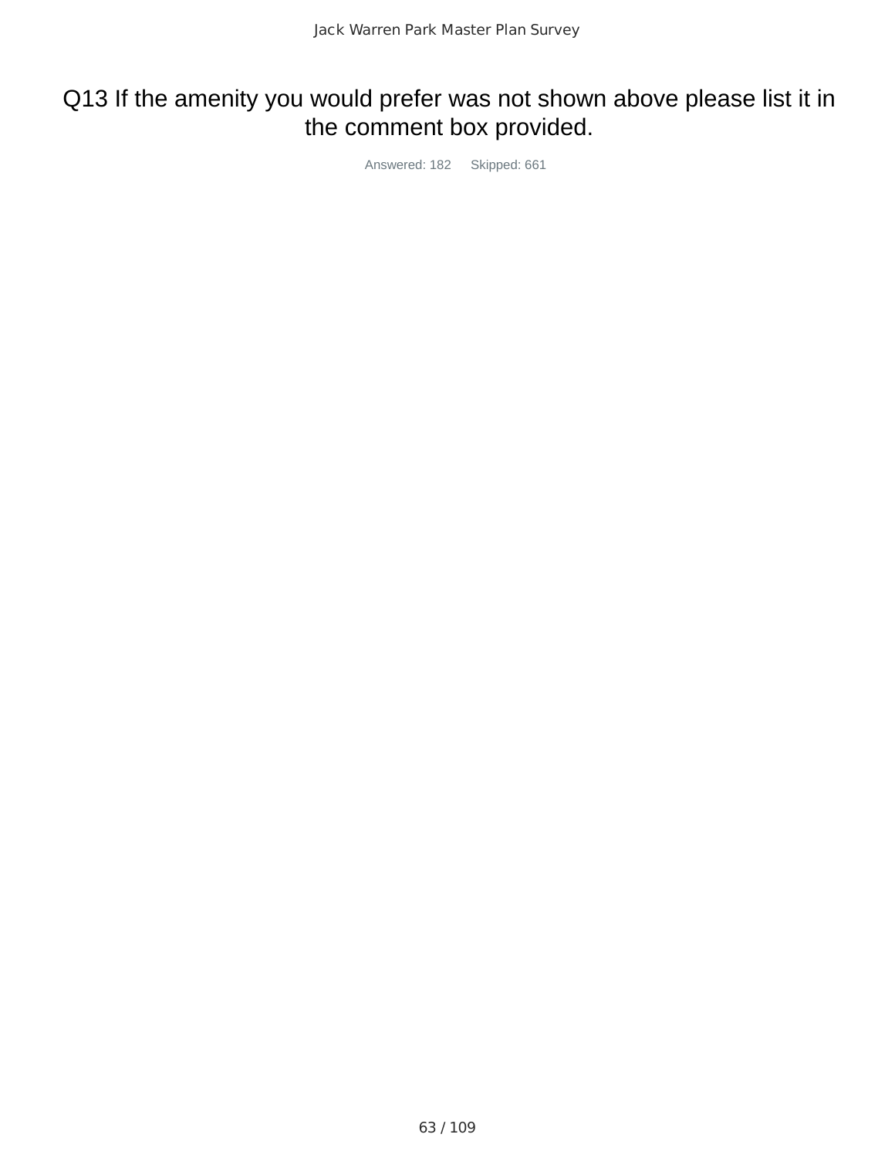# Q13 If the amenity you would prefer was not shown above please list it in the comment box provided.

Answered: 182 Skipped: 661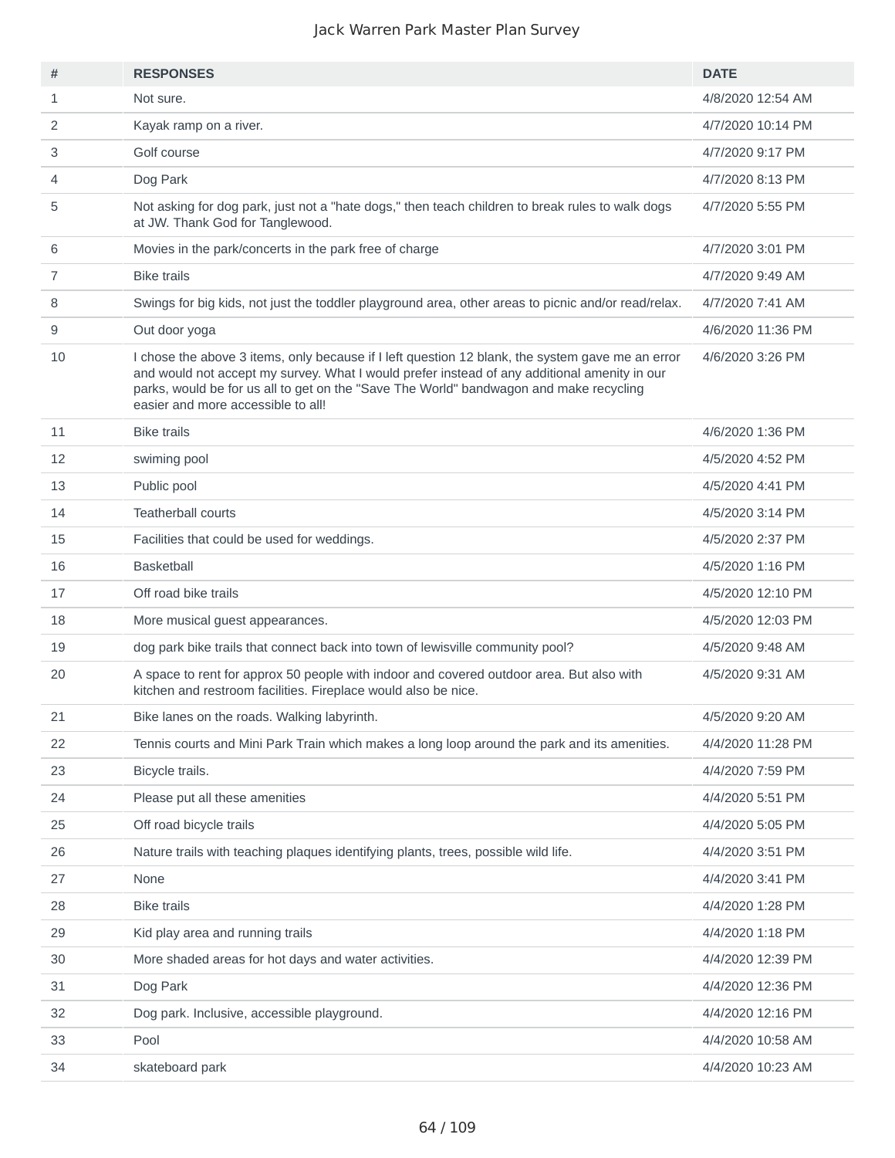| #              | <b>RESPONSES</b>                                                                                                                                                                                                                                                                                                                 | <b>DATE</b>       |
|----------------|----------------------------------------------------------------------------------------------------------------------------------------------------------------------------------------------------------------------------------------------------------------------------------------------------------------------------------|-------------------|
| $\mathbf{1}$   | Not sure.                                                                                                                                                                                                                                                                                                                        | 4/8/2020 12:54 AM |
| 2              | Kayak ramp on a river.                                                                                                                                                                                                                                                                                                           | 4/7/2020 10:14 PM |
| 3              | Golf course                                                                                                                                                                                                                                                                                                                      | 4/7/2020 9:17 PM  |
| 4              | Dog Park                                                                                                                                                                                                                                                                                                                         | 4/7/2020 8:13 PM  |
| 5              | Not asking for dog park, just not a "hate dogs," then teach children to break rules to walk dogs<br>at JW. Thank God for Tanglewood.                                                                                                                                                                                             | 4/7/2020 5:55 PM  |
| 6              | Movies in the park/concerts in the park free of charge                                                                                                                                                                                                                                                                           | 4/7/2020 3:01 PM  |
| $\overline{7}$ | <b>Bike trails</b>                                                                                                                                                                                                                                                                                                               | 4/7/2020 9:49 AM  |
| 8              | Swings for big kids, not just the toddler playground area, other areas to picnic and/or read/relax.                                                                                                                                                                                                                              | 4/7/2020 7:41 AM  |
| 9              | Out door yoga                                                                                                                                                                                                                                                                                                                    | 4/6/2020 11:36 PM |
| 10             | I chose the above 3 items, only because if I left question 12 blank, the system gave me an error<br>and would not accept my survey. What I would prefer instead of any additional amenity in our<br>parks, would be for us all to get on the "Save The World" bandwagon and make recycling<br>easier and more accessible to all! | 4/6/2020 3:26 PM  |
| 11             | <b>Bike trails</b>                                                                                                                                                                                                                                                                                                               | 4/6/2020 1:36 PM  |
| 12             | swiming pool                                                                                                                                                                                                                                                                                                                     | 4/5/2020 4:52 PM  |
| 13             | Public pool                                                                                                                                                                                                                                                                                                                      | 4/5/2020 4:41 PM  |
| 14             | <b>Teatherball courts</b>                                                                                                                                                                                                                                                                                                        | 4/5/2020 3:14 PM  |
| 15             | Facilities that could be used for weddings.                                                                                                                                                                                                                                                                                      | 4/5/2020 2:37 PM  |
| 16             | <b>Basketball</b>                                                                                                                                                                                                                                                                                                                | 4/5/2020 1:16 PM  |
| 17             | Off road bike trails                                                                                                                                                                                                                                                                                                             | 4/5/2020 12:10 PM |
| 18             | More musical guest appearances.                                                                                                                                                                                                                                                                                                  | 4/5/2020 12:03 PM |
| 19             | dog park bike trails that connect back into town of lewisville community pool?                                                                                                                                                                                                                                                   | 4/5/2020 9:48 AM  |
| 20             | A space to rent for approx 50 people with indoor and covered outdoor area. But also with<br>kitchen and restroom facilities. Fireplace would also be nice.                                                                                                                                                                       | 4/5/2020 9:31 AM  |
| 21             | Bike lanes on the roads. Walking labyrinth.                                                                                                                                                                                                                                                                                      | 4/5/2020 9:20 AM  |
| 22             | Tennis courts and Mini Park Train which makes a long loop around the park and its amenities.                                                                                                                                                                                                                                     | 4/4/2020 11:28 PM |
| 23             | Bicycle trails.                                                                                                                                                                                                                                                                                                                  | 4/4/2020 7:59 PM  |
| 24             | Please put all these amenities                                                                                                                                                                                                                                                                                                   | 4/4/2020 5:51 PM  |
| 25             | Off road bicycle trails                                                                                                                                                                                                                                                                                                          | 4/4/2020 5:05 PM  |
| 26             | Nature trails with teaching plaques identifying plants, trees, possible wild life.                                                                                                                                                                                                                                               | 4/4/2020 3:51 PM  |
| 27             | None                                                                                                                                                                                                                                                                                                                             | 4/4/2020 3:41 PM  |
| 28             | <b>Bike trails</b>                                                                                                                                                                                                                                                                                                               | 4/4/2020 1:28 PM  |
| 29             | Kid play area and running trails                                                                                                                                                                                                                                                                                                 | 4/4/2020 1:18 PM  |
| 30             | More shaded areas for hot days and water activities.                                                                                                                                                                                                                                                                             | 4/4/2020 12:39 PM |
| 31             | Dog Park                                                                                                                                                                                                                                                                                                                         | 4/4/2020 12:36 PM |
| 32             | Dog park. Inclusive, accessible playground.                                                                                                                                                                                                                                                                                      | 4/4/2020 12:16 PM |
| 33             | Pool                                                                                                                                                                                                                                                                                                                             | 4/4/2020 10:58 AM |
| 34             | skateboard park                                                                                                                                                                                                                                                                                                                  | 4/4/2020 10:23 AM |
|                |                                                                                                                                                                                                                                                                                                                                  |                   |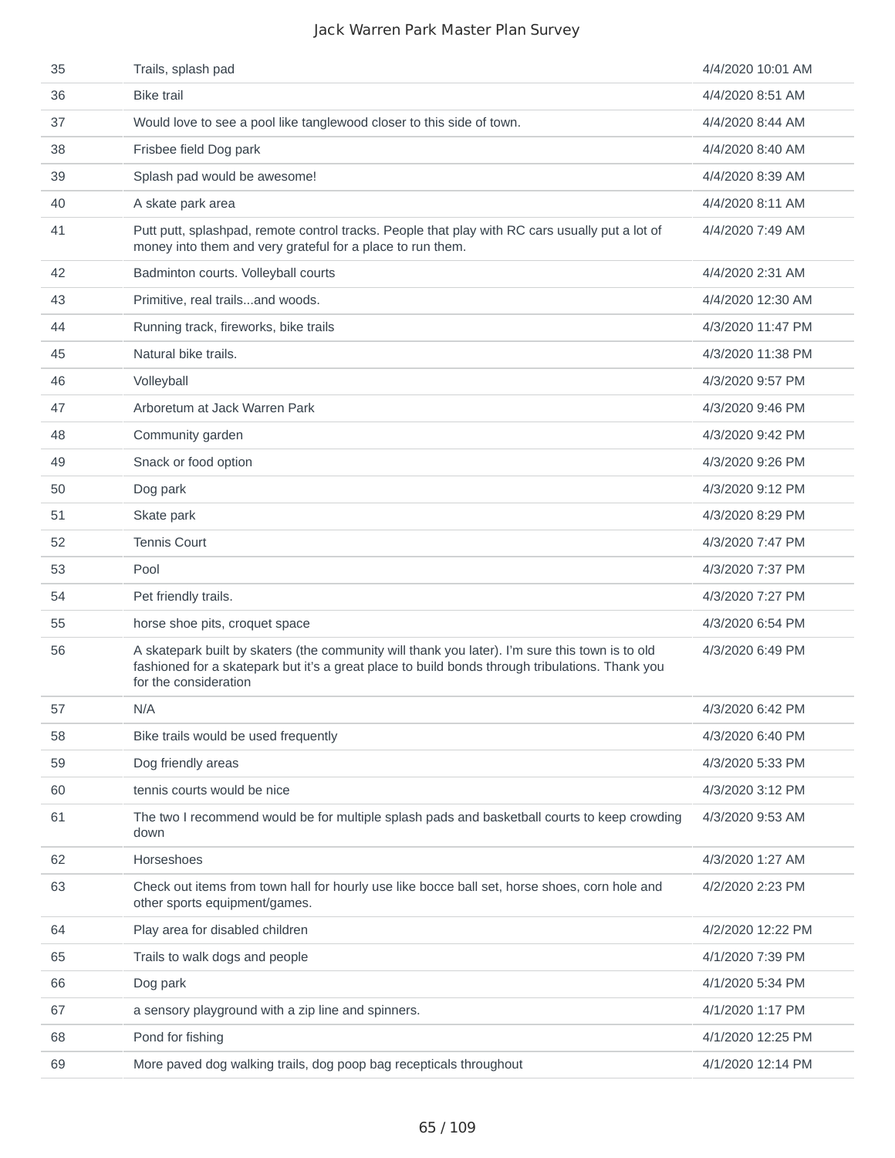| 35 | Trails, splash pad                                                                                                                                                                                                          | 4/4/2020 10:01 AM |
|----|-----------------------------------------------------------------------------------------------------------------------------------------------------------------------------------------------------------------------------|-------------------|
| 36 | <b>Bike trail</b>                                                                                                                                                                                                           | 4/4/2020 8:51 AM  |
| 37 | Would love to see a pool like tanglewood closer to this side of town.                                                                                                                                                       | 4/4/2020 8:44 AM  |
| 38 | Frisbee field Dog park                                                                                                                                                                                                      | 4/4/2020 8:40 AM  |
| 39 | Splash pad would be awesome!                                                                                                                                                                                                | 4/4/2020 8:39 AM  |
| 40 | A skate park area                                                                                                                                                                                                           | 4/4/2020 8:11 AM  |
| 41 | Putt putt, splashpad, remote control tracks. People that play with RC cars usually put a lot of<br>money into them and very grateful for a place to run them.                                                               | 4/4/2020 7:49 AM  |
| 42 | Badminton courts. Volleyball courts                                                                                                                                                                                         | 4/4/2020 2:31 AM  |
| 43 | Primitive, real trailsand woods.                                                                                                                                                                                            | 4/4/2020 12:30 AM |
| 44 | Running track, fireworks, bike trails                                                                                                                                                                                       | 4/3/2020 11:47 PM |
| 45 | Natural bike trails.                                                                                                                                                                                                        | 4/3/2020 11:38 PM |
| 46 | Volleyball                                                                                                                                                                                                                  | 4/3/2020 9:57 PM  |
| 47 | Arboretum at Jack Warren Park                                                                                                                                                                                               | 4/3/2020 9:46 PM  |
| 48 | Community garden                                                                                                                                                                                                            | 4/3/2020 9:42 PM  |
| 49 | Snack or food option                                                                                                                                                                                                        | 4/3/2020 9:26 PM  |
| 50 | Dog park                                                                                                                                                                                                                    | 4/3/2020 9:12 PM  |
| 51 | Skate park                                                                                                                                                                                                                  | 4/3/2020 8:29 PM  |
| 52 | <b>Tennis Court</b>                                                                                                                                                                                                         | 4/3/2020 7:47 PM  |
| 53 | Pool                                                                                                                                                                                                                        | 4/3/2020 7:37 PM  |
| 54 | Pet friendly trails.                                                                                                                                                                                                        | 4/3/2020 7:27 PM  |
| 55 | horse shoe pits, croquet space                                                                                                                                                                                              | 4/3/2020 6:54 PM  |
| 56 | A skatepark built by skaters (the community will thank you later). I'm sure this town is to old<br>fashioned for a skatepark but it's a great place to build bonds through tribulations. Thank you<br>for the consideration | 4/3/2020 6:49 PM  |
| 57 | N/A                                                                                                                                                                                                                         | 4/3/2020 6:42 PM  |
| 58 | Bike trails would be used frequently                                                                                                                                                                                        | 4/3/2020 6:40 PM  |
| 59 | Dog friendly areas                                                                                                                                                                                                          | 4/3/2020 5:33 PM  |
| 60 | tennis courts would be nice                                                                                                                                                                                                 | 4/3/2020 3:12 PM  |
| 61 | The two I recommend would be for multiple splash pads and basketball courts to keep crowding<br>down                                                                                                                        | 4/3/2020 9:53 AM  |
| 62 | Horseshoes                                                                                                                                                                                                                  | 4/3/2020 1:27 AM  |
| 63 | Check out items from town hall for hourly use like bocce ball set, horse shoes, corn hole and<br>other sports equipment/games.                                                                                              | 4/2/2020 2:23 PM  |
| 64 | Play area for disabled children                                                                                                                                                                                             | 4/2/2020 12:22 PM |
| 65 | Trails to walk dogs and people                                                                                                                                                                                              | 4/1/2020 7:39 PM  |
| 66 | Dog park                                                                                                                                                                                                                    | 4/1/2020 5:34 PM  |
| 67 | a sensory playground with a zip line and spinners.                                                                                                                                                                          | 4/1/2020 1:17 PM  |
| 68 | Pond for fishing                                                                                                                                                                                                            | 4/1/2020 12:25 PM |
| 69 | More paved dog walking trails, dog poop bag recepticals throughout                                                                                                                                                          | 4/1/2020 12:14 PM |
|    |                                                                                                                                                                                                                             |                   |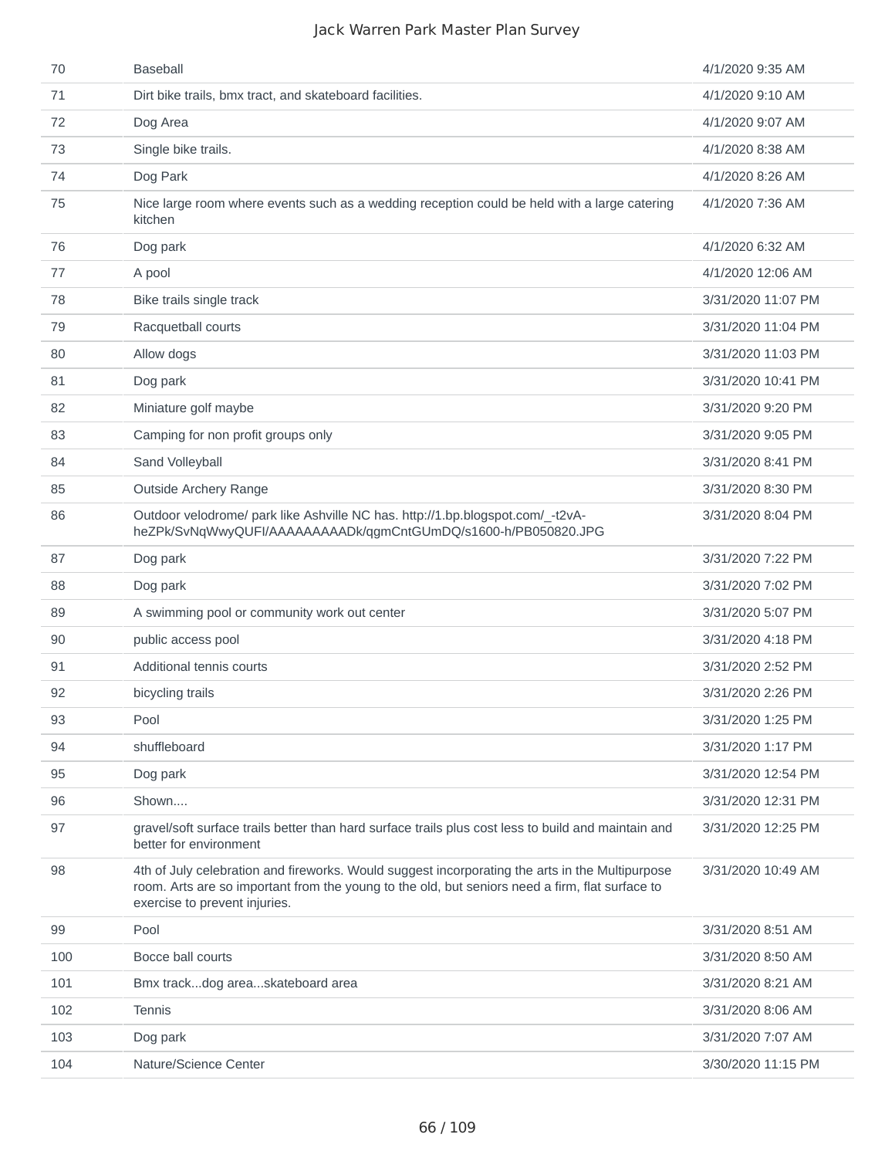| 70  | <b>Baseball</b>                                                                                                                                                                                                                     | 4/1/2020 9:35 AM   |
|-----|-------------------------------------------------------------------------------------------------------------------------------------------------------------------------------------------------------------------------------------|--------------------|
| 71  | Dirt bike trails, bmx tract, and skateboard facilities.                                                                                                                                                                             | 4/1/2020 9:10 AM   |
| 72  | Dog Area                                                                                                                                                                                                                            | 4/1/2020 9:07 AM   |
| 73  | Single bike trails.                                                                                                                                                                                                                 | 4/1/2020 8:38 AM   |
| 74  | Dog Park                                                                                                                                                                                                                            | 4/1/2020 8:26 AM   |
| 75  | Nice large room where events such as a wedding reception could be held with a large catering<br>kitchen                                                                                                                             | 4/1/2020 7:36 AM   |
| 76  | Dog park                                                                                                                                                                                                                            | 4/1/2020 6:32 AM   |
| 77  | A pool                                                                                                                                                                                                                              | 4/1/2020 12:06 AM  |
| 78  | Bike trails single track                                                                                                                                                                                                            | 3/31/2020 11:07 PM |
| 79  | Racquetball courts                                                                                                                                                                                                                  | 3/31/2020 11:04 PM |
| 80  | Allow dogs                                                                                                                                                                                                                          | 3/31/2020 11:03 PM |
| 81  | Dog park                                                                                                                                                                                                                            | 3/31/2020 10:41 PM |
| 82  | Miniature golf maybe                                                                                                                                                                                                                | 3/31/2020 9:20 PM  |
| 83  | Camping for non profit groups only                                                                                                                                                                                                  | 3/31/2020 9:05 PM  |
| 84  | Sand Volleyball                                                                                                                                                                                                                     | 3/31/2020 8:41 PM  |
| 85  | <b>Outside Archery Range</b>                                                                                                                                                                                                        | 3/31/2020 8:30 PM  |
| 86  | Outdoor velodrome/ park like Ashville NC has. http://1.bp.blogspot.com/ -t2vA-<br>heZPk/SvNqWwyQUFI/AAAAAAAAADk/qgmCntGUmDQ/s1600-h/PB050820.JPG                                                                                    | 3/31/2020 8:04 PM  |
| 87  | Dog park                                                                                                                                                                                                                            | 3/31/2020 7:22 PM  |
| 88  | Dog park                                                                                                                                                                                                                            | 3/31/2020 7:02 PM  |
| 89  | A swimming pool or community work out center                                                                                                                                                                                        | 3/31/2020 5:07 PM  |
| 90  | public access pool                                                                                                                                                                                                                  | 3/31/2020 4:18 PM  |
| 91  | Additional tennis courts                                                                                                                                                                                                            | 3/31/2020 2:52 PM  |
| 92  | bicycling trails                                                                                                                                                                                                                    | 3/31/2020 2:26 PM  |
| 93  | Pool                                                                                                                                                                                                                                | 3/31/2020 1:25 PM  |
| 94  | shuffleboard                                                                                                                                                                                                                        | 3/31/2020 1:17 PM  |
| 95  | Dog park                                                                                                                                                                                                                            | 3/31/2020 12:54 PM |
| 96  | Shown                                                                                                                                                                                                                               | 3/31/2020 12:31 PM |
| 97  | gravel/soft surface trails better than hard surface trails plus cost less to build and maintain and<br>better for environment                                                                                                       | 3/31/2020 12:25 PM |
| 98  | 4th of July celebration and fireworks. Would suggest incorporating the arts in the Multipurpose<br>room. Arts are so important from the young to the old, but seniors need a firm, flat surface to<br>exercise to prevent injuries. | 3/31/2020 10:49 AM |
| 99  | Pool                                                                                                                                                                                                                                | 3/31/2020 8:51 AM  |
| 100 | Bocce ball courts                                                                                                                                                                                                                   | 3/31/2020 8:50 AM  |
| 101 | Bmx trackdog areaskateboard area                                                                                                                                                                                                    | 3/31/2020 8:21 AM  |
| 102 | <b>Tennis</b>                                                                                                                                                                                                                       | 3/31/2020 8:06 AM  |
| 103 | Dog park                                                                                                                                                                                                                            | 3/31/2020 7:07 AM  |
| 104 | Nature/Science Center                                                                                                                                                                                                               | 3/30/2020 11:15 PM |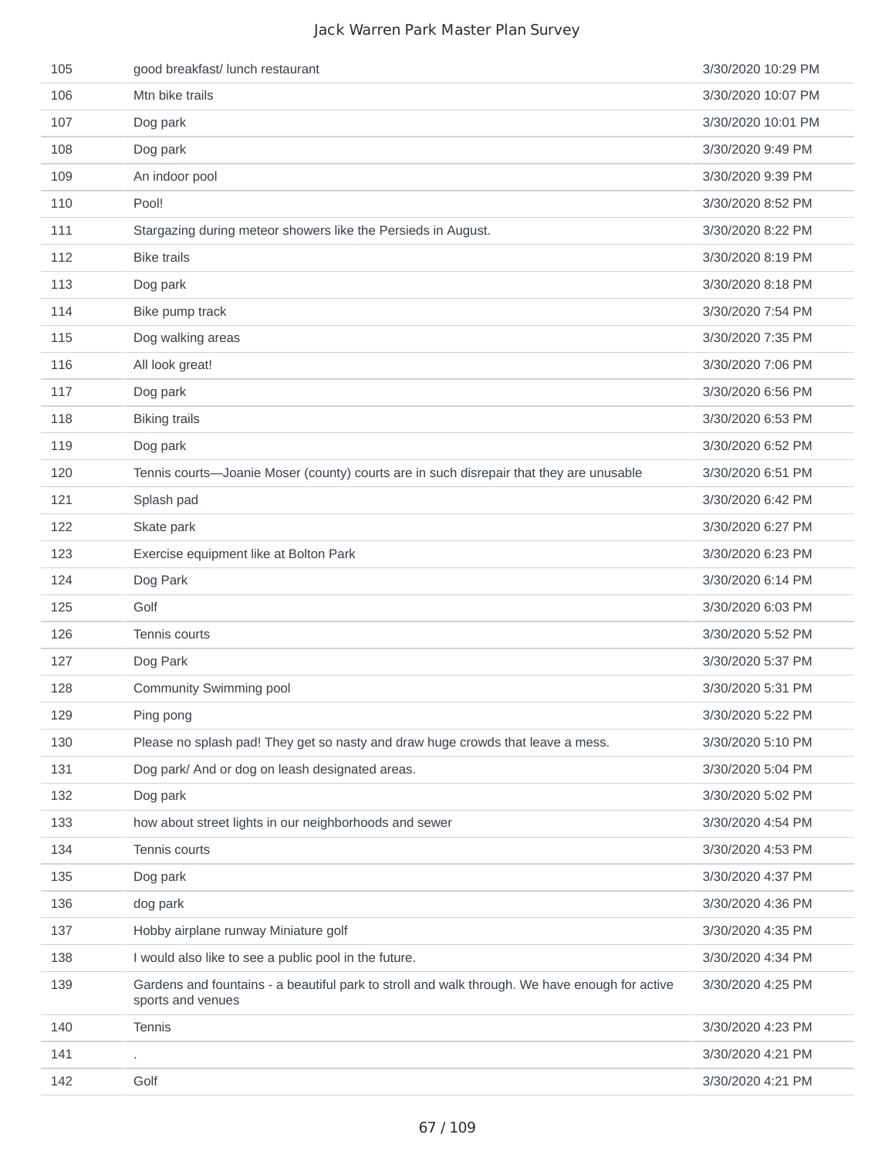| 105 | good breakfast/ lunch restaurant                                                                                    | 3/30/2020 10:29 PM |
|-----|---------------------------------------------------------------------------------------------------------------------|--------------------|
| 106 | Mtn bike trails                                                                                                     | 3/30/2020 10:07 PM |
| 107 | Dog park                                                                                                            | 3/30/2020 10:01 PM |
| 108 | Dog park                                                                                                            | 3/30/2020 9:49 PM  |
| 109 | An indoor pool                                                                                                      | 3/30/2020 9:39 PM  |
| 110 | Pool!                                                                                                               | 3/30/2020 8:52 PM  |
| 111 | Stargazing during meteor showers like the Persieds in August.                                                       | 3/30/2020 8:22 PM  |
| 112 | <b>Bike trails</b>                                                                                                  | 3/30/2020 8:19 PM  |
| 113 | Dog park                                                                                                            | 3/30/2020 8:18 PM  |
| 114 | Bike pump track                                                                                                     | 3/30/2020 7:54 PM  |
| 115 | Dog walking areas                                                                                                   | 3/30/2020 7:35 PM  |
| 116 | All look great!                                                                                                     | 3/30/2020 7:06 PM  |
| 117 | Dog park                                                                                                            | 3/30/2020 6:56 PM  |
| 118 | <b>Biking trails</b>                                                                                                | 3/30/2020 6:53 PM  |
| 119 | Dog park                                                                                                            | 3/30/2020 6:52 PM  |
| 120 | Tennis courts-Joanie Moser (county) courts are in such disrepair that they are unusable                             | 3/30/2020 6:51 PM  |
| 121 | Splash pad                                                                                                          | 3/30/2020 6:42 PM  |
| 122 | Skate park                                                                                                          | 3/30/2020 6:27 PM  |
| 123 | Exercise equipment like at Bolton Park                                                                              | 3/30/2020 6:23 PM  |
| 124 | Dog Park                                                                                                            | 3/30/2020 6:14 PM  |
| 125 | Golf                                                                                                                | 3/30/2020 6:03 PM  |
| 126 | Tennis courts                                                                                                       | 3/30/2020 5:52 PM  |
| 127 | Dog Park                                                                                                            | 3/30/2020 5:37 PM  |
| 128 | <b>Community Swimming pool</b>                                                                                      | 3/30/2020 5:31 PM  |
| 129 | Ping pong                                                                                                           | 3/30/2020 5:22 PM  |
| 130 | Please no splash pad! They get so nasty and draw huge crowds that leave a mess.                                     | 3/30/2020 5:10 PM  |
| 131 | Dog park/ And or dog on leash designated areas.                                                                     | 3/30/2020 5:04 PM  |
| 132 | Dog park                                                                                                            | 3/30/2020 5:02 PM  |
| 133 | how about street lights in our neighborhoods and sewer                                                              | 3/30/2020 4:54 PM  |
| 134 | Tennis courts                                                                                                       | 3/30/2020 4:53 PM  |
| 135 | Dog park                                                                                                            | 3/30/2020 4:37 PM  |
| 136 | dog park                                                                                                            | 3/30/2020 4:36 PM  |
| 137 | Hobby airplane runway Miniature golf                                                                                | 3/30/2020 4:35 PM  |
| 138 | I would also like to see a public pool in the future.                                                               | 3/30/2020 4:34 PM  |
| 139 | Gardens and fountains - a beautiful park to stroll and walk through. We have enough for active<br>sports and venues | 3/30/2020 4:25 PM  |
| 140 | Tennis                                                                                                              | 3/30/2020 4:23 PM  |
| 141 |                                                                                                                     | 3/30/2020 4:21 PM  |
| 142 | Golf                                                                                                                | 3/30/2020 4:21 PM  |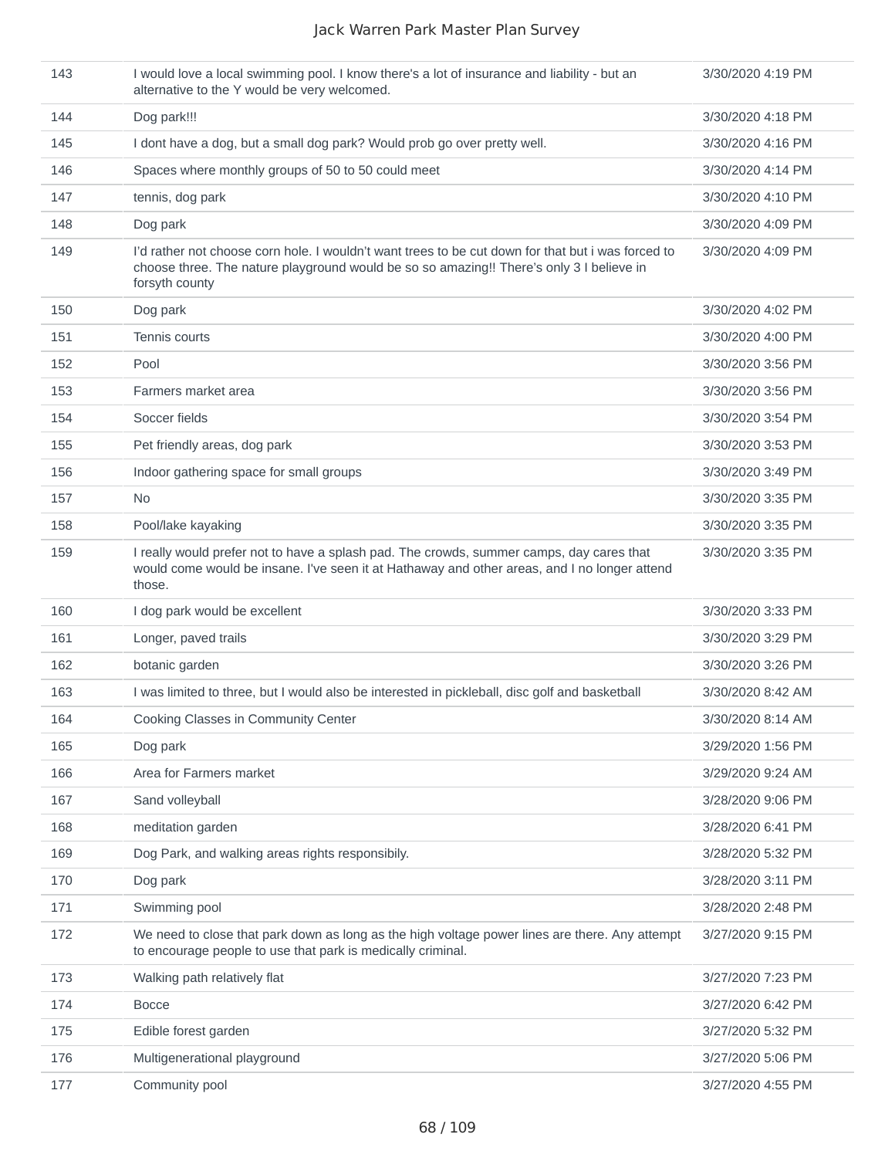| 143 | I would love a local swimming pool. I know there's a lot of insurance and liability - but an<br>alternative to the Y would be very welcomed.                                                                     | 3/30/2020 4:19 PM |
|-----|------------------------------------------------------------------------------------------------------------------------------------------------------------------------------------------------------------------|-------------------|
| 144 | Dog park!!!                                                                                                                                                                                                      | 3/30/2020 4:18 PM |
| 145 | I dont have a dog, but a small dog park? Would prob go over pretty well.                                                                                                                                         | 3/30/2020 4:16 PM |
| 146 | Spaces where monthly groups of 50 to 50 could meet                                                                                                                                                               | 3/30/2020 4:14 PM |
| 147 | tennis, dog park                                                                                                                                                                                                 | 3/30/2020 4:10 PM |
| 148 | Dog park                                                                                                                                                                                                         | 3/30/2020 4:09 PM |
| 149 | I'd rather not choose corn hole. I wouldn't want trees to be cut down for that but i was forced to<br>choose three. The nature playground would be so so amazing!! There's only 3 I believe in<br>forsyth county | 3/30/2020 4:09 PM |
| 150 | Dog park                                                                                                                                                                                                         | 3/30/2020 4:02 PM |
| 151 | Tennis courts                                                                                                                                                                                                    | 3/30/2020 4:00 PM |
| 152 | Pool                                                                                                                                                                                                             | 3/30/2020 3:56 PM |
| 153 | Farmers market area                                                                                                                                                                                              | 3/30/2020 3:56 PM |
| 154 | Soccer fields                                                                                                                                                                                                    | 3/30/2020 3:54 PM |
| 155 | Pet friendly areas, dog park                                                                                                                                                                                     | 3/30/2020 3:53 PM |
| 156 | Indoor gathering space for small groups                                                                                                                                                                          | 3/30/2020 3:49 PM |
| 157 | No.                                                                                                                                                                                                              | 3/30/2020 3:35 PM |
| 158 | Pool/lake kayaking                                                                                                                                                                                               | 3/30/2020 3:35 PM |
| 159 | I really would prefer not to have a splash pad. The crowds, summer camps, day cares that<br>would come would be insane. I've seen it at Hathaway and other areas, and I no longer attend<br>those.               | 3/30/2020 3:35 PM |
| 160 | I dog park would be excellent                                                                                                                                                                                    | 3/30/2020 3:33 PM |
| 161 | Longer, paved trails                                                                                                                                                                                             | 3/30/2020 3:29 PM |
| 162 | botanic garden                                                                                                                                                                                                   | 3/30/2020 3:26 PM |
| 163 | I was limited to three, but I would also be interested in pickleball, disc golf and basketball                                                                                                                   | 3/30/2020 8:42 AM |
| 164 | Cooking Classes in Community Center                                                                                                                                                                              | 3/30/2020 8:14 AM |
| 165 | Dog park                                                                                                                                                                                                         | 3/29/2020 1:56 PM |
| 166 | Area for Farmers market                                                                                                                                                                                          | 3/29/2020 9:24 AM |
| 167 | Sand volleyball                                                                                                                                                                                                  | 3/28/2020 9:06 PM |
| 168 | meditation garden                                                                                                                                                                                                | 3/28/2020 6:41 PM |
| 169 | Dog Park, and walking areas rights responsibily.                                                                                                                                                                 | 3/28/2020 5:32 PM |
| 170 | Dog park                                                                                                                                                                                                         | 3/28/2020 3:11 PM |
| 171 | Swimming pool                                                                                                                                                                                                    | 3/28/2020 2:48 PM |
| 172 | We need to close that park down as long as the high voltage power lines are there. Any attempt<br>to encourage people to use that park is medically criminal.                                                    | 3/27/2020 9:15 PM |
| 173 | Walking path relatively flat                                                                                                                                                                                     | 3/27/2020 7:23 PM |
| 174 | <b>Bocce</b>                                                                                                                                                                                                     | 3/27/2020 6:42 PM |
| 175 | Edible forest garden                                                                                                                                                                                             | 3/27/2020 5:32 PM |
| 176 | Multigenerational playground                                                                                                                                                                                     | 3/27/2020 5:06 PM |
| 177 | Community pool                                                                                                                                                                                                   | 3/27/2020 4:55 PM |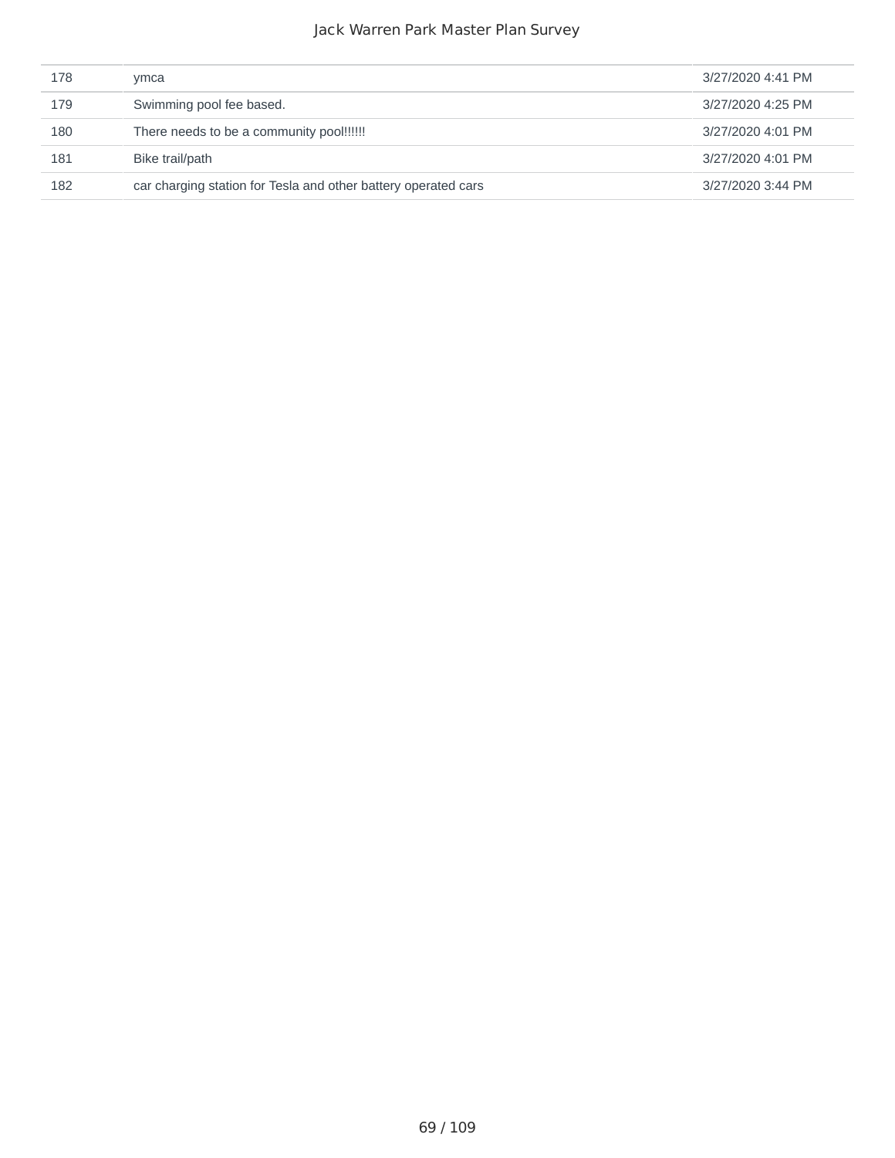| 178 | ymca                                                           | 3/27/2020 4:41 PM |
|-----|----------------------------------------------------------------|-------------------|
| 179 | Swimming pool fee based.                                       | 3/27/2020 4:25 PM |
| 180 | There needs to be a community pool!!!!!!                       | 3/27/2020 4:01 PM |
| 181 | Bike trail/path                                                | 3/27/2020 4:01 PM |
| 182 | car charging station for Tesla and other battery operated cars | 3/27/2020 3:44 PM |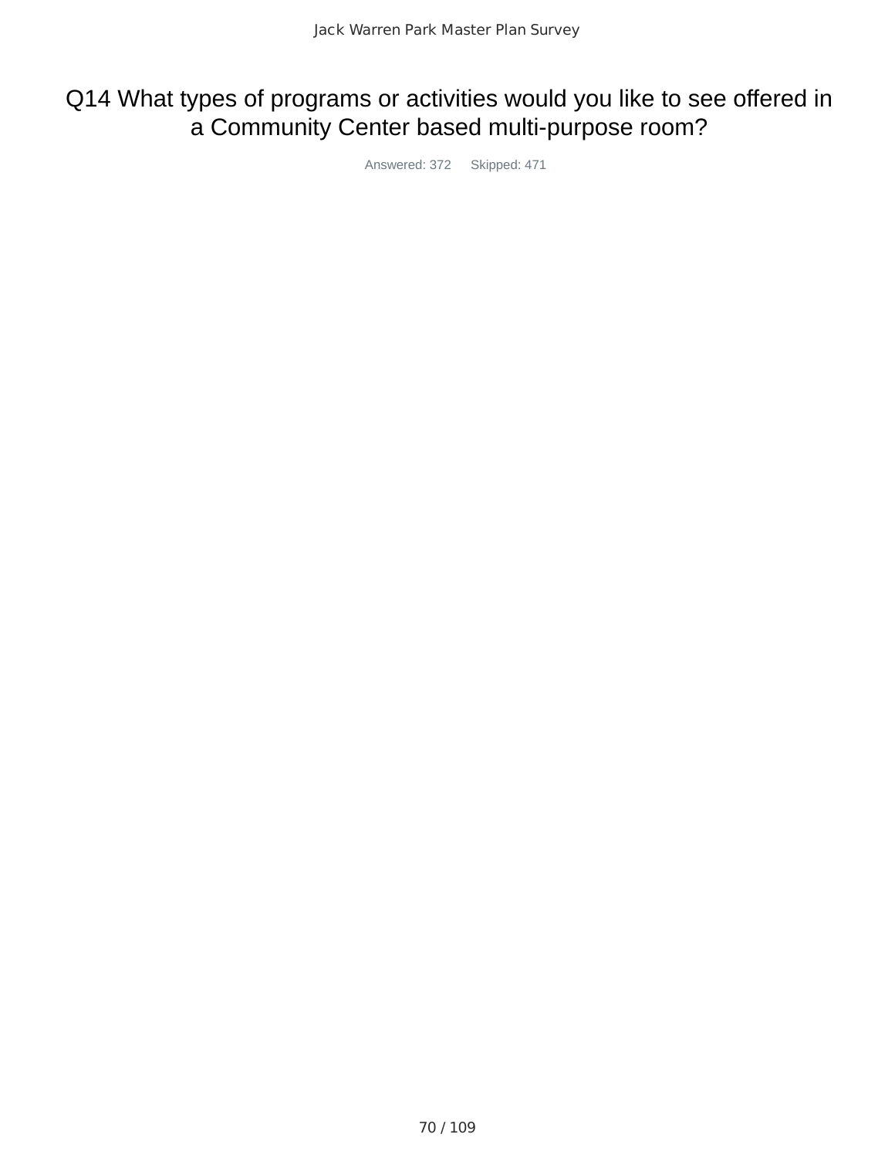# Q14 What types of programs or activities would you like to see offered in a Community Center based multi-purpose room?

Answered: 372 Skipped: 471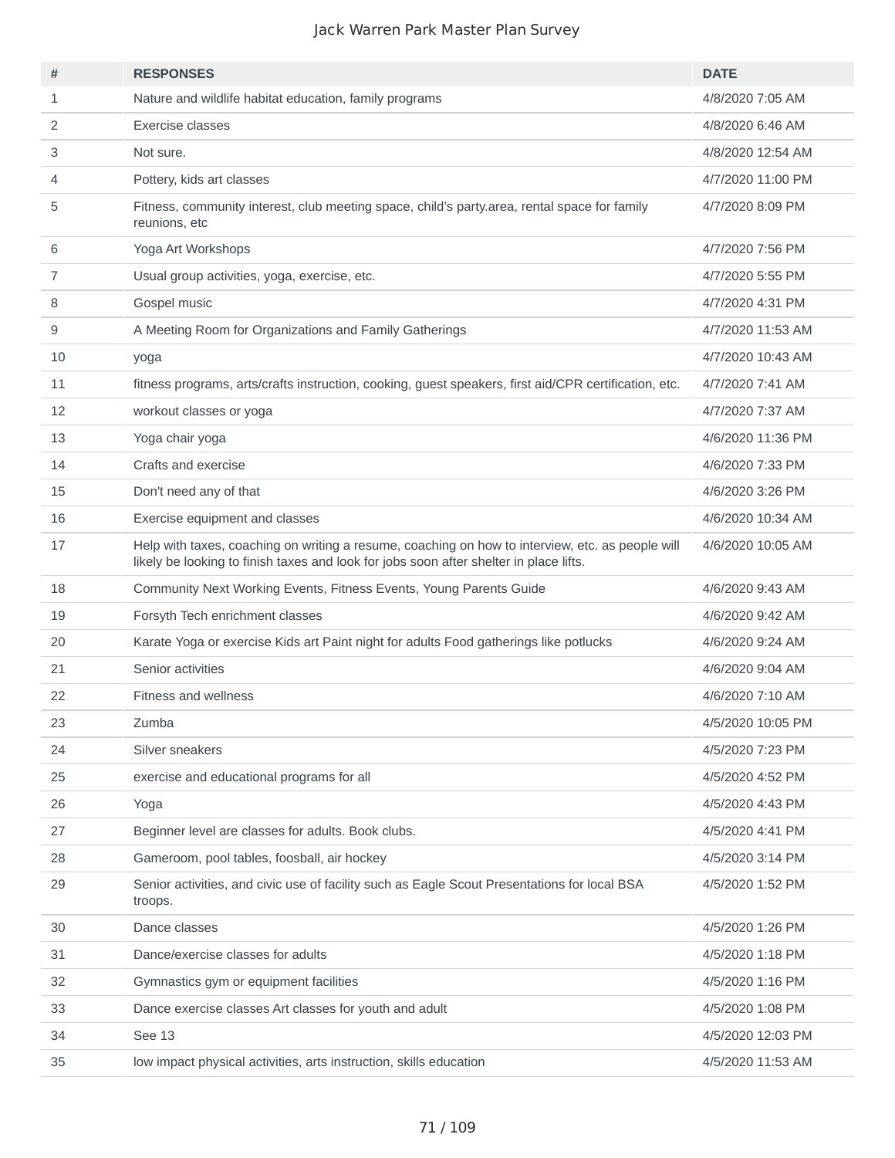| #              | <b>RESPONSES</b>                                                                                                                                                                           | <b>DATE</b>       |
|----------------|--------------------------------------------------------------------------------------------------------------------------------------------------------------------------------------------|-------------------|
| $\mathbf{1}$   | Nature and wildlife habitat education, family programs                                                                                                                                     | 4/8/2020 7:05 AM  |
| 2              | Exercise classes                                                                                                                                                                           | 4/8/2020 6:46 AM  |
| 3              | Not sure.                                                                                                                                                                                  | 4/8/2020 12:54 AM |
| 4              | Pottery, kids art classes                                                                                                                                                                  | 4/7/2020 11:00 PM |
| 5              | Fitness, community interest, club meeting space, child's party.area, rental space for family<br>reunions, etc                                                                              | 4/7/2020 8:09 PM  |
| 6              | Yoga Art Workshops                                                                                                                                                                         | 4/7/2020 7:56 PM  |
| $\overline{7}$ | Usual group activities, yoga, exercise, etc.                                                                                                                                               | 4/7/2020 5:55 PM  |
| 8              | Gospel music                                                                                                                                                                               | 4/7/2020 4:31 PM  |
| 9              | A Meeting Room for Organizations and Family Gatherings                                                                                                                                     | 4/7/2020 11:53 AM |
| 10             | yoga                                                                                                                                                                                       | 4/7/2020 10:43 AM |
| 11             | fitness programs, arts/crafts instruction, cooking, guest speakers, first aid/CPR certification, etc.                                                                                      | 4/7/2020 7:41 AM  |
| 12             | workout classes or yoga                                                                                                                                                                    | 4/7/2020 7:37 AM  |
| 13             | Yoga chair yoga                                                                                                                                                                            | 4/6/2020 11:36 PM |
| 14             | Crafts and exercise                                                                                                                                                                        | 4/6/2020 7:33 PM  |
| 15             | Don't need any of that                                                                                                                                                                     | 4/6/2020 3:26 PM  |
| 16             | Exercise equipment and classes                                                                                                                                                             | 4/6/2020 10:34 AM |
| 17             | Help with taxes, coaching on writing a resume, coaching on how to interview, etc. as people will<br>likely be looking to finish taxes and look for jobs soon after shelter in place lifts. | 4/6/2020 10:05 AM |
| 18             | Community Next Working Events, Fitness Events, Young Parents Guide                                                                                                                         | 4/6/2020 9:43 AM  |
| 19             | Forsyth Tech enrichment classes                                                                                                                                                            | 4/6/2020 9:42 AM  |
| 20             | Karate Yoga or exercise Kids art Paint night for adults Food gatherings like potlucks                                                                                                      | 4/6/2020 9:24 AM  |
| 21             | Senior activities                                                                                                                                                                          | 4/6/2020 9:04 AM  |
| 22             | <b>Fitness and wellness</b>                                                                                                                                                                | 4/6/2020 7:10 AM  |
| 23             | Zumba                                                                                                                                                                                      | 4/5/2020 10:05 PM |
| 24             | Silver sneakers                                                                                                                                                                            | 4/5/2020 7:23 PM  |
| 25             | exercise and educational programs for all                                                                                                                                                  | 4/5/2020 4:52 PM  |
| 26             | Yoga                                                                                                                                                                                       | 4/5/2020 4:43 PM  |
| 27             | Beginner level are classes for adults. Book clubs.                                                                                                                                         | 4/5/2020 4:41 PM  |
| 28             | Gameroom, pool tables, foosball, air hockey                                                                                                                                                | 4/5/2020 3:14 PM  |
| 29             | Senior activities, and civic use of facility such as Eagle Scout Presentations for local BSA<br>troops.                                                                                    | 4/5/2020 1:52 PM  |
| 30             | Dance classes                                                                                                                                                                              | 4/5/2020 1:26 PM  |
| 31             | Dance/exercise classes for adults                                                                                                                                                          | 4/5/2020 1:18 PM  |
| 32             | Gymnastics gym or equipment facilities                                                                                                                                                     | 4/5/2020 1:16 PM  |
| 33             | Dance exercise classes Art classes for youth and adult                                                                                                                                     | 4/5/2020 1:08 PM  |
| 34             | See 13                                                                                                                                                                                     | 4/5/2020 12:03 PM |
| 35             | low impact physical activities, arts instruction, skills education                                                                                                                         | 4/5/2020 11:53 AM |
|                |                                                                                                                                                                                            |                   |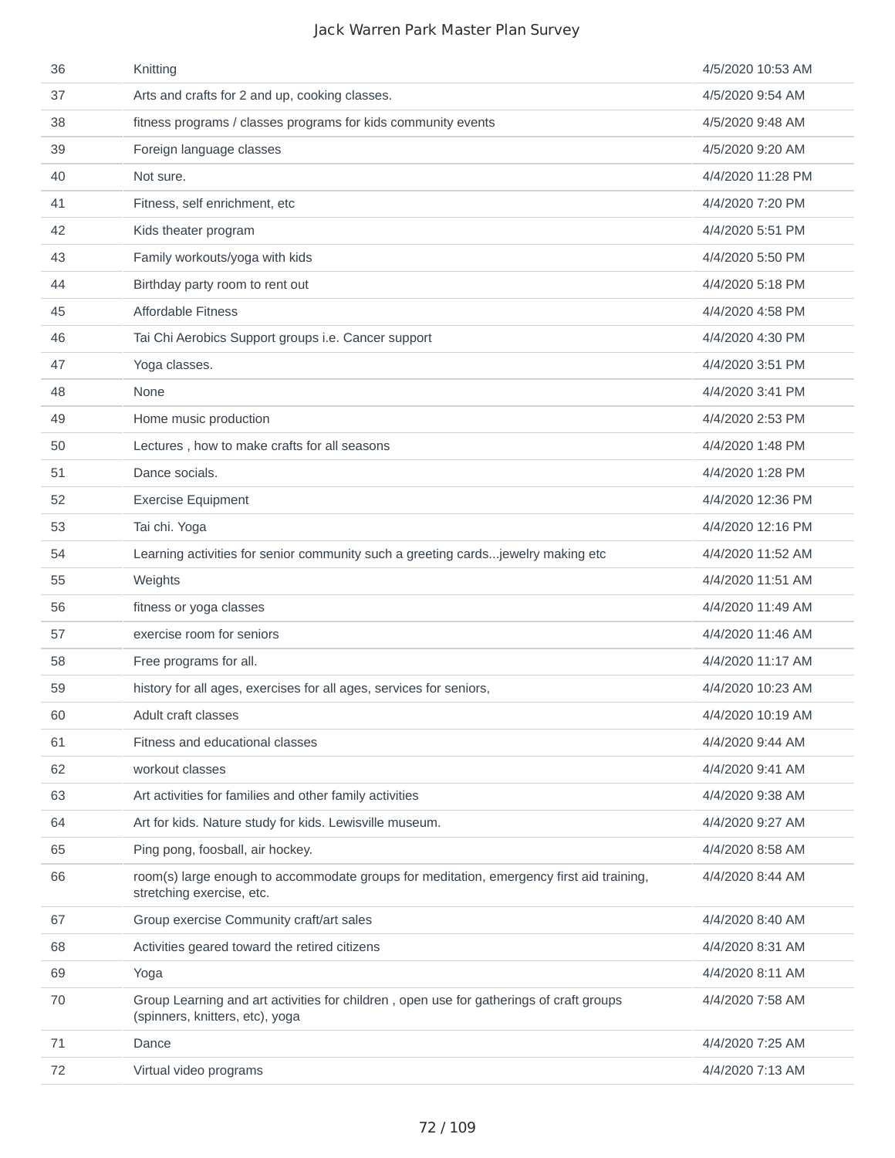| 36 | Knitting                                                                                                                   | 4/5/2020 10:53 AM |
|----|----------------------------------------------------------------------------------------------------------------------------|-------------------|
| 37 | Arts and crafts for 2 and up, cooking classes.                                                                             | 4/5/2020 9:54 AM  |
| 38 | fitness programs / classes programs for kids community events                                                              | 4/5/2020 9:48 AM  |
| 39 | Foreign language classes                                                                                                   | 4/5/2020 9:20 AM  |
| 40 | Not sure.                                                                                                                  | 4/4/2020 11:28 PM |
| 41 | Fitness, self enrichment, etc                                                                                              | 4/4/2020 7:20 PM  |
| 42 | Kids theater program                                                                                                       | 4/4/2020 5:51 PM  |
| 43 | Family workouts/yoga with kids                                                                                             | 4/4/2020 5:50 PM  |
| 44 | Birthday party room to rent out                                                                                            | 4/4/2020 5:18 PM  |
| 45 | <b>Affordable Fitness</b>                                                                                                  | 4/4/2020 4:58 PM  |
| 46 | Tai Chi Aerobics Support groups i.e. Cancer support                                                                        | 4/4/2020 4:30 PM  |
| 47 | Yoga classes.                                                                                                              | 4/4/2020 3:51 PM  |
| 48 | None                                                                                                                       | 4/4/2020 3:41 PM  |
| 49 | Home music production                                                                                                      | 4/4/2020 2:53 PM  |
| 50 | Lectures, how to make crafts for all seasons                                                                               | 4/4/2020 1:48 PM  |
| 51 | Dance socials.                                                                                                             | 4/4/2020 1:28 PM  |
| 52 | <b>Exercise Equipment</b>                                                                                                  | 4/4/2020 12:36 PM |
| 53 | Tai chi. Yoga                                                                                                              | 4/4/2020 12:16 PM |
| 54 | Learning activities for senior community such a greeting cardsjewelry making etc                                           | 4/4/2020 11:52 AM |
| 55 | Weights                                                                                                                    | 4/4/2020 11:51 AM |
| 56 | fitness or yoga classes                                                                                                    | 4/4/2020 11:49 AM |
| 57 | exercise room for seniors                                                                                                  | 4/4/2020 11:46 AM |
| 58 | Free programs for all.                                                                                                     | 4/4/2020 11:17 AM |
| 59 | history for all ages, exercises for all ages, services for seniors,                                                        | 4/4/2020 10:23 AM |
| 60 | Adult craft classes                                                                                                        | 4/4/2020 10:19 AM |
| 61 | Fitness and educational classes                                                                                            | 4/4/2020 9:44 AM  |
| 62 | workout classes                                                                                                            | 4/4/2020 9:41 AM  |
| 63 | Art activities for families and other family activities                                                                    | 4/4/2020 9:38 AM  |
| 64 | Art for kids. Nature study for kids. Lewisville museum.                                                                    | 4/4/2020 9:27 AM  |
| 65 | Ping pong, foosball, air hockey.                                                                                           | 4/4/2020 8:58 AM  |
| 66 | room(s) large enough to accommodate groups for meditation, emergency first aid training,<br>stretching exercise, etc.      | 4/4/2020 8:44 AM  |
| 67 | Group exercise Community craft/art sales                                                                                   | 4/4/2020 8:40 AM  |
| 68 | Activities geared toward the retired citizens                                                                              | 4/4/2020 8:31 AM  |
| 69 | Yoga                                                                                                                       | 4/4/2020 8:11 AM  |
| 70 | Group Learning and art activities for children, open use for gatherings of craft groups<br>(spinners, knitters, etc), yoga | 4/4/2020 7:58 AM  |
| 71 | Dance                                                                                                                      | 4/4/2020 7:25 AM  |
| 72 | Virtual video programs                                                                                                     | 4/4/2020 7:13 AM  |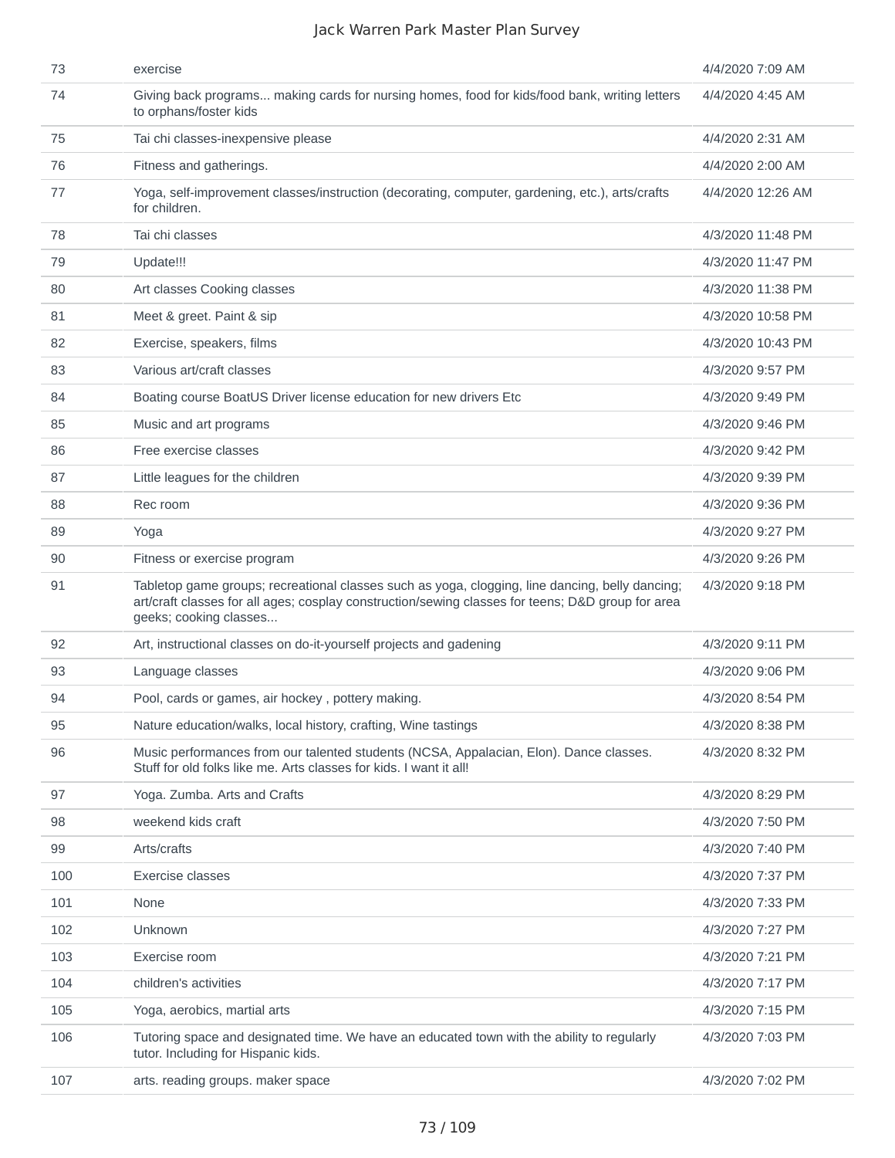| 73  | exercise                                                                                                                                                                                                                       | 4/4/2020 7:09 AM  |
|-----|--------------------------------------------------------------------------------------------------------------------------------------------------------------------------------------------------------------------------------|-------------------|
| 74  | Giving back programs making cards for nursing homes, food for kids/food bank, writing letters<br>to orphans/foster kids                                                                                                        | 4/4/2020 4:45 AM  |
| 75  | Tai chi classes-inexpensive please                                                                                                                                                                                             | 4/4/2020 2:31 AM  |
| 76  | Fitness and gatherings.                                                                                                                                                                                                        | 4/4/2020 2:00 AM  |
| 77  | Yoga, self-improvement classes/instruction (decorating, computer, gardening, etc.), arts/crafts<br>for children.                                                                                                               | 4/4/2020 12:26 AM |
| 78  | Tai chi classes                                                                                                                                                                                                                | 4/3/2020 11:48 PM |
| 79  | Update!!!                                                                                                                                                                                                                      | 4/3/2020 11:47 PM |
| 80  | Art classes Cooking classes                                                                                                                                                                                                    | 4/3/2020 11:38 PM |
| 81  | Meet & greet. Paint & sip                                                                                                                                                                                                      | 4/3/2020 10:58 PM |
| 82  | Exercise, speakers, films                                                                                                                                                                                                      | 4/3/2020 10:43 PM |
| 83  | Various art/craft classes                                                                                                                                                                                                      | 4/3/2020 9:57 PM  |
| 84  | Boating course BoatUS Driver license education for new drivers Etc                                                                                                                                                             | 4/3/2020 9:49 PM  |
| 85  | Music and art programs                                                                                                                                                                                                         | 4/3/2020 9:46 PM  |
| 86  | Free exercise classes                                                                                                                                                                                                          | 4/3/2020 9:42 PM  |
| 87  | Little leagues for the children                                                                                                                                                                                                | 4/3/2020 9:39 PM  |
| 88  | Rec room                                                                                                                                                                                                                       | 4/3/2020 9:36 PM  |
| 89  | Yoga                                                                                                                                                                                                                           | 4/3/2020 9:27 PM  |
| 90  | Fitness or exercise program                                                                                                                                                                                                    | 4/3/2020 9:26 PM  |
| 91  | Tabletop game groups; recreational classes such as yoga, clogging, line dancing, belly dancing;<br>art/craft classes for all ages; cosplay construction/sewing classes for teens; D&D group for area<br>geeks; cooking classes | 4/3/2020 9:18 PM  |
| 92  | Art, instructional classes on do-it-yourself projects and gadening                                                                                                                                                             | 4/3/2020 9:11 PM  |
| 93  | Language classes                                                                                                                                                                                                               | 4/3/2020 9:06 PM  |
| 94  | Pool, cards or games, air hockey, pottery making.                                                                                                                                                                              | 4/3/2020 8:54 PM  |
| 95  | Nature education/walks, local history, crafting, Wine tastings                                                                                                                                                                 | 4/3/2020 8:38 PM  |
| 96  | Music performances from our talented students (NCSA, Appalacian, Elon). Dance classes.<br>Stuff for old folks like me. Arts classes for kids. I want it all!                                                                   | 4/3/2020 8:32 PM  |
| 97  | Yoga. Zumba. Arts and Crafts                                                                                                                                                                                                   | 4/3/2020 8:29 PM  |
| 98  | weekend kids craft                                                                                                                                                                                                             | 4/3/2020 7:50 PM  |
| 99  | Arts/crafts                                                                                                                                                                                                                    | 4/3/2020 7:40 PM  |
| 100 | <b>Exercise classes</b>                                                                                                                                                                                                        | 4/3/2020 7:37 PM  |
| 101 | None                                                                                                                                                                                                                           | 4/3/2020 7:33 PM  |
| 102 | Unknown                                                                                                                                                                                                                        | 4/3/2020 7:27 PM  |
| 103 | Exercise room                                                                                                                                                                                                                  | 4/3/2020 7:21 PM  |
| 104 | children's activities                                                                                                                                                                                                          | 4/3/2020 7:17 PM  |
| 105 | Yoga, aerobics, martial arts                                                                                                                                                                                                   | 4/3/2020 7:15 PM  |
| 106 | Tutoring space and designated time. We have an educated town with the ability to regularly<br>tutor. Including for Hispanic kids.                                                                                              | 4/3/2020 7:03 PM  |
| 107 | arts. reading groups. maker space                                                                                                                                                                                              | 4/3/2020 7:02 PM  |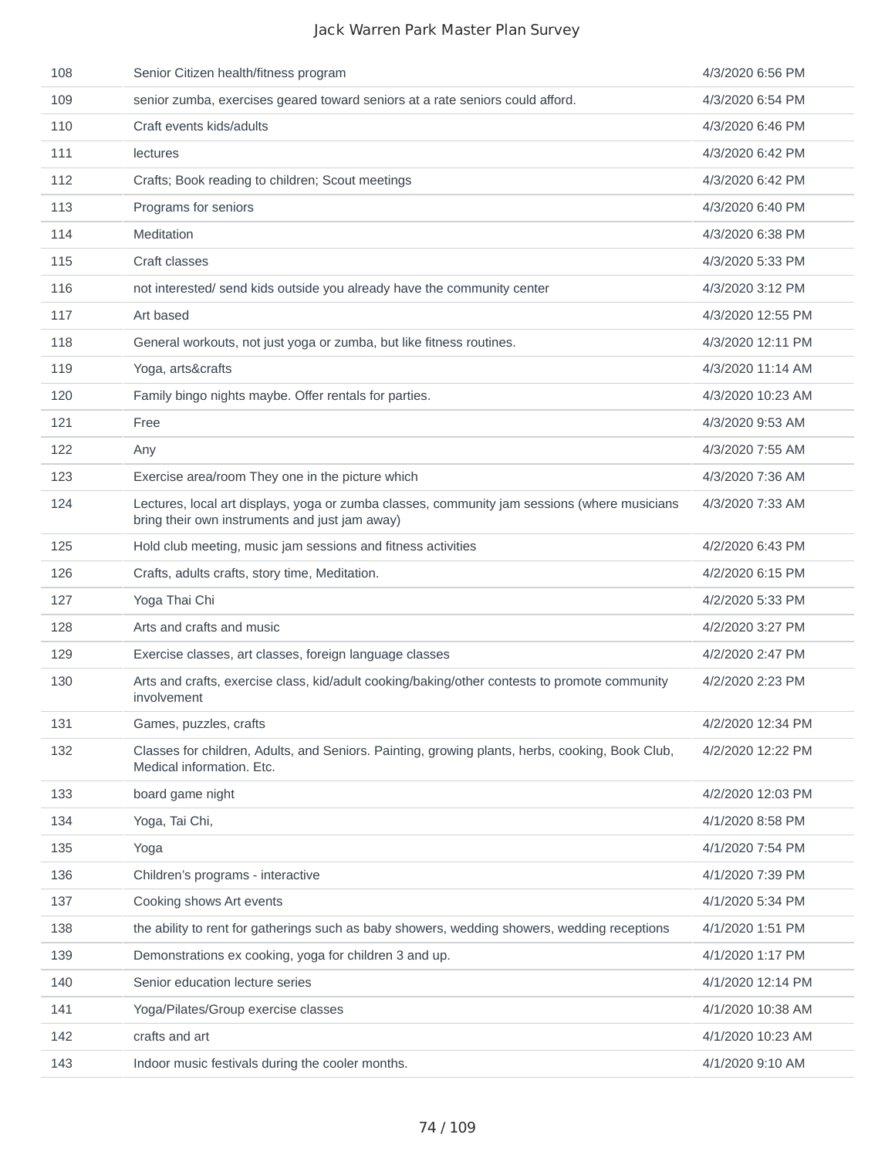| 108 | Senior Citizen health/fitness program                                                                                                          | 4/3/2020 6:56 PM  |
|-----|------------------------------------------------------------------------------------------------------------------------------------------------|-------------------|
| 109 | senior zumba, exercises geared toward seniors at a rate seniors could afford.                                                                  | 4/3/2020 6:54 PM  |
| 110 | Craft events kids/adults                                                                                                                       | 4/3/2020 6:46 PM  |
| 111 | lectures                                                                                                                                       | 4/3/2020 6:42 PM  |
| 112 | Crafts; Book reading to children; Scout meetings                                                                                               | 4/3/2020 6:42 PM  |
| 113 | Programs for seniors                                                                                                                           | 4/3/2020 6:40 PM  |
| 114 | Meditation                                                                                                                                     | 4/3/2020 6:38 PM  |
| 115 | Craft classes                                                                                                                                  | 4/3/2020 5:33 PM  |
| 116 | not interested/ send kids outside you already have the community center                                                                        | 4/3/2020 3:12 PM  |
| 117 | Art based                                                                                                                                      | 4/3/2020 12:55 PM |
| 118 | General workouts, not just yoga or zumba, but like fitness routines.                                                                           | 4/3/2020 12:11 PM |
| 119 | Yoga, arts&crafts                                                                                                                              | 4/3/2020 11:14 AM |
| 120 | Family bingo nights maybe. Offer rentals for parties.                                                                                          | 4/3/2020 10:23 AM |
| 121 | Free                                                                                                                                           | 4/3/2020 9:53 AM  |
| 122 | Any                                                                                                                                            | 4/3/2020 7:55 AM  |
| 123 | Exercise area/room They one in the picture which                                                                                               | 4/3/2020 7:36 AM  |
| 124 | Lectures, local art displays, yoga or zumba classes, community jam sessions (where musicians<br>bring their own instruments and just jam away) | 4/3/2020 7:33 AM  |
| 125 | Hold club meeting, music jam sessions and fitness activities                                                                                   | 4/2/2020 6:43 PM  |
| 126 | Crafts, adults crafts, story time, Meditation.                                                                                                 | 4/2/2020 6:15 PM  |
| 127 | Yoga Thai Chi                                                                                                                                  | 4/2/2020 5:33 PM  |
| 128 | Arts and crafts and music                                                                                                                      | 4/2/2020 3:27 PM  |
| 129 | Exercise classes, art classes, foreign language classes                                                                                        | 4/2/2020 2:47 PM  |
| 130 | Arts and crafts, exercise class, kid/adult cooking/baking/other contests to promote community<br>involvement                                   | 4/2/2020 2:23 PM  |
| 131 | Games, puzzles, crafts                                                                                                                         | 4/2/2020 12:34 PM |
| 132 | Classes for children, Adults, and Seniors. Painting, growing plants, herbs, cooking, Book Club,<br>Medical information. Etc.                   | 4/2/2020 12:22 PM |
| 133 | board game night                                                                                                                               | 4/2/2020 12:03 PM |
| 134 | Yoga, Tai Chi,                                                                                                                                 | 4/1/2020 8:58 PM  |
| 135 | Yoga                                                                                                                                           | 4/1/2020 7:54 PM  |
| 136 | Children's programs - interactive                                                                                                              | 4/1/2020 7:39 PM  |
| 137 | Cooking shows Art events                                                                                                                       | 4/1/2020 5:34 PM  |
| 138 | the ability to rent for gatherings such as baby showers, wedding showers, wedding receptions                                                   | 4/1/2020 1:51 PM  |
| 139 | Demonstrations ex cooking, yoga for children 3 and up.                                                                                         | 4/1/2020 1:17 PM  |
| 140 | Senior education lecture series                                                                                                                | 4/1/2020 12:14 PM |
| 141 | Yoga/Pilates/Group exercise classes                                                                                                            | 4/1/2020 10:38 AM |
| 142 | crafts and art                                                                                                                                 | 4/1/2020 10:23 AM |
| 143 | Indoor music festivals during the cooler months.                                                                                               | 4/1/2020 9:10 AM  |
|     |                                                                                                                                                |                   |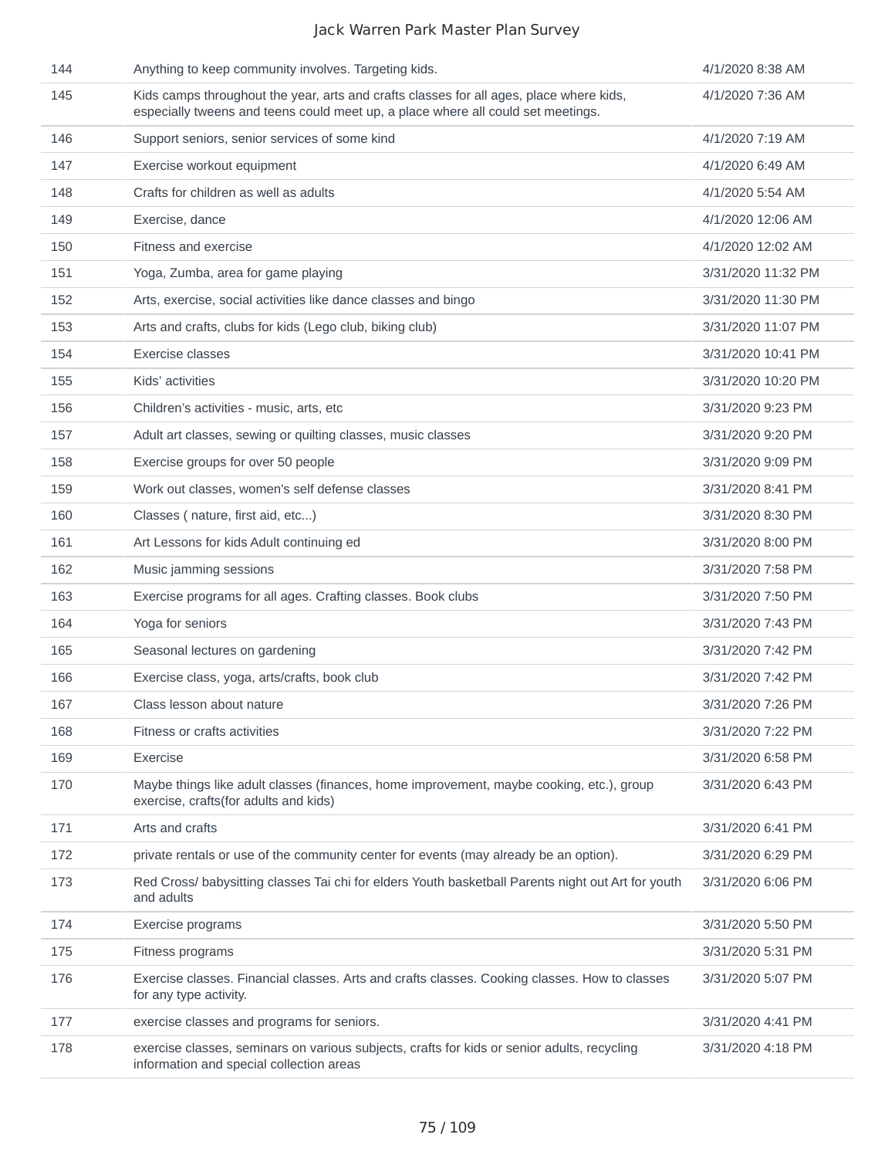| 144 | Anything to keep community involves. Targeting kids.                                                                                                                        | 4/1/2020 8:38 AM   |
|-----|-----------------------------------------------------------------------------------------------------------------------------------------------------------------------------|--------------------|
| 145 | Kids camps throughout the year, arts and crafts classes for all ages, place where kids,<br>especially tweens and teens could meet up, a place where all could set meetings. | 4/1/2020 7:36 AM   |
| 146 | Support seniors, senior services of some kind                                                                                                                               | 4/1/2020 7:19 AM   |
| 147 | Exercise workout equipment                                                                                                                                                  | 4/1/2020 6:49 AM   |
| 148 | Crafts for children as well as adults                                                                                                                                       | 4/1/2020 5:54 AM   |
| 149 | Exercise, dance                                                                                                                                                             | 4/1/2020 12:06 AM  |
| 150 | Fitness and exercise                                                                                                                                                        | 4/1/2020 12:02 AM  |
| 151 | Yoga, Zumba, area for game playing                                                                                                                                          | 3/31/2020 11:32 PM |
| 152 | Arts, exercise, social activities like dance classes and bingo                                                                                                              | 3/31/2020 11:30 PM |
| 153 | Arts and crafts, clubs for kids (Lego club, biking club)                                                                                                                    | 3/31/2020 11:07 PM |
| 154 | Exercise classes                                                                                                                                                            | 3/31/2020 10:41 PM |
| 155 | Kids' activities                                                                                                                                                            | 3/31/2020 10:20 PM |
| 156 | Children's activities - music, arts, etc                                                                                                                                    | 3/31/2020 9:23 PM  |
| 157 | Adult art classes, sewing or quilting classes, music classes                                                                                                                | 3/31/2020 9:20 PM  |
| 158 | Exercise groups for over 50 people                                                                                                                                          | 3/31/2020 9:09 PM  |
| 159 | Work out classes, women's self defense classes                                                                                                                              | 3/31/2020 8:41 PM  |
| 160 | Classes (nature, first aid, etc)                                                                                                                                            | 3/31/2020 8:30 PM  |
| 161 | Art Lessons for kids Adult continuing ed                                                                                                                                    | 3/31/2020 8:00 PM  |
| 162 | Music jamming sessions                                                                                                                                                      | 3/31/2020 7:58 PM  |
| 163 | Exercise programs for all ages. Crafting classes. Book clubs                                                                                                                | 3/31/2020 7:50 PM  |
| 164 | Yoga for seniors                                                                                                                                                            | 3/31/2020 7:43 PM  |
| 165 | Seasonal lectures on gardening                                                                                                                                              | 3/31/2020 7:42 PM  |
| 166 | Exercise class, yoga, arts/crafts, book club                                                                                                                                | 3/31/2020 7:42 PM  |
| 167 | Class lesson about nature                                                                                                                                                   | 3/31/2020 7:26 PM  |
| 168 | Fitness or crafts activities                                                                                                                                                | 3/31/2020 7:22 PM  |
| 169 | Exercise                                                                                                                                                                    | 3/31/2020 6:58 PM  |
| 170 | Maybe things like adult classes (finances, home improvement, maybe cooking, etc.), group<br>exercise, crafts(for adults and kids)                                           | 3/31/2020 6:43 PM  |
| 171 | Arts and crafts                                                                                                                                                             | 3/31/2020 6:41 PM  |
| 172 | private rentals or use of the community center for events (may already be an option).                                                                                       | 3/31/2020 6:29 PM  |
| 173 | Red Cross/ babysitting classes Tai chi for elders Youth basketball Parents night out Art for youth<br>and adults                                                            | 3/31/2020 6:06 PM  |
| 174 | Exercise programs                                                                                                                                                           | 3/31/2020 5:50 PM  |
| 175 | Fitness programs                                                                                                                                                            | 3/31/2020 5:31 PM  |
| 176 | Exercise classes. Financial classes. Arts and crafts classes. Cooking classes. How to classes<br>for any type activity.                                                     | 3/31/2020 5:07 PM  |
| 177 | exercise classes and programs for seniors.                                                                                                                                  | 3/31/2020 4:41 PM  |
| 178 | exercise classes, seminars on various subjects, crafts for kids or senior adults, recycling<br>information and special collection areas                                     | 3/31/2020 4:18 PM  |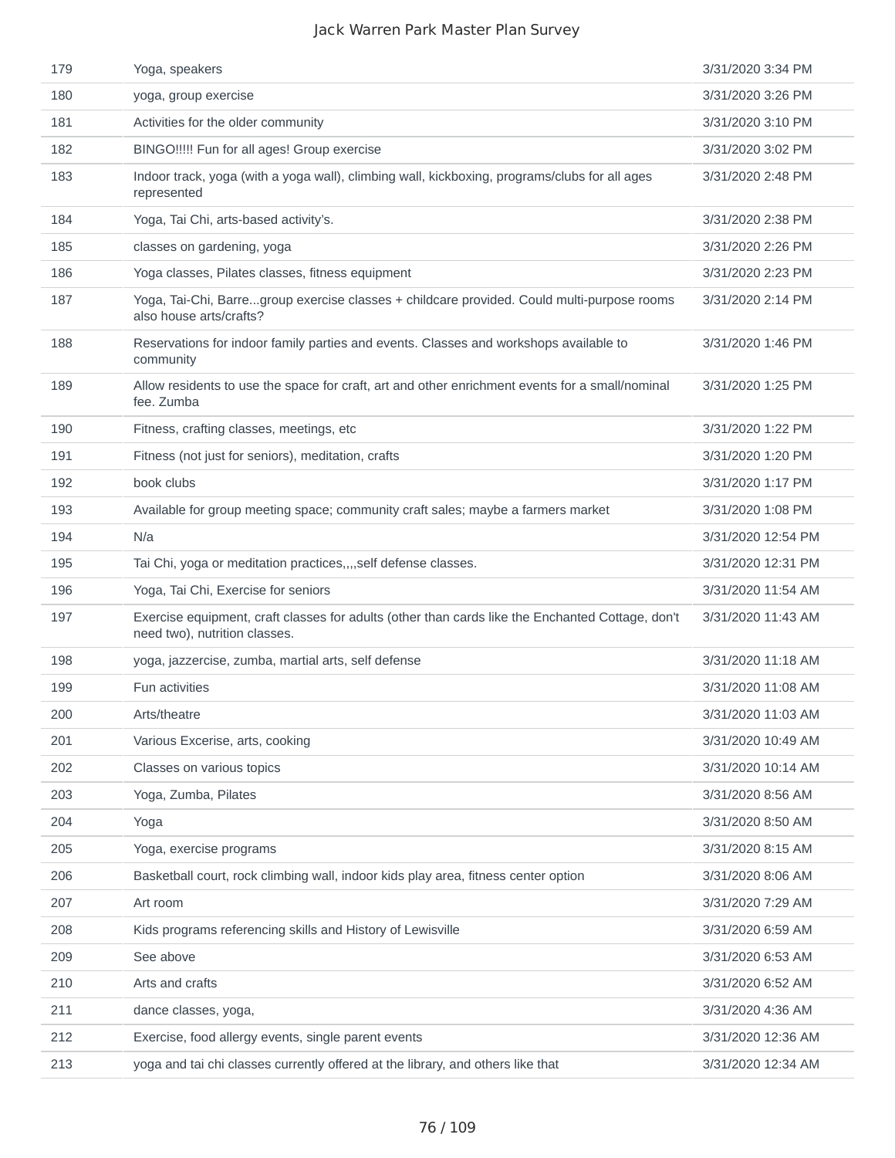| 179 | Yoga, speakers                                                                                                                    | 3/31/2020 3:34 PM  |
|-----|-----------------------------------------------------------------------------------------------------------------------------------|--------------------|
| 180 | yoga, group exercise                                                                                                              | 3/31/2020 3:26 PM  |
| 181 | Activities for the older community                                                                                                | 3/31/2020 3:10 PM  |
| 182 | BINGO!!!!! Fun for all ages! Group exercise                                                                                       | 3/31/2020 3:02 PM  |
| 183 | Indoor track, yoga (with a yoga wall), climbing wall, kickboxing, programs/clubs for all ages<br>represented                      | 3/31/2020 2:48 PM  |
| 184 | Yoga, Tai Chi, arts-based activity's.                                                                                             | 3/31/2020 2:38 PM  |
| 185 | classes on gardening, yoga                                                                                                        | 3/31/2020 2:26 PM  |
| 186 | Yoga classes, Pilates classes, fitness equipment                                                                                  | 3/31/2020 2:23 PM  |
| 187 | Yoga, Tai-Chi, Barregroup exercise classes + childcare provided. Could multi-purpose rooms<br>also house arts/crafts?             | 3/31/2020 2:14 PM  |
| 188 | Reservations for indoor family parties and events. Classes and workshops available to<br>community                                | 3/31/2020 1:46 PM  |
| 189 | Allow residents to use the space for craft, art and other enrichment events for a small/nominal<br>fee. Zumba                     | 3/31/2020 1:25 PM  |
| 190 | Fitness, crafting classes, meetings, etc.                                                                                         | 3/31/2020 1:22 PM  |
| 191 | Fitness (not just for seniors), meditation, crafts                                                                                | 3/31/2020 1:20 PM  |
| 192 | book clubs                                                                                                                        | 3/31/2020 1:17 PM  |
| 193 | Available for group meeting space; community craft sales; maybe a farmers market                                                  | 3/31/2020 1:08 PM  |
| 194 | N/a                                                                                                                               | 3/31/2020 12:54 PM |
| 195 | Tai Chi, yoga or meditation practices,,,,self defense classes.                                                                    | 3/31/2020 12:31 PM |
| 196 | Yoga, Tai Chi, Exercise for seniors                                                                                               | 3/31/2020 11:54 AM |
| 197 | Exercise equipment, craft classes for adults (other than cards like the Enchanted Cottage, don't<br>need two), nutrition classes. | 3/31/2020 11:43 AM |
| 198 | yoga, jazzercise, zumba, martial arts, self defense                                                                               | 3/31/2020 11:18 AM |
| 199 | Fun activities                                                                                                                    | 3/31/2020 11:08 AM |
| 200 | Arts/theatre                                                                                                                      | 3/31/2020 11:03 AM |
| 201 | Various Excerise, arts, cooking                                                                                                   | 3/31/2020 10:49 AM |
| 202 | Classes on various topics                                                                                                         | 3/31/2020 10:14 AM |
| 203 | Yoga, Zumba, Pilates                                                                                                              | 3/31/2020 8:56 AM  |
| 204 | Yoga                                                                                                                              | 3/31/2020 8:50 AM  |
| 205 | Yoga, exercise programs                                                                                                           | 3/31/2020 8:15 AM  |
| 206 | Basketball court, rock climbing wall, indoor kids play area, fitness center option                                                | 3/31/2020 8:06 AM  |
| 207 | Art room                                                                                                                          | 3/31/2020 7:29 AM  |
| 208 | Kids programs referencing skills and History of Lewisville                                                                        | 3/31/2020 6:59 AM  |
| 209 | See above                                                                                                                         | 3/31/2020 6:53 AM  |
| 210 | Arts and crafts                                                                                                                   | 3/31/2020 6:52 AM  |
| 211 | dance classes, yoga,                                                                                                              | 3/31/2020 4:36 AM  |
| 212 | Exercise, food allergy events, single parent events                                                                               | 3/31/2020 12:36 AM |
| 213 | yoga and tai chi classes currently offered at the library, and others like that                                                   | 3/31/2020 12:34 AM |
|     |                                                                                                                                   |                    |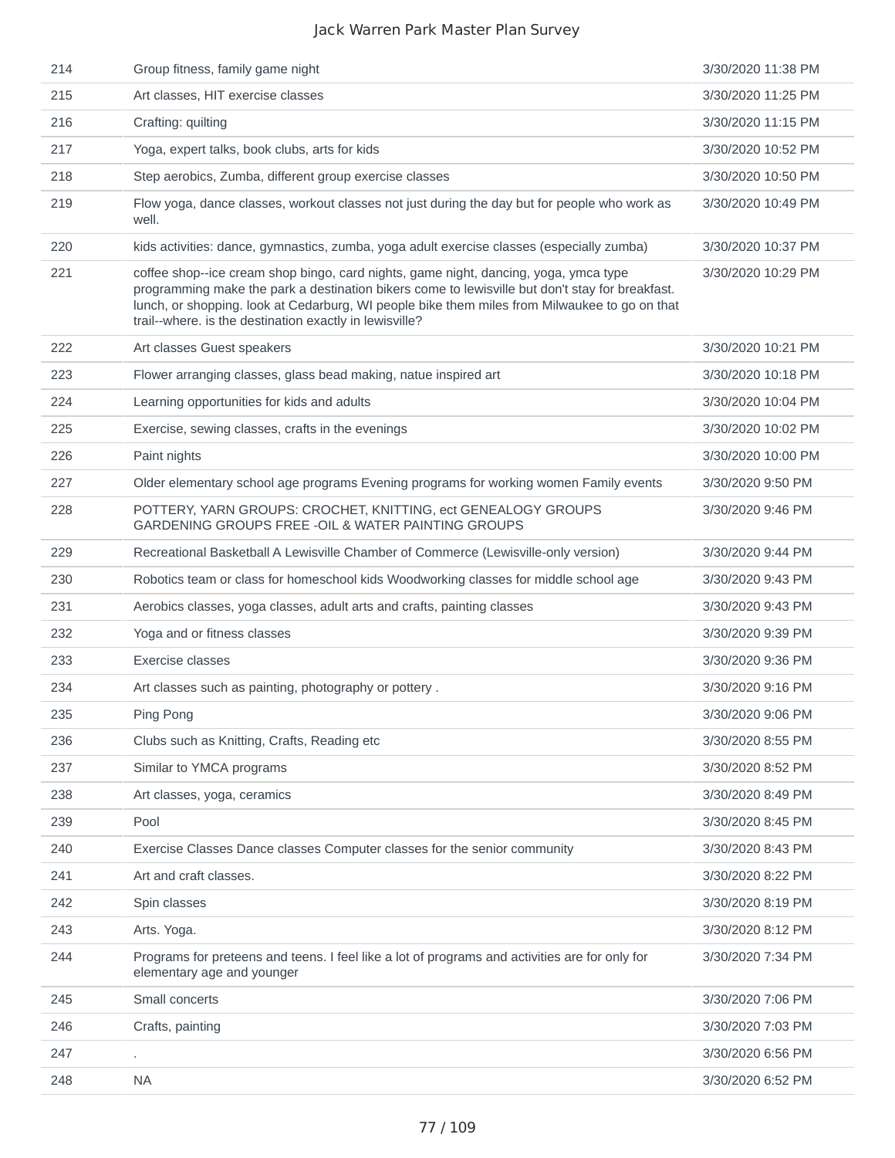| 214 | Group fitness, family game night                                                                                                                                                                                                                                                                                                                    | 3/30/2020 11:38 PM |
|-----|-----------------------------------------------------------------------------------------------------------------------------------------------------------------------------------------------------------------------------------------------------------------------------------------------------------------------------------------------------|--------------------|
| 215 | Art classes, HIT exercise classes                                                                                                                                                                                                                                                                                                                   | 3/30/2020 11:25 PM |
| 216 | Crafting: quilting                                                                                                                                                                                                                                                                                                                                  | 3/30/2020 11:15 PM |
| 217 | Yoga, expert talks, book clubs, arts for kids                                                                                                                                                                                                                                                                                                       | 3/30/2020 10:52 PM |
| 218 | Step aerobics, Zumba, different group exercise classes                                                                                                                                                                                                                                                                                              | 3/30/2020 10:50 PM |
| 219 | Flow yoga, dance classes, workout classes not just during the day but for people who work as<br>well.                                                                                                                                                                                                                                               | 3/30/2020 10:49 PM |
| 220 | kids activities: dance, gymnastics, zumba, yoga adult exercise classes (especially zumba)                                                                                                                                                                                                                                                           | 3/30/2020 10:37 PM |
| 221 | coffee shop--ice cream shop bingo, card nights, game night, dancing, yoga, ymca type<br>programming make the park a destination bikers come to lewisville but don't stay for breakfast.<br>lunch, or shopping. look at Cedarburg, WI people bike them miles from Milwaukee to go on that<br>trail--where. is the destination exactly in lewisville? | 3/30/2020 10:29 PM |
| 222 | Art classes Guest speakers                                                                                                                                                                                                                                                                                                                          | 3/30/2020 10:21 PM |
| 223 | Flower arranging classes, glass bead making, natue inspired art                                                                                                                                                                                                                                                                                     | 3/30/2020 10:18 PM |
| 224 | Learning opportunities for kids and adults                                                                                                                                                                                                                                                                                                          | 3/30/2020 10:04 PM |
| 225 | Exercise, sewing classes, crafts in the evenings                                                                                                                                                                                                                                                                                                    | 3/30/2020 10:02 PM |
| 226 | Paint nights                                                                                                                                                                                                                                                                                                                                        | 3/30/2020 10:00 PM |
| 227 | Older elementary school age programs Evening programs for working women Family events                                                                                                                                                                                                                                                               | 3/30/2020 9:50 PM  |
| 228 | POTTERY, YARN GROUPS: CROCHET, KNITTING, ect GENEALOGY GROUPS<br>GARDENING GROUPS FREE - OIL & WATER PAINTING GROUPS                                                                                                                                                                                                                                | 3/30/2020 9:46 PM  |
| 229 | Recreational Basketball A Lewisville Chamber of Commerce (Lewisville-only version)                                                                                                                                                                                                                                                                  | 3/30/2020 9:44 PM  |
| 230 | Robotics team or class for homeschool kids Woodworking classes for middle school age                                                                                                                                                                                                                                                                | 3/30/2020 9:43 PM  |
| 231 | Aerobics classes, yoga classes, adult arts and crafts, painting classes                                                                                                                                                                                                                                                                             | 3/30/2020 9:43 PM  |
| 232 | Yoga and or fitness classes                                                                                                                                                                                                                                                                                                                         | 3/30/2020 9:39 PM  |
| 233 | Exercise classes                                                                                                                                                                                                                                                                                                                                    | 3/30/2020 9:36 PM  |
| 234 | Art classes such as painting, photography or pottery.                                                                                                                                                                                                                                                                                               | 3/30/2020 9:16 PM  |
| 235 | Ping Pong                                                                                                                                                                                                                                                                                                                                           | 3/30/2020 9:06 PM  |
| 236 | Clubs such as Knitting, Crafts, Reading etc                                                                                                                                                                                                                                                                                                         | 3/30/2020 8:55 PM  |
| 237 | Similar to YMCA programs                                                                                                                                                                                                                                                                                                                            | 3/30/2020 8:52 PM  |
| 238 | Art classes, yoga, ceramics                                                                                                                                                                                                                                                                                                                         | 3/30/2020 8:49 PM  |
| 239 | Pool                                                                                                                                                                                                                                                                                                                                                | 3/30/2020 8:45 PM  |
| 240 | Exercise Classes Dance classes Computer classes for the senior community                                                                                                                                                                                                                                                                            | 3/30/2020 8:43 PM  |
| 241 | Art and craft classes.                                                                                                                                                                                                                                                                                                                              | 3/30/2020 8:22 PM  |
| 242 | Spin classes                                                                                                                                                                                                                                                                                                                                        | 3/30/2020 8:19 PM  |
| 243 | Arts. Yoga.                                                                                                                                                                                                                                                                                                                                         | 3/30/2020 8:12 PM  |
| 244 | Programs for preteens and teens. I feel like a lot of programs and activities are for only for<br>elementary age and younger                                                                                                                                                                                                                        | 3/30/2020 7:34 PM  |
| 245 | Small concerts                                                                                                                                                                                                                                                                                                                                      | 3/30/2020 7:06 PM  |
| 246 | Crafts, painting                                                                                                                                                                                                                                                                                                                                    | 3/30/2020 7:03 PM  |
| 247 |                                                                                                                                                                                                                                                                                                                                                     | 3/30/2020 6:56 PM  |
| 248 | <b>NA</b>                                                                                                                                                                                                                                                                                                                                           | 3/30/2020 6:52 PM  |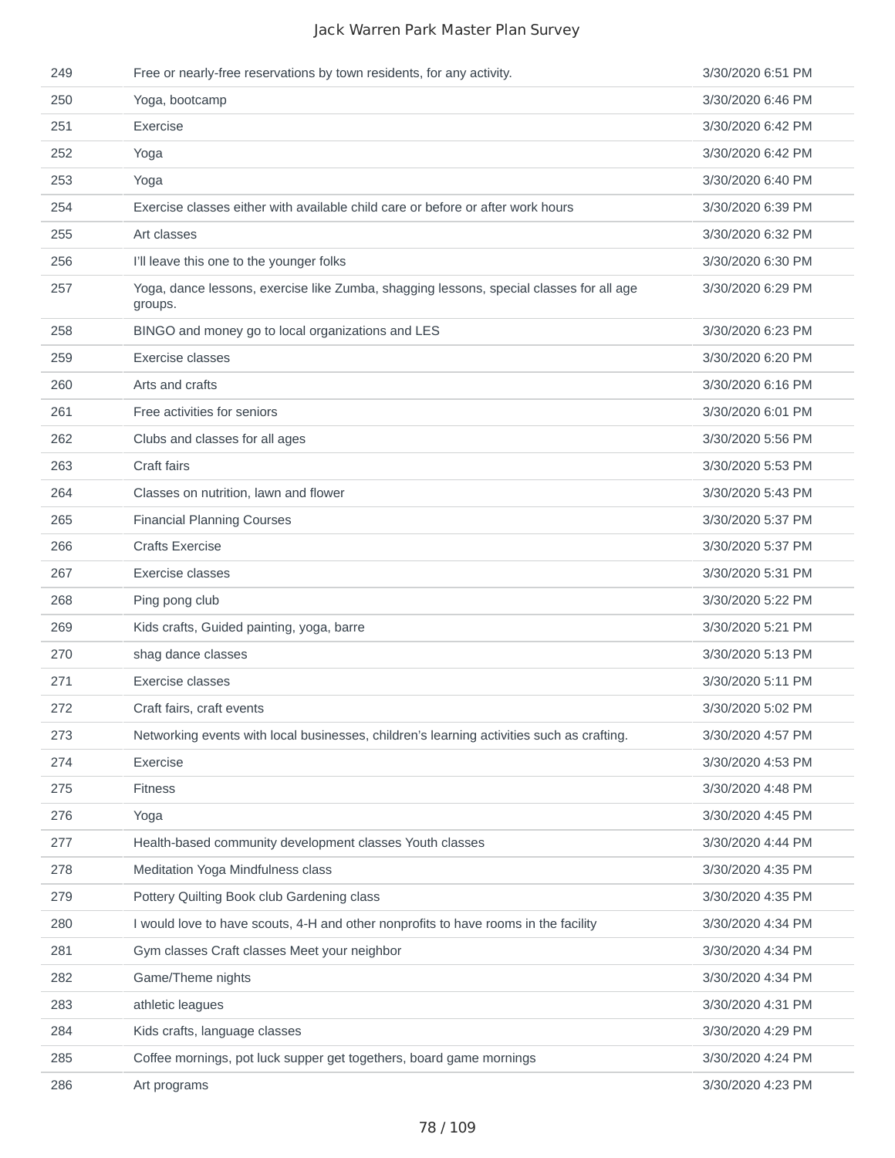| 249 | Free or nearly-free reservations by town residents, for any activity.                              | 3/30/2020 6:51 PM |
|-----|----------------------------------------------------------------------------------------------------|-------------------|
| 250 | Yoga, bootcamp                                                                                     | 3/30/2020 6:46 PM |
| 251 | Exercise                                                                                           | 3/30/2020 6:42 PM |
| 252 | Yoga                                                                                               | 3/30/2020 6:42 PM |
| 253 | Yoga                                                                                               | 3/30/2020 6:40 PM |
| 254 | Exercise classes either with available child care or before or after work hours                    | 3/30/2020 6:39 PM |
| 255 | Art classes                                                                                        | 3/30/2020 6:32 PM |
| 256 | I'll leave this one to the younger folks                                                           | 3/30/2020 6:30 PM |
| 257 | Yoga, dance lessons, exercise like Zumba, shagging lessons, special classes for all age<br>groups. | 3/30/2020 6:29 PM |
| 258 | BINGO and money go to local organizations and LES                                                  | 3/30/2020 6:23 PM |
| 259 | Exercise classes                                                                                   | 3/30/2020 6:20 PM |
| 260 | Arts and crafts                                                                                    | 3/30/2020 6:16 PM |
| 261 | Free activities for seniors                                                                        | 3/30/2020 6:01 PM |
| 262 | Clubs and classes for all ages                                                                     | 3/30/2020 5:56 PM |
| 263 | Craft fairs                                                                                        | 3/30/2020 5:53 PM |
| 264 | Classes on nutrition, lawn and flower                                                              | 3/30/2020 5:43 PM |
| 265 | <b>Financial Planning Courses</b>                                                                  | 3/30/2020 5:37 PM |
| 266 | <b>Crafts Exercise</b>                                                                             | 3/30/2020 5:37 PM |
| 267 | Exercise classes                                                                                   | 3/30/2020 5:31 PM |
| 268 | Ping pong club                                                                                     | 3/30/2020 5:22 PM |
| 269 | Kids crafts, Guided painting, yoga, barre                                                          | 3/30/2020 5:21 PM |
| 270 | shag dance classes                                                                                 | 3/30/2020 5:13 PM |
| 271 | Exercise classes                                                                                   | 3/30/2020 5:11 PM |
| 272 | Craft fairs, craft events                                                                          | 3/30/2020 5:02 PM |
| 273 | Networking events with local businesses, children's learning activities such as crafting.          | 3/30/2020 4:57 PM |
| 274 | Exercise                                                                                           | 3/30/2020 4:53 PM |
| 275 | <b>Fitness</b>                                                                                     | 3/30/2020 4:48 PM |
| 276 | Yoga                                                                                               | 3/30/2020 4:45 PM |
| 277 | Health-based community development classes Youth classes                                           | 3/30/2020 4:44 PM |
| 278 | Meditation Yoga Mindfulness class                                                                  | 3/30/2020 4:35 PM |
| 279 | Pottery Quilting Book club Gardening class                                                         | 3/30/2020 4:35 PM |
| 280 | I would love to have scouts, 4-H and other nonprofits to have rooms in the facility                | 3/30/2020 4:34 PM |
| 281 | Gym classes Craft classes Meet your neighbor                                                       | 3/30/2020 4:34 PM |
| 282 | Game/Theme nights                                                                                  | 3/30/2020 4:34 PM |
| 283 | athletic leagues                                                                                   | 3/30/2020 4:31 PM |
| 284 | Kids crafts, language classes                                                                      | 3/30/2020 4:29 PM |
| 285 | Coffee mornings, pot luck supper get togethers, board game mornings                                | 3/30/2020 4:24 PM |
| 286 | Art programs                                                                                       | 3/30/2020 4:23 PM |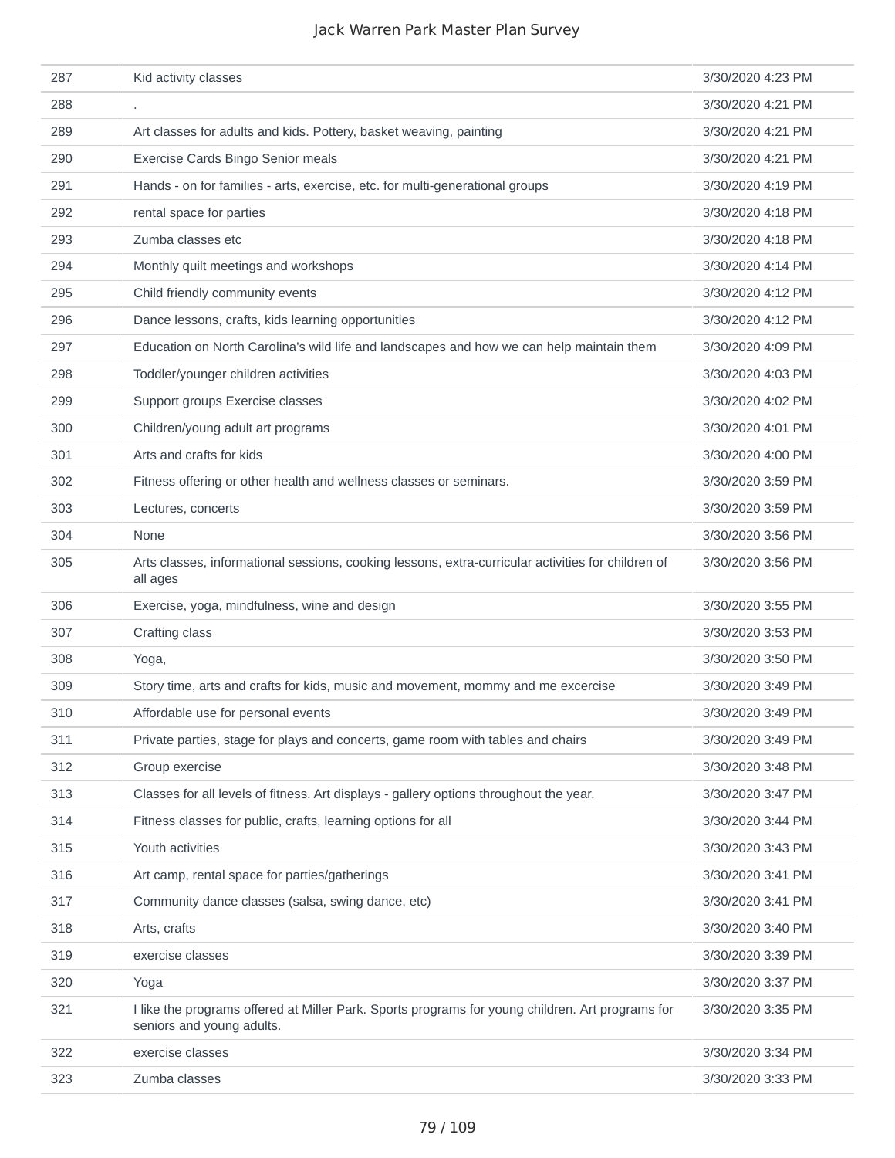| 287 | Kid activity classes                                                                                                          | 3/30/2020 4:23 PM |
|-----|-------------------------------------------------------------------------------------------------------------------------------|-------------------|
| 288 | ٠                                                                                                                             | 3/30/2020 4:21 PM |
| 289 | Art classes for adults and kids. Pottery, basket weaving, painting                                                            | 3/30/2020 4:21 PM |
| 290 | Exercise Cards Bingo Senior meals                                                                                             | 3/30/2020 4:21 PM |
| 291 | Hands - on for families - arts, exercise, etc. for multi-generational groups                                                  | 3/30/2020 4:19 PM |
| 292 | rental space for parties                                                                                                      | 3/30/2020 4:18 PM |
| 293 | Zumba classes etc                                                                                                             | 3/30/2020 4:18 PM |
| 294 | Monthly quilt meetings and workshops                                                                                          | 3/30/2020 4:14 PM |
| 295 | Child friendly community events                                                                                               | 3/30/2020 4:12 PM |
| 296 | Dance lessons, crafts, kids learning opportunities                                                                            | 3/30/2020 4:12 PM |
| 297 | Education on North Carolina's wild life and landscapes and how we can help maintain them                                      | 3/30/2020 4:09 PM |
| 298 | Toddler/younger children activities                                                                                           | 3/30/2020 4:03 PM |
| 299 | Support groups Exercise classes                                                                                               | 3/30/2020 4:02 PM |
| 300 | Children/young adult art programs                                                                                             | 3/30/2020 4:01 PM |
| 301 | Arts and crafts for kids                                                                                                      | 3/30/2020 4:00 PM |
| 302 | Fitness offering or other health and wellness classes or seminars.                                                            | 3/30/2020 3:59 PM |
| 303 | Lectures, concerts                                                                                                            | 3/30/2020 3:59 PM |
| 304 | None                                                                                                                          | 3/30/2020 3:56 PM |
| 305 | Arts classes, informational sessions, cooking lessons, extra-curricular activities for children of<br>all ages                | 3/30/2020 3:56 PM |
| 306 | Exercise, yoga, mindfulness, wine and design                                                                                  | 3/30/2020 3:55 PM |
| 307 | Crafting class                                                                                                                | 3/30/2020 3:53 PM |
| 308 | Yoga,                                                                                                                         | 3/30/2020 3:50 PM |
| 309 | Story time, arts and crafts for kids, music and movement, mommy and me excercise                                              | 3/30/2020 3:49 PM |
| 310 | Affordable use for personal events                                                                                            | 3/30/2020 3:49 PM |
| 311 | Private parties, stage for plays and concerts, game room with tables and chairs                                               | 3/30/2020 3:49 PM |
| 312 |                                                                                                                               |                   |
|     | Group exercise                                                                                                                | 3/30/2020 3:48 PM |
| 313 | Classes for all levels of fitness. Art displays - gallery options throughout the year.                                        | 3/30/2020 3:47 PM |
| 314 | Fitness classes for public, crafts, learning options for all                                                                  | 3/30/2020 3:44 PM |
| 315 | Youth activities                                                                                                              | 3/30/2020 3:43 PM |
| 316 | Art camp, rental space for parties/gatherings                                                                                 | 3/30/2020 3:41 PM |
| 317 | Community dance classes (salsa, swing dance, etc)                                                                             | 3/30/2020 3:41 PM |
| 318 | Arts, crafts                                                                                                                  | 3/30/2020 3:40 PM |
| 319 | exercise classes                                                                                                              | 3/30/2020 3:39 PM |
| 320 | Yoga                                                                                                                          | 3/30/2020 3:37 PM |
| 321 | I like the programs offered at Miller Park. Sports programs for young children. Art programs for<br>seniors and young adults. | 3/30/2020 3:35 PM |
| 322 | exercise classes                                                                                                              | 3/30/2020 3:34 PM |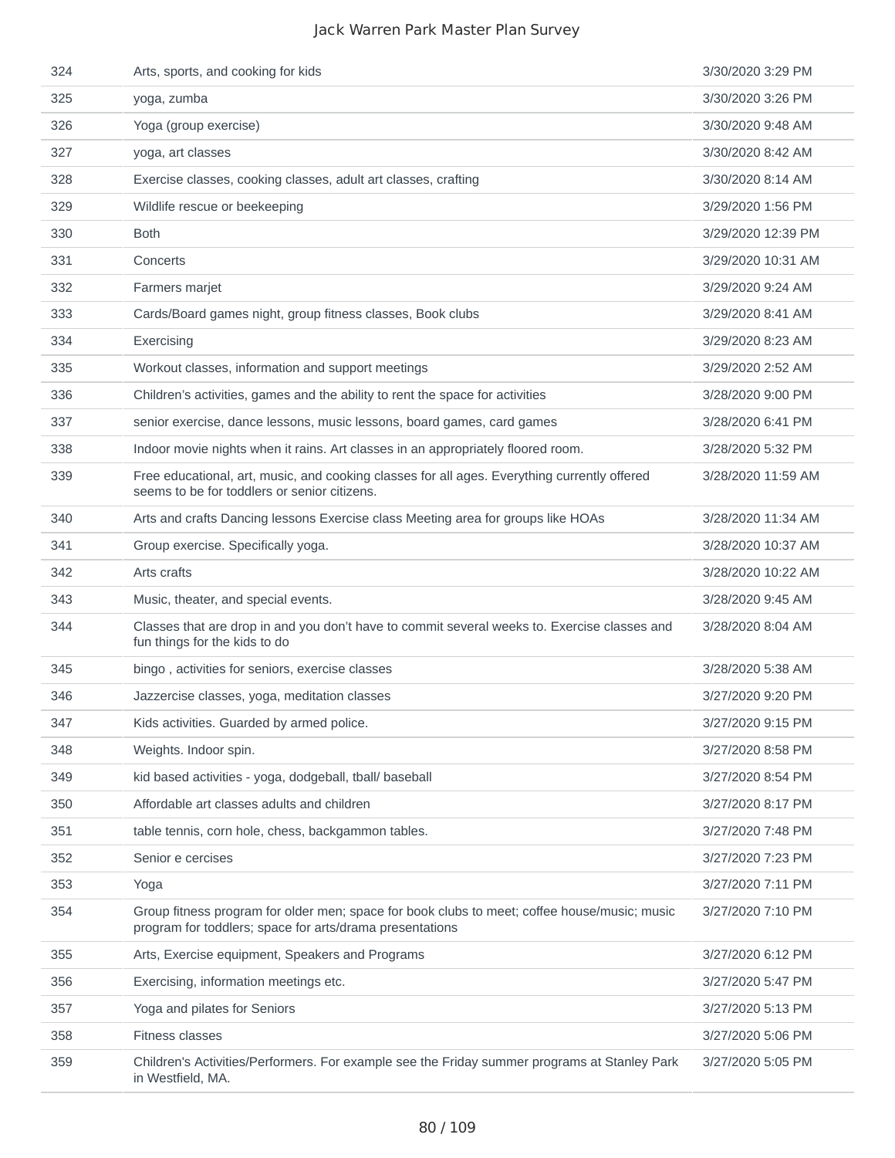| 333 | Cards/Board games night, group fitness classes, Book clubs                                                                                               | 3/29/2020 8:41 AM  |
|-----|----------------------------------------------------------------------------------------------------------------------------------------------------------|--------------------|
| 332 | Farmers marjet                                                                                                                                           | 3/29/2020 9:24 AM  |
|     |                                                                                                                                                          |                    |
| 334 | Exercising                                                                                                                                               | 3/29/2020 8:23 AM  |
| 335 | Workout classes, information and support meetings                                                                                                        | 3/29/2020 2:52 AM  |
| 336 | Children's activities, games and the ability to rent the space for activities                                                                            | 3/28/2020 9:00 PM  |
| 337 | senior exercise, dance lessons, music lessons, board games, card games                                                                                   | 3/28/2020 6:41 PM  |
| 338 | Indoor movie nights when it rains. Art classes in an appropriately floored room.                                                                         | 3/28/2020 5:32 PM  |
| 339 | Free educational, art, music, and cooking classes for all ages. Everything currently offered<br>seems to be for toddlers or senior citizens.             | 3/28/2020 11:59 AM |
| 340 | Arts and crafts Dancing lessons Exercise class Meeting area for groups like HOAs                                                                         | 3/28/2020 11:34 AM |
| 341 | Group exercise. Specifically yoga.                                                                                                                       | 3/28/2020 10:37 AM |
| 342 | Arts crafts                                                                                                                                              | 3/28/2020 10:22 AM |
| 343 | Music, theater, and special events.                                                                                                                      | 3/28/2020 9:45 AM  |
| 344 | Classes that are drop in and you don't have to commit several weeks to. Exercise classes and<br>fun things for the kids to do                            | 3/28/2020 8:04 AM  |
| 345 | bingo, activities for seniors, exercise classes                                                                                                          | 3/28/2020 5:38 AM  |
| 346 | Jazzercise classes, yoga, meditation classes                                                                                                             | 3/27/2020 9:20 PM  |
| 347 | Kids activities. Guarded by armed police.                                                                                                                | 3/27/2020 9:15 PM  |
| 348 | Weights. Indoor spin.                                                                                                                                    | 3/27/2020 8:58 PM  |
| 349 | kid based activities - yoga, dodgeball, tball/ baseball                                                                                                  | 3/27/2020 8:54 PM  |
| 350 | Affordable art classes adults and children                                                                                                               | 3/27/2020 8:17 PM  |
| 351 | table tennis, corn hole, chess, backgammon tables.                                                                                                       | 3/27/2020 7:48 PM  |
| 352 | Senior e cercises                                                                                                                                        | 3/27/2020 7:23 PM  |
| 353 | Yoga                                                                                                                                                     | 3/27/2020 7:11 PM  |
| 354 | Group fitness program for older men; space for book clubs to meet; coffee house/music; music<br>program for toddlers; space for arts/drama presentations | 3/27/2020 7:10 PM  |
| 355 | Arts, Exercise equipment, Speakers and Programs                                                                                                          | 3/27/2020 6:12 PM  |
| 356 | Exercising, information meetings etc.                                                                                                                    | 3/27/2020 5:47 PM  |
| 357 | Yoga and pilates for Seniors                                                                                                                             | 3/27/2020 5:13 PM  |
| 358 | Fitness classes                                                                                                                                          | 3/27/2020 5:06 PM  |
| 359 | Children's Activities/Performers. For example see the Friday summer programs at Stanley Park<br>in Westfield, MA.                                        | 3/27/2020 5:05 PM  |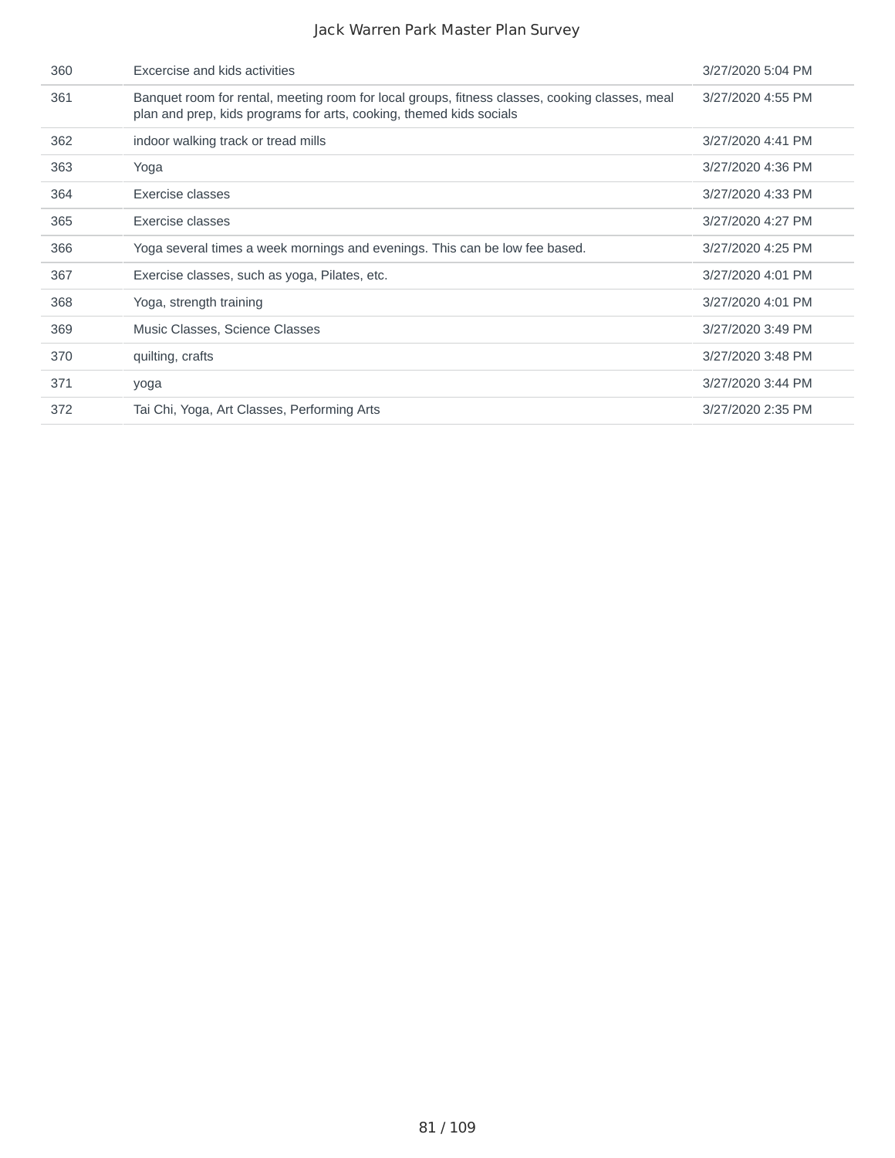| 360 | Excercise and kids activities                                                                                                                                         | 3/27/2020 5:04 PM |
|-----|-----------------------------------------------------------------------------------------------------------------------------------------------------------------------|-------------------|
| 361 | Banquet room for rental, meeting room for local groups, fitness classes, cooking classes, meal<br>plan and prep, kids programs for arts, cooking, themed kids socials | 3/27/2020 4:55 PM |
| 362 | indoor walking track or tread mills                                                                                                                                   | 3/27/2020 4:41 PM |
| 363 | Yoga                                                                                                                                                                  | 3/27/2020 4:36 PM |
| 364 | Exercise classes                                                                                                                                                      | 3/27/2020 4:33 PM |
| 365 | Exercise classes                                                                                                                                                      | 3/27/2020 4:27 PM |
| 366 | Yoga several times a week mornings and evenings. This can be low fee based.                                                                                           | 3/27/2020 4:25 PM |
| 367 | Exercise classes, such as yoga, Pilates, etc.                                                                                                                         | 3/27/2020 4:01 PM |
| 368 | Yoga, strength training                                                                                                                                               | 3/27/2020 4:01 PM |
| 369 | Music Classes, Science Classes                                                                                                                                        | 3/27/2020 3:49 PM |
| 370 | quilting, crafts                                                                                                                                                      | 3/27/2020 3:48 PM |
| 371 | yoga                                                                                                                                                                  | 3/27/2020 3:44 PM |
| 372 | Tai Chi, Yoga, Art Classes, Performing Arts                                                                                                                           | 3/27/2020 2:35 PM |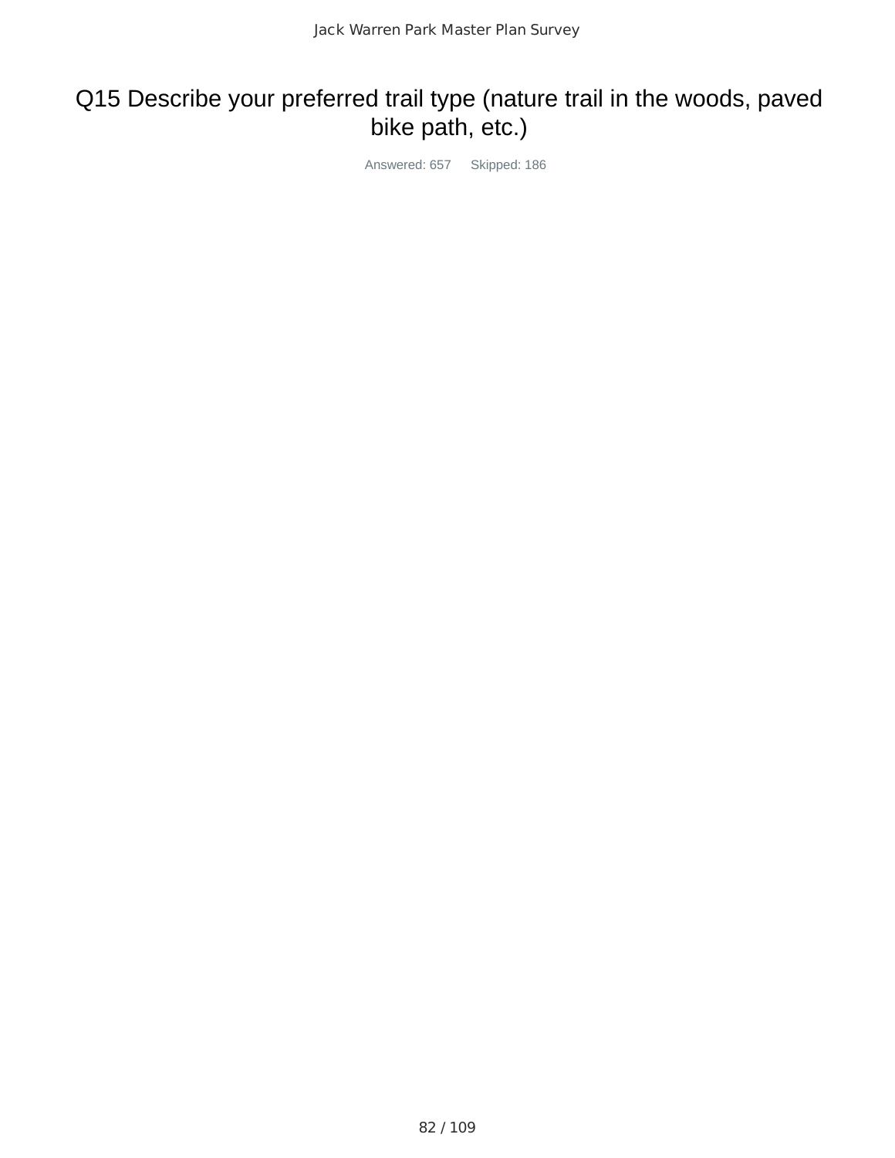## Q15 Describe your preferred trail type (nature trail in the woods, paved bike path, etc.)

Answered: 657 Skipped: 186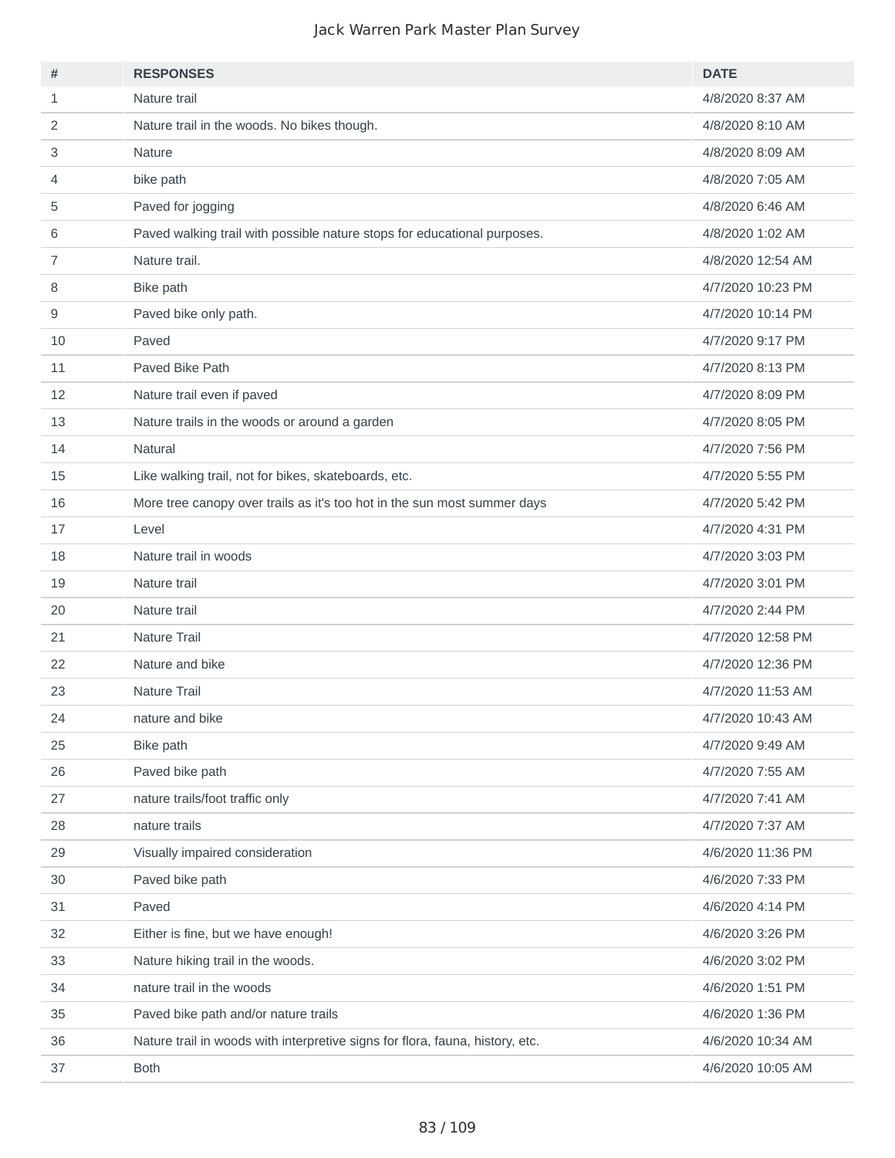| #              | <b>RESPONSES</b>                                                              | <b>DATE</b>       |
|----------------|-------------------------------------------------------------------------------|-------------------|
| $\mathbf{1}$   | Nature trail                                                                  | 4/8/2020 8:37 AM  |
| 2              | Nature trail in the woods. No bikes though.                                   | 4/8/2020 8:10 AM  |
| 3              | Nature                                                                        | 4/8/2020 8:09 AM  |
| 4              | bike path                                                                     | 4/8/2020 7:05 AM  |
| 5              | Paved for jogging                                                             | 4/8/2020 6:46 AM  |
| 6              | Paved walking trail with possible nature stops for educational purposes.      | 4/8/2020 1:02 AM  |
| $\overline{7}$ | Nature trail.                                                                 | 4/8/2020 12:54 AM |
| 8              | Bike path                                                                     | 4/7/2020 10:23 PM |
| 9              | Paved bike only path.                                                         | 4/7/2020 10:14 PM |
| 10             | Paved                                                                         | 4/7/2020 9:17 PM  |
| 11             | Paved Bike Path                                                               | 4/7/2020 8:13 PM  |
| 12             | Nature trail even if paved                                                    | 4/7/2020 8:09 PM  |
| 13             | Nature trails in the woods or around a garden                                 | 4/7/2020 8:05 PM  |
| 14             | Natural                                                                       | 4/7/2020 7:56 PM  |
| 15             | Like walking trail, not for bikes, skateboards, etc.                          | 4/7/2020 5:55 PM  |
| 16             | More tree canopy over trails as it's too hot in the sun most summer days      | 4/7/2020 5:42 PM  |
| 17             | Level                                                                         | 4/7/2020 4:31 PM  |
| 18             | Nature trail in woods                                                         | 4/7/2020 3:03 PM  |
| 19             | Nature trail                                                                  | 4/7/2020 3:01 PM  |
| 20             | Nature trail                                                                  | 4/7/2020 2:44 PM  |
| 21             | Nature Trail                                                                  | 4/7/2020 12:58 PM |
| 22             | Nature and bike                                                               | 4/7/2020 12:36 PM |
| 23             | Nature Trail                                                                  | 4/7/2020 11:53 AM |
| 24             | nature and bike                                                               | 4/7/2020 10:43 AM |
| 25             | Bike path                                                                     | 4/7/2020 9:49 AM  |
| 26             | Paved bike path                                                               | 4/7/2020 7:55 AM  |
| 27             | nature trails/foot traffic only                                               | 4/7/2020 7:41 AM  |
| 28             | nature trails                                                                 | 4/7/2020 7:37 AM  |
| 29             | Visually impaired consideration                                               | 4/6/2020 11:36 PM |
| 30             | Paved bike path                                                               | 4/6/2020 7:33 PM  |
| 31             | Paved                                                                         | 4/6/2020 4:14 PM  |
| 32             | Either is fine, but we have enough!                                           | 4/6/2020 3:26 PM  |
| 33             | Nature hiking trail in the woods.                                             | 4/6/2020 3:02 PM  |
| 34             | nature trail in the woods                                                     | 4/6/2020 1:51 PM  |
| 35             | Paved bike path and/or nature trails                                          | 4/6/2020 1:36 PM  |
| 36             | Nature trail in woods with interpretive signs for flora, fauna, history, etc. | 4/6/2020 10:34 AM |
| 37             | <b>Both</b>                                                                   | 4/6/2020 10:05 AM |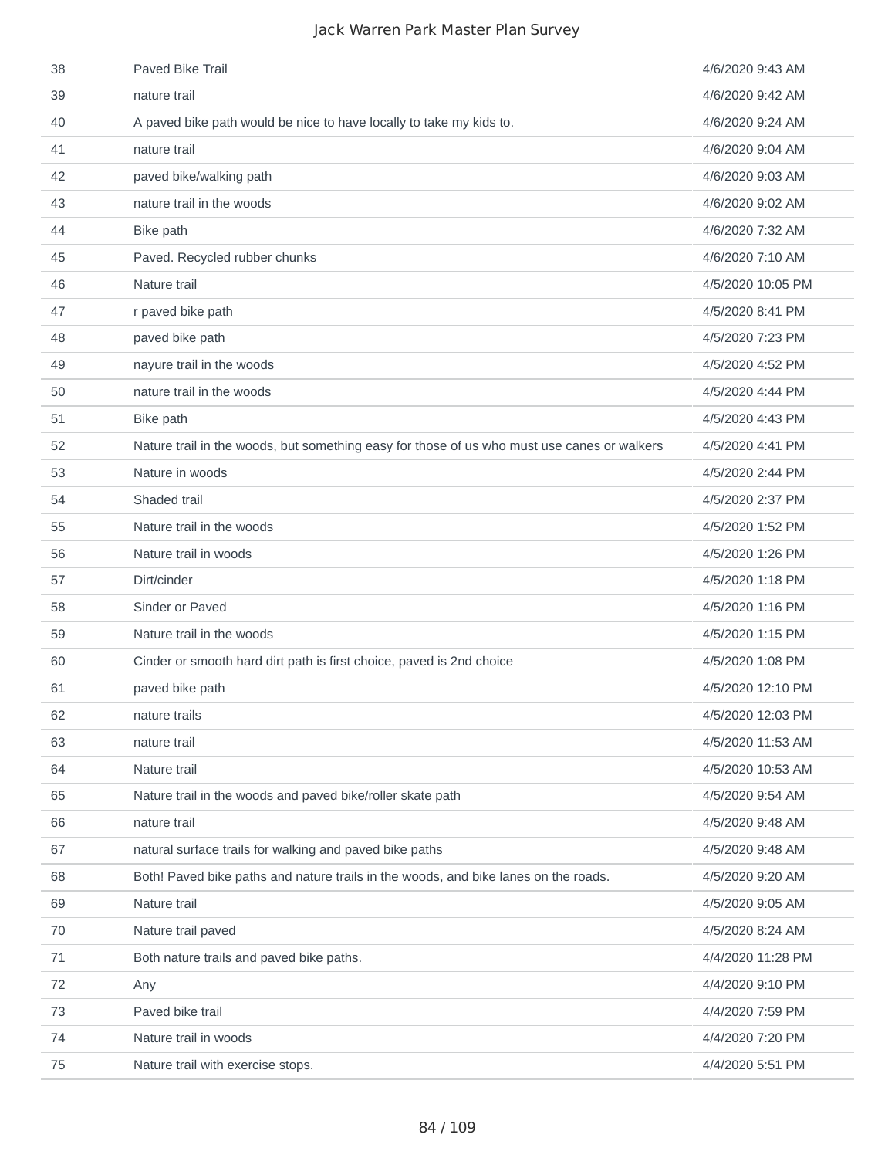| 38 | Paved Bike Trail                                                                            | 4/6/2020 9:43 AM  |
|----|---------------------------------------------------------------------------------------------|-------------------|
| 39 | nature trail                                                                                | 4/6/2020 9:42 AM  |
| 40 | A paved bike path would be nice to have locally to take my kids to.                         | 4/6/2020 9:24 AM  |
| 41 | nature trail                                                                                | 4/6/2020 9:04 AM  |
| 42 | paved bike/walking path                                                                     | 4/6/2020 9:03 AM  |
| 43 | nature trail in the woods                                                                   | 4/6/2020 9:02 AM  |
| 44 | Bike path                                                                                   | 4/6/2020 7:32 AM  |
| 45 | Paved. Recycled rubber chunks                                                               | 4/6/2020 7:10 AM  |
| 46 | Nature trail                                                                                | 4/5/2020 10:05 PM |
| 47 | r paved bike path                                                                           | 4/5/2020 8:41 PM  |
| 48 | paved bike path                                                                             | 4/5/2020 7:23 PM  |
| 49 | nayure trail in the woods                                                                   | 4/5/2020 4:52 PM  |
| 50 | nature trail in the woods                                                                   | 4/5/2020 4:44 PM  |
| 51 | Bike path                                                                                   | 4/5/2020 4:43 PM  |
| 52 | Nature trail in the woods, but something easy for those of us who must use canes or walkers | 4/5/2020 4:41 PM  |
| 53 | Nature in woods                                                                             | 4/5/2020 2:44 PM  |
| 54 | Shaded trail                                                                                | 4/5/2020 2:37 PM  |
| 55 | Nature trail in the woods                                                                   | 4/5/2020 1:52 PM  |
| 56 | Nature trail in woods                                                                       | 4/5/2020 1:26 PM  |
| 57 | Dirt/cinder                                                                                 | 4/5/2020 1:18 PM  |
| 58 | Sinder or Paved                                                                             | 4/5/2020 1:16 PM  |
| 59 | Nature trail in the woods                                                                   | 4/5/2020 1:15 PM  |
| 60 | Cinder or smooth hard dirt path is first choice, paved is 2nd choice                        | 4/5/2020 1:08 PM  |
| 61 | paved bike path                                                                             | 4/5/2020 12:10 PM |
| 62 | nature trails                                                                               | 4/5/2020 12:03 PM |
| 63 | nature trail                                                                                | 4/5/2020 11:53 AM |
| 64 | Nature trail                                                                                | 4/5/2020 10:53 AM |
| 65 | Nature trail in the woods and paved bike/roller skate path                                  | 4/5/2020 9:54 AM  |
| 66 | nature trail                                                                                | 4/5/2020 9:48 AM  |
| 67 | natural surface trails for walking and paved bike paths                                     | 4/5/2020 9:48 AM  |
| 68 | Both! Paved bike paths and nature trails in the woods, and bike lanes on the roads.         | 4/5/2020 9:20 AM  |
| 69 | Nature trail                                                                                | 4/5/2020 9:05 AM  |
| 70 | Nature trail paved                                                                          | 4/5/2020 8:24 AM  |
| 71 | Both nature trails and paved bike paths.                                                    | 4/4/2020 11:28 PM |
| 72 | Any                                                                                         | 4/4/2020 9:10 PM  |
| 73 | Paved bike trail                                                                            | 4/4/2020 7:59 PM  |
| 74 | Nature trail in woods                                                                       | 4/4/2020 7:20 PM  |
| 75 | Nature trail with exercise stops.                                                           | 4/4/2020 5:51 PM  |
|    |                                                                                             |                   |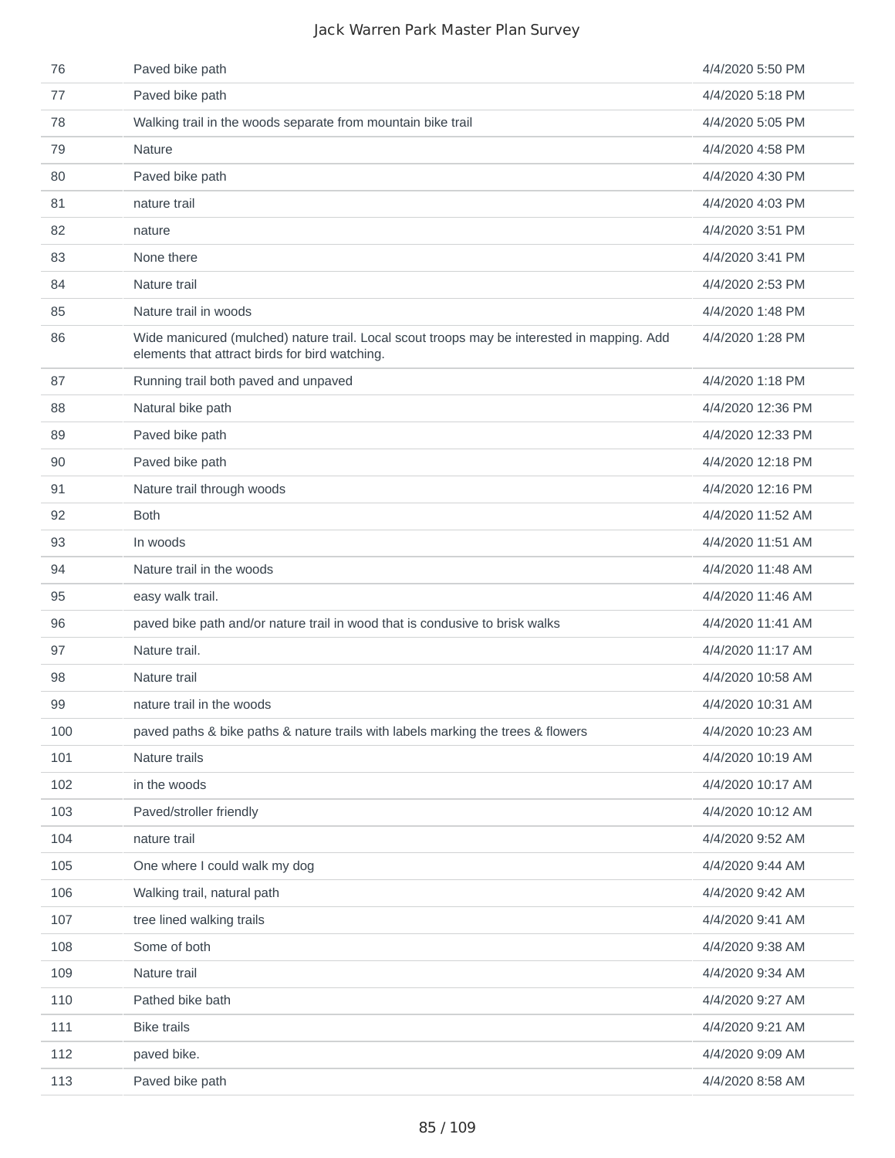| 76  | Paved bike path                                                                                                                               | 4/4/2020 5:50 PM  |
|-----|-----------------------------------------------------------------------------------------------------------------------------------------------|-------------------|
| 77  | Paved bike path                                                                                                                               | 4/4/2020 5:18 PM  |
| 78  | Walking trail in the woods separate from mountain bike trail                                                                                  | 4/4/2020 5:05 PM  |
| 79  | <b>Nature</b>                                                                                                                                 | 4/4/2020 4:58 PM  |
| 80  | Paved bike path                                                                                                                               | 4/4/2020 4:30 PM  |
| 81  | nature trail                                                                                                                                  | 4/4/2020 4:03 PM  |
| 82  | nature                                                                                                                                        | 4/4/2020 3:51 PM  |
| 83  | None there                                                                                                                                    | 4/4/2020 3:41 PM  |
| 84  | Nature trail                                                                                                                                  | 4/4/2020 2:53 PM  |
| 85  | Nature trail in woods                                                                                                                         | 4/4/2020 1:48 PM  |
| 86  | Wide manicured (mulched) nature trail. Local scout troops may be interested in mapping. Add<br>elements that attract birds for bird watching. | 4/4/2020 1:28 PM  |
| 87  | Running trail both paved and unpaved                                                                                                          | 4/4/2020 1:18 PM  |
| 88  | Natural bike path                                                                                                                             | 4/4/2020 12:36 PM |
| 89  | Paved bike path                                                                                                                               | 4/4/2020 12:33 PM |
| 90  | Paved bike path                                                                                                                               | 4/4/2020 12:18 PM |
| 91  | Nature trail through woods                                                                                                                    | 4/4/2020 12:16 PM |
| 92  | <b>Both</b>                                                                                                                                   | 4/4/2020 11:52 AM |
| 93  | In woods                                                                                                                                      | 4/4/2020 11:51 AM |
| 94  | Nature trail in the woods                                                                                                                     | 4/4/2020 11:48 AM |
| 95  | easy walk trail.                                                                                                                              | 4/4/2020 11:46 AM |
| 96  | paved bike path and/or nature trail in wood that is condusive to brisk walks                                                                  | 4/4/2020 11:41 AM |
| 97  | Nature trail.                                                                                                                                 | 4/4/2020 11:17 AM |
| 98  | Nature trail                                                                                                                                  | 4/4/2020 10:58 AM |
| 99  | nature trail in the woods                                                                                                                     | 4/4/2020 10:31 AM |
| 100 | paved paths & bike paths & nature trails with labels marking the trees & flowers                                                              | 4/4/2020 10:23 AM |
| 101 | Nature trails                                                                                                                                 | 4/4/2020 10:19 AM |
| 102 | in the woods                                                                                                                                  | 4/4/2020 10:17 AM |
| 103 | Paved/stroller friendly                                                                                                                       | 4/4/2020 10:12 AM |
| 104 | nature trail                                                                                                                                  | 4/4/2020 9:52 AM  |
| 105 | One where I could walk my dog                                                                                                                 | 4/4/2020 9:44 AM  |
| 106 | Walking trail, natural path                                                                                                                   | 4/4/2020 9:42 AM  |
| 107 | tree lined walking trails                                                                                                                     | 4/4/2020 9:41 AM  |
| 108 | Some of both                                                                                                                                  | 4/4/2020 9:38 AM  |
| 109 | Nature trail                                                                                                                                  | 4/4/2020 9:34 AM  |
| 110 | Pathed bike bath                                                                                                                              | 4/4/2020 9:27 AM  |
| 111 | <b>Bike trails</b>                                                                                                                            | 4/4/2020 9:21 AM  |
| 112 | paved bike.                                                                                                                                   | 4/4/2020 9:09 AM  |
| 113 | Paved bike path                                                                                                                               | 4/4/2020 8:58 AM  |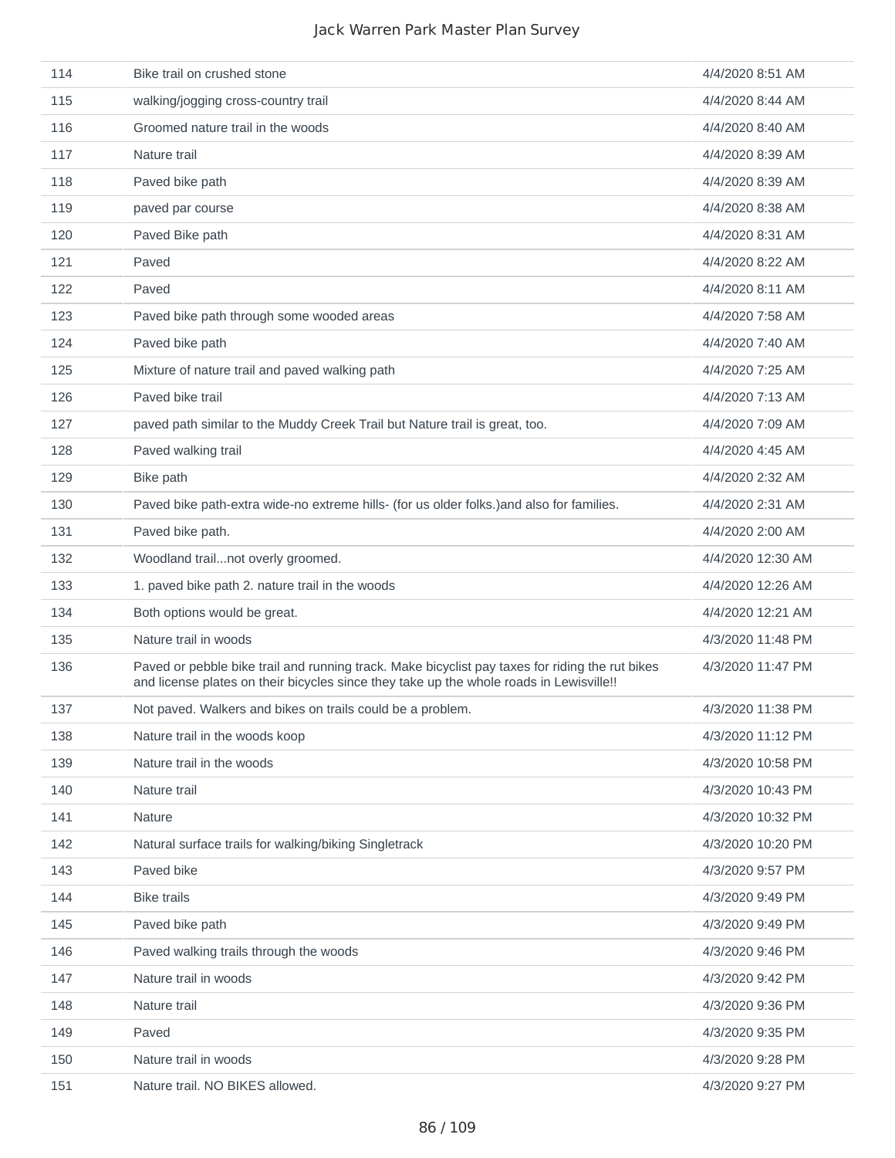| 114 | Bike trail on crushed stone                                                                                                                                                                | 4/4/2020 8:51 AM  |
|-----|--------------------------------------------------------------------------------------------------------------------------------------------------------------------------------------------|-------------------|
| 115 | walking/jogging cross-country trail                                                                                                                                                        | 4/4/2020 8:44 AM  |
| 116 | Groomed nature trail in the woods                                                                                                                                                          | 4/4/2020 8:40 AM  |
| 117 | Nature trail                                                                                                                                                                               | 4/4/2020 8:39 AM  |
| 118 | Paved bike path                                                                                                                                                                            | 4/4/2020 8:39 AM  |
| 119 | paved par course                                                                                                                                                                           | 4/4/2020 8:38 AM  |
| 120 | Paved Bike path                                                                                                                                                                            | 4/4/2020 8:31 AM  |
| 121 | Paved                                                                                                                                                                                      | 4/4/2020 8:22 AM  |
| 122 | Paved                                                                                                                                                                                      | 4/4/2020 8:11 AM  |
| 123 | Paved bike path through some wooded areas                                                                                                                                                  | 4/4/2020 7:58 AM  |
| 124 | Paved bike path                                                                                                                                                                            | 4/4/2020 7:40 AM  |
| 125 | Mixture of nature trail and paved walking path                                                                                                                                             | 4/4/2020 7:25 AM  |
| 126 | Paved bike trail                                                                                                                                                                           | 4/4/2020 7:13 AM  |
| 127 | paved path similar to the Muddy Creek Trail but Nature trail is great, too.                                                                                                                | 4/4/2020 7:09 AM  |
| 128 | Paved walking trail                                                                                                                                                                        | 4/4/2020 4:45 AM  |
| 129 | Bike path                                                                                                                                                                                  | 4/4/2020 2:32 AM  |
| 130 | Paved bike path-extra wide-no extreme hills- (for us older folks.) and also for families.                                                                                                  | 4/4/2020 2:31 AM  |
| 131 | Paved bike path.                                                                                                                                                                           | 4/4/2020 2:00 AM  |
| 132 | Woodland trailnot overly groomed.                                                                                                                                                          | 4/4/2020 12:30 AM |
| 133 | 1. paved bike path 2. nature trail in the woods                                                                                                                                            | 4/4/2020 12:26 AM |
| 134 | Both options would be great.                                                                                                                                                               | 4/4/2020 12:21 AM |
| 135 | Nature trail in woods                                                                                                                                                                      | 4/3/2020 11:48 PM |
| 136 | Paved or pebble bike trail and running track. Make bicyclist pay taxes for riding the rut bikes<br>and license plates on their bicycles since they take up the whole roads in Lewisville!! | 4/3/2020 11:47 PM |
| 137 | Not paved. Walkers and bikes on trails could be a problem.                                                                                                                                 | 4/3/2020 11:38 PM |
| 138 | Nature trail in the woods koop                                                                                                                                                             | 4/3/2020 11:12 PM |
| 139 | Nature trail in the woods                                                                                                                                                                  | 4/3/2020 10:58 PM |
| 140 | Nature trail                                                                                                                                                                               | 4/3/2020 10:43 PM |
| 141 | Nature                                                                                                                                                                                     | 4/3/2020 10:32 PM |
| 142 | Natural surface trails for walking/biking Singletrack                                                                                                                                      | 4/3/2020 10:20 PM |
| 143 | Paved bike                                                                                                                                                                                 | 4/3/2020 9:57 PM  |
| 144 | <b>Bike trails</b>                                                                                                                                                                         | 4/3/2020 9:49 PM  |
| 145 | Paved bike path                                                                                                                                                                            | 4/3/2020 9:49 PM  |
| 146 | Paved walking trails through the woods                                                                                                                                                     | 4/3/2020 9:46 PM  |
| 147 | Nature trail in woods                                                                                                                                                                      | 4/3/2020 9:42 PM  |
| 148 | Nature trail                                                                                                                                                                               | 4/3/2020 9:36 PM  |
| 149 | Paved                                                                                                                                                                                      | 4/3/2020 9:35 PM  |
| 150 | Nature trail in woods                                                                                                                                                                      | 4/3/2020 9:28 PM  |
| 151 | Nature trail. NO BIKES allowed.                                                                                                                                                            | 4/3/2020 9:27 PM  |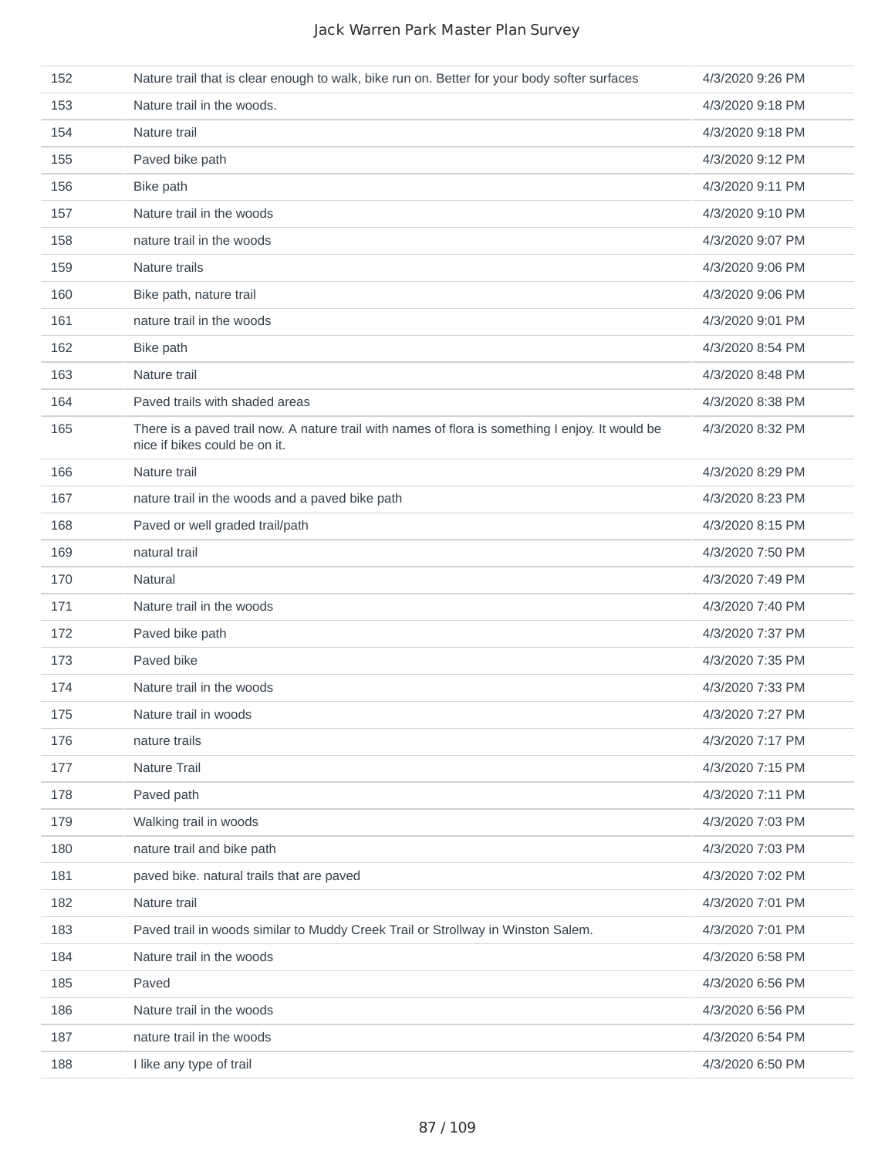| 152 | Nature trail that is clear enough to walk, bike run on. Better for your body softer surfaces                                      | 4/3/2020 9:26 PM |
|-----|-----------------------------------------------------------------------------------------------------------------------------------|------------------|
| 153 | Nature trail in the woods.                                                                                                        | 4/3/2020 9:18 PM |
| 154 | Nature trail                                                                                                                      | 4/3/2020 9:18 PM |
| 155 | Paved bike path                                                                                                                   | 4/3/2020 9:12 PM |
| 156 | Bike path                                                                                                                         | 4/3/2020 9:11 PM |
| 157 | Nature trail in the woods                                                                                                         | 4/3/2020 9:10 PM |
| 158 | nature trail in the woods                                                                                                         | 4/3/2020 9:07 PM |
| 159 | Nature trails                                                                                                                     | 4/3/2020 9:06 PM |
| 160 | Bike path, nature trail                                                                                                           | 4/3/2020 9:06 PM |
| 161 | nature trail in the woods                                                                                                         | 4/3/2020 9:01 PM |
| 162 | Bike path                                                                                                                         | 4/3/2020 8:54 PM |
| 163 | Nature trail                                                                                                                      | 4/3/2020 8:48 PM |
| 164 | Paved trails with shaded areas                                                                                                    | 4/3/2020 8:38 PM |
| 165 | There is a paved trail now. A nature trail with names of flora is something I enjoy. It would be<br>nice if bikes could be on it. | 4/3/2020 8:32 PM |
| 166 | Nature trail                                                                                                                      | 4/3/2020 8:29 PM |
| 167 | nature trail in the woods and a paved bike path                                                                                   | 4/3/2020 8:23 PM |
| 168 | Paved or well graded trail/path                                                                                                   | 4/3/2020 8:15 PM |
| 169 | natural trail                                                                                                                     | 4/3/2020 7:50 PM |
| 170 | Natural                                                                                                                           | 4/3/2020 7:49 PM |
| 171 | Nature trail in the woods                                                                                                         | 4/3/2020 7:40 PM |
| 172 | Paved bike path                                                                                                                   | 4/3/2020 7:37 PM |
| 173 | Paved bike                                                                                                                        | 4/3/2020 7:35 PM |
| 174 | Nature trail in the woods                                                                                                         | 4/3/2020 7:33 PM |
| 175 | Nature trail in woods                                                                                                             | 4/3/2020 7:27 PM |
| 176 | nature trails                                                                                                                     | 4/3/2020 7:17 PM |
| 177 | Nature Trail                                                                                                                      | 4/3/2020 7:15 PM |
| 178 | Paved path                                                                                                                        | 4/3/2020 7:11 PM |
| 179 | Walking trail in woods                                                                                                            | 4/3/2020 7:03 PM |
| 180 | nature trail and bike path                                                                                                        | 4/3/2020 7:03 PM |
| 181 | paved bike. natural trails that are paved                                                                                         | 4/3/2020 7:02 PM |
| 182 | Nature trail                                                                                                                      | 4/3/2020 7:01 PM |
| 183 | Paved trail in woods similar to Muddy Creek Trail or Strollway in Winston Salem.                                                  | 4/3/2020 7:01 PM |
| 184 | Nature trail in the woods                                                                                                         | 4/3/2020 6:58 PM |
| 185 | Paved                                                                                                                             | 4/3/2020 6:56 PM |
| 186 | Nature trail in the woods                                                                                                         | 4/3/2020 6:56 PM |
| 187 | nature trail in the woods                                                                                                         | 4/3/2020 6:54 PM |
| 188 | I like any type of trail                                                                                                          | 4/3/2020 6:50 PM |
|     |                                                                                                                                   |                  |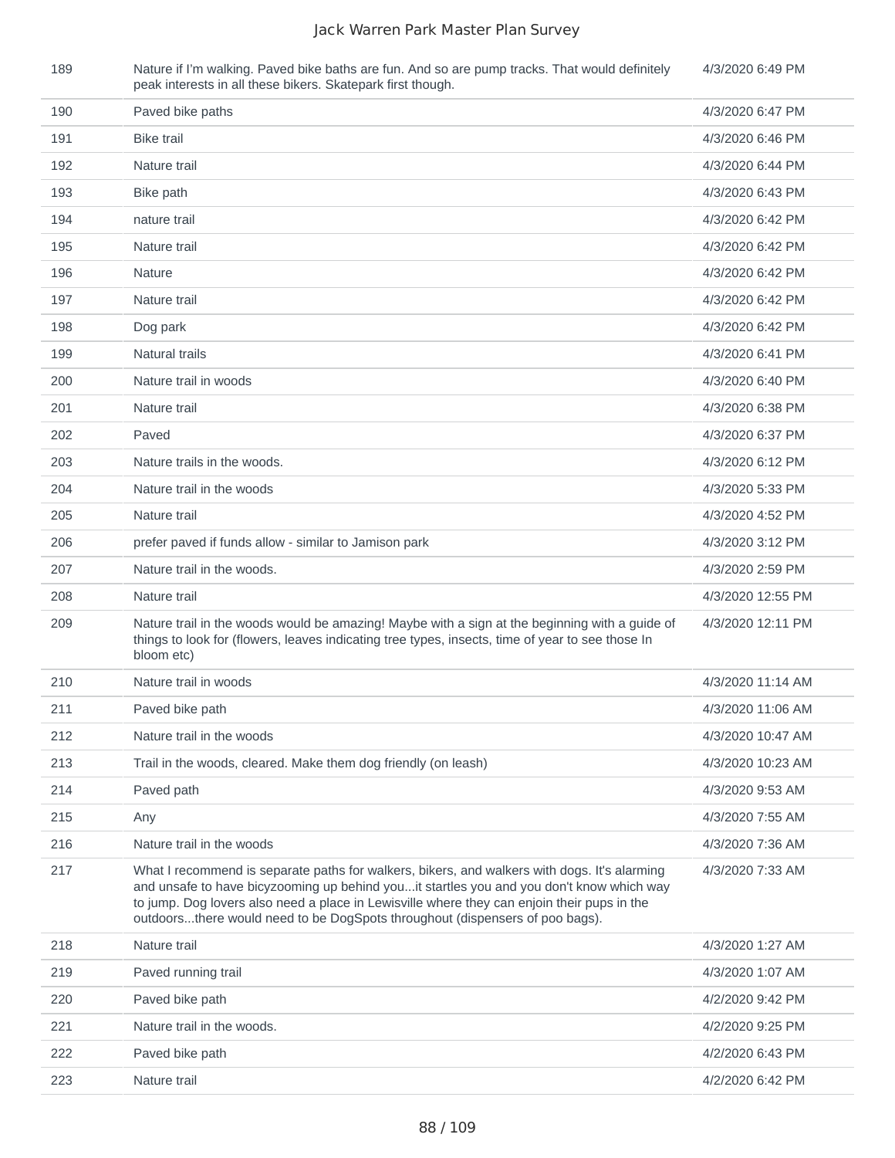| 189 | Nature if I'm walking. Paved bike baths are fun. And so are pump tracks. That would definitely<br>peak interests in all these bikers. Skatepark first though.                                                                                                                                                                                                           | 4/3/2020 6:49 PM  |
|-----|-------------------------------------------------------------------------------------------------------------------------------------------------------------------------------------------------------------------------------------------------------------------------------------------------------------------------------------------------------------------------|-------------------|
| 190 | Paved bike paths                                                                                                                                                                                                                                                                                                                                                        | 4/3/2020 6:47 PM  |
| 191 | <b>Bike trail</b>                                                                                                                                                                                                                                                                                                                                                       | 4/3/2020 6:46 PM  |
| 192 | Nature trail                                                                                                                                                                                                                                                                                                                                                            | 4/3/2020 6:44 PM  |
| 193 | Bike path                                                                                                                                                                                                                                                                                                                                                               | 4/3/2020 6:43 PM  |
| 194 | nature trail                                                                                                                                                                                                                                                                                                                                                            | 4/3/2020 6:42 PM  |
| 195 | Nature trail                                                                                                                                                                                                                                                                                                                                                            | 4/3/2020 6:42 PM  |
| 196 | Nature                                                                                                                                                                                                                                                                                                                                                                  | 4/3/2020 6:42 PM  |
| 197 | Nature trail                                                                                                                                                                                                                                                                                                                                                            | 4/3/2020 6:42 PM  |
| 198 | Dog park                                                                                                                                                                                                                                                                                                                                                                | 4/3/2020 6:42 PM  |
| 199 | Natural trails                                                                                                                                                                                                                                                                                                                                                          | 4/3/2020 6:41 PM  |
| 200 | Nature trail in woods                                                                                                                                                                                                                                                                                                                                                   | 4/3/2020 6:40 PM  |
| 201 | Nature trail                                                                                                                                                                                                                                                                                                                                                            | 4/3/2020 6:38 PM  |
| 202 | Paved                                                                                                                                                                                                                                                                                                                                                                   | 4/3/2020 6:37 PM  |
| 203 | Nature trails in the woods.                                                                                                                                                                                                                                                                                                                                             | 4/3/2020 6:12 PM  |
| 204 | Nature trail in the woods                                                                                                                                                                                                                                                                                                                                               | 4/3/2020 5:33 PM  |
| 205 | Nature trail                                                                                                                                                                                                                                                                                                                                                            | 4/3/2020 4:52 PM  |
| 206 | prefer paved if funds allow - similar to Jamison park                                                                                                                                                                                                                                                                                                                   | 4/3/2020 3:12 PM  |
| 207 | Nature trail in the woods.                                                                                                                                                                                                                                                                                                                                              | 4/3/2020 2:59 PM  |
| 208 | Nature trail                                                                                                                                                                                                                                                                                                                                                            | 4/3/2020 12:55 PM |
| 209 | Nature trail in the woods would be amazing! Maybe with a sign at the beginning with a guide of<br>things to look for (flowers, leaves indicating tree types, insects, time of year to see those In<br>bloom etc)                                                                                                                                                        | 4/3/2020 12:11 PM |
| 210 | Nature trail in woods                                                                                                                                                                                                                                                                                                                                                   | 4/3/2020 11:14 AM |
| 211 | Paved bike path                                                                                                                                                                                                                                                                                                                                                         | 4/3/2020 11:06 AM |
| 212 | Nature trail in the woods                                                                                                                                                                                                                                                                                                                                               | 4/3/2020 10:47 AM |
| 213 | Trail in the woods, cleared. Make them dog friendly (on leash)                                                                                                                                                                                                                                                                                                          | 4/3/2020 10:23 AM |
| 214 | Paved path                                                                                                                                                                                                                                                                                                                                                              | 4/3/2020 9:53 AM  |
| 215 | Any                                                                                                                                                                                                                                                                                                                                                                     | 4/3/2020 7:55 AM  |
| 216 | Nature trail in the woods                                                                                                                                                                                                                                                                                                                                               | 4/3/2020 7:36 AM  |
| 217 | What I recommend is separate paths for walkers, bikers, and walkers with dogs. It's alarming<br>and unsafe to have bicyzooming up behind youit startles you and you don't know which way<br>to jump. Dog lovers also need a place in Lewisville where they can enjoin their pups in the<br>outdoorsthere would need to be DogSpots throughout (dispensers of poo bags). | 4/3/2020 7:33 AM  |
| 218 | Nature trail                                                                                                                                                                                                                                                                                                                                                            | 4/3/2020 1:27 AM  |
| 219 | Paved running trail                                                                                                                                                                                                                                                                                                                                                     | 4/3/2020 1:07 AM  |
| 220 | Paved bike path                                                                                                                                                                                                                                                                                                                                                         | 4/2/2020 9:42 PM  |
| 221 | Nature trail in the woods.                                                                                                                                                                                                                                                                                                                                              | 4/2/2020 9:25 PM  |
| 222 | Paved bike path                                                                                                                                                                                                                                                                                                                                                         | 4/2/2020 6:43 PM  |
| 223 | Nature trail                                                                                                                                                                                                                                                                                                                                                            | 4/2/2020 6:42 PM  |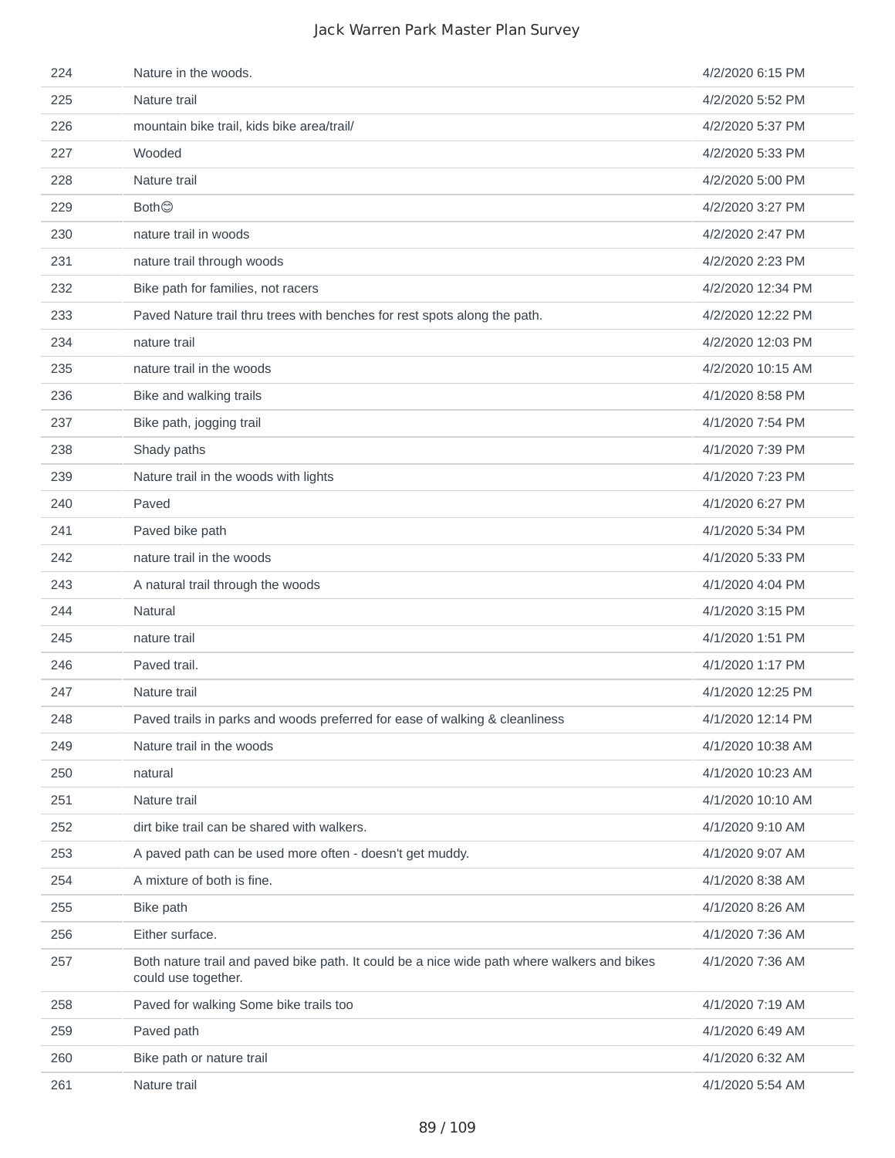| 224 | Nature in the woods.                                                                                               | 4/2/2020 6:15 PM  |
|-----|--------------------------------------------------------------------------------------------------------------------|-------------------|
| 225 | Nature trail                                                                                                       | 4/2/2020 5:52 PM  |
| 226 | mountain bike trail, kids bike area/trail/                                                                         | 4/2/2020 5:37 PM  |
| 227 | Wooded                                                                                                             | 4/2/2020 5:33 PM  |
| 228 | Nature trail                                                                                                       | 4/2/2020 5:00 PM  |
| 229 | <b>Both</b> ©                                                                                                      | 4/2/2020 3:27 PM  |
| 230 | nature trail in woods                                                                                              | 4/2/2020 2:47 PM  |
| 231 | nature trail through woods                                                                                         | 4/2/2020 2:23 PM  |
| 232 | Bike path for families, not racers                                                                                 | 4/2/2020 12:34 PM |
| 233 | Paved Nature trail thru trees with benches for rest spots along the path.                                          | 4/2/2020 12:22 PM |
| 234 | nature trail                                                                                                       | 4/2/2020 12:03 PM |
| 235 | nature trail in the woods                                                                                          | 4/2/2020 10:15 AM |
| 236 | Bike and walking trails                                                                                            | 4/1/2020 8:58 PM  |
| 237 | Bike path, jogging trail                                                                                           | 4/1/2020 7:54 PM  |
| 238 | Shady paths                                                                                                        | 4/1/2020 7:39 PM  |
| 239 | Nature trail in the woods with lights                                                                              | 4/1/2020 7:23 PM  |
| 240 | Paved                                                                                                              | 4/1/2020 6:27 PM  |
| 241 | Paved bike path                                                                                                    | 4/1/2020 5:34 PM  |
| 242 | nature trail in the woods                                                                                          | 4/1/2020 5:33 PM  |
| 243 | A natural trail through the woods                                                                                  | 4/1/2020 4:04 PM  |
| 244 | Natural                                                                                                            | 4/1/2020 3:15 PM  |
| 245 | nature trail                                                                                                       | 4/1/2020 1:51 PM  |
| 246 | Paved trail.                                                                                                       | 4/1/2020 1:17 PM  |
| 247 | Nature trail                                                                                                       | 4/1/2020 12:25 PM |
| 248 | Paved trails in parks and woods preferred for ease of walking & cleanliness                                        | 4/1/2020 12:14 PM |
| 249 | Nature trail in the woods                                                                                          | 4/1/2020 10:38 AM |
| 250 | natural                                                                                                            | 4/1/2020 10:23 AM |
| 251 | Nature trail                                                                                                       | 4/1/2020 10:10 AM |
| 252 | dirt bike trail can be shared with walkers.                                                                        | 4/1/2020 9:10 AM  |
| 253 | A paved path can be used more often - doesn't get muddy.                                                           | 4/1/2020 9:07 AM  |
| 254 | A mixture of both is fine.                                                                                         | 4/1/2020 8:38 AM  |
| 255 | Bike path                                                                                                          | 4/1/2020 8:26 AM  |
| 256 | Either surface.                                                                                                    | 4/1/2020 7:36 AM  |
| 257 | Both nature trail and paved bike path. It could be a nice wide path where walkers and bikes<br>could use together. | 4/1/2020 7:36 AM  |
| 258 | Paved for walking Some bike trails too                                                                             | 4/1/2020 7:19 AM  |
| 259 | Paved path                                                                                                         | 4/1/2020 6:49 AM  |
| 260 | Bike path or nature trail                                                                                          | 4/1/2020 6:32 AM  |
| 261 | Nature trail                                                                                                       | 4/1/2020 5:54 AM  |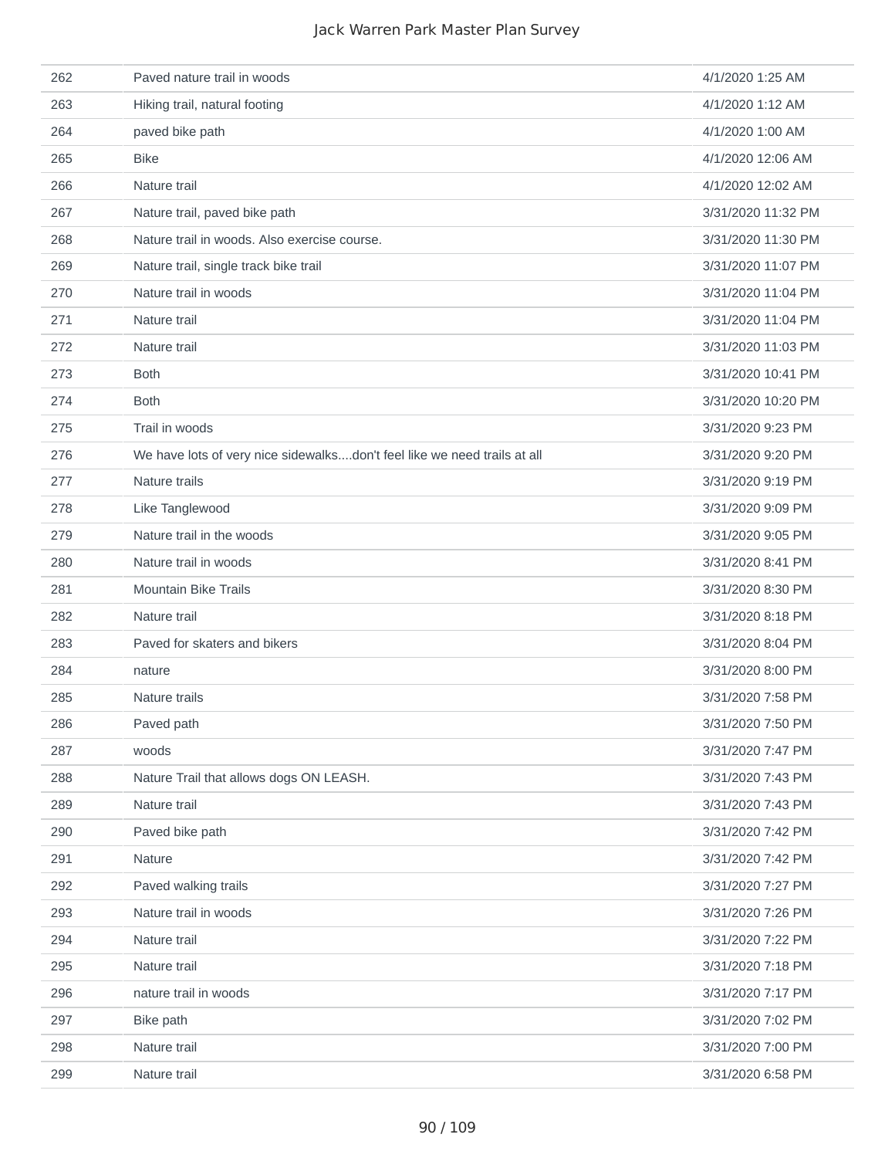| 262 | Paved nature trail in woods                                              | 4/1/2020 1:25 AM   |
|-----|--------------------------------------------------------------------------|--------------------|
| 263 | Hiking trail, natural footing                                            | 4/1/2020 1:12 AM   |
| 264 | paved bike path                                                          | 4/1/2020 1:00 AM   |
| 265 | <b>Bike</b>                                                              | 4/1/2020 12:06 AM  |
| 266 | Nature trail                                                             | 4/1/2020 12:02 AM  |
| 267 | Nature trail, paved bike path                                            | 3/31/2020 11:32 PM |
| 268 | Nature trail in woods. Also exercise course.                             | 3/31/2020 11:30 PM |
| 269 | Nature trail, single track bike trail                                    | 3/31/2020 11:07 PM |
| 270 | Nature trail in woods                                                    | 3/31/2020 11:04 PM |
| 271 | Nature trail                                                             | 3/31/2020 11:04 PM |
| 272 | Nature trail                                                             | 3/31/2020 11:03 PM |
| 273 | <b>Both</b>                                                              | 3/31/2020 10:41 PM |
| 274 | <b>Both</b>                                                              | 3/31/2020 10:20 PM |
| 275 | Trail in woods                                                           | 3/31/2020 9:23 PM  |
| 276 | We have lots of very nice sidewalksdon't feel like we need trails at all | 3/31/2020 9:20 PM  |
| 277 | Nature trails                                                            | 3/31/2020 9:19 PM  |
| 278 | Like Tanglewood                                                          | 3/31/2020 9:09 PM  |
| 279 | Nature trail in the woods                                                | 3/31/2020 9:05 PM  |
| 280 | Nature trail in woods                                                    | 3/31/2020 8:41 PM  |
| 281 | <b>Mountain Bike Trails</b>                                              | 3/31/2020 8:30 PM  |
| 282 | Nature trail                                                             | 3/31/2020 8:18 PM  |
| 283 | Paved for skaters and bikers                                             | 3/31/2020 8:04 PM  |
| 284 | nature                                                                   | 3/31/2020 8:00 PM  |
| 285 | Nature trails                                                            | 3/31/2020 7:58 PM  |
| 286 | Paved path                                                               | 3/31/2020 7:50 PM  |
| 287 | woods                                                                    | 3/31/2020 7:47 PM  |
| 288 | Nature Trail that allows dogs ON LEASH.                                  | 3/31/2020 7:43 PM  |
| 289 | Nature trail                                                             | 3/31/2020 7:43 PM  |
| 290 | Paved bike path                                                          | 3/31/2020 7:42 PM  |
| 291 | Nature                                                                   | 3/31/2020 7:42 PM  |
| 292 | Paved walking trails                                                     | 3/31/2020 7:27 PM  |
| 293 | Nature trail in woods                                                    | 3/31/2020 7:26 PM  |
| 294 | Nature trail                                                             | 3/31/2020 7:22 PM  |
| 295 | Nature trail                                                             | 3/31/2020 7:18 PM  |
| 296 | nature trail in woods                                                    | 3/31/2020 7:17 PM  |
| 297 | Bike path                                                                | 3/31/2020 7:02 PM  |
| 298 | Nature trail                                                             | 3/31/2020 7:00 PM  |
| 299 | Nature trail                                                             | 3/31/2020 6:58 PM  |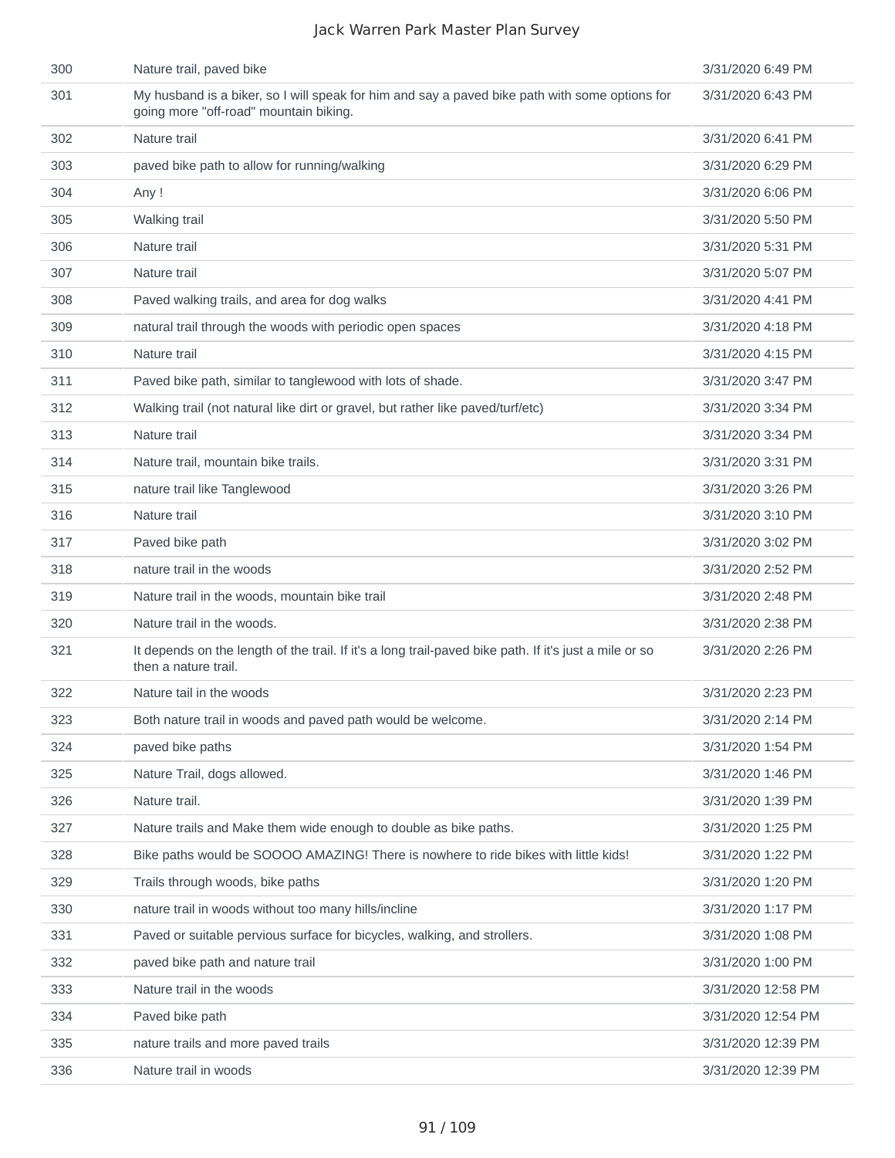| 300 | Nature trail, paved bike                                                                                                                 | 3/31/2020 6:49 PM  |
|-----|------------------------------------------------------------------------------------------------------------------------------------------|--------------------|
| 301 | My husband is a biker, so I will speak for him and say a paved bike path with some options for<br>going more "off-road" mountain biking. | 3/31/2020 6:43 PM  |
| 302 | Nature trail                                                                                                                             | 3/31/2020 6:41 PM  |
| 303 | paved bike path to allow for running/walking                                                                                             | 3/31/2020 6:29 PM  |
| 304 | Any!                                                                                                                                     | 3/31/2020 6:06 PM  |
| 305 | Walking trail                                                                                                                            | 3/31/2020 5:50 PM  |
| 306 | Nature trail                                                                                                                             | 3/31/2020 5:31 PM  |
| 307 | Nature trail                                                                                                                             | 3/31/2020 5:07 PM  |
| 308 | Paved walking trails, and area for dog walks                                                                                             | 3/31/2020 4:41 PM  |
| 309 | natural trail through the woods with periodic open spaces                                                                                | 3/31/2020 4:18 PM  |
| 310 | Nature trail                                                                                                                             | 3/31/2020 4:15 PM  |
| 311 | Paved bike path, similar to tanglewood with lots of shade.                                                                               | 3/31/2020 3:47 PM  |
| 312 | Walking trail (not natural like dirt or gravel, but rather like paved/turf/etc)                                                          | 3/31/2020 3:34 PM  |
| 313 | Nature trail                                                                                                                             | 3/31/2020 3:34 PM  |
| 314 | Nature trail, mountain bike trails.                                                                                                      | 3/31/2020 3:31 PM  |
| 315 | nature trail like Tanglewood                                                                                                             | 3/31/2020 3:26 PM  |
| 316 | Nature trail                                                                                                                             | 3/31/2020 3:10 PM  |
| 317 | Paved bike path                                                                                                                          | 3/31/2020 3:02 PM  |
| 318 | nature trail in the woods                                                                                                                | 3/31/2020 2:52 PM  |
| 319 | Nature trail in the woods, mountain bike trail                                                                                           | 3/31/2020 2:48 PM  |
| 320 | Nature trail in the woods.                                                                                                               | 3/31/2020 2:38 PM  |
| 321 | It depends on the length of the trail. If it's a long trail-paved bike path. If it's just a mile or so<br>then a nature trail.           | 3/31/2020 2:26 PM  |
| 322 | Nature tail in the woods                                                                                                                 | 3/31/2020 2:23 PM  |
| 323 | Both nature trail in woods and paved path would be welcome.                                                                              | 3/31/2020 2:14 PM  |
| 324 | paved bike paths                                                                                                                         | 3/31/2020 1:54 PM  |
| 325 | Nature Trail, dogs allowed.                                                                                                              | 3/31/2020 1:46 PM  |
| 326 | Nature trail.                                                                                                                            | 3/31/2020 1:39 PM  |
| 327 | Nature trails and Make them wide enough to double as bike paths.                                                                         | 3/31/2020 1:25 PM  |
| 328 | Bike paths would be SOOOO AMAZING! There is nowhere to ride bikes with little kids!                                                      | 3/31/2020 1:22 PM  |
| 329 | Trails through woods, bike paths                                                                                                         | 3/31/2020 1:20 PM  |
| 330 | nature trail in woods without too many hills/incline                                                                                     | 3/31/2020 1:17 PM  |
| 331 | Paved or suitable pervious surface for bicycles, walking, and strollers.                                                                 | 3/31/2020 1:08 PM  |
| 332 | paved bike path and nature trail                                                                                                         | 3/31/2020 1:00 PM  |
| 333 | Nature trail in the woods                                                                                                                | 3/31/2020 12:58 PM |
| 334 | Paved bike path                                                                                                                          | 3/31/2020 12:54 PM |
| 335 | nature trails and more paved trails                                                                                                      | 3/31/2020 12:39 PM |
| 336 | Nature trail in woods                                                                                                                    | 3/31/2020 12:39 PM |
|     |                                                                                                                                          |                    |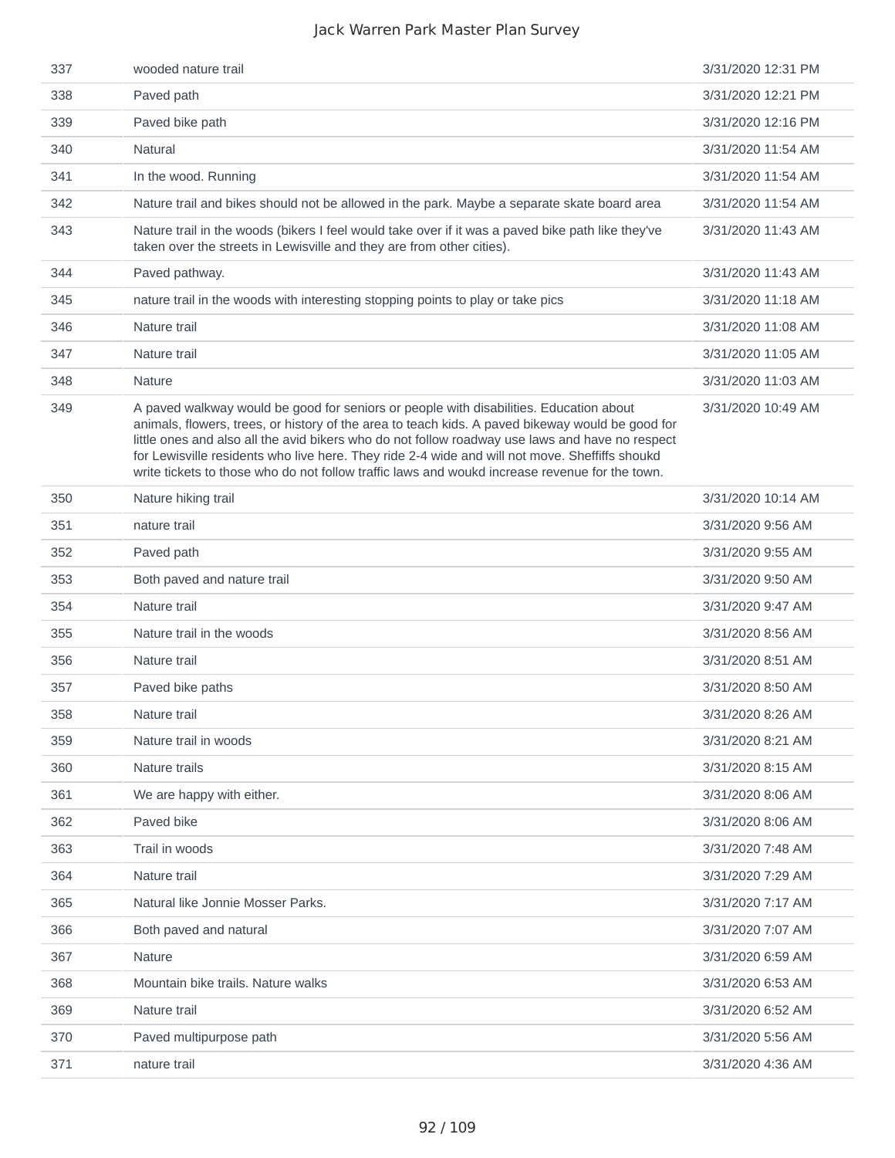| 337 | wooded nature trail                                                                                                                                                                                                                                                                                                                                                                                                                                                                               | 3/31/2020 12:31 PM |
|-----|---------------------------------------------------------------------------------------------------------------------------------------------------------------------------------------------------------------------------------------------------------------------------------------------------------------------------------------------------------------------------------------------------------------------------------------------------------------------------------------------------|--------------------|
| 338 | Paved path                                                                                                                                                                                                                                                                                                                                                                                                                                                                                        | 3/31/2020 12:21 PM |
| 339 | Paved bike path                                                                                                                                                                                                                                                                                                                                                                                                                                                                                   | 3/31/2020 12:16 PM |
| 340 | <b>Natural</b>                                                                                                                                                                                                                                                                                                                                                                                                                                                                                    | 3/31/2020 11:54 AM |
| 341 | In the wood. Running                                                                                                                                                                                                                                                                                                                                                                                                                                                                              | 3/31/2020 11:54 AM |
| 342 | Nature trail and bikes should not be allowed in the park. Maybe a separate skate board area                                                                                                                                                                                                                                                                                                                                                                                                       | 3/31/2020 11:54 AM |
| 343 | Nature trail in the woods (bikers I feel would take over if it was a paved bike path like they've<br>taken over the streets in Lewisville and they are from other cities).                                                                                                                                                                                                                                                                                                                        | 3/31/2020 11:43 AM |
| 344 | Paved pathway.                                                                                                                                                                                                                                                                                                                                                                                                                                                                                    | 3/31/2020 11:43 AM |
| 345 | nature trail in the woods with interesting stopping points to play or take pics                                                                                                                                                                                                                                                                                                                                                                                                                   | 3/31/2020 11:18 AM |
| 346 | Nature trail                                                                                                                                                                                                                                                                                                                                                                                                                                                                                      | 3/31/2020 11:08 AM |
| 347 | Nature trail                                                                                                                                                                                                                                                                                                                                                                                                                                                                                      | 3/31/2020 11:05 AM |
| 348 | <b>Nature</b>                                                                                                                                                                                                                                                                                                                                                                                                                                                                                     | 3/31/2020 11:03 AM |
| 349 | A paved walkway would be good for seniors or people with disabilities. Education about<br>animals, flowers, trees, or history of the area to teach kids. A paved bikeway would be good for<br>little ones and also all the avid bikers who do not follow roadway use laws and have no respect<br>for Lewisville residents who live here. They ride 2-4 wide and will not move. Sheffiffs shoukd<br>write tickets to those who do not follow traffic laws and woukd increase revenue for the town. | 3/31/2020 10:49 AM |
| 350 | Nature hiking trail                                                                                                                                                                                                                                                                                                                                                                                                                                                                               | 3/31/2020 10:14 AM |
| 351 | nature trail                                                                                                                                                                                                                                                                                                                                                                                                                                                                                      | 3/31/2020 9:56 AM  |
| 352 | Paved path                                                                                                                                                                                                                                                                                                                                                                                                                                                                                        | 3/31/2020 9:55 AM  |
| 353 | Both paved and nature trail                                                                                                                                                                                                                                                                                                                                                                                                                                                                       | 3/31/2020 9:50 AM  |
| 354 | Nature trail                                                                                                                                                                                                                                                                                                                                                                                                                                                                                      | 3/31/2020 9:47 AM  |
| 355 | Nature trail in the woods                                                                                                                                                                                                                                                                                                                                                                                                                                                                         | 3/31/2020 8:56 AM  |
| 356 | Nature trail                                                                                                                                                                                                                                                                                                                                                                                                                                                                                      | 3/31/2020 8:51 AM  |
| 357 | Paved bike paths                                                                                                                                                                                                                                                                                                                                                                                                                                                                                  | 3/31/2020 8:50 AM  |
| 358 | Nature trail                                                                                                                                                                                                                                                                                                                                                                                                                                                                                      | 3/31/2020 8:26 AM  |
| 359 | Nature trail in woods                                                                                                                                                                                                                                                                                                                                                                                                                                                                             | 3/31/2020 8:21 AM  |
| 360 | Nature trails                                                                                                                                                                                                                                                                                                                                                                                                                                                                                     | 3/31/2020 8:15 AM  |
| 361 | We are happy with either.                                                                                                                                                                                                                                                                                                                                                                                                                                                                         | 3/31/2020 8:06 AM  |
| 362 | Paved bike                                                                                                                                                                                                                                                                                                                                                                                                                                                                                        | 3/31/2020 8:06 AM  |
| 363 | Trail in woods                                                                                                                                                                                                                                                                                                                                                                                                                                                                                    | 3/31/2020 7:48 AM  |
| 364 | Nature trail                                                                                                                                                                                                                                                                                                                                                                                                                                                                                      | 3/31/2020 7:29 AM  |
| 365 | Natural like Jonnie Mosser Parks.                                                                                                                                                                                                                                                                                                                                                                                                                                                                 | 3/31/2020 7:17 AM  |
| 366 | Both paved and natural                                                                                                                                                                                                                                                                                                                                                                                                                                                                            | 3/31/2020 7:07 AM  |
| 367 | Nature                                                                                                                                                                                                                                                                                                                                                                                                                                                                                            | 3/31/2020 6:59 AM  |
| 368 | Mountain bike trails. Nature walks                                                                                                                                                                                                                                                                                                                                                                                                                                                                | 3/31/2020 6:53 AM  |
| 369 | Nature trail                                                                                                                                                                                                                                                                                                                                                                                                                                                                                      | 3/31/2020 6:52 AM  |
| 370 | Paved multipurpose path                                                                                                                                                                                                                                                                                                                                                                                                                                                                           | 3/31/2020 5:56 AM  |
| 371 | nature trail                                                                                                                                                                                                                                                                                                                                                                                                                                                                                      | 3/31/2020 4:36 AM  |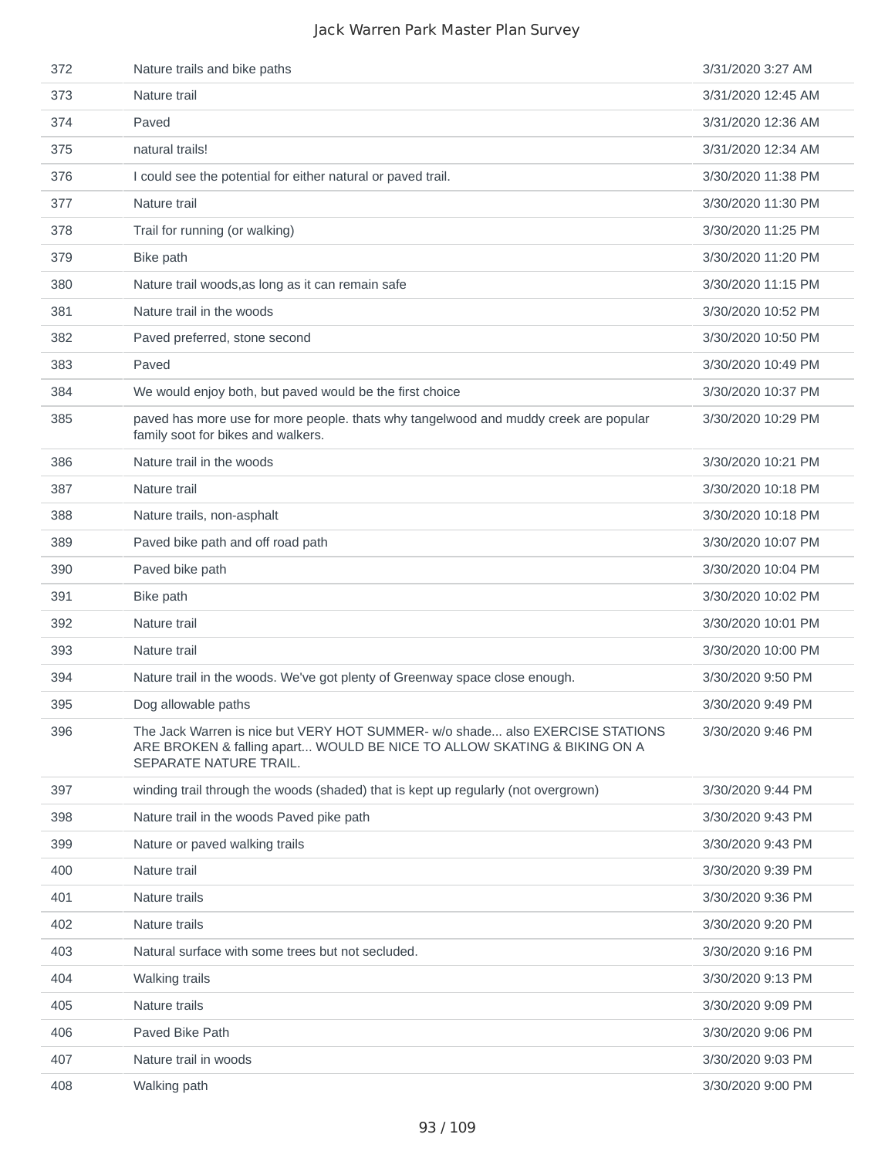| 372 | Nature trails and bike paths                                                                                                                                                       | 3/31/2020 3:27 AM  |
|-----|------------------------------------------------------------------------------------------------------------------------------------------------------------------------------------|--------------------|
| 373 | Nature trail                                                                                                                                                                       | 3/31/2020 12:45 AM |
| 374 | Paved                                                                                                                                                                              | 3/31/2020 12:36 AM |
| 375 | natural trails!                                                                                                                                                                    | 3/31/2020 12:34 AM |
| 376 | I could see the potential for either natural or paved trail.                                                                                                                       | 3/30/2020 11:38 PM |
| 377 | Nature trail                                                                                                                                                                       | 3/30/2020 11:30 PM |
| 378 | Trail for running (or walking)                                                                                                                                                     | 3/30/2020 11:25 PM |
| 379 | Bike path                                                                                                                                                                          | 3/30/2020 11:20 PM |
| 380 | Nature trail woods, as long as it can remain safe                                                                                                                                  | 3/30/2020 11:15 PM |
| 381 | Nature trail in the woods                                                                                                                                                          | 3/30/2020 10:52 PM |
| 382 | Paved preferred, stone second                                                                                                                                                      | 3/30/2020 10:50 PM |
| 383 | Paved                                                                                                                                                                              | 3/30/2020 10:49 PM |
| 384 | We would enjoy both, but paved would be the first choice                                                                                                                           | 3/30/2020 10:37 PM |
| 385 | paved has more use for more people. thats why tangelwood and muddy creek are popular<br>family soot for bikes and walkers.                                                         | 3/30/2020 10:29 PM |
| 386 | Nature trail in the woods                                                                                                                                                          | 3/30/2020 10:21 PM |
| 387 | Nature trail                                                                                                                                                                       | 3/30/2020 10:18 PM |
| 388 | Nature trails, non-asphalt                                                                                                                                                         | 3/30/2020 10:18 PM |
| 389 | Paved bike path and off road path                                                                                                                                                  | 3/30/2020 10:07 PM |
| 390 | Paved bike path                                                                                                                                                                    | 3/30/2020 10:04 PM |
| 391 | Bike path                                                                                                                                                                          | 3/30/2020 10:02 PM |
| 392 | Nature trail                                                                                                                                                                       | 3/30/2020 10:01 PM |
| 393 | Nature trail                                                                                                                                                                       | 3/30/2020 10:00 PM |
| 394 | Nature trail in the woods. We've got plenty of Greenway space close enough.                                                                                                        | 3/30/2020 9:50 PM  |
| 395 | Dog allowable paths                                                                                                                                                                | 3/30/2020 9:49 PM  |
| 396 | The Jack Warren is nice but VERY HOT SUMMER- w/o shade also EXERCISE STATIONS<br>ARE BROKEN & falling apart WOULD BE NICE TO ALLOW SKATING & BIKING ON A<br>SEPARATE NATURE TRAIL. | 3/30/2020 9:46 PM  |
| 397 | winding trail through the woods (shaded) that is kept up regularly (not overgrown)                                                                                                 | 3/30/2020 9:44 PM  |
| 398 | Nature trail in the woods Paved pike path                                                                                                                                          | 3/30/2020 9:43 PM  |
| 399 | Nature or paved walking trails                                                                                                                                                     | 3/30/2020 9:43 PM  |
| 400 | Nature trail                                                                                                                                                                       | 3/30/2020 9:39 PM  |
| 401 | Nature trails                                                                                                                                                                      | 3/30/2020 9:36 PM  |
| 402 | Nature trails                                                                                                                                                                      | 3/30/2020 9:20 PM  |
| 403 | Natural surface with some trees but not secluded.                                                                                                                                  | 3/30/2020 9:16 PM  |
| 404 | Walking trails                                                                                                                                                                     | 3/30/2020 9:13 PM  |
| 405 | Nature trails                                                                                                                                                                      | 3/30/2020 9:09 PM  |
| 406 | Paved Bike Path                                                                                                                                                                    | 3/30/2020 9:06 PM  |
| 407 | Nature trail in woods                                                                                                                                                              | 3/30/2020 9:03 PM  |
| 408 | Walking path                                                                                                                                                                       | 3/30/2020 9:00 PM  |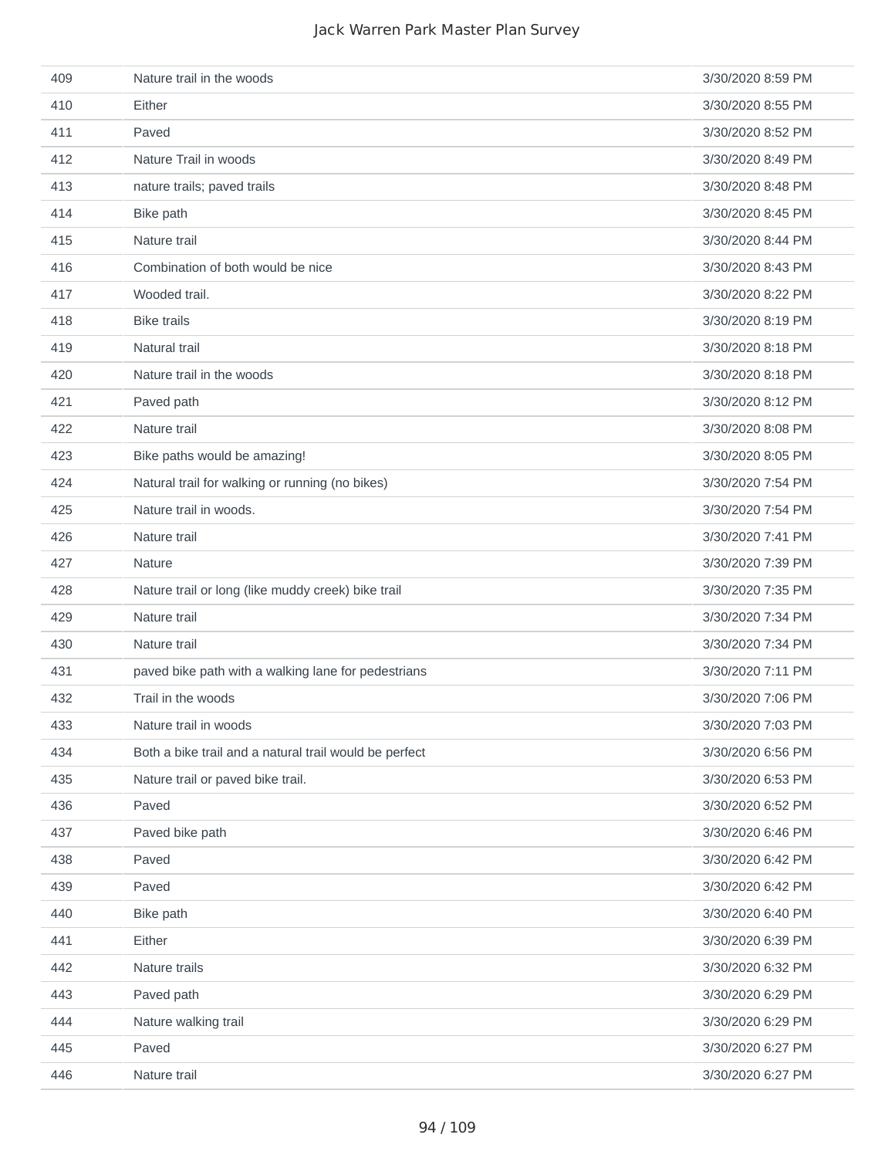| 409 | Nature trail in the woods                              | 3/30/2020 8:59 PM |
|-----|--------------------------------------------------------|-------------------|
| 410 | Either                                                 | 3/30/2020 8:55 PM |
| 411 | Paved                                                  | 3/30/2020 8:52 PM |
| 412 | Nature Trail in woods                                  | 3/30/2020 8:49 PM |
| 413 | nature trails; paved trails                            | 3/30/2020 8:48 PM |
| 414 | Bike path                                              | 3/30/2020 8:45 PM |
| 415 | Nature trail                                           | 3/30/2020 8:44 PM |
| 416 | Combination of both would be nice                      | 3/30/2020 8:43 PM |
| 417 | Wooded trail.                                          | 3/30/2020 8:22 PM |
| 418 | <b>Bike trails</b>                                     | 3/30/2020 8:19 PM |
| 419 | Natural trail                                          | 3/30/2020 8:18 PM |
| 420 | Nature trail in the woods                              | 3/30/2020 8:18 PM |
| 421 | Paved path                                             | 3/30/2020 8:12 PM |
| 422 | Nature trail                                           | 3/30/2020 8:08 PM |
| 423 | Bike paths would be amazing!                           | 3/30/2020 8:05 PM |
| 424 | Natural trail for walking or running (no bikes)        | 3/30/2020 7:54 PM |
| 425 | Nature trail in woods.                                 | 3/30/2020 7:54 PM |
| 426 | Nature trail                                           | 3/30/2020 7:41 PM |
| 427 | Nature                                                 | 3/30/2020 7:39 PM |
| 428 | Nature trail or long (like muddy creek) bike trail     | 3/30/2020 7:35 PM |
| 429 | Nature trail                                           | 3/30/2020 7:34 PM |
| 430 | Nature trail                                           | 3/30/2020 7:34 PM |
| 431 | paved bike path with a walking lane for pedestrians    | 3/30/2020 7:11 PM |
| 432 | Trail in the woods                                     | 3/30/2020 7:06 PM |
| 433 | Nature trail in woods                                  | 3/30/2020 7:03 PM |
| 434 | Both a bike trail and a natural trail would be perfect | 3/30/2020 6:56 PM |
| 435 | Nature trail or paved bike trail.                      | 3/30/2020 6:53 PM |
| 436 | Paved                                                  | 3/30/2020 6:52 PM |
| 437 | Paved bike path                                        | 3/30/2020 6:46 PM |
| 438 | Paved                                                  | 3/30/2020 6:42 PM |
| 439 | Paved                                                  | 3/30/2020 6:42 PM |
| 440 | Bike path                                              | 3/30/2020 6:40 PM |
| 441 | Either                                                 | 3/30/2020 6:39 PM |
| 442 | Nature trails                                          | 3/30/2020 6:32 PM |
| 443 | Paved path                                             | 3/30/2020 6:29 PM |
| 444 | Nature walking trail                                   | 3/30/2020 6:29 PM |
| 445 | Paved                                                  | 3/30/2020 6:27 PM |
| 446 | Nature trail                                           | 3/30/2020 6:27 PM |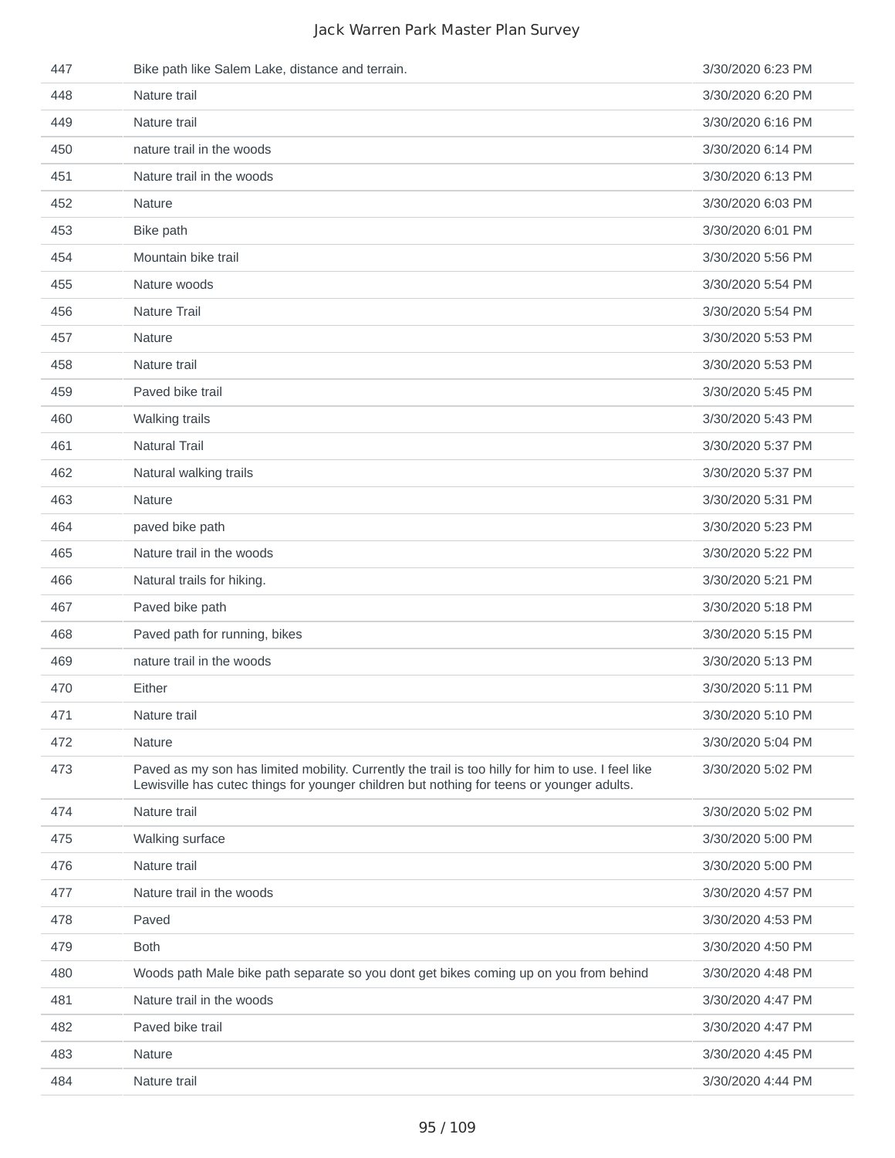| 447 | Bike path like Salem Lake, distance and terrain.                                                                                                                                                | 3/30/2020 6:23 PM |
|-----|-------------------------------------------------------------------------------------------------------------------------------------------------------------------------------------------------|-------------------|
| 448 | Nature trail                                                                                                                                                                                    | 3/30/2020 6:20 PM |
| 449 | Nature trail                                                                                                                                                                                    | 3/30/2020 6:16 PM |
| 450 | nature trail in the woods                                                                                                                                                                       | 3/30/2020 6:14 PM |
| 451 | Nature trail in the woods                                                                                                                                                                       | 3/30/2020 6:13 PM |
| 452 | Nature                                                                                                                                                                                          | 3/30/2020 6:03 PM |
| 453 | Bike path                                                                                                                                                                                       | 3/30/2020 6:01 PM |
| 454 | Mountain bike trail                                                                                                                                                                             | 3/30/2020 5:56 PM |
| 455 | Nature woods                                                                                                                                                                                    | 3/30/2020 5:54 PM |
| 456 | Nature Trail                                                                                                                                                                                    | 3/30/2020 5:54 PM |
| 457 | Nature                                                                                                                                                                                          | 3/30/2020 5:53 PM |
| 458 | Nature trail                                                                                                                                                                                    | 3/30/2020 5:53 PM |
| 459 | Paved bike trail                                                                                                                                                                                | 3/30/2020 5:45 PM |
| 460 | Walking trails                                                                                                                                                                                  | 3/30/2020 5:43 PM |
| 461 | <b>Natural Trail</b>                                                                                                                                                                            | 3/30/2020 5:37 PM |
| 462 | Natural walking trails                                                                                                                                                                          | 3/30/2020 5:37 PM |
| 463 | Nature                                                                                                                                                                                          | 3/30/2020 5:31 PM |
| 464 | paved bike path                                                                                                                                                                                 | 3/30/2020 5:23 PM |
| 465 | Nature trail in the woods                                                                                                                                                                       | 3/30/2020 5:22 PM |
| 466 | Natural trails for hiking.                                                                                                                                                                      | 3/30/2020 5:21 PM |
| 467 | Paved bike path                                                                                                                                                                                 | 3/30/2020 5:18 PM |
| 468 | Paved path for running, bikes                                                                                                                                                                   | 3/30/2020 5:15 PM |
| 469 | nature trail in the woods                                                                                                                                                                       | 3/30/2020 5:13 PM |
| 470 | Either                                                                                                                                                                                          | 3/30/2020 5:11 PM |
| 471 | Nature trail                                                                                                                                                                                    | 3/30/2020 5:10 PM |
| 472 | Nature                                                                                                                                                                                          | 3/30/2020 5:04 PM |
| 473 | Paved as my son has limited mobility. Currently the trail is too hilly for him to use. I feel like<br>Lewisville has cutec things for younger children but nothing for teens or younger adults. | 3/30/2020 5:02 PM |
| 474 | Nature trail                                                                                                                                                                                    | 3/30/2020 5:02 PM |
| 475 | Walking surface                                                                                                                                                                                 | 3/30/2020 5:00 PM |
| 476 | Nature trail                                                                                                                                                                                    | 3/30/2020 5:00 PM |
| 477 | Nature trail in the woods                                                                                                                                                                       | 3/30/2020 4:57 PM |
| 478 | Paved                                                                                                                                                                                           | 3/30/2020 4:53 PM |
| 479 | <b>Both</b>                                                                                                                                                                                     | 3/30/2020 4:50 PM |
| 480 | Woods path Male bike path separate so you dont get bikes coming up on you from behind                                                                                                           | 3/30/2020 4:48 PM |
| 481 | Nature trail in the woods                                                                                                                                                                       | 3/30/2020 4:47 PM |
| 482 | Paved bike trail                                                                                                                                                                                | 3/30/2020 4:47 PM |
| 483 | Nature                                                                                                                                                                                          | 3/30/2020 4:45 PM |
| 484 | Nature trail                                                                                                                                                                                    | 3/30/2020 4:44 PM |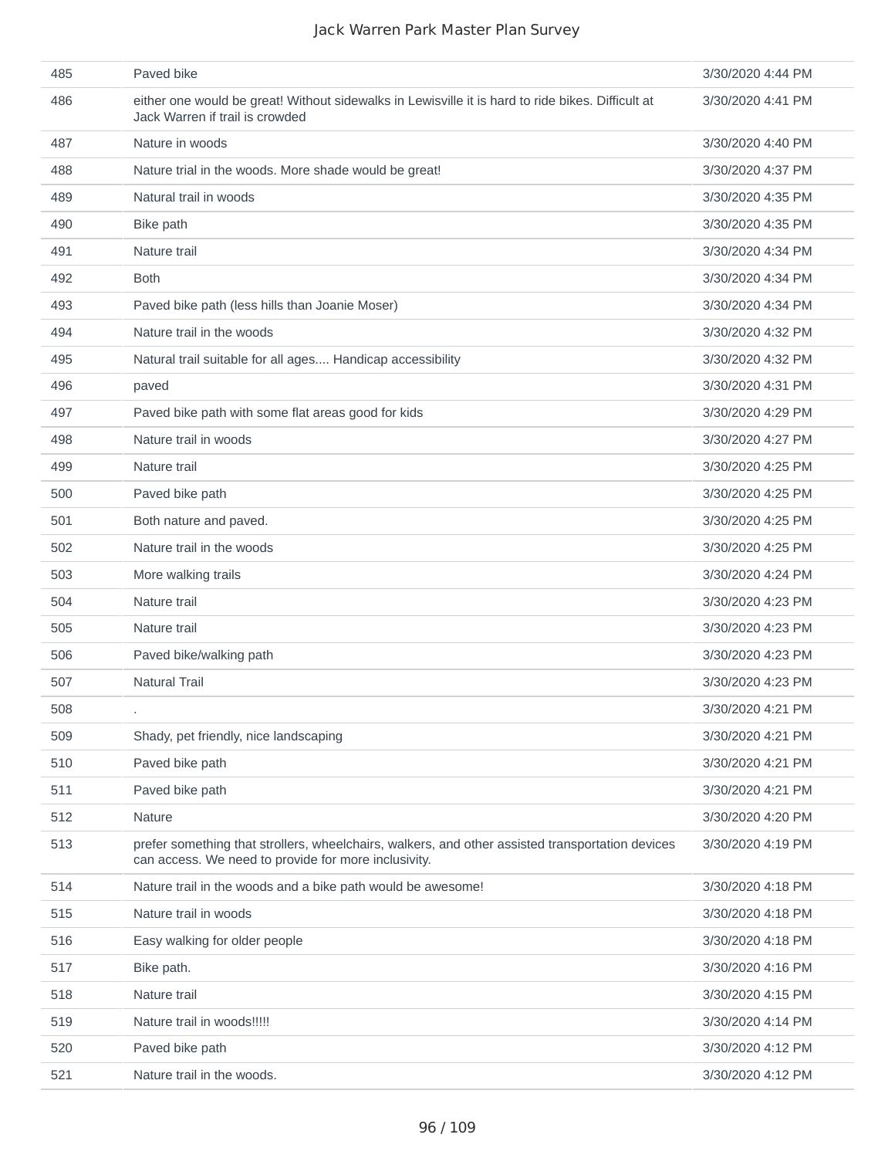| 485 | Paved bike                                                                                                                                               | 3/30/2020 4:44 PM |
|-----|----------------------------------------------------------------------------------------------------------------------------------------------------------|-------------------|
| 486 | either one would be great! Without sidewalks in Lewisville it is hard to ride bikes. Difficult at<br>Jack Warren if trail is crowded                     | 3/30/2020 4:41 PM |
| 487 | Nature in woods                                                                                                                                          | 3/30/2020 4:40 PM |
| 488 | Nature trial in the woods. More shade would be great!                                                                                                    | 3/30/2020 4:37 PM |
| 489 | Natural trail in woods                                                                                                                                   | 3/30/2020 4:35 PM |
| 490 | Bike path                                                                                                                                                | 3/30/2020 4:35 PM |
| 491 | Nature trail                                                                                                                                             | 3/30/2020 4:34 PM |
| 492 | <b>Both</b>                                                                                                                                              | 3/30/2020 4:34 PM |
| 493 | Paved bike path (less hills than Joanie Moser)                                                                                                           | 3/30/2020 4:34 PM |
| 494 | Nature trail in the woods                                                                                                                                | 3/30/2020 4:32 PM |
| 495 | Natural trail suitable for all ages Handicap accessibility                                                                                               | 3/30/2020 4:32 PM |
| 496 | paved                                                                                                                                                    | 3/30/2020 4:31 PM |
| 497 | Paved bike path with some flat areas good for kids                                                                                                       | 3/30/2020 4:29 PM |
| 498 | Nature trail in woods                                                                                                                                    | 3/30/2020 4:27 PM |
| 499 | Nature trail                                                                                                                                             | 3/30/2020 4:25 PM |
| 500 | Paved bike path                                                                                                                                          | 3/30/2020 4:25 PM |
| 501 | Both nature and paved.                                                                                                                                   | 3/30/2020 4:25 PM |
| 502 | Nature trail in the woods                                                                                                                                | 3/30/2020 4:25 PM |
| 503 | More walking trails                                                                                                                                      | 3/30/2020 4:24 PM |
| 504 | Nature trail                                                                                                                                             | 3/30/2020 4:23 PM |
| 505 | Nature trail                                                                                                                                             | 3/30/2020 4:23 PM |
| 506 | Paved bike/walking path                                                                                                                                  | 3/30/2020 4:23 PM |
| 507 | <b>Natural Trail</b>                                                                                                                                     | 3/30/2020 4:23 PM |
| 508 |                                                                                                                                                          | 3/30/2020 4:21 PM |
| 509 | Shady, pet friendly, nice landscaping                                                                                                                    | 3/30/2020 4:21 PM |
| 510 | Paved bike path                                                                                                                                          | 3/30/2020 4:21 PM |
| 511 | Paved bike path                                                                                                                                          | 3/30/2020 4:21 PM |
| 512 | Nature                                                                                                                                                   | 3/30/2020 4:20 PM |
| 513 | prefer something that strollers, wheelchairs, walkers, and other assisted transportation devices<br>can access. We need to provide for more inclusivity. | 3/30/2020 4:19 PM |
| 514 | Nature trail in the woods and a bike path would be awesome!                                                                                              | 3/30/2020 4:18 PM |
| 515 | Nature trail in woods                                                                                                                                    | 3/30/2020 4:18 PM |
| 516 | Easy walking for older people                                                                                                                            | 3/30/2020 4:18 PM |
| 517 | Bike path.                                                                                                                                               | 3/30/2020 4:16 PM |
| 518 | Nature trail                                                                                                                                             | 3/30/2020 4:15 PM |
| 519 | Nature trail in woods!!!!!                                                                                                                               | 3/30/2020 4:14 PM |
| 520 | Paved bike path                                                                                                                                          | 3/30/2020 4:12 PM |
| 521 | Nature trail in the woods.                                                                                                                               | 3/30/2020 4:12 PM |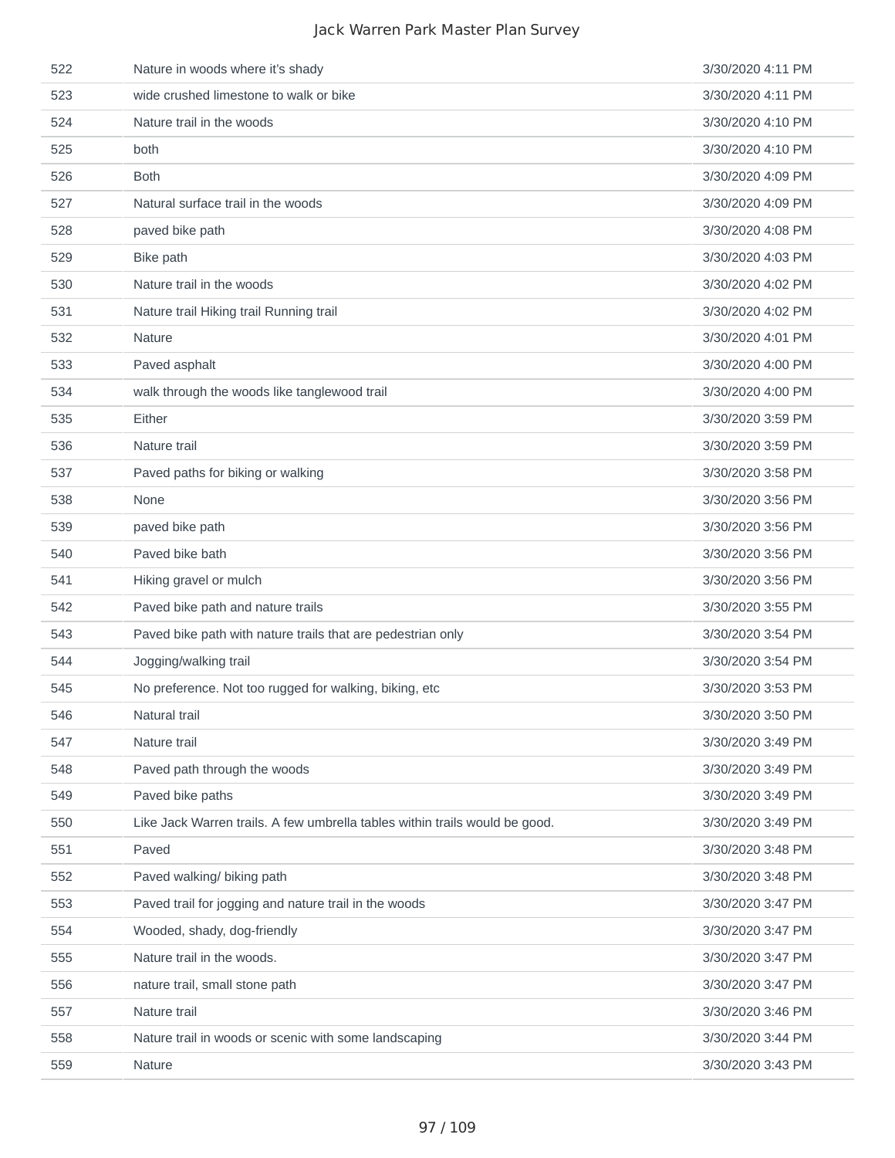| 522 | Nature in woods where it's shady                                            | 3/30/2020 4:11 PM |
|-----|-----------------------------------------------------------------------------|-------------------|
| 523 | wide crushed limestone to walk or bike                                      | 3/30/2020 4:11 PM |
| 524 | Nature trail in the woods                                                   | 3/30/2020 4:10 PM |
| 525 | both                                                                        | 3/30/2020 4:10 PM |
| 526 | <b>Both</b>                                                                 | 3/30/2020 4:09 PM |
| 527 | Natural surface trail in the woods                                          | 3/30/2020 4:09 PM |
| 528 | paved bike path                                                             | 3/30/2020 4:08 PM |
| 529 | Bike path                                                                   | 3/30/2020 4:03 PM |
| 530 | Nature trail in the woods                                                   | 3/30/2020 4:02 PM |
| 531 | Nature trail Hiking trail Running trail                                     | 3/30/2020 4:02 PM |
| 532 | <b>Nature</b>                                                               | 3/30/2020 4:01 PM |
| 533 | Paved asphalt                                                               | 3/30/2020 4:00 PM |
| 534 | walk through the woods like tanglewood trail                                | 3/30/2020 4:00 PM |
| 535 | Either                                                                      | 3/30/2020 3:59 PM |
| 536 | Nature trail                                                                | 3/30/2020 3:59 PM |
| 537 | Paved paths for biking or walking                                           | 3/30/2020 3:58 PM |
| 538 | None                                                                        | 3/30/2020 3:56 PM |
| 539 | paved bike path                                                             | 3/30/2020 3:56 PM |
| 540 | Paved bike bath                                                             | 3/30/2020 3:56 PM |
| 541 | Hiking gravel or mulch                                                      | 3/30/2020 3:56 PM |
| 542 | Paved bike path and nature trails                                           | 3/30/2020 3:55 PM |
| 543 | Paved bike path with nature trails that are pedestrian only                 | 3/30/2020 3:54 PM |
| 544 | Jogging/walking trail                                                       | 3/30/2020 3:54 PM |
| 545 | No preference. Not too rugged for walking, biking, etc                      | 3/30/2020 3:53 PM |
| 546 | Natural trail                                                               | 3/30/2020 3:50 PM |
| 547 | Nature trail                                                                | 3/30/2020 3:49 PM |
| 548 | Paved path through the woods                                                | 3/30/2020 3:49 PM |
| 549 | Paved bike paths                                                            | 3/30/2020 3:49 PM |
| 550 | Like Jack Warren trails. A few umbrella tables within trails would be good. | 3/30/2020 3:49 PM |
| 551 | Paved                                                                       | 3/30/2020 3:48 PM |
| 552 | Paved walking/ biking path                                                  | 3/30/2020 3:48 PM |
| 553 | Paved trail for jogging and nature trail in the woods                       | 3/30/2020 3:47 PM |
| 554 | Wooded, shady, dog-friendly                                                 | 3/30/2020 3:47 PM |
| 555 | Nature trail in the woods.                                                  | 3/30/2020 3:47 PM |
| 556 | nature trail, small stone path                                              | 3/30/2020 3:47 PM |
| 557 | Nature trail                                                                | 3/30/2020 3:46 PM |
| 558 | Nature trail in woods or scenic with some landscaping                       | 3/30/2020 3:44 PM |
| 559 | Nature                                                                      | 3/30/2020 3:43 PM |
|     |                                                                             |                   |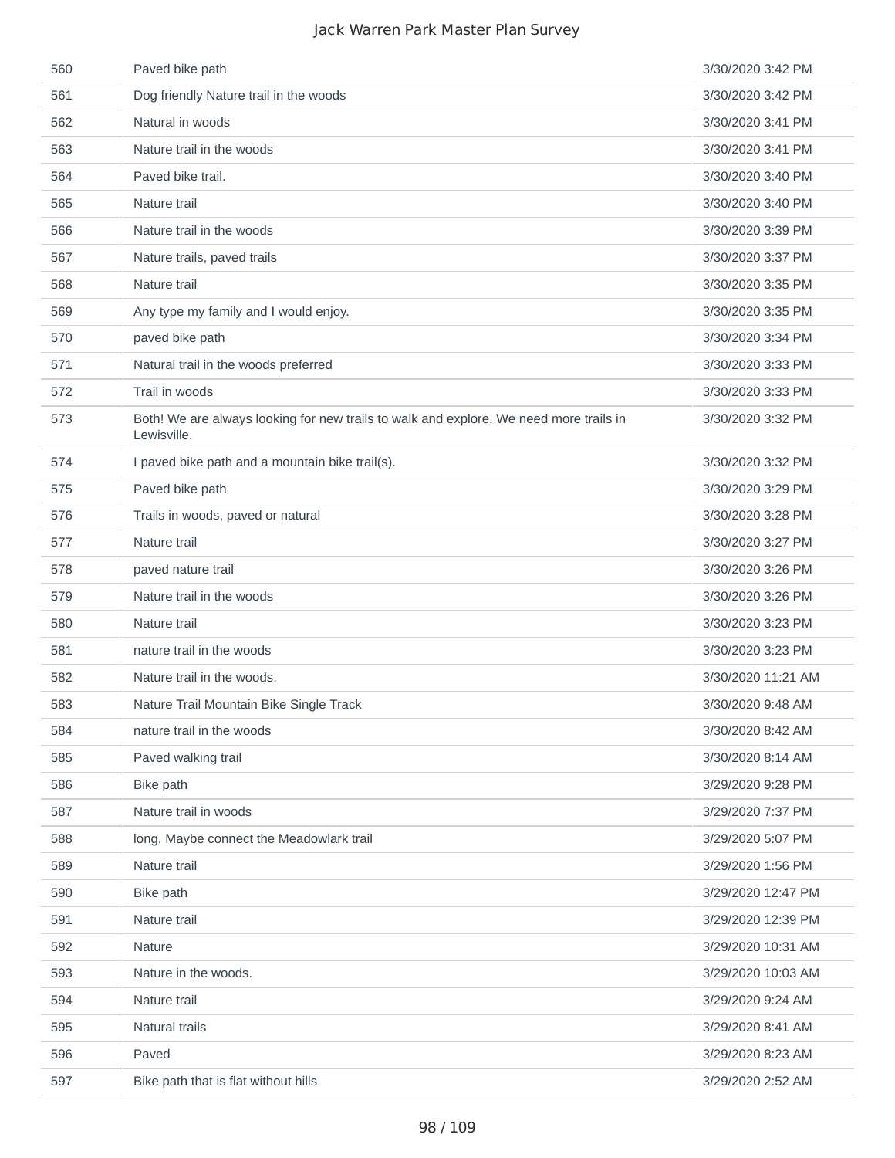| 560 | Paved bike path                                                                                       | 3/30/2020 3:42 PM  |
|-----|-------------------------------------------------------------------------------------------------------|--------------------|
| 561 | Dog friendly Nature trail in the woods                                                                | 3/30/2020 3:42 PM  |
| 562 | Natural in woods                                                                                      | 3/30/2020 3:41 PM  |
| 563 | Nature trail in the woods                                                                             | 3/30/2020 3:41 PM  |
| 564 | Paved bike trail.                                                                                     | 3/30/2020 3:40 PM  |
| 565 | Nature trail                                                                                          | 3/30/2020 3:40 PM  |
| 566 | Nature trail in the woods                                                                             | 3/30/2020 3:39 PM  |
| 567 | Nature trails, paved trails                                                                           | 3/30/2020 3:37 PM  |
| 568 | Nature trail                                                                                          | 3/30/2020 3:35 PM  |
| 569 | Any type my family and I would enjoy.                                                                 | 3/30/2020 3:35 PM  |
| 570 | paved bike path                                                                                       | 3/30/2020 3:34 PM  |
| 571 | Natural trail in the woods preferred                                                                  | 3/30/2020 3:33 PM  |
| 572 | Trail in woods                                                                                        | 3/30/2020 3:33 PM  |
| 573 | Both! We are always looking for new trails to walk and explore. We need more trails in<br>Lewisville. | 3/30/2020 3:32 PM  |
| 574 | I paved bike path and a mountain bike trail(s).                                                       | 3/30/2020 3:32 PM  |
| 575 | Paved bike path                                                                                       | 3/30/2020 3:29 PM  |
| 576 | Trails in woods, paved or natural                                                                     | 3/30/2020 3:28 PM  |
| 577 | Nature trail                                                                                          | 3/30/2020 3:27 PM  |
| 578 | paved nature trail                                                                                    | 3/30/2020 3:26 PM  |
| 579 | Nature trail in the woods                                                                             | 3/30/2020 3:26 PM  |
| 580 | Nature trail                                                                                          | 3/30/2020 3:23 PM  |
| 581 | nature trail in the woods                                                                             | 3/30/2020 3:23 PM  |
| 582 | Nature trail in the woods.                                                                            | 3/30/2020 11:21 AM |
| 583 | Nature Trail Mountain Bike Single Track                                                               | 3/30/2020 9:48 AM  |
| 584 | nature trail in the woods                                                                             | 3/30/2020 8:42 AM  |
| 585 | Paved walking trail                                                                                   | 3/30/2020 8:14 AM  |
| 586 | Bike path                                                                                             | 3/29/2020 9:28 PM  |
| 587 | Nature trail in woods                                                                                 | 3/29/2020 7:37 PM  |
| 588 | long. Maybe connect the Meadowlark trail                                                              | 3/29/2020 5:07 PM  |
| 589 | Nature trail                                                                                          | 3/29/2020 1:56 PM  |
| 590 | Bike path                                                                                             | 3/29/2020 12:47 PM |
| 591 | Nature trail                                                                                          | 3/29/2020 12:39 PM |
| 592 | Nature                                                                                                | 3/29/2020 10:31 AM |
| 593 | Nature in the woods.                                                                                  | 3/29/2020 10:03 AM |
| 594 | Nature trail                                                                                          | 3/29/2020 9:24 AM  |
| 595 | Natural trails                                                                                        | 3/29/2020 8:41 AM  |
| 596 | Paved                                                                                                 | 3/29/2020 8:23 AM  |
| 597 | Bike path that is flat without hills                                                                  | 3/29/2020 2:52 AM  |
|     |                                                                                                       |                    |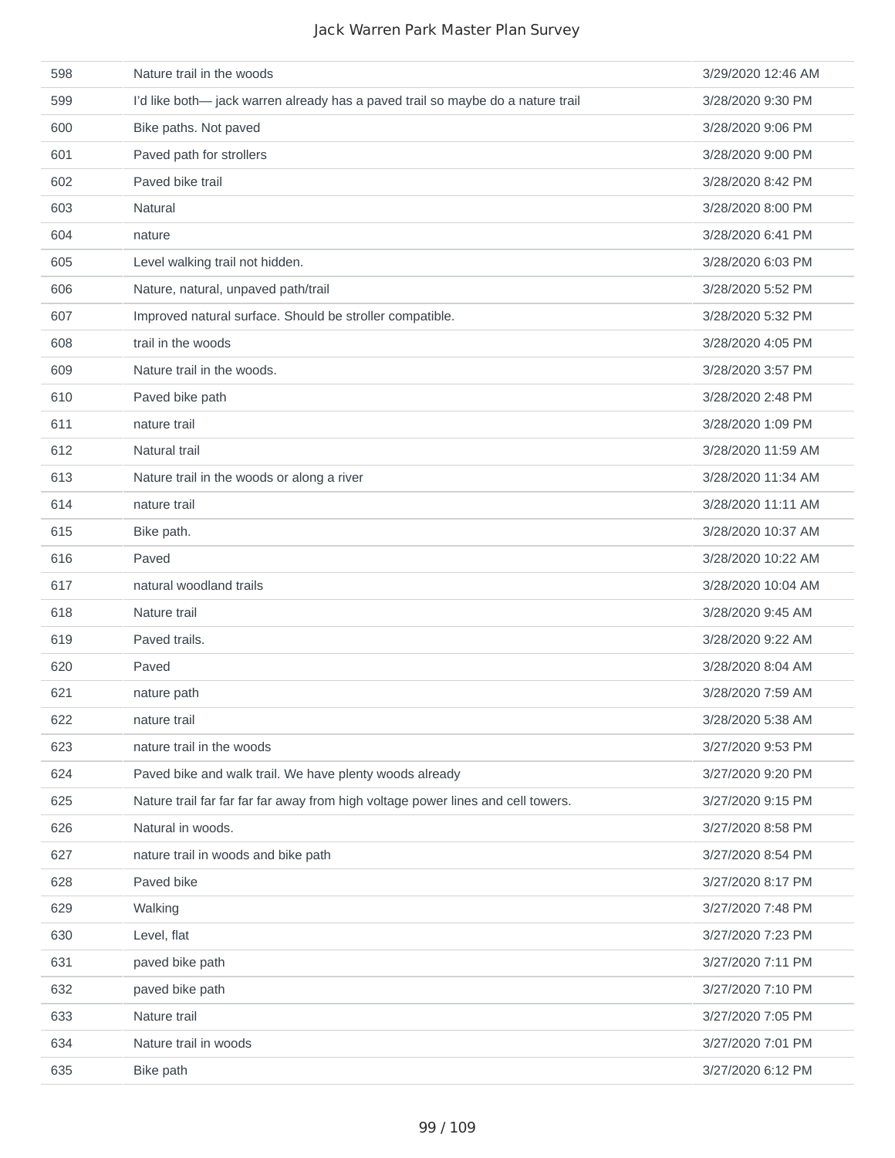| 598 | Nature trail in the woods                                                        | 3/29/2020 12:46 AM |
|-----|----------------------------------------------------------------------------------|--------------------|
| 599 | I'd like both- jack warren already has a paved trail so maybe do a nature trail  | 3/28/2020 9:30 PM  |
| 600 | Bike paths. Not paved                                                            | 3/28/2020 9:06 PM  |
| 601 | Paved path for strollers                                                         | 3/28/2020 9:00 PM  |
| 602 | Paved bike trail                                                                 | 3/28/2020 8:42 PM  |
| 603 | Natural                                                                          | 3/28/2020 8:00 PM  |
| 604 | nature                                                                           | 3/28/2020 6:41 PM  |
| 605 | Level walking trail not hidden.                                                  | 3/28/2020 6:03 PM  |
| 606 | Nature, natural, unpaved path/trail                                              | 3/28/2020 5:52 PM  |
| 607 | Improved natural surface. Should be stroller compatible.                         | 3/28/2020 5:32 PM  |
| 608 | trail in the woods                                                               | 3/28/2020 4:05 PM  |
| 609 | Nature trail in the woods.                                                       | 3/28/2020 3:57 PM  |
| 610 | Paved bike path                                                                  | 3/28/2020 2:48 PM  |
| 611 | nature trail                                                                     | 3/28/2020 1:09 PM  |
| 612 | Natural trail                                                                    | 3/28/2020 11:59 AM |
| 613 | Nature trail in the woods or along a river                                       | 3/28/2020 11:34 AM |
| 614 | nature trail                                                                     | 3/28/2020 11:11 AM |
| 615 | Bike path.                                                                       | 3/28/2020 10:37 AM |
| 616 | Paved                                                                            | 3/28/2020 10:22 AM |
| 617 | natural woodland trails                                                          | 3/28/2020 10:04 AM |
| 618 | Nature trail                                                                     | 3/28/2020 9:45 AM  |
| 619 | Paved trails.                                                                    | 3/28/2020 9:22 AM  |
| 620 | Paved                                                                            | 3/28/2020 8:04 AM  |
| 621 | nature path                                                                      | 3/28/2020 7:59 AM  |
| 622 | nature trail                                                                     | 3/28/2020 5:38 AM  |
| 623 | nature trail in the woods                                                        | 3/27/2020 9:53 PM  |
| 624 | Paved bike and walk trail. We have plenty woods already                          | 3/27/2020 9:20 PM  |
| 625 | Nature trail far far far far away from high voltage power lines and cell towers. | 3/27/2020 9:15 PM  |
| 626 | Natural in woods.                                                                | 3/27/2020 8:58 PM  |
| 627 | nature trail in woods and bike path                                              | 3/27/2020 8:54 PM  |
| 628 | Paved bike                                                                       | 3/27/2020 8:17 PM  |
| 629 | Walking                                                                          | 3/27/2020 7:48 PM  |
| 630 | Level, flat                                                                      | 3/27/2020 7:23 PM  |
| 631 | paved bike path                                                                  | 3/27/2020 7:11 PM  |
| 632 | paved bike path                                                                  | 3/27/2020 7:10 PM  |
| 633 | Nature trail                                                                     | 3/27/2020 7:05 PM  |
| 634 | Nature trail in woods                                                            | 3/27/2020 7:01 PM  |
| 635 | Bike path                                                                        | 3/27/2020 6:12 PM  |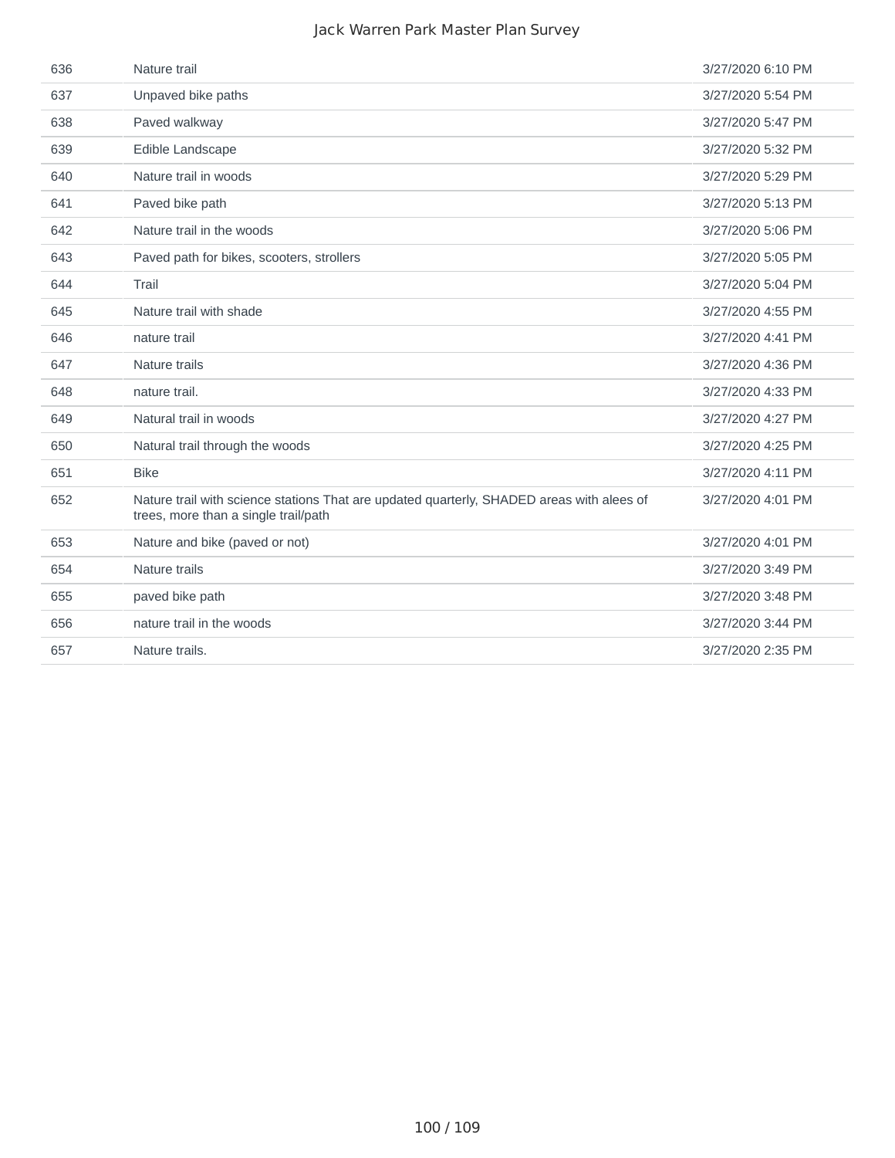| 636 | Nature trail                                                                                                                      | 3/27/2020 6:10 PM |
|-----|-----------------------------------------------------------------------------------------------------------------------------------|-------------------|
| 637 | Unpaved bike paths                                                                                                                | 3/27/2020 5:54 PM |
| 638 | Paved walkway                                                                                                                     | 3/27/2020 5:47 PM |
| 639 | Edible Landscape                                                                                                                  | 3/27/2020 5:32 PM |
| 640 | Nature trail in woods                                                                                                             | 3/27/2020 5:29 PM |
| 641 | Paved bike path                                                                                                                   | 3/27/2020 5:13 PM |
| 642 | Nature trail in the woods                                                                                                         | 3/27/2020 5:06 PM |
| 643 | Paved path for bikes, scooters, strollers                                                                                         | 3/27/2020 5:05 PM |
| 644 | Trail                                                                                                                             | 3/27/2020 5:04 PM |
| 645 | Nature trail with shade                                                                                                           | 3/27/2020 4:55 PM |
| 646 | nature trail                                                                                                                      | 3/27/2020 4:41 PM |
| 647 | Nature trails                                                                                                                     | 3/27/2020 4:36 PM |
| 648 | nature trail.                                                                                                                     | 3/27/2020 4:33 PM |
| 649 | Natural trail in woods                                                                                                            | 3/27/2020 4:27 PM |
| 650 | Natural trail through the woods                                                                                                   | 3/27/2020 4:25 PM |
| 651 | <b>Bike</b>                                                                                                                       | 3/27/2020 4:11 PM |
| 652 | Nature trail with science stations That are updated quarterly, SHADED areas with alees of<br>trees, more than a single trail/path | 3/27/2020 4:01 PM |
| 653 | Nature and bike (paved or not)                                                                                                    | 3/27/2020 4:01 PM |
| 654 | Nature trails                                                                                                                     | 3/27/2020 3:49 PM |
| 655 | paved bike path                                                                                                                   | 3/27/2020 3:48 PM |
| 656 | nature trail in the woods                                                                                                         | 3/27/2020 3:44 PM |
| 657 | Nature trails.                                                                                                                    | 3/27/2020 2:35 PM |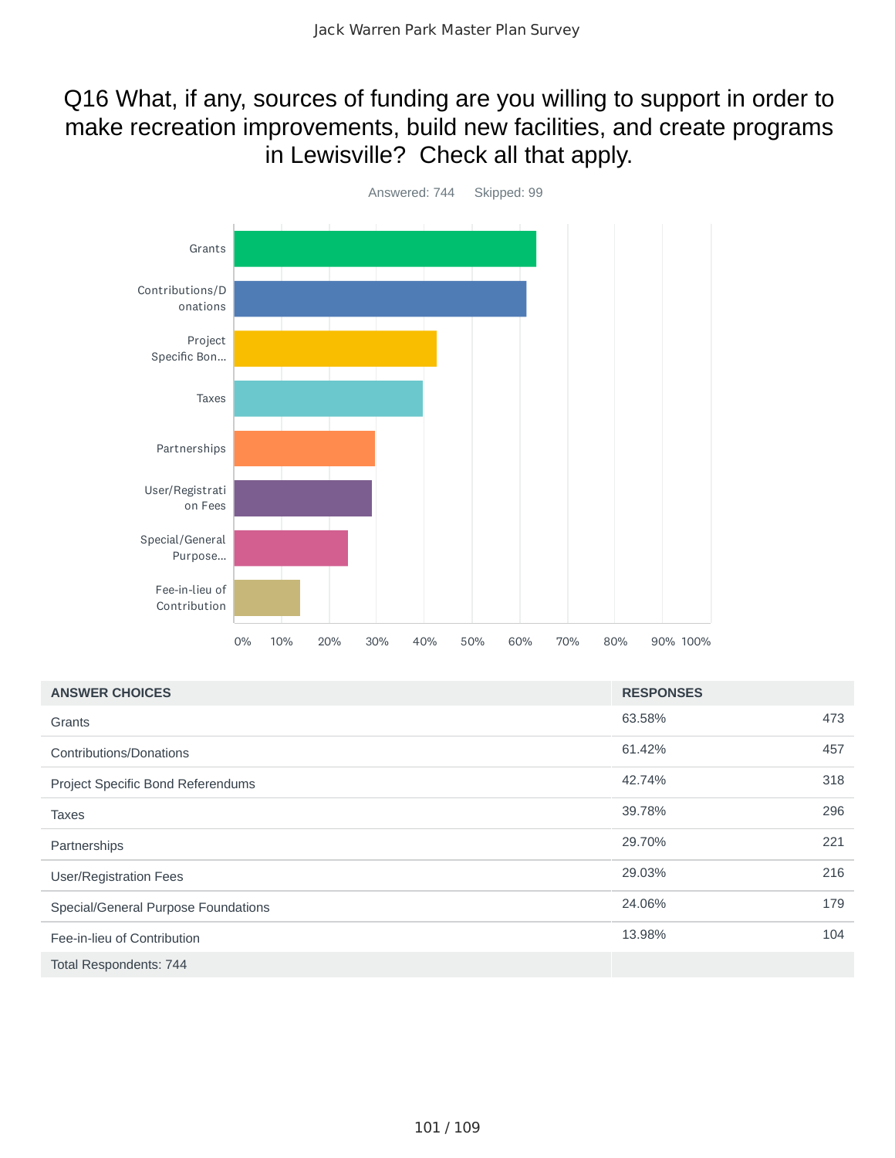### Q16 What, if any, sources of funding are you willing to support in order to make recreation improvements, build new facilities, and create programs in Lewisville? Check all that apply.



| <b>ANSWER CHOICES</b>               | <b>RESPONSES</b> |     |
|-------------------------------------|------------------|-----|
| Grants                              | 63.58%           | 473 |
| <b>Contributions/Donations</b>      | 61.42%           | 457 |
| Project Specific Bond Referendums   | 42.74%           | 318 |
| <b>Taxes</b>                        | 39.78%           | 296 |
| Partnerships                        | 29.70%           | 221 |
| <b>User/Registration Fees</b>       | 29.03%           | 216 |
| Special/General Purpose Foundations | 24.06%           | 179 |
| Fee-in-lieu of Contribution         | 13.98%           | 104 |
| Total Respondents: 744              |                  |     |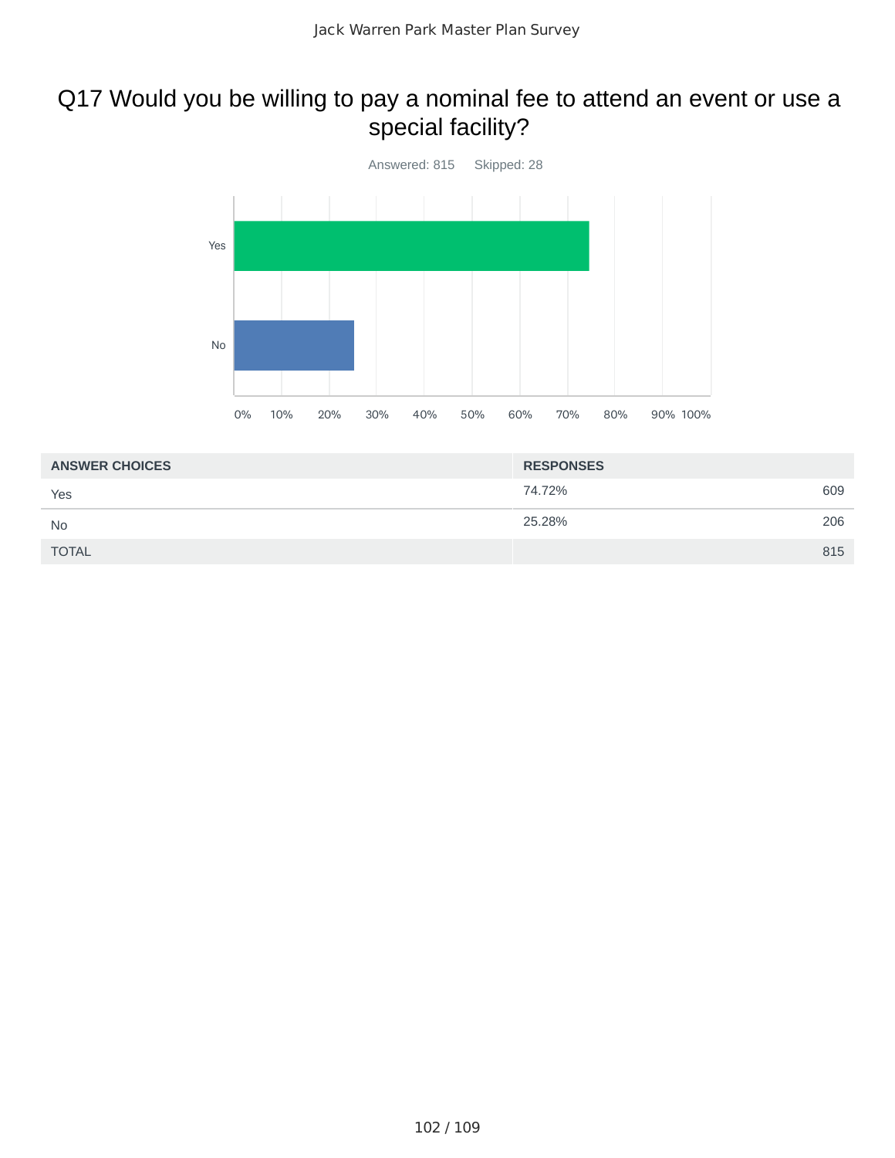## Q17 Would you be willing to pay a nominal fee to attend an event or use a special facility?



| <b>ANSWER CHOICES</b> | <b>RESPONSES</b> |     |
|-----------------------|------------------|-----|
| Yes                   | 74.72%           | 609 |
| <b>No</b>             | 25.28%           | 206 |
| <b>TOTAL</b>          |                  | 815 |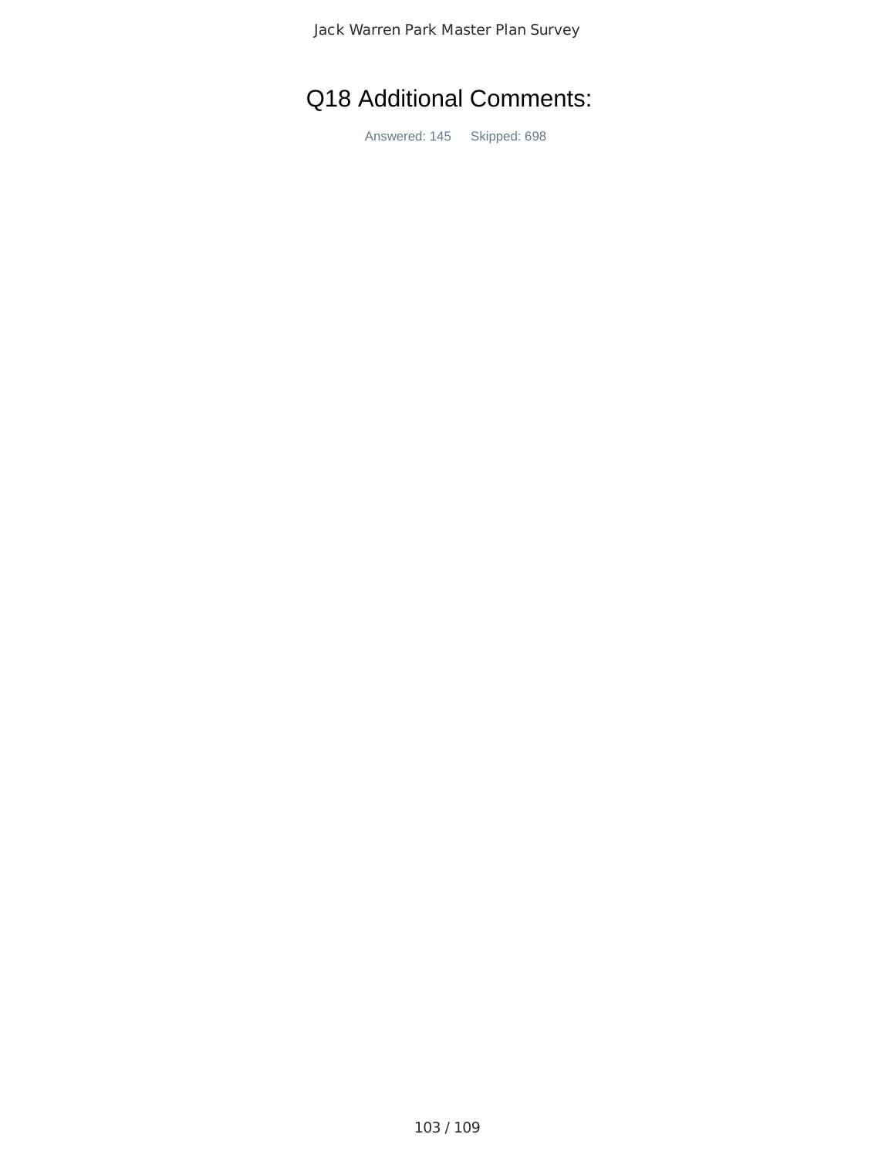# Q18 Additional Comments:

Answered: 145 Skipped: 698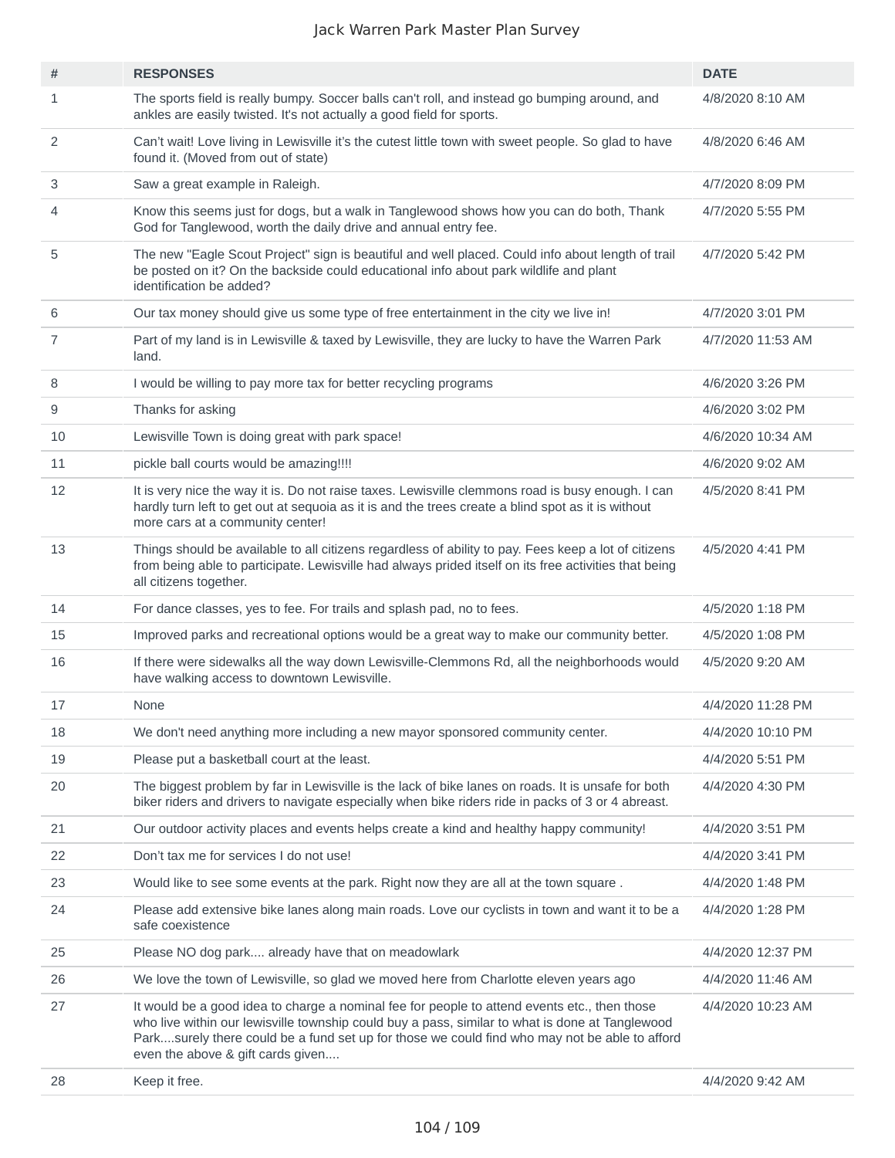| #            | <b>RESPONSES</b>                                                                                                                                                                                                                                                                                                                      | <b>DATE</b>       |
|--------------|---------------------------------------------------------------------------------------------------------------------------------------------------------------------------------------------------------------------------------------------------------------------------------------------------------------------------------------|-------------------|
| $\mathbf{1}$ | The sports field is really bumpy. Soccer balls can't roll, and instead go bumping around, and<br>ankles are easily twisted. It's not actually a good field for sports.                                                                                                                                                                | 4/8/2020 8:10 AM  |
| 2            | Can't wait! Love living in Lewisville it's the cutest little town with sweet people. So glad to have<br>found it. (Moved from out of state)                                                                                                                                                                                           | 4/8/2020 6:46 AM  |
| 3            | Saw a great example in Raleigh.                                                                                                                                                                                                                                                                                                       | 4/7/2020 8:09 PM  |
| 4            | Know this seems just for dogs, but a walk in Tanglewood shows how you can do both, Thank<br>God for Tanglewood, worth the daily drive and annual entry fee.                                                                                                                                                                           | 4/7/2020 5:55 PM  |
| 5            | The new "Eagle Scout Project" sign is beautiful and well placed. Could info about length of trail<br>be posted on it? On the backside could educational info about park wildlife and plant<br>identification be added?                                                                                                                | 4/7/2020 5:42 PM  |
| 6            | Our tax money should give us some type of free entertainment in the city we live in!                                                                                                                                                                                                                                                  | 4/7/2020 3:01 PM  |
| 7            | Part of my land is in Lewisville & taxed by Lewisville, they are lucky to have the Warren Park<br>land.                                                                                                                                                                                                                               | 4/7/2020 11:53 AM |
| 8            | I would be willing to pay more tax for better recycling programs                                                                                                                                                                                                                                                                      | 4/6/2020 3:26 PM  |
| 9            | Thanks for asking                                                                                                                                                                                                                                                                                                                     | 4/6/2020 3:02 PM  |
| 10           | Lewisville Town is doing great with park space!                                                                                                                                                                                                                                                                                       | 4/6/2020 10:34 AM |
| 11           | pickle ball courts would be amazing!!!!                                                                                                                                                                                                                                                                                               | 4/6/2020 9:02 AM  |
| 12           | It is very nice the way it is. Do not raise taxes. Lewisville clemmons road is busy enough. I can<br>hardly turn left to get out at sequoia as it is and the trees create a blind spot as it is without<br>more cars at a community center!                                                                                           | 4/5/2020 8:41 PM  |
| 13           | Things should be available to all citizens regardless of ability to pay. Fees keep a lot of citizens<br>from being able to participate. Lewisville had always prided itself on its free activities that being<br>all citizens together.                                                                                               | 4/5/2020 4:41 PM  |
| 14           | For dance classes, yes to fee. For trails and splash pad, no to fees.                                                                                                                                                                                                                                                                 | 4/5/2020 1:18 PM  |
| 15           | Improved parks and recreational options would be a great way to make our community better.                                                                                                                                                                                                                                            | 4/5/2020 1:08 PM  |
| 16           | If there were sidewalks all the way down Lewisville-Clemmons Rd, all the neighborhoods would<br>have walking access to downtown Lewisville.                                                                                                                                                                                           | 4/5/2020 9:20 AM  |
| 17           | None                                                                                                                                                                                                                                                                                                                                  | 4/4/2020 11:28 PM |
| 18           | We don't need anything more including a new mayor sponsored community center.                                                                                                                                                                                                                                                         | 4/4/2020 10:10 PM |
| 19           | Please put a basketball court at the least.                                                                                                                                                                                                                                                                                           | 4/4/2020 5:51 PM  |
| 20           | The biggest problem by far in Lewisville is the lack of bike lanes on roads. It is unsafe for both<br>biker riders and drivers to navigate especially when bike riders ride in packs of 3 or 4 abreast.                                                                                                                               | 4/4/2020 4:30 PM  |
| 21           | Our outdoor activity places and events helps create a kind and healthy happy community!                                                                                                                                                                                                                                               | 4/4/2020 3:51 PM  |
| 22           | Don't tax me for services I do not use!                                                                                                                                                                                                                                                                                               | 4/4/2020 3:41 PM  |
| 23           | Would like to see some events at the park. Right now they are all at the town square.                                                                                                                                                                                                                                                 | 4/4/2020 1:48 PM  |
| 24           | Please add extensive bike lanes along main roads. Love our cyclists in town and want it to be a<br>safe coexistence                                                                                                                                                                                                                   | 4/4/2020 1:28 PM  |
| 25           | Please NO dog park already have that on meadowlark                                                                                                                                                                                                                                                                                    | 4/4/2020 12:37 PM |
| 26           | We love the town of Lewisville, so glad we moved here from Charlotte eleven years ago                                                                                                                                                                                                                                                 | 4/4/2020 11:46 AM |
| 27           | It would be a good idea to charge a nominal fee for people to attend events etc., then those<br>who live within our lewisville township could buy a pass, similar to what is done at Tanglewood<br>Parksurely there could be a fund set up for those we could find who may not be able to afford<br>even the above & gift cards given | 4/4/2020 10:23 AM |
| 28           | Keep it free.                                                                                                                                                                                                                                                                                                                         | 4/4/2020 9:42 AM  |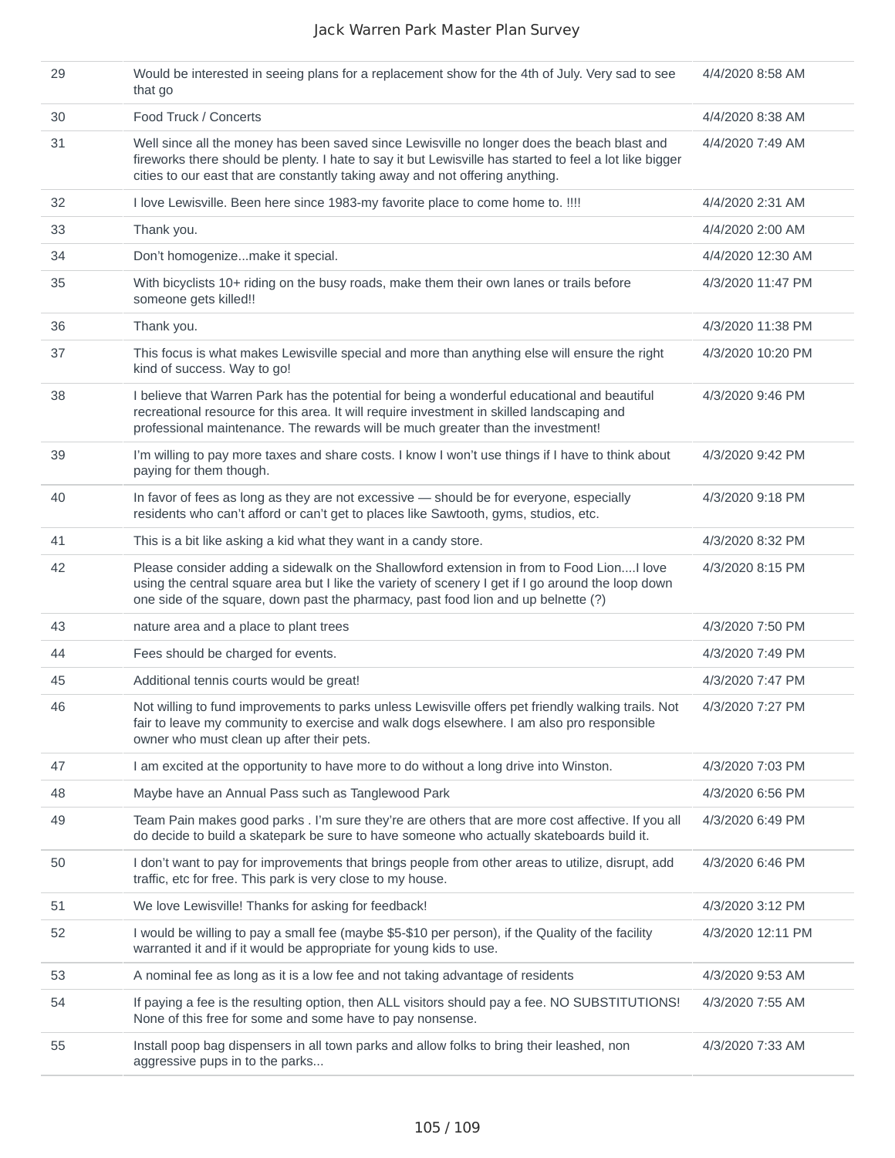| 29 | Would be interested in seeing plans for a replacement show for the 4th of July. Very sad to see<br>that go                                                                                                                                                                              | 4/4/2020 8:58 AM  |
|----|-----------------------------------------------------------------------------------------------------------------------------------------------------------------------------------------------------------------------------------------------------------------------------------------|-------------------|
| 30 | Food Truck / Concerts                                                                                                                                                                                                                                                                   | 4/4/2020 8:38 AM  |
| 31 | Well since all the money has been saved since Lewisville no longer does the beach blast and<br>fireworks there should be plenty. I hate to say it but Lewisville has started to feel a lot like bigger<br>cities to our east that are constantly taking away and not offering anything. | 4/4/2020 7:49 AM  |
| 32 | I love Lewisville. Been here since 1983-my favorite place to come home to. !!!!                                                                                                                                                                                                         | 4/4/2020 2:31 AM  |
| 33 | Thank you.                                                                                                                                                                                                                                                                              | 4/4/2020 2:00 AM  |
| 34 | Don't homogenizemake it special.                                                                                                                                                                                                                                                        | 4/4/2020 12:30 AM |
| 35 | With bicyclists 10+ riding on the busy roads, make them their own lanes or trails before<br>someone gets killed!!                                                                                                                                                                       | 4/3/2020 11:47 PM |
| 36 | Thank you.                                                                                                                                                                                                                                                                              | 4/3/2020 11:38 PM |
| 37 | This focus is what makes Lewisville special and more than anything else will ensure the right<br>kind of success. Way to go!                                                                                                                                                            | 4/3/2020 10:20 PM |
| 38 | I believe that Warren Park has the potential for being a wonderful educational and beautiful<br>recreational resource for this area. It will require investment in skilled landscaping and<br>professional maintenance. The rewards will be much greater than the investment!           | 4/3/2020 9:46 PM  |
| 39 | I'm willing to pay more taxes and share costs. I know I won't use things if I have to think about<br>paying for them though.                                                                                                                                                            | 4/3/2020 9:42 PM  |
| 40 | In favor of fees as long as they are not excessive - should be for everyone, especially<br>residents who can't afford or can't get to places like Sawtooth, gyms, studios, etc.                                                                                                         | 4/3/2020 9:18 PM  |
| 41 | This is a bit like asking a kid what they want in a candy store.                                                                                                                                                                                                                        | 4/3/2020 8:32 PM  |
| 42 | Please consider adding a sidewalk on the Shallowford extension in from to Food LionI love<br>using the central square area but I like the variety of scenery I get if I go around the loop down<br>one side of the square, down past the pharmacy, past food lion and up belnette (?)   | 4/3/2020 8:15 PM  |
| 43 | nature area and a place to plant trees                                                                                                                                                                                                                                                  | 4/3/2020 7:50 PM  |
| 44 | Fees should be charged for events.                                                                                                                                                                                                                                                      | 4/3/2020 7:49 PM  |
| 45 | Additional tennis courts would be great!                                                                                                                                                                                                                                                | 4/3/2020 7:47 PM  |
| 46 | Not willing to fund improvements to parks unless Lewisville offers pet friendly walking trails. Not<br>fair to leave my community to exercise and walk dogs elsewhere. I am also pro responsible<br>owner who must clean up after their pets.                                           | 4/3/2020 7:27 PM  |
| 47 | I am excited at the opportunity to have more to do without a long drive into Winston.                                                                                                                                                                                                   | 4/3/2020 7:03 PM  |
| 48 | Maybe have an Annual Pass such as Tanglewood Park                                                                                                                                                                                                                                       | 4/3/2020 6:56 PM  |
| 49 | Team Pain makes good parks . I'm sure they're are others that are more cost affective. If you all<br>do decide to build a skatepark be sure to have someone who actually skateboards build it.                                                                                          | 4/3/2020 6:49 PM  |
| 50 | I don't want to pay for improvements that brings people from other areas to utilize, disrupt, add<br>traffic, etc for free. This park is very close to my house.                                                                                                                        | 4/3/2020 6:46 PM  |
| 51 | We love Lewisville! Thanks for asking for feedback!                                                                                                                                                                                                                                     | 4/3/2020 3:12 PM  |
| 52 | I would be willing to pay a small fee (maybe \$5-\$10 per person), if the Quality of the facility<br>warranted it and if it would be appropriate for young kids to use.                                                                                                                 | 4/3/2020 12:11 PM |
| 53 | A nominal fee as long as it is a low fee and not taking advantage of residents                                                                                                                                                                                                          | 4/3/2020 9:53 AM  |
| 54 | If paying a fee is the resulting option, then ALL visitors should pay a fee. NO SUBSTITUTIONS!<br>None of this free for some and some have to pay nonsense.                                                                                                                             | 4/3/2020 7:55 AM  |
| 55 | Install poop bag dispensers in all town parks and allow folks to bring their leashed, non<br>aggressive pups in to the parks                                                                                                                                                            | 4/3/2020 7:33 AM  |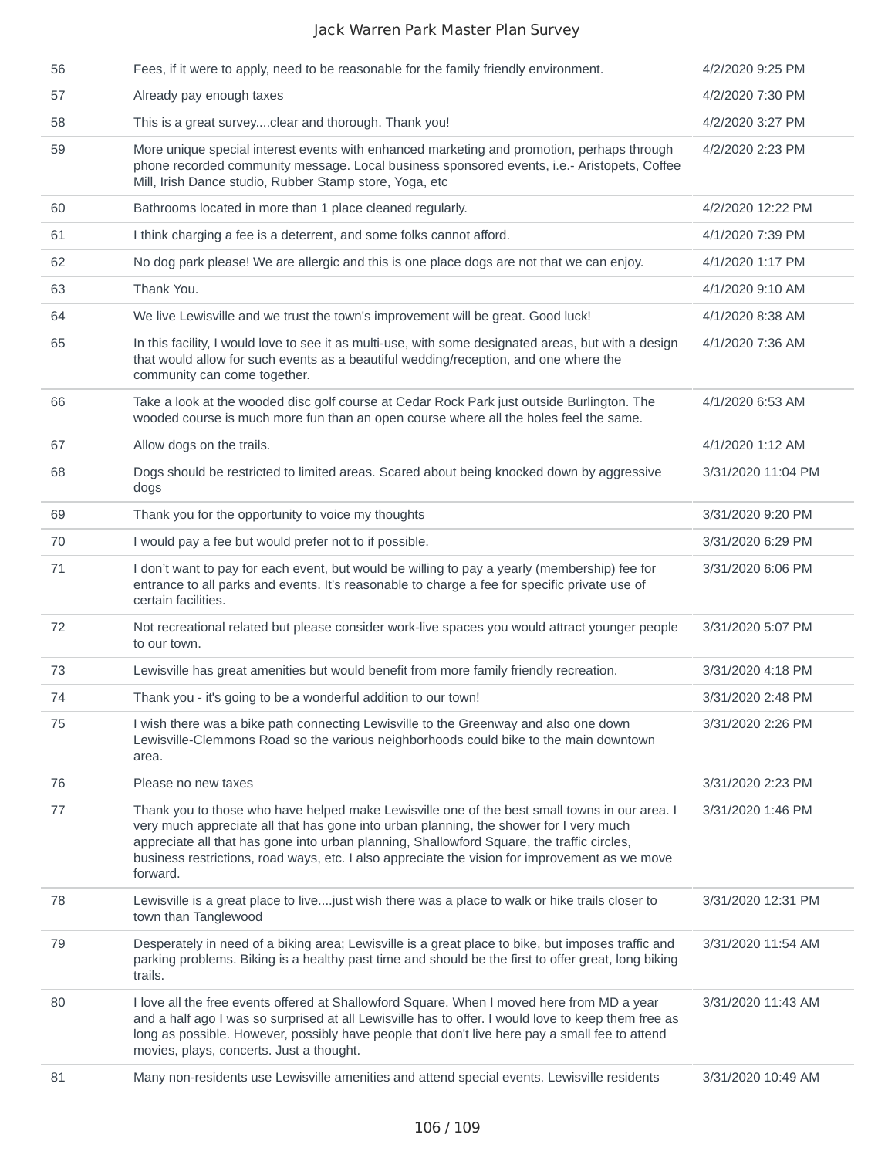| 56 | Fees, if it were to apply, need to be reasonable for the family friendly environment.                                                                                                                                                                                                                                                                                                               | 4/2/2020 9:25 PM   |
|----|-----------------------------------------------------------------------------------------------------------------------------------------------------------------------------------------------------------------------------------------------------------------------------------------------------------------------------------------------------------------------------------------------------|--------------------|
| 57 | Already pay enough taxes                                                                                                                                                                                                                                                                                                                                                                            | 4/2/2020 7:30 PM   |
| 58 | This is a great surveyclear and thorough. Thank you!                                                                                                                                                                                                                                                                                                                                                | 4/2/2020 3:27 PM   |
| 59 | More unique special interest events with enhanced marketing and promotion, perhaps through<br>phone recorded community message. Local business sponsored events, i.e.- Aristopets, Coffee<br>Mill, Irish Dance studio, Rubber Stamp store, Yoga, etc                                                                                                                                                | 4/2/2020 2:23 PM   |
| 60 | Bathrooms located in more than 1 place cleaned regularly.                                                                                                                                                                                                                                                                                                                                           | 4/2/2020 12:22 PM  |
| 61 | I think charging a fee is a deterrent, and some folks cannot afford.                                                                                                                                                                                                                                                                                                                                | 4/1/2020 7:39 PM   |
| 62 | No dog park please! We are allergic and this is one place dogs are not that we can enjoy.                                                                                                                                                                                                                                                                                                           | 4/1/2020 1:17 PM   |
| 63 | Thank You.                                                                                                                                                                                                                                                                                                                                                                                          | 4/1/2020 9:10 AM   |
| 64 | We live Lewisville and we trust the town's improvement will be great. Good luck!                                                                                                                                                                                                                                                                                                                    | 4/1/2020 8:38 AM   |
| 65 | In this facility, I would love to see it as multi-use, with some designated areas, but with a design<br>that would allow for such events as a beautiful wedding/reception, and one where the<br>community can come together.                                                                                                                                                                        | 4/1/2020 7:36 AM   |
| 66 | Take a look at the wooded disc golf course at Cedar Rock Park just outside Burlington. The<br>wooded course is much more fun than an open course where all the holes feel the same.                                                                                                                                                                                                                 | 4/1/2020 6:53 AM   |
| 67 | Allow dogs on the trails.                                                                                                                                                                                                                                                                                                                                                                           | 4/1/2020 1:12 AM   |
| 68 | Dogs should be restricted to limited areas. Scared about being knocked down by aggressive<br>dogs                                                                                                                                                                                                                                                                                                   | 3/31/2020 11:04 PM |
| 69 | Thank you for the opportunity to voice my thoughts                                                                                                                                                                                                                                                                                                                                                  | 3/31/2020 9:20 PM  |
| 70 | I would pay a fee but would prefer not to if possible.                                                                                                                                                                                                                                                                                                                                              | 3/31/2020 6:29 PM  |
| 71 | I don't want to pay for each event, but would be willing to pay a yearly (membership) fee for<br>entrance to all parks and events. It's reasonable to charge a fee for specific private use of<br>certain facilities.                                                                                                                                                                               | 3/31/2020 6:06 PM  |
| 72 | Not recreational related but please consider work-live spaces you would attract younger people<br>to our town.                                                                                                                                                                                                                                                                                      | 3/31/2020 5:07 PM  |
| 73 | Lewisville has great amenities but would benefit from more family friendly recreation.                                                                                                                                                                                                                                                                                                              | 3/31/2020 4:18 PM  |
| 74 | Thank you - it's going to be a wonderful addition to our town!                                                                                                                                                                                                                                                                                                                                      | 3/31/2020 2:48 PM  |
| 75 | I wish there was a bike path connecting Lewisville to the Greenway and also one down<br>Lewisville-Clemmons Road so the various neighborhoods could bike to the main downtown<br>area.                                                                                                                                                                                                              | 3/31/2020 2:26 PM  |
| 76 | Please no new taxes                                                                                                                                                                                                                                                                                                                                                                                 | 3/31/2020 2:23 PM  |
| 77 | Thank you to those who have helped make Lewisville one of the best small towns in our area. I<br>very much appreciate all that has gone into urban planning, the shower for I very much<br>appreciate all that has gone into urban planning, Shallowford Square, the traffic circles,<br>business restrictions, road ways, etc. I also appreciate the vision for improvement as we move<br>forward. | 3/31/2020 1:46 PM  |
| 78 | Lewisville is a great place to livejust wish there was a place to walk or hike trails closer to<br>town than Tanglewood                                                                                                                                                                                                                                                                             | 3/31/2020 12:31 PM |
| 79 | Desperately in need of a biking area; Lewisville is a great place to bike, but imposes traffic and<br>parking problems. Biking is a healthy past time and should be the first to offer great, long biking<br>trails.                                                                                                                                                                                | 3/31/2020 11:54 AM |
| 80 | I love all the free events offered at Shallowford Square. When I moved here from MD a year<br>and a half ago I was so surprised at all Lewisville has to offer. I would love to keep them free as<br>long as possible. However, possibly have people that don't live here pay a small fee to attend<br>movies, plays, concerts. Just a thought.                                                     | 3/31/2020 11:43 AM |
| 81 | Many non-residents use Lewisville amenities and attend special events. Lewisville residents                                                                                                                                                                                                                                                                                                         | 3/31/2020 10:49 AM |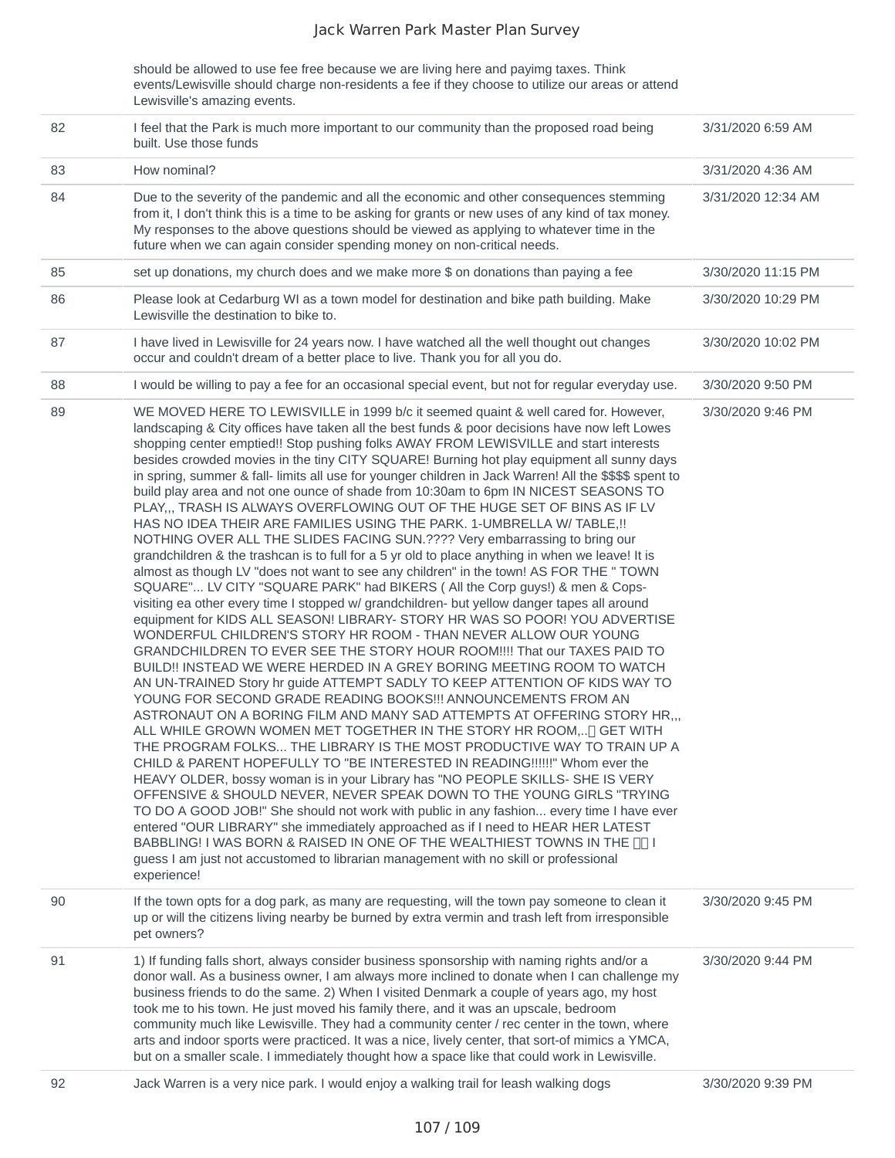should be allowed to use fee free because we are living here and payimg taxes. Think events/Lewisville should charge non-residents a fee if they choose to utilize our areas or attend Lewisville's amazing events.

| 82 | I feel that the Park is much more important to our community than the proposed road being<br>built. Use those funds                                                                                                                                                                                                                                                                                                                                                                                                                                                                                                                                                                                                                                                                                                                                                                                                                                                                                                                                                                                                                                                                                                                                                                                                                                                                                                                                                                                                                                                                                                                                                                                                                                                                                                                                                                                                                                                                                                                                                                                                                                                                                                                                                                                                                                                                                                                                                                              | 3/31/2020 6:59 AM  |
|----|--------------------------------------------------------------------------------------------------------------------------------------------------------------------------------------------------------------------------------------------------------------------------------------------------------------------------------------------------------------------------------------------------------------------------------------------------------------------------------------------------------------------------------------------------------------------------------------------------------------------------------------------------------------------------------------------------------------------------------------------------------------------------------------------------------------------------------------------------------------------------------------------------------------------------------------------------------------------------------------------------------------------------------------------------------------------------------------------------------------------------------------------------------------------------------------------------------------------------------------------------------------------------------------------------------------------------------------------------------------------------------------------------------------------------------------------------------------------------------------------------------------------------------------------------------------------------------------------------------------------------------------------------------------------------------------------------------------------------------------------------------------------------------------------------------------------------------------------------------------------------------------------------------------------------------------------------------------------------------------------------------------------------------------------------------------------------------------------------------------------------------------------------------------------------------------------------------------------------------------------------------------------------------------------------------------------------------------------------------------------------------------------------------------------------------------------------------------------------------------------------|--------------------|
| 83 | How nominal?                                                                                                                                                                                                                                                                                                                                                                                                                                                                                                                                                                                                                                                                                                                                                                                                                                                                                                                                                                                                                                                                                                                                                                                                                                                                                                                                                                                                                                                                                                                                                                                                                                                                                                                                                                                                                                                                                                                                                                                                                                                                                                                                                                                                                                                                                                                                                                                                                                                                                     | 3/31/2020 4:36 AM  |
| 84 | Due to the severity of the pandemic and all the economic and other consequences stemming<br>from it, I don't think this is a time to be asking for grants or new uses of any kind of tax money.<br>My responses to the above questions should be viewed as applying to whatever time in the<br>future when we can again consider spending money on non-critical needs.                                                                                                                                                                                                                                                                                                                                                                                                                                                                                                                                                                                                                                                                                                                                                                                                                                                                                                                                                                                                                                                                                                                                                                                                                                                                                                                                                                                                                                                                                                                                                                                                                                                                                                                                                                                                                                                                                                                                                                                                                                                                                                                           | 3/31/2020 12:34 AM |
| 85 | set up donations, my church does and we make more \$ on donations than paying a fee                                                                                                                                                                                                                                                                                                                                                                                                                                                                                                                                                                                                                                                                                                                                                                                                                                                                                                                                                                                                                                                                                                                                                                                                                                                                                                                                                                                                                                                                                                                                                                                                                                                                                                                                                                                                                                                                                                                                                                                                                                                                                                                                                                                                                                                                                                                                                                                                              | 3/30/2020 11:15 PM |
| 86 | Please look at Cedarburg WI as a town model for destination and bike path building. Make<br>Lewisville the destination to bike to.                                                                                                                                                                                                                                                                                                                                                                                                                                                                                                                                                                                                                                                                                                                                                                                                                                                                                                                                                                                                                                                                                                                                                                                                                                                                                                                                                                                                                                                                                                                                                                                                                                                                                                                                                                                                                                                                                                                                                                                                                                                                                                                                                                                                                                                                                                                                                               | 3/30/2020 10:29 PM |
| 87 | I have lived in Lewisville for 24 years now. I have watched all the well thought out changes<br>occur and couldn't dream of a better place to live. Thank you for all you do.                                                                                                                                                                                                                                                                                                                                                                                                                                                                                                                                                                                                                                                                                                                                                                                                                                                                                                                                                                                                                                                                                                                                                                                                                                                                                                                                                                                                                                                                                                                                                                                                                                                                                                                                                                                                                                                                                                                                                                                                                                                                                                                                                                                                                                                                                                                    | 3/30/2020 10:02 PM |
| 88 | I would be willing to pay a fee for an occasional special event, but not for regular everyday use.                                                                                                                                                                                                                                                                                                                                                                                                                                                                                                                                                                                                                                                                                                                                                                                                                                                                                                                                                                                                                                                                                                                                                                                                                                                                                                                                                                                                                                                                                                                                                                                                                                                                                                                                                                                                                                                                                                                                                                                                                                                                                                                                                                                                                                                                                                                                                                                               | 3/30/2020 9:50 PM  |
| 89 | WE MOVED HERE TO LEWISVILLE in 1999 b/c it seemed quaint & well cared for. However,<br>landscaping & City offices have taken all the best funds & poor decisions have now left Lowes<br>shopping center emptied!! Stop pushing folks AWAY FROM LEWISVILLE and start interests<br>besides crowded movies in the tiny CITY SQUARE! Burning hot play equipment all sunny days<br>in spring, summer & fall- limits all use for younger children in Jack Warren! All the \$\$\$\$ spent to<br>build play area and not one ounce of shade from 10:30am to 6pm IN NICEST SEASONS TO<br>PLAY,,, TRASH IS ALWAYS OVERFLOWING OUT OF THE HUGE SET OF BINS AS IF LV<br>HAS NO IDEA THEIR ARE FAMILIES USING THE PARK. 1-UMBRELLA W/ TABLE, !!<br>NOTHING OVER ALL THE SLIDES FACING SUN.???? Very embarrassing to bring our<br>grandchildren & the trashcan is to full for a 5 yr old to place anything in when we leave! It is<br>almost as though LV "does not want to see any children" in the town! AS FOR THE " TOWN<br>SQUARE" LV CITY "SQUARE PARK" had BIKERS (All the Corp guys!) & men & Cops-<br>visiting ea other every time I stopped w/ grandchildren- but yellow danger tapes all around<br>equipment for KIDS ALL SEASON! LIBRARY- STORY HR WAS SO POOR! YOU ADVERTISE<br>WONDERFUL CHILDREN'S STORY HR ROOM - THAN NEVER ALLOW OUR YOUNG<br>GRANDCHILDREN TO EVER SEE THE STORY HOUR ROOM!!!! That our TAXES PAID TO<br>BUILD!! INSTEAD WE WERE HERDED IN A GREY BORING MEETING ROOM TO WATCH<br>AN UN-TRAINED Story hr guide ATTEMPT SADLY TO KEEP ATTENTION OF KIDS WAY TO<br>YOUNG FOR SECOND GRADE READING BOOKS !!! ANNOUNCEMENTS FROM AN<br>ASTRONAUT ON A BORING FILM AND MANY SAD ATTEMPTS AT OFFERING STORY HR,,,<br>ALL WHILE GROWN WOMEN MET TOGETHER IN THE STORY HR ROOM,[] GET WITH<br>THE PROGRAM FOLKS THE LIBRARY IS THE MOST PRODUCTIVE WAY TO TRAIN UP A<br>CHILD & PARENT HOPEFULLY TO "BE INTERESTED IN READING !!!!!!" Whom ever the<br>HEAVY OLDER, bossy woman is in your Library has "NO PEOPLE SKILLS- SHE IS VERY<br>OFFENSIVE & SHOULD NEVER, NEVER SPEAK DOWN TO THE YOUNG GIRLS "TRYING<br>TO DO A GOOD JOB!" She should not work with public in any fashion every time I have ever<br>entered "OUR LIBRARY" she immediately approached as if I need to HEAR HER LATEST<br>BABBLING! I WAS BORN & RAISED IN ONE OF THE WEALTHIEST TOWNS IN THE [ ][ I<br>guess I am just not accustomed to librarian management with no skill or professional<br>experience! | 3/30/2020 9:46 PM  |
| 90 | If the town opts for a dog park, as many are requesting, will the town pay someone to clean it<br>up or will the citizens living nearby be burned by extra vermin and trash left from irresponsible<br>pet owners?                                                                                                                                                                                                                                                                                                                                                                                                                                                                                                                                                                                                                                                                                                                                                                                                                                                                                                                                                                                                                                                                                                                                                                                                                                                                                                                                                                                                                                                                                                                                                                                                                                                                                                                                                                                                                                                                                                                                                                                                                                                                                                                                                                                                                                                                               | 3/30/2020 9:45 PM  |
| 91 | 1) If funding falls short, always consider business sponsorship with naming rights and/or a<br>donor wall. As a business owner, I am always more inclined to donate when I can challenge my<br>business friends to do the same. 2) When I visited Denmark a couple of years ago, my host<br>took me to his town. He just moved his family there, and it was an upscale, bedroom<br>community much like Lewisville. They had a community center / rec center in the town, where<br>arts and indoor sports were practiced. It was a nice, lively center, that sort-of mimics a YMCA,<br>but on a smaller scale. I immediately thought how a space like that could work in Lewisville.                                                                                                                                                                                                                                                                                                                                                                                                                                                                                                                                                                                                                                                                                                                                                                                                                                                                                                                                                                                                                                                                                                                                                                                                                                                                                                                                                                                                                                                                                                                                                                                                                                                                                                                                                                                                              | 3/30/2020 9:44 PM  |
| 92 | Jack Warren is a very nice park. I would enjoy a walking trail for leash walking dogs                                                                                                                                                                                                                                                                                                                                                                                                                                                                                                                                                                                                                                                                                                                                                                                                                                                                                                                                                                                                                                                                                                                                                                                                                                                                                                                                                                                                                                                                                                                                                                                                                                                                                                                                                                                                                                                                                                                                                                                                                                                                                                                                                                                                                                                                                                                                                                                                            | 3/30/2020 9:39 PM  |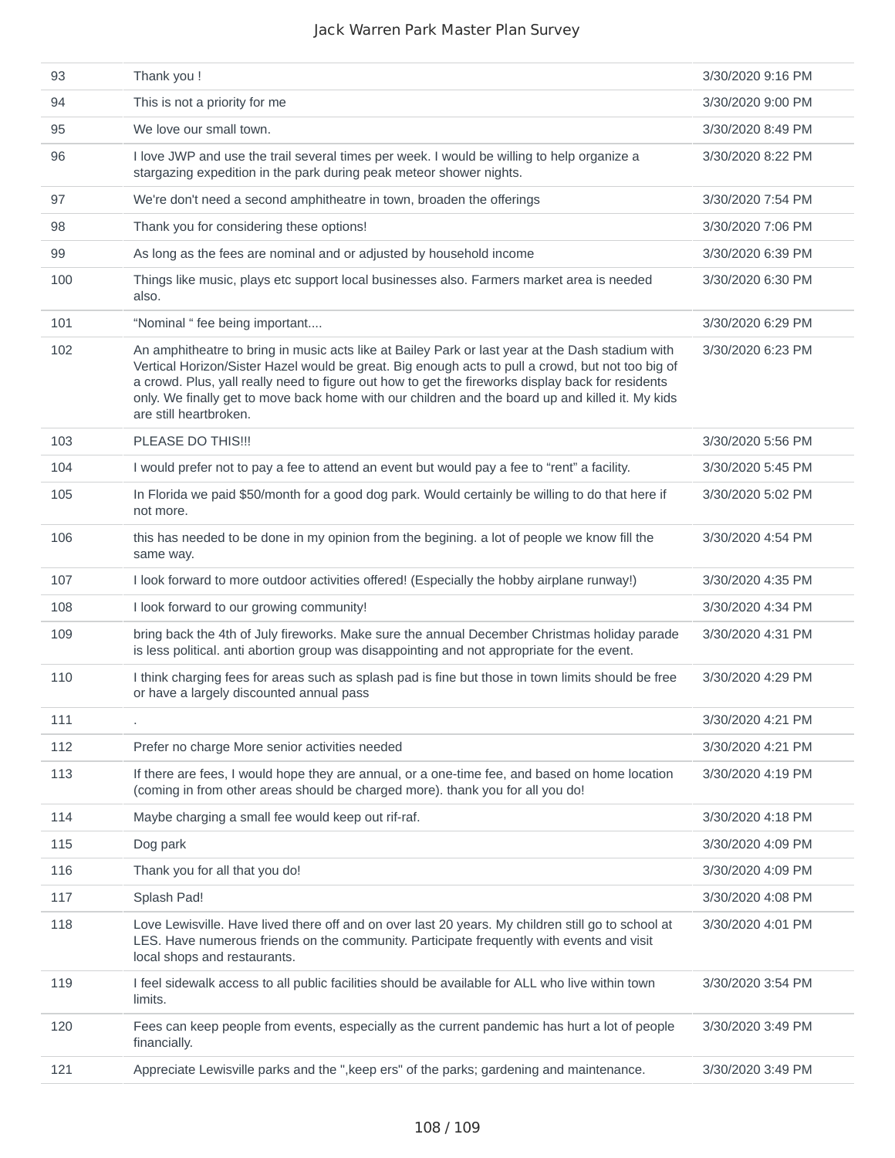| 93  | Thank you !                                                                                                                                                                                                                                                                                                                                                                                                                              | 3/30/2020 9:16 PM |
|-----|------------------------------------------------------------------------------------------------------------------------------------------------------------------------------------------------------------------------------------------------------------------------------------------------------------------------------------------------------------------------------------------------------------------------------------------|-------------------|
| 94  | This is not a priority for me                                                                                                                                                                                                                                                                                                                                                                                                            | 3/30/2020 9:00 PM |
| 95  | We love our small town.                                                                                                                                                                                                                                                                                                                                                                                                                  | 3/30/2020 8:49 PM |
| 96  | I love JWP and use the trail several times per week. I would be willing to help organize a<br>stargazing expedition in the park during peak meteor shower nights.                                                                                                                                                                                                                                                                        | 3/30/2020 8:22 PM |
| 97  | We're don't need a second amphitheatre in town, broaden the offerings                                                                                                                                                                                                                                                                                                                                                                    | 3/30/2020 7:54 PM |
| 98  | Thank you for considering these options!                                                                                                                                                                                                                                                                                                                                                                                                 | 3/30/2020 7:06 PM |
| 99  | As long as the fees are nominal and or adjusted by household income                                                                                                                                                                                                                                                                                                                                                                      | 3/30/2020 6:39 PM |
| 100 | Things like music, plays etc support local businesses also. Farmers market area is needed<br>also.                                                                                                                                                                                                                                                                                                                                       | 3/30/2020 6:30 PM |
| 101 | "Nominal " fee being important                                                                                                                                                                                                                                                                                                                                                                                                           | 3/30/2020 6:29 PM |
| 102 | An amphitheatre to bring in music acts like at Bailey Park or last year at the Dash stadium with<br>Vertical Horizon/Sister Hazel would be great. Big enough acts to pull a crowd, but not too big of<br>a crowd. Plus, yall really need to figure out how to get the fireworks display back for residents<br>only. We finally get to move back home with our children and the board up and killed it. My kids<br>are still heartbroken. | 3/30/2020 6:23 PM |
| 103 | PLEASE DO THIS!!!                                                                                                                                                                                                                                                                                                                                                                                                                        | 3/30/2020 5:56 PM |
| 104 | I would prefer not to pay a fee to attend an event but would pay a fee to "rent" a facility.                                                                                                                                                                                                                                                                                                                                             | 3/30/2020 5:45 PM |
| 105 | In Florida we paid \$50/month for a good dog park. Would certainly be willing to do that here if<br>not more.                                                                                                                                                                                                                                                                                                                            | 3/30/2020 5:02 PM |
| 106 | this has needed to be done in my opinion from the begining. a lot of people we know fill the<br>same way.                                                                                                                                                                                                                                                                                                                                | 3/30/2020 4:54 PM |
| 107 | I look forward to more outdoor activities offered! (Especially the hobby airplane runway!)                                                                                                                                                                                                                                                                                                                                               | 3/30/2020 4:35 PM |
| 108 | I look forward to our growing community!                                                                                                                                                                                                                                                                                                                                                                                                 | 3/30/2020 4:34 PM |
| 109 | bring back the 4th of July fireworks. Make sure the annual December Christmas holiday parade<br>is less political. anti abortion group was disappointing and not appropriate for the event.                                                                                                                                                                                                                                              | 3/30/2020 4:31 PM |
| 110 | I think charging fees for areas such as splash pad is fine but those in town limits should be free<br>or have a largely discounted annual pass                                                                                                                                                                                                                                                                                           | 3/30/2020 4:29 PM |
| 111 |                                                                                                                                                                                                                                                                                                                                                                                                                                          | 3/30/2020 4:21 PM |
| 112 | Prefer no charge More senior activities needed                                                                                                                                                                                                                                                                                                                                                                                           | 3/30/2020 4:21 PM |
| 113 | If there are fees, I would hope they are annual, or a one-time fee, and based on home location<br>(coming in from other areas should be charged more). thank you for all you do!                                                                                                                                                                                                                                                         | 3/30/2020 4:19 PM |
| 114 | Maybe charging a small fee would keep out rif-raf.                                                                                                                                                                                                                                                                                                                                                                                       | 3/30/2020 4:18 PM |
| 115 | Dog park                                                                                                                                                                                                                                                                                                                                                                                                                                 | 3/30/2020 4:09 PM |
| 116 | Thank you for all that you do!                                                                                                                                                                                                                                                                                                                                                                                                           | 3/30/2020 4:09 PM |
| 117 | Splash Pad!                                                                                                                                                                                                                                                                                                                                                                                                                              | 3/30/2020 4:08 PM |
| 118 | Love Lewisville. Have lived there off and on over last 20 years. My children still go to school at<br>LES. Have numerous friends on the community. Participate frequently with events and visit<br>local shops and restaurants.                                                                                                                                                                                                          | 3/30/2020 4:01 PM |
| 119 | I feel sidewalk access to all public facilities should be available for ALL who live within town<br>limits.                                                                                                                                                                                                                                                                                                                              | 3/30/2020 3:54 PM |
| 120 | Fees can keep people from events, especially as the current pandemic has hurt a lot of people<br>financially.                                                                                                                                                                                                                                                                                                                            | 3/30/2020 3:49 PM |
| 121 | Appreciate Lewisville parks and the ", keep ers" of the parks; gardening and maintenance.                                                                                                                                                                                                                                                                                                                                                | 3/30/2020 3:49 PM |